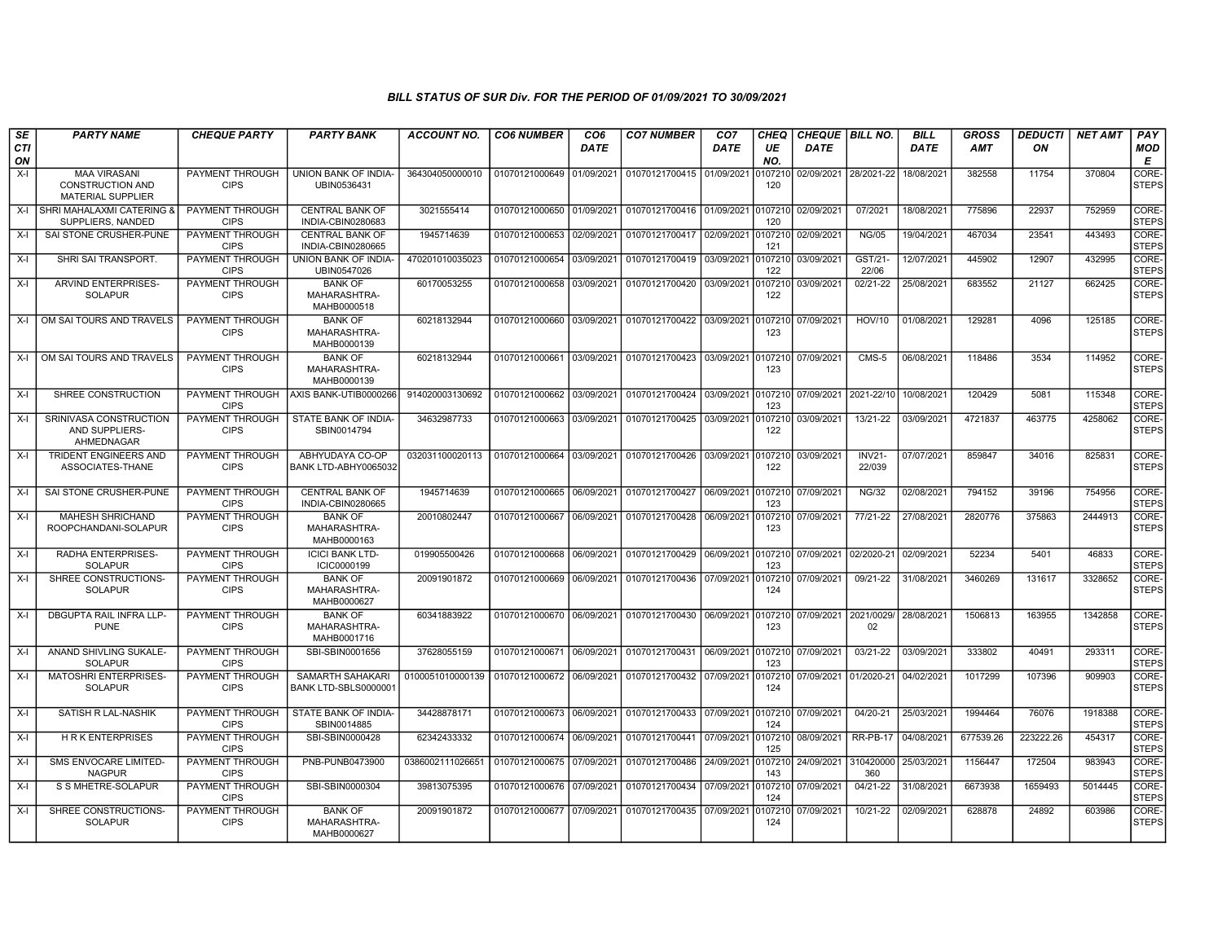| SE        | <b>PARTY NAME</b>                                                          | <b>CHEQUE PARTY</b>                   | <b>PARTY BANK</b>                               | ACCOUNT NO.      | <b>CO6 NUMBER</b>         | CO <sub>6</sub> | <b>CO7 NUMBER</b>                    | CO <sub>7</sub>    | <b>CHEQ</b>    | <b>CHEQUE BILL NO.</b> |                         | <b>BILL</b> | <b>GROSS</b> | <b>DEDUCTI</b> | <b>NET AMT</b> | PAY                   |
|-----------|----------------------------------------------------------------------------|---------------------------------------|-------------------------------------------------|------------------|---------------------------|-----------------|--------------------------------------|--------------------|----------------|------------------------|-------------------------|-------------|--------------|----------------|----------------|-----------------------|
| CTI<br>ON |                                                                            |                                       |                                                 |                  |                           | <b>DATE</b>     |                                      | <b>DATE</b>        | UE<br>NO.      | <b>DATE</b>            |                         | <b>DATE</b> | <b>AMT</b>   | ON             |                | MOD<br>E              |
| $X-I$     | <b>MAA VIRASANI</b><br><b>CONSTRUCTION AND</b><br><b>MATERIAL SUPPLIER</b> | PAYMENT THROUGH<br><b>CIPS</b>        | UNION BANK OF INDIA-<br>UBIN0536431             | 364304050000010  | 01070121000649            | 01/09/2021      | 01070121700415                       | 01/09/2021         | 0107210<br>120 |                        | 02/09/2021 28/2021-22   | 18/08/2021  | 382558       | 11754          | 370804         | CORE-<br><b>STEPS</b> |
| $X-I$     | <b>SHRI MAHALAXMI CATERING 8</b><br>SUPPLIERS, NANDED                      | PAYMENT THROUGH<br><b>CIPS</b>        | <b>CENTRAL BANK OF</b><br>INDIA-CBIN0280683     | 3021555414       | 01070121000650            | 01/09/2021      | 01070121700416 01/09/2021            |                    | 0107210<br>120 | 02/09/2021             | 07/2021                 | 18/08/2021  | 775896       | 22937          | 752959         | CORE-<br><b>STEPS</b> |
| $X-I$     | SAI STONE CRUSHER-PUNE                                                     | <b>PAYMENT THROUGH</b><br><b>CIPS</b> | <b>CENTRAL BANK OF</b><br>INDIA-CBIN0280665     | 1945714639       | 01070121000653            | 02/09/2021      | 01070121700417                       | 02/09/2021         | 0107210<br>121 | 02/09/2021             | <b>NG/05</b>            | 19/04/2021  | 467034       | 23541          | 443493         | CORE-<br><b>STEPS</b> |
| $X-I$     | SHRI SAI TRANSPORT.                                                        | <b>PAYMENT THROUGH</b><br><b>CIPS</b> | UNION BANK OF INDIA-<br>UBIN0547026             | 470201010035023  | 01070121000654            | 03/09/2021      | 01070121700419                       | 03/09/2021         | 0107210<br>122 | 03/09/2021             | GST/21-<br>22/06        | 12/07/2021  | 445902       | 12907          | 432995         | CORE-<br><b>STEPS</b> |
| $X-I$     | ARVIND ENTERPRISES-<br><b>SOLAPUR</b>                                      | PAYMENT THROUGH<br><b>CIPS</b>        | <b>BANK OF</b><br>MAHARASHTRA-<br>MAHB0000518   | 60170053255      | 01070121000658            | 03/09/2021      | 01070121700420                       | 03/09/2021         | 0107210<br>122 | 03/09/2021             | 02/21-22                | 25/08/2021  | 683552       | 21127          | 662425         | CORE-<br><b>STEPS</b> |
|           | X-I OM SAI TOURS AND TRAVELS                                               | <b>PAYMENT THROUGH</b><br><b>CIPS</b> | <b>BANK OF</b><br>MAHARASHTRA-<br>MAHB0000139   | 60218132944      | 01070121000660            |                 | 03/09/2021 01070121700422 03/09/2021 |                    | 0107210<br>123 | 07/09/2021             | <b>HOV/10</b>           | 01/08/2021  | 129281       | 4096           | 125185         | CORE-<br><b>STEPS</b> |
| $X-I$     | OM SAI TOURS AND TRAVELS                                                   | PAYMENT THROUGH<br><b>CIPS</b>        | <b>BANK OF</b><br>MAHARASHTRA-<br>MAHB0000139   | 60218132944      | 01070121000661            |                 | 03/09/2021 01070121700423            | 03/09/2021 0107210 | 123            | 07/09/2021             | CMS-5                   | 06/08/2021  | 118486       | 3534           | 114952         | CORE-<br><b>STEPS</b> |
| $X-I$     | SHREE CONSTRUCTION                                                         | PAYMENT THROUGH<br><b>CIPS</b>        | AXIS BANK-UTIB0000266                           | 914020003130692  | 01070121000662            | 03/09/2021      | 01070121700424                       | 03/09/2021         | 0107210<br>123 | 07/09/2021 2021-22/10  |                         | 10/08/2021  | 120429       | 5081           | 115348         | CORE-<br><b>STEPS</b> |
| X-I       | SRINIVASA CONSTRUCTION<br>AND SUPPLIERS-<br>AHMEDNAGAR                     | <b>PAYMENT THROUGH</b><br><b>CIPS</b> | STATE BANK OF INDIA-<br>SBIN0014794             | 34632987733      | 01070121000663            | 03/09/2021      | 01070121700425                       | 03/09/2021         | 0107210<br>122 | 03/09/2021             | 13/21-22                | 03/09/2021  | 4721837      | 463775         | 4258062        | CORE-<br><b>STEPS</b> |
| $X-I$     | <b>TRIDENT ENGINEERS AND</b><br>ASSOCIATES-THANE                           | PAYMENT THROUGH<br><b>CIPS</b>        | ABHYUDAYA CO-OP<br>BANK LTD-ABHY0065032         | 032031100020113  | 01070121000664            | 03/09/2021      | 01070121700426                       | 03/09/2021         | 0107210<br>122 | 03/09/2021             | <b>INV21-</b><br>22/039 | 07/07/2021  | 859847       | 34016          | 825831         | CORE-<br><b>STEPS</b> |
| $X-I$     | SAI STONE CRUSHER-PUNE                                                     | PAYMENT THROUGH<br><b>CIPS</b>        | <b>CENTRAL BANK OF</b><br>INDIA-CBIN0280665     | 1945714639       | 01070121000665            | 06/09/2021      | 01070121700427                       | 06/09/2021         | 0107210<br>123 | 07/09/2021             | <b>NG/32</b>            | 02/08/2021  | 794152       | 39196          | 754956         | CORE-<br><b>STEPS</b> |
| $X-I$     | <b>MAHESH SHRICHAND</b><br>ROOPCHANDANI-SOLAPUR                            | PAYMENT THROUGH<br><b>CIPS</b>        | <b>BANK OF</b><br>MAHARASHTRA-<br>MAHB0000163   | 20010802447      | 01070121000667            | 06/09/2021      | 01070121700428                       | 06/09/2021         | 0107210<br>123 | 07/09/2021             | 77/21-22                | 27/08/2021  | 2820776      | 375863         | 2444913        | CORE-<br><b>STEPS</b> |
| $X-I$     | <b>RADHA ENTERPRISES-</b><br><b>SOLAPUR</b>                                | PAYMENT THROUGH<br><b>CIPS</b>        | <b>ICICI BANK LTD-</b><br>ICIC0000199           | 019905500426     | 01070121000668            |                 | 06/09/2021 01070121700429            | 06/09/2021         | 0107210<br>123 | 07/09/2021 02/2020-21  |                         | 02/09/2021  | 52234        | 5401           | 46833          | CORE-<br><b>STEPS</b> |
| X-I       | SHREE CONSTRUCTIONS-<br><b>SOLAPUR</b>                                     | PAYMENT THROUGH<br><b>CIPS</b>        | <b>BANK OF</b><br>MAHARASHTRA-<br>MAHB0000627   | 20091901872      | 01070121000669            | 06/09/2021      | 01070121700436                       | 07/09/2021         | 0107210<br>124 | 07/09/2021             | 09/21-22                | 31/08/2021  | 3460269      | 131617         | 3328652        | CORE-<br><b>STEPS</b> |
| $X-I$     | DBGUPTA RAIL INFRA LLP-<br><b>PUNE</b>                                     | PAYMENT THROUGH<br><b>CIPS</b>        | <b>BANK OF</b><br>MAHARASHTRA-<br>MAHB0001716   | 60341883922      | 01070121000670            |                 | 06/09/2021 01070121700430            | 06/09/2021         | 0107210<br>123 | 07/09/2021 2021/0029/  | 02                      | 28/08/2021  | 1506813      | 163955         | 1342858        | CORE-<br><b>STEPS</b> |
| X-l       | ANAND SHIVLING SUKALE-<br><b>SOLAPUR</b>                                   | PAYMENT THROUGH<br><b>CIPS</b>        | SBI-SBIN0001656                                 | 37628055159      | 01070121000671 06/09/2021 |                 | 01070121700431                       | 06/09/2021         | 0107210<br>123 | 07/09/2021             | 03/21-22                | 03/09/2021  | 333802       | 40491          | 293311         | CORE-<br><b>STEPS</b> |
| $X-I$     | <b>MATOSHRI ENTERPRISES-</b><br><b>SOLAPUR</b>                             | PAYMENT THROUGH<br><b>CIPS</b>        | <b>SAMARTH SAHAKARI</b><br>BANK LTD-SBLS0000001 | 0100051010000139 | 01070121000672 06/09/2021 |                 | 01070121700432                       | 07/09/2021         | 0107210<br>124 | 07/09/2021 01/2020-21  |                         | 04/02/2021  | 1017299      | 107396         | 909903         | CORE-<br><b>STEPS</b> |
| $X-I$     | SATISH R LAL-NASHIK                                                        | PAYMENT THROUGH<br><b>CIPS</b>        | STATE BANK OF INDIA-<br>SBIN0014885             | 34428878171      | 01070121000673            | 06/09/2021      | 01070121700433                       | 07/09/2021         | 0107210<br>124 | 07/09/2021             | 04/20-21                | 25/03/2021  | 1994464      | 76076          | 1918388        | CORE-<br><b>STEPS</b> |
| $X-I$     | <b>HRK ENTERPRISES</b>                                                     | PAYMENT THROUGH<br><b>CIPS</b>        | SBI-SBIN0000428                                 | 62342433332      | 01070121000674 06/09/2021 |                 | 01070121700441                       | 07/09/2021         | 0107210<br>125 | 08/09/2021             | <b>RR-PB-17</b>         | 04/08/2021  | 677539.26    | 223222.26      | 454317         | CORE-<br><b>STEPS</b> |
| $X-I$     | SMS ENVOCARE LIMITED-<br><b>NAGPUR</b>                                     | <b>PAYMENT THROUGH</b><br><b>CIPS</b> | PNB-PUNB0473900                                 | 038600211102665  | 01070121000675 07/09/2021 |                 | 01070121700486                       | 24/09/2021         | 0107210<br>143 | 24/09/2021             | 310420000<br>360        | 25/03/2021  | 1156447      | 172504         | 983943         | CORE-<br><b>STEPS</b> |
| $X-I$     | S S MHETRE-SOLAPUR                                                         | <b>PAYMENT THROUGH</b><br><b>CIPS</b> | SBI-SBIN0000304                                 | 39813075395      | 01070121000676 07/09/2021 |                 | 01070121700434                       | 07/09/2021         | 0107210<br>124 | 07/09/2021             | $04/21-22$              | 31/08/2021  | 6673938      | 1659493        | 5014445        | CORE-<br><b>STEPS</b> |
| $X-I$     | SHREE CONSTRUCTIONS-<br><b>SOLAPUR</b>                                     | PAYMENT THROUGH<br><b>CIPS</b>        | <b>BANK OF</b><br>MAHARASHTRA-<br>MAHB0000627   | 20091901872      | 01070121000677 07/09/2021 |                 | 01070121700435                       | 07/09/2021         | 0107210<br>124 | 07/09/2021             | 10/21-22                | 02/09/2021  | 628878       | 24892          | 603986         | CORE-<br><b>STEPS</b> |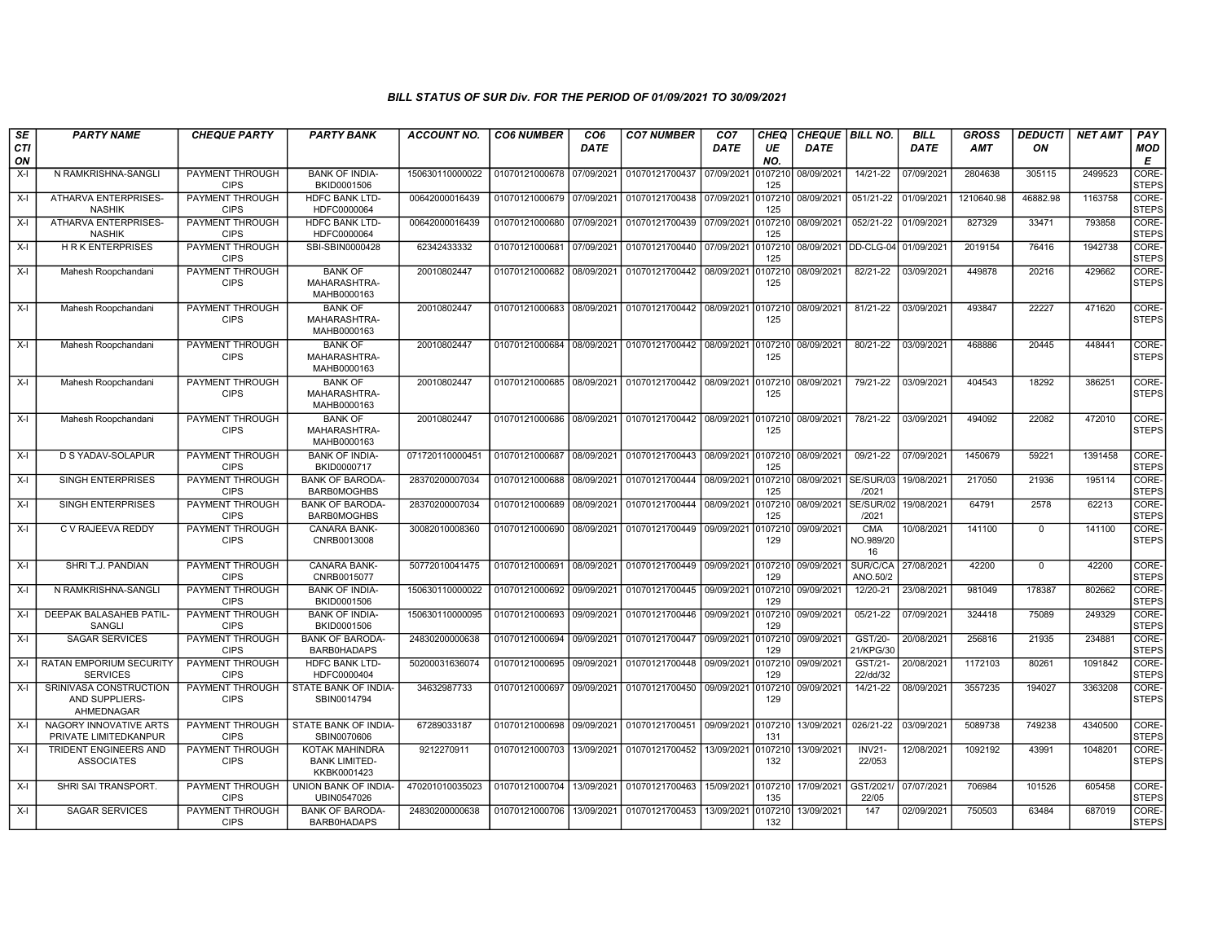| SE<br><b>CTI</b> | <b>PARTY NAME</b>                                      | <b>CHEQUE PARTY</b>                   | <b>PARTY BANK</b>                                            | <b>ACCOUNT NO.</b> | <b>CO6 NUMBER</b>         | CO <sub>6</sub><br><b>DATE</b> | <b>CO7 NUMBER</b>         | CO <sub>7</sub><br><b>DATE</b> | CHEQ<br>UE     | <b>CHEQUE   BILL NO.</b><br><b>DATE</b> |                                  | <b>BILL</b><br><b>DATE</b> | <b>GROSS</b><br><b>AMT</b> | <b>DEDUCTI</b><br>ON | <b>NET AMT</b> | PAY<br>MOD            |
|------------------|--------------------------------------------------------|---------------------------------------|--------------------------------------------------------------|--------------------|---------------------------|--------------------------------|---------------------------|--------------------------------|----------------|-----------------------------------------|----------------------------------|----------------------------|----------------------------|----------------------|----------------|-----------------------|
| ON<br>X-I        | N RAMKRISHNA-SANGLI                                    | PAYMENT THROUGH                       | <b>BANK OF INDIA-</b>                                        | 150630110000022    | 01070121000678            | 07/09/2021                     | 01070121700437 07/09/2021 |                                | NO.<br>107210  | 08/09/2021                              | 14/21-22                         | 07/09/2021                 | 2804638                    | 305115               | 2499523        | Е<br>CORE-            |
|                  |                                                        | <b>CIPS</b>                           | BKID0001506                                                  |                    |                           |                                |                           |                                | 125            |                                         |                                  |                            |                            |                      |                | <b>STEPS</b>          |
| X-I              | <b>ATHARVA ENTERPRISES-</b><br><b>NASHIK</b>           | <b>PAYMENT THROUGH</b><br><b>CIPS</b> | <b>HDFC BANK LTD-</b><br>HDFC0000064                         | 00642000016439     | 01070121000679 07/09/2021 |                                | 01070121700438 07/09/2021 |                                | 107210<br>125  | 08/09/2021                              | 051/21-22                        | 01/09/2021                 | 1210640.98                 | 46882.98             | 1163758        | CORE-<br><b>STEPS</b> |
| $X-I$            | ATHARVA ENTERPRISES-<br><b>NASHIK</b>                  | PAYMENT THROUGH<br><b>CIPS</b>        | <b>HDFC BANK LTD-</b><br>HDFC0000064                         | 00642000016439     | 01070121000680            | 07/09/2021                     | 01070121700439 07/09/2021 |                                | 107210<br>125  | 08/09/2021                              | 052/21-22                        | 01/09/2021                 | 827329                     | 33471                | 793858         | CORE-<br><b>STEPS</b> |
| X-I              | <b>HRK ENTERPRISES</b>                                 | PAYMENT THROUGH<br><b>CIPS</b>        | SBI-SBIN0000428                                              | 62342433332        | 01070121000681            | 07/09/2021                     | 01070121700440            | 07/09/2021                     | 107210<br>125  |                                         | 08/09/2021  DD-CLG-04 01/09/2021 |                            | 2019154                    | 76416                | 1942738        | CORE-<br><b>STEPS</b> |
| $X-I$            | Mahesh Roopchandani                                    | <b>PAYMENT THROUGH</b><br><b>CIPS</b> | <b>BANK OF</b><br>MAHARASHTRA-<br>MAHB0000163                | 20010802447        | 01070121000682            | 08/09/2021                     | 01070121700442 08/09/2021 |                                | 107210<br>125  | 08/09/2021                              | 82/21-22                         | 03/09/2021                 | 449878                     | 20216                | 429662         | CORE-<br><b>STEPS</b> |
| $X-I$            | Mahesh Roopchandani                                    | PAYMENT THROUGH<br><b>CIPS</b>        | <b>BANK OF</b><br>MAHARASHTRA-<br>MAHB0000163                | 20010802447        | 01070121000683            | 08/09/2021                     | 01070121700442            | 08/09/2021                     | 107210<br>125  | 08/09/2021                              | 81/21-22                         | 03/09/2021                 | 493847                     | 22227                | 471620         | CORE-<br><b>STEPS</b> |
| X-I              | Mahesh Roopchandani                                    | PAYMENT THROUGH<br><b>CIPS</b>        | <b>BANK OF</b><br>MAHARASHTRA-<br>MAHB0000163                | 20010802447        | 01070121000684            | 08/09/2021                     | 01070121700442 08/09/2021 |                                | 0107210<br>125 | 08/09/2021                              | 80/21-22                         | 03/09/2021                 | 468886                     | 20445                | 448441         | CORE-<br><b>STEPS</b> |
| X-I              | Mahesh Roopchandani                                    | <b>PAYMENT THROUGH</b><br><b>CIPS</b> | <b>BANK OF</b><br>MAHARASHTRA-<br>MAHB0000163                | 20010802447        | 01070121000685            | 08/09/2021                     | 01070121700442            | 08/09/2021                     | 0107210<br>125 | 08/09/2021                              | 79/21-22                         | 03/09/2021                 | 404543                     | 18292                | 386251         | CORE-<br><b>STEPS</b> |
| $X-I$            | Mahesh Roopchandani                                    | PAYMENT THROUGH<br><b>CIPS</b>        | <b>BANK OF</b><br>MAHARASHTRA-<br>MAHB0000163                | 20010802447        | 01070121000686            | 08/09/2021                     | 01070121700442            | 08/09/2021                     | 107210<br>125  | 08/09/2021                              | 78/21-22                         | 03/09/2021                 | 494092                     | 22082                | 472010         | CORE-<br><b>STEPS</b> |
| $X-I$            | <b>D S YADAV-SOLAPUR</b>                               | PAYMENT THROUGH<br><b>CIPS</b>        | <b>BANK OF INDIA-</b><br>BKID0000717                         | 071720110000451    | 01070121000687            | 08/09/2021                     | 01070121700443            | 08/09/2021                     | 107210<br>125  | 08/09/2021                              | 09/21-22                         | 07/09/2021                 | 1450679                    | 59221                | 1391458        | CORE-<br><b>STEPS</b> |
| X-I              | SINGH ENTERPRISES                                      | PAYMENT THROUGH<br><b>CIPS</b>        | <b>BANK OF BARODA-</b><br><b>BARBOMOGHBS</b>                 | 28370200007034     | 01070121000688            | 08/09/2021                     | 01070121700444 08/09/2021 |                                | 107210<br>125  | 08/09/2021                              | SE/SUR/03<br>/2021               | 19/08/2021                 | 217050                     | 21936                | 195114         | CORE-<br><b>STEPS</b> |
| X-I              | SINGH ENTERPRISES                                      | PAYMENT THROUGH<br><b>CIPS</b>        | <b>BANK OF BARODA</b><br><b>BARB0MOGHBS</b>                  | 28370200007034     | 01070121000689            | 08/09/2021                     | 01070121700444 08/09/2021 |                                | 0107210<br>125 | 08/09/2021                              | SE/SUR/02<br>/2021               | 19/08/2021                 | 64791                      | 2578                 | 62213          | CORE-<br><b>STEPS</b> |
| X-I              | C V RAJEEVA REDDY                                      | <b>PAYMENT THROUGH</b><br><b>CIPS</b> | CANARA BANK-<br>CNRB0013008                                  | 30082010008360     | 01070121000690            | 08/09/2021                     | 01070121700449            | 09/09/2021                     | 107210<br>129  | 09/09/2021                              | <b>CMA</b><br>NO.989/20<br>16    | 10/08/2021                 | 141100                     | $\Omega$             | 141100         | CORE-<br><b>STEPS</b> |
| X-I              | SHRI T.J. PANDIAN                                      | PAYMENT THROUGH<br><b>CIPS</b>        | <b>CANARA BANK-</b><br>CNRB0015077                           | 50772010041475     | 01070121000691            | 08/09/2021                     | 01070121700449 09/09/2021 |                                | 107210<br>129  | 09/09/2021                              | SUR/C/CA<br>ANO.50/2             | 27/08/2021                 | 42200                      | $\Omega$             | 42200          | CORE-<br><b>STEPS</b> |
| X-I              | N RAMKRISHNA-SANGLI                                    | PAYMENT THROUGH<br><b>CIPS</b>        | <b>BANK OF INDIA-</b><br>BKID0001506                         | 150630110000022    | 01070121000692            | 09/09/2021                     | 01070121700445            | 09/09/2021                     | 107210<br>129  | 09/09/2021                              | 12/20-21                         | 23/08/2021                 | 981049                     | 178387               | 802662         | CORE-<br><b>STEPS</b> |
| X-I              | DEEPAK BALASAHEB PATIL<br>SANGLI                       | PAYMENT THROUGH<br><b>CIPS</b>        | <b>BANK OF INDIA-</b><br>BKID0001506                         | 150630110000095    | 01070121000693            | 09/09/2021                     | 01070121700446            | 09/09/2021                     | 0107210<br>129 | 09/09/2021                              | 05/21-22                         | 07/09/2021                 | 324418                     | 75089                | 249329         | CORE-<br><b>STEPS</b> |
| X-I              | <b>SAGAR SERVICES</b>                                  | PAYMENT THROUGH<br><b>CIPS</b>        | <b>BANK OF BARODA-</b><br><b>BARB0HADAPS</b>                 | 24830200000638     | 01070121000694            | 09/09/2021                     | 01070121700447 09/09/2021 |                                | 107210<br>129  | 09/09/2021                              | GST/20-<br>21/KPG/30             | 20/08/2021                 | 256816                     | 21935                | 234881         | CORE-<br><b>STEPS</b> |
| X-I              | <b>RATAN EMPORIUM SECURITY</b><br><b>SERVICES</b>      | PAYMENT THROUGH<br><b>CIPS</b>        | <b>HDFC BANK LTD-</b><br>HDFC0000404                         | 50200031636074     | 01070121000695            | 09/09/2021                     | 01070121700448 09/09/2021 |                                | 107210<br>129  | 09/09/2021                              | GST/21-<br>22/dd/32              | 20/08/2021                 | 1172103                    | 80261                | 1091842        | CORE-<br><b>STEPS</b> |
| X-I              | SRINIVASA CONSTRUCTION<br>AND SUPPLIERS-<br>AHMEDNAGAR | PAYMENT THROUGH<br><b>CIPS</b>        | STATE BANK OF INDIA-<br>SBIN0014794                          | 34632987733        | 01070121000697            | 09/09/2021                     | 01070121700450            | 09/09/2021                     | 107210<br>129  | 09/09/2021                              | 14/21-22                         | 08/09/2021                 | 3557235                    | 194027               | 3363208        | CORE-<br><b>STEPS</b> |
| X-I              | NAGORY INNOVATIVE ARTS<br>PRIVATE LIMITEDKANPUR        | PAYMENT THROUGH<br><b>CIPS</b>        | STATE BANK OF INDIA-<br>SBIN0070606                          | 67289033187        | 01070121000698            | 09/09/2021                     | 01070121700451 09/09/2021 |                                | 0107210<br>131 | 13/09/2021                              | 026/21-22                        | 03/09/2021                 | 5089738                    | 749238               | 4340500        | CORE-<br><b>STEPS</b> |
| X-I              | <b>TRIDENT ENGINEERS AND</b><br><b>ASSOCIATES</b>      | <b>PAYMENT THROUGH</b><br><b>CIPS</b> | <b>KOTAK MAHINDRA</b><br><b>BANK LIMITED-</b><br>KKBK0001423 | 9212270911         | 01070121000703            | 13/09/2021                     | 01070121700452            | 13/09/2021                     | 0107210<br>132 | 13/09/2021                              | <b>INV21-</b><br>22/053          | 12/08/2021                 | 1092192                    | 43991                | 1048201        | CORE-<br><b>STEPS</b> |
| $X-I$            | SHRI SAI TRANSPORT.                                    | PAYMENT THROUGH<br><b>CIPS</b>        | UNION BANK OF INDIA-<br>UBIN0547026                          | 470201010035023    | 01070121000704            | 13/09/2021                     | 01070121700463            | 15/09/2021                     | 0107210<br>135 | 17/09/2021                              | GST/2021<br>22/05                | 07/07/2021                 | 706984                     | 101526               | 605458         | CORE-<br><b>STEPS</b> |
| $X-I$            | <b>SAGAR SERVICES</b>                                  | PAYMENT THROUGH<br><b>CIPS</b>        | <b>BANK OF BARODA-</b><br>BARB0HADAPS                        | 24830200000638     | 01070121000706            | 13/09/2021                     | 01070121700453            | 13/09/2021                     | 107210<br>132  | 13/09/2021                              | 147                              | 02/09/2021                 | 750503                     | 63484                | 687019         | CORE-<br><b>STEPS</b> |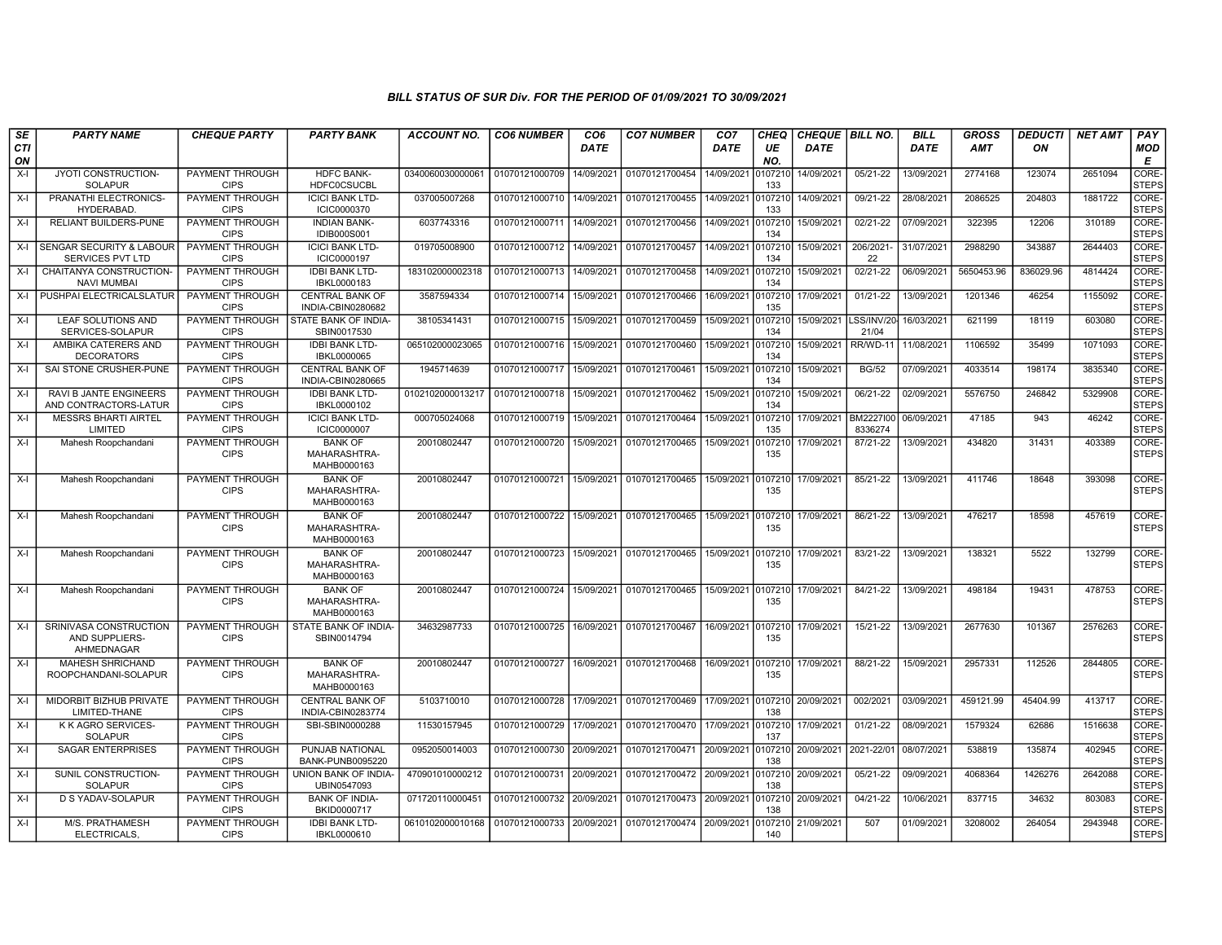| SE<br>CTI<br>ON | <b>PARTY NAME</b>                                       | <b>CHEQUE PARTY</b>                   | <b>PARTY BANK</b>                             | <b>ACCOUNT NO.</b>                | <b>CO6 NUMBER</b> | CO <sub>6</sub><br><b>DATE</b> | <b>CO7 NUMBER</b>         | CO <sub>7</sub><br><b>DATE</b> | <b>CHEQ</b><br>UE<br>NO. | CHEQUE   BILL NO.<br><b>DATE</b> |                             | <b>BILL</b><br><b>DATE</b> | <b>GROSS</b><br><b>AMT</b> | <b>DEDUCTI</b><br>ON | <b>NET AMT</b> | <b>PAY</b><br>MOD<br>Е      |
|-----------------|---------------------------------------------------------|---------------------------------------|-----------------------------------------------|-----------------------------------|-------------------|--------------------------------|---------------------------|--------------------------------|--------------------------|----------------------------------|-----------------------------|----------------------------|----------------------------|----------------------|----------------|-----------------------------|
| $X-I$           | JYOTI CONSTRUCTION-<br><b>SOLAPUR</b>                   | <b>PAYMENT THROUGH</b><br><b>CIPS</b> | <b>HDFC BANK-</b><br><b>HDFC0CSUCBL</b>       | 0340060030000061                  | 01070121000709    | 14/09/2021                     | 01070121700454            | 14/09/202                      | 107210<br>133            | 14/09/2021                       | 05/21-22                    | 13/09/2021                 | 2774168                    | 123074               | 2651094        | <b>CORE</b><br><b>STEPS</b> |
| $X-I$           | PRANATHI ELECTRONICS-<br><b>HYDERABAD</b>               | <b>PAYMENT THROUGH</b><br><b>CIPS</b> | <b>ICICI BANK LTD-</b><br>ICIC0000370         | 037005007268                      | 01070121000710    | 14/09/2021                     | 01070121700455            | 14/09/2021                     | 0107210<br>133           | 14/09/2021                       | $09/21 - 22$                | 28/08/2021                 | 2086525                    | 204803               | 1881722        | CORE-<br><b>STEPS</b>       |
| $X-I$           | <b>RELIANT BUILDERS-PUNE</b>                            | PAYMENT THROUGH<br><b>CIPS</b>        | <b>INDIAN BANK-</b><br><b>IDIB000S001</b>     | 6037743316                        | 01070121000711    | 14/09/2021                     | 01070121700456            | 14/09/2021                     | 0107210<br>134           | 15/09/2021                       | 02/21-22                    | 07/09/2021                 | 322395                     | 12206                | 310189         | CORE-<br><b>STEPS</b>       |
|                 | X-I SENGAR SECURITY & LABOUR<br><b>SERVICES PVT LTD</b> | PAYMENT THROUGH<br><b>CIPS</b>        | <b>ICICI BANK LTD-</b><br>ICIC0000197         | 019705008900                      | 01070121000712    | 14/09/2021                     | 01070121700457            | 14/09/2021                     | 010721<br>134            | 15/09/2021                       | 206/2021<br>22              | 31/07/2021                 | 2988290                    | 343887               | 2644403        | CORE-<br><b>STEPS</b>       |
| X-I             | CHAITANYA CONSTRUCTION-<br><b>NAVI MUMBAI</b>           | PAYMENT THROUGH<br><b>CIPS</b>        | <b>IDBI BANK LTD-</b><br>IBKL0000183          | 183102000002318                   | 01070121000713    | 14/09/2021                     | 01070121700458            | 14/09/2021                     | 010721<br>134            | 15/09/2021                       | 02/21-22                    | 06/09/2021                 | 5650453.96                 | 836029.96            | 4814424        | CORE-<br><b>STEPS</b>       |
| $X-I$           | <b>I PUSHPAI ELECTRICALSLATUR</b>                       | <b>PAYMENT THROUGH</b><br><b>CIPS</b> | <b>CENTRAL BANK OF</b><br>INDIA-CBIN0280682   | 3587594334                        | 01070121000714    | 15/09/2021                     | 01070121700466            | 16/09/2021                     | 0107210<br>135           | 17/09/2021                       | $01/21 - 22$                | 13/09/2021                 | 1201346                    | 46254                | 1155092        | CORE-<br><b>STEPS</b>       |
| $X-I$           | <b>LEAF SOLUTIONS AND</b><br>SERVICES-SOLAPUR           | PAYMENT THROUGH<br><b>CIPS</b>        | STATE BANK OF INDIA-<br>SBIN0017530           | 38105341431                       | 01070121000715    | 15/09/2021                     | 01070121700459            | 15/09/2021                     | 0107210<br>134           | 15/09/2021                       | SS/INV/20<br>21/04          | 16/03/2021                 | 621199                     | 18119                | 603080         | CORE-<br><b>STEPS</b>       |
| $X-I$           | AMBIKA CATERERS AND<br><b>DECORATORS</b>                | PAYMENT THROUGH<br><b>CIPS</b>        | <b>IDBI BANK LTD-</b><br>IBKL0000065          | 065102000023065                   | 01070121000716    | 15/09/2021                     | 01070121700460            | 15/09/2021                     | 0107210<br>134           | 15/09/2021                       | RR/WD-11                    | 11/08/2021                 | 1106592                    | 35499                | 1071093        | CORE-<br><b>STEPS</b>       |
| $X-I$           | SAI STONE CRUSHER-PUNE                                  | PAYMENT THROUGH<br><b>CIPS</b>        | <b>CENTRAL BANK OF</b><br>INDIA-CBIN0280665   | 1945714639                        | 01070121000717    | 15/09/2021                     | 01070121700461            | 15/09/2021                     | 0107210<br>134           | 15/09/2021                       | <b>BG/52</b>                | 07/09/2021                 | 4033514                    | 198174               | 3835340        | CORE-<br><b>STEPS</b>       |
| X-l             | RAVI B JANTE ENGINEERS<br>AND CONTRACTORS-LATUR         | PAYMENT THROUGH<br><b>CIPS</b>        | <b>IDBI BANK LTD-</b><br>IBKL0000102          | 0102102000013217                  | 01070121000718    | 15/09/2021                     | 01070121700462            | 15/09/2021                     | 0107210<br>134           | 15/09/2021                       | 06/21-22                    | 02/09/2021                 | 5576750                    | 246842               | 5329908        | CORE-<br><b>STEPS</b>       |
| $X-I$           | <b>MESSRS BHARTI AIRTEL</b><br>LIMITED                  | PAYMENT THROUGH<br><b>CIPS</b>        | <b>ICICI BANK LTD-</b><br><b>ICIC0000007</b>  | 000705024068                      | 01070121000719    | 15/09/2021                     | 01070121700464            | 15/09/2021                     | 0107210<br>135           | 17/09/2021                       | <b>BM2227100</b><br>8336274 | 06/09/2021                 | 47185                      | 943                  | 46242          | CORE-<br><b>STEPS</b>       |
| $X-I$           | Mahesh Roopchandani                                     | PAYMENT THROUGH<br><b>CIPS</b>        | <b>BANK OF</b><br>MAHARASHTRA-<br>MAHB0000163 | 20010802447                       | 01070121000720    | 15/09/2021                     | 01070121700465            | 15/09/2021                     | 0107210<br>135           | 17/09/2021                       | 87/21-22                    | 13/09/2021                 | 434820                     | 31431                | 403389         | CORE-<br><b>STEPS</b>       |
| X-I             | Mahesh Roopchandani                                     | PAYMENT THROUGH<br><b>CIPS</b>        | <b>BANK OF</b><br>MAHARASHTRA-<br>MAHB0000163 | 20010802447                       | 01070121000721    | 15/09/2021                     | 01070121700465            | 15/09/2021                     | 0107210<br>135           | 17/09/2021                       | 85/21-22                    | 13/09/2021                 | 411746                     | 18648                | 393098         | CORE-<br><b>STEPS</b>       |
| $X-I$           | Mahesh Roopchandani                                     | PAYMENT THROUGH<br><b>CIPS</b>        | <b>BANK OF</b><br>MAHARASHTRA-<br>MAHB0000163 | 20010802447                       | 01070121000722    | 15/09/2021                     | 01070121700465            | 15/09/2021                     | 0107210<br>135           | 17/09/2021                       | 86/21-22                    | 13/09/2021                 | 476217                     | 18598                | 457619         | CORE-<br><b>STEPS</b>       |
| $X-I$           | Mahesh Roopchandani                                     | <b>PAYMENT THROUGH</b><br><b>CIPS</b> | <b>BANK OF</b><br>MAHARASHTRA-<br>MAHB0000163 | 20010802447                       | 01070121000723    | 15/09/2021                     | 01070121700465            | 15/09/2021                     | 0107210<br>135           | 17/09/2021                       | 83/21-22                    | 13/09/2021                 | 138321                     | 5522                 | 132799         | CORE-<br><b>STEPS</b>       |
| $X-I$           | Mahesh Roopchandani                                     | PAYMENT THROUGH<br><b>CIPS</b>        | <b>BANK OF</b><br>MAHARASHTRA-<br>MAHB0000163 | 20010802447                       | 01070121000724    | 15/09/2021                     | 01070121700465            | 15/09/2021                     | 0107210<br>135           | 17/09/2021                       | 84/21-22                    | 13/09/2021                 | 498184                     | 19431                | 478753         | CORE-<br><b>STEPS</b>       |
| $X-I$           | SRINIVASA CONSTRUCTION<br>AND SUPPLIERS-<br>AHMEDNAGAR  | <b>PAYMENT THROUGH</b><br><b>CIPS</b> | STATE BANK OF INDIA-<br>SBIN0014794           | 34632987733                       | 01070121000725    | 16/09/2021                     | 01070121700467            | 16/09/2021                     | 0107210<br>135           | 17/09/2021                       | $15/21-22$                  | 13/09/2021                 | 2677630                    | 101367               | 2576263        | CORE-<br><b>STEPS</b>       |
| $X-I$           | <b>MAHESH SHRICHAND</b><br>ROOPCHANDANI-SOLAPUR         | PAYMENT THROUGH<br><b>CIPS</b>        | <b>BANK OF</b><br>MAHARASHTRA-<br>MAHB0000163 | 20010802447                       | 01070121000727    |                                | 16/09/2021 01070121700468 | 16/09/2021                     | 0107210<br>135           | 17/09/2021                       | 88/21-22                    | 15/09/2021                 | 2957331                    | 112526               | 2844805        | CORE-<br><b>STEPS</b>       |
| X-I             | MIDORBIT BIZHUB PRIVATE<br>LIMITED-THANE                | PAYMENT THROUGH<br><b>CIPS</b>        | <b>CENTRAL BANK OF</b><br>INDIA-CBIN0283774   | 5103710010                        | 01070121000728    | 17/09/2021                     | 01070121700469            | 17/09/2021                     | 0107210<br>138           | 20/09/2021                       | 002/2021                    | 03/09/2021                 | 459121.99                  | 45404.99             | 413717         | CORE-<br><b>STEPS</b>       |
| $X-I$           | K K AGRO SERVICES-<br><b>SOLAPUR</b>                    | PAYMENT THROUGH<br><b>CIPS</b>        | SBI-SBIN0000288                               | 11530157945                       | 01070121000729    | 17/09/2021                     | 01070121700470            | 17/09/2021                     | 0107210<br>137           | 17/09/2021                       | 01/21-22                    | 08/09/2021                 | 1579324                    | 62686                | 1516638        | CORE-<br><b>STEPS</b>       |
| $X-I$           | <b>SAGAR ENTERPRISES</b>                                | PAYMENT THROUGH<br><b>CIPS</b>        | PUNJAB NATIONAL<br>BANK-PUNB0095220           | 0952050014003                     | 01070121000730    | 20/09/2021                     | 01070121700471            | 20/09/2021                     | 0107210<br>138           | 20/09/2021 2021-22/01            |                             | 08/07/2021                 | 538819                     | 135874               | 402945         | CORE-<br><b>STEPS</b>       |
| $X-I$           | SUNIL CONSTRUCTION-<br><b>SOLAPUR</b>                   | <b>PAYMENT THROUGH</b><br><b>CIPS</b> | UNION BANK OF INDIA-<br>UBIN0547093           | 470901010000212                   | 01070121000731    | 20/09/2021                     | 01070121700472            | 20/09/2021                     | 0107210<br>138           | 20/09/2021                       | $05/21 - 22$                | 09/09/2021                 | 4068364                    | 1426276              | 2642088        | CORE-<br><b>STEPS</b>       |
| $X-I$           | D S YADAV-SOLAPUR                                       | PAYMENT THROUGH<br><b>CIPS</b>        | <b>BANK OF INDIA-</b><br>BKID0000717          | 071720110000451                   | 01070121000732    | 20/09/2021                     | 01070121700473            | 20/09/2021                     | 0107210<br>138           | 20/09/2021                       | 04/21-22                    | 10/06/2021                 | 837715                     | 34632                | 803083         | CORE-<br><b>STEPS</b>       |
| $X-I$           | M/S. PRATHAMESH<br>ELECTRICALS,                         | PAYMENT THROUGH<br><b>CIPS</b>        | <b>IDBI BANK LTD-</b><br>IBKL0000610          | 0610102000010168   01070121000733 |                   | 20/09/2021                     | 01070121700474            | 20/09/2021                     | 0107210<br>140           | 21/09/2021                       | 507                         | 01/09/2021                 | 3208002                    | 264054               | 2943948        | CORE-<br><b>STEPS</b>       |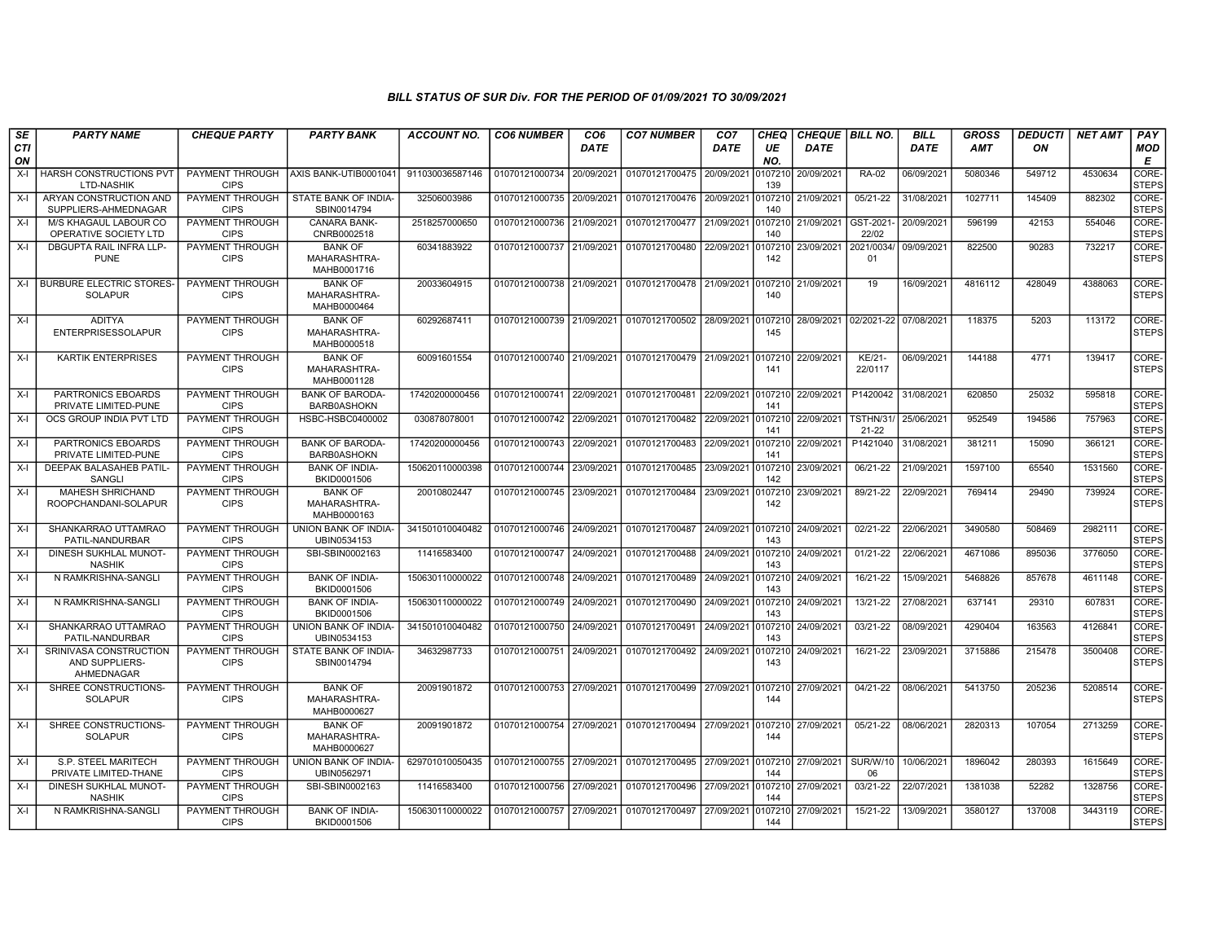| SE        | <b>PARTY NAME</b>                                      | <b>CHEQUE PARTY</b>                   | <b>PARTY BANK</b>                             | ACCOUNT NO.     | <b>CO6 NUMBER</b>         | CO <sub>6</sub><br><b>DATE</b> | <b>CO7 NUMBER</b>                                   | CO <sub>7</sub><br><b>DATE</b> | <b>CHEQ</b>    | <b>CHEQUE   BILL NO.</b><br><b>DATE</b> |                                  | <b>BILL</b><br><b>DATE</b> | <b>GROSS</b><br><b>AMT</b> | <b>DEDUCTI</b> | <b>NET AMT</b> | PAY                   |
|-----------|--------------------------------------------------------|---------------------------------------|-----------------------------------------------|-----------------|---------------------------|--------------------------------|-----------------------------------------------------|--------------------------------|----------------|-----------------------------------------|----------------------------------|----------------------------|----------------------------|----------------|----------------|-----------------------|
| CTI<br>ON |                                                        |                                       |                                               |                 |                           |                                |                                                     |                                | UE<br>NO.      |                                         |                                  |                            |                            | ON             |                | MOD<br>Е              |
| X-I       | HARSH CONSTRUCTIONS PVT<br><b>LTD-NASHIK</b>           | PAYMENT THROUGH<br><b>CIPS</b>        | AXIS BANK-UTIB0001041                         | 911030036587146 | 01070121000734            | 20/09/2021                     | 01070121700475                                      | 20/09/2021                     | )107210<br>139 | 20/09/2021                              | <b>RA-02</b>                     | 06/09/2021                 | 5080346                    | 549712         | 4530634        | CORE-<br><b>STEPS</b> |
| X-I       | ARYAN CONSTRUCTION AND<br>SUPPLIERS-AHMEDNAGAR         | PAYMENT THROUGH<br><b>CIPS</b>        | STATE BANK OF INDIA-<br>SBIN0014794           | 32506003986     | 01070121000735            | 20/09/2021                     | 01070121700476                                      | 20/09/2021                     | 107210<br>140  | 21/09/2021                              | $05/21-22$                       | 31/08/2021                 | 1027711                    | 145409         | 882302         | CORE-<br><b>STEPS</b> |
| $X-I$     | M/S KHAGAUL LABOUR CO<br>OPERATIVE SOCIETY LTD         | PAYMENT THROUGH<br><b>CIPS</b>        | CANARA BANK-<br>CNRB0002518                   | 2518257000650   | 01070121000736            | 21/09/2021                     | 01070121700477                                      | 21/09/2021                     | 0107210<br>140 | 21/09/2021                              | GST-2021<br>22/02                | 20/09/2021                 | 596199                     | 42153          | 554046         | CORE-<br><b>STEPS</b> |
| $X-I$     | <b>DBGUPTA RAIL INFRA LLP-</b><br><b>PUNE</b>          | PAYMENT THROUGH<br><b>CIPS</b>        | <b>BANK OF</b><br>MAHARASHTRA-<br>MAHB0001716 | 60341883922     | 01070121000737            | 21/09/2021                     | 01070121700480                                      | 22/09/2021                     | 107210<br>142  | 23/09/2021                              | 2021/0034<br>01                  | 09/09/2021                 | 822500                     | 90283          | 732217         | CORE-<br><b>STEPS</b> |
|           | X-I BURBURE ELECTRIC STORES<br><b>SOLAPUR</b>          | <b>PAYMENT THROUGH</b><br><b>CIPS</b> | <b>BANK OF</b><br>MAHARASHTRA-<br>MAHB0000464 | 20033604915     | 01070121000738 21/09/2021 |                                | 01070121700478 21/09/2021                           |                                | 107210<br>140  | 21/09/2021                              | 19                               | 16/09/2021                 | 4816112                    | 428049         | 4388063        | CORE-<br><b>STEPS</b> |
| X-I       | <b>ADITYA</b><br><b>ENTERPRISESSOLAPUR</b>             | PAYMENT THROUGH<br><b>CIPS</b>        | <b>BANK OF</b><br>MAHARASHTRA-<br>MAHB0000518 | 60292687411     | 01070121000739 21/09/2021 |                                | 01070121700502                                      | 28/09/2021                     | 107210<br>145  |                                         | 28/09/2021 02/2021-22 07/08/2021 |                            | 118375                     | 5203           | 113172         | CORE-<br><b>STEPS</b> |
| X-I       | <b>KARTIK ENTERPRISES</b>                              | PAYMENT THROUGH<br><b>CIPS</b>        | <b>BANK OF</b><br>MAHARASHTRA-<br>MAHB0001128 | 60091601554     | 01070121000740            | 21/09/2021                     | 01070121700479 21/09/2021                           |                                | 107210<br>141  | 22/09/2021                              | KE/21-<br>22/0117                | 06/09/2021                 | 144188                     | 4771           | 139417         | CORE-<br><b>STEPS</b> |
| $X-I$     | PARTRONICS EBOARDS<br>PRIVATE LIMITED-PUNE             | <b>PAYMENT THROUGH</b><br><b>CIPS</b> | <b>BANK OF BARODA-</b><br><b>BARB0ASHOKN</b>  | 17420200000456  | 01070121000741 22/09/2021 |                                | 01070121700481                                      | 22/09/2021                     | 0107210<br>141 | 22/09/2021                              | P1420042                         | 31/08/2021                 | 620850                     | 25032          | 595818         | CORE-<br><b>STEPS</b> |
| $X-I$     | OCS GROUP INDIA PVT LTD                                | PAYMENT THROUGH<br><b>CIPS</b>        | HSBC-HSBC0400002                              | 030878078001    | 01070121000742            | 22/09/2021                     | 01070121700482                                      | 22/09/2021                     | 0107210<br>141 | 22/09/2021                              | <b>TSTHN/31/</b><br>$21 - 22$    | 25/06/2021                 | 952549                     | 194586         | 757963         | CORE-<br><b>STEPS</b> |
| $X-I$     | PARTRONICS EBOARDS<br>PRIVATE LIMITED-PUNE             | <b>PAYMENT THROUGH</b><br><b>CIPS</b> | <b>BANK OF BARODA</b><br><b>BARB0ASHOKN</b>   | 17420200000456  | 01070121000743            | 22/09/2021                     | 01070121700483                                      | 22/09/2021                     | 107210<br>141  | 22/09/2021                              | P1421040                         | 31/08/2021                 | 381211                     | 15090          | 366121         | CORE-<br><b>STEPS</b> |
| $X-I$     | DEEPAK BALASAHEB PATIL-<br><b>SANGLI</b>               | PAYMENT THROUGH<br><b>CIPS</b>        | <b>BANK OF INDIA-</b><br>BKID0001506          | 150620110000398 | 01070121000744 23/09/2021 |                                | 01070121700485                                      | 23/09/2021                     | 0107210<br>142 | 23/09/2021                              | 06/21-22                         | 21/09/2021                 | 1597100                    | 65540          | 1531560        | CORE-<br><b>STEPS</b> |
| $X-I$     | <b>MAHESH SHRICHAND</b><br>ROOPCHANDANI-SOLAPUR        | PAYMENT THROUGH<br><b>CIPS</b>        | <b>BANK OF</b><br>MAHARASHTRA-<br>MAHB0000163 | 20010802447     | 01070121000745            | 23/09/2021                     | 01070121700484                                      | 23/09/2021                     | 107210<br>142  | 23/09/2021                              | 89/21-22                         | 22/09/2021                 | 769414                     | 29490          | 739924         | CORE-<br><b>STEPS</b> |
| X-I       | SHANKARRAO UTTAMRAO<br>PATIL-NANDURBAR                 | PAYMENT THROUGH<br><b>CIPS</b>        | UNION BANK OF INDIA-<br>UBIN0534153           | 341501010040482 | 01070121000746 24/09/2021 |                                | 01070121700487                                      | 24/09/2021                     | 0107210<br>143 | 24/09/2021                              | 02/21-22                         | 22/06/2021                 | 3490580                    | 508469         | 2982111        | CORE-<br><b>STEPS</b> |
| $X-I$     | DINESH SUKHLAL MUNOT-<br><b>NASHIK</b>                 | PAYMENT THROUGH<br><b>CIPS</b>        | SBI-SBIN0002163                               | 11416583400     | 01070121000747            | 24/09/2021                     | 01070121700488                                      | 24/09/2021                     | 0107210<br>143 | 24/09/2021                              | 01/21-22                         | 22/06/2021                 | 4671086                    | 895036         | 3776050        | CORE-<br><b>STEPS</b> |
| $X-I$     | N RAMKRISHNA-SANGLI                                    | PAYMENT THROUGH<br><b>CIPS</b>        | <b>BANK OF INDIA-</b><br>BKID0001506          | 150630110000022 | 01070121000748            | 24/09/2021                     | 01070121700489                                      | 24/09/2021                     | 0107210<br>143 | 24/09/2021                              | 16/21-22                         | 15/09/2021                 | 5468826                    | 857678         | 4611148        | CORE-<br><b>STEPS</b> |
| $X-I$     | N RAMKRISHNA-SANGLI                                    | PAYMENT THROUGH<br><b>CIPS</b>        | <b>BANK OF INDIA-</b><br>BKID0001506          | 150630110000022 | 01070121000749            | 24/09/2021                     | 01070121700490                                      | 24/09/2021                     | 107210<br>143  | 24/09/2021                              | 13/21-22                         | 27/08/2021                 | 637141                     | 29310          | 607831         | CORE-<br><b>STEPS</b> |
| $X-I$     | SHANKARRAO UTTAMRAO<br>PATIL-NANDURBAR                 | PAYMENT THROUGH<br><b>CIPS</b>        | <b>UNION BANK OF INDIA-</b><br>UBIN0534153    | 341501010040482 | 01070121000750            | 24/09/2021                     | 01070121700491                                      | 24/09/2021                     | 0107210<br>143 | 24/09/2021                              | 03/21-22                         | 08/09/2021                 | 4290404                    | 163563         | 4126841        | CORE-<br><b>STEPS</b> |
| $X-I$     | SRINIVASA CONSTRUCTION<br>AND SUPPLIERS-<br>AHMEDNAGAR | PAYMENT THROUGH<br><b>CIPS</b>        | STATE BANK OF INDIA-<br>SBIN0014794           | 34632987733     | 01070121000751 24/09/2021 |                                | 01070121700492                                      | 24/09/2021                     | 107210<br>143  | 24/09/2021                              | 16/21-22                         | 23/09/2021                 | 3715886                    | 215478         | 3500408        | CORE-<br><b>STEPS</b> |
| $X-I$     | SHREE CONSTRUCTIONS-<br><b>SOLAPUR</b>                 | <b>PAYMENT THROUGH</b><br><b>CIPS</b> | <b>BANK OF</b><br>MAHARASHTRA-<br>MAHB0000627 | 20091901872     |                           |                                | 01070121000753 27/09/2021 01070121700499 27/09/2021 |                                | 0107210<br>144 | 27/09/2021                              | $04/21-22$                       | 08/06/2021                 | 5413750                    | 205236         | 5208514        | CORE-<br><b>STEPS</b> |
| $X-I$     | SHREE CONSTRUCTIONS<br><b>SOLAPUR</b>                  | PAYMENT THROUGH<br><b>CIPS</b>        | <b>BANK OF</b><br>MAHARASHTRA-<br>MAHB0000627 | 20091901872     | 01070121000754 27/09/2021 |                                | 01070121700494 27/09/2021                           |                                | 0107210<br>144 | 27/09/2021                              | 05/21-22                         | 08/06/2021                 | 2820313                    | 107054         | 2713259        | CORE-<br><b>STEPS</b> |
| $X-I$     | S.P. STEEL MARITECH<br>PRIVATE LIMITED-THANE           | PAYMENT THROUGH<br><b>CIPS</b>        | UNION BANK OF INDIA-<br>UBIN0562971           | 629701010050435 | 01070121000755 27/09/2021 |                                | 01070121700495                                      | 27/09/2021                     | 0107210<br>144 | 27/09/2021                              | <b>SUR/W/10</b><br>06            | 10/06/2021                 | 1896042                    | 280393         | 1615649        | CORE-<br><b>STEPS</b> |
| $X-I$     | DINESH SUKHLAL MUNOT-<br><b>NASHIK</b>                 | PAYMENT THROUGH<br><b>CIPS</b>        | SBI-SBIN0002163                               | 11416583400     | 01070121000756            | 27/09/2021                     | 01070121700496                                      | 27/09/2021                     | 0107210<br>144 | 27/09/2021                              | 03/21-22                         | 22/07/2021                 | 1381038                    | 52282          | 1328756        | CORE-<br><b>STEPS</b> |
| X-I       | N RAMKRISHNA-SANGLI                                    | PAYMENT THROUGH<br><b>CIPS</b>        | <b>BANK OF INDIA-</b><br>BKID0001506          | 150630110000022 | 01070121000757            | 27/09/2021                     | 01070121700497                                      | 27/09/2021                     | )107210<br>144 | 27/09/2021                              | 15/21-22                         | 13/09/2021                 | 3580127                    | 137008         | 3443119        | CORE-<br><b>STEPS</b> |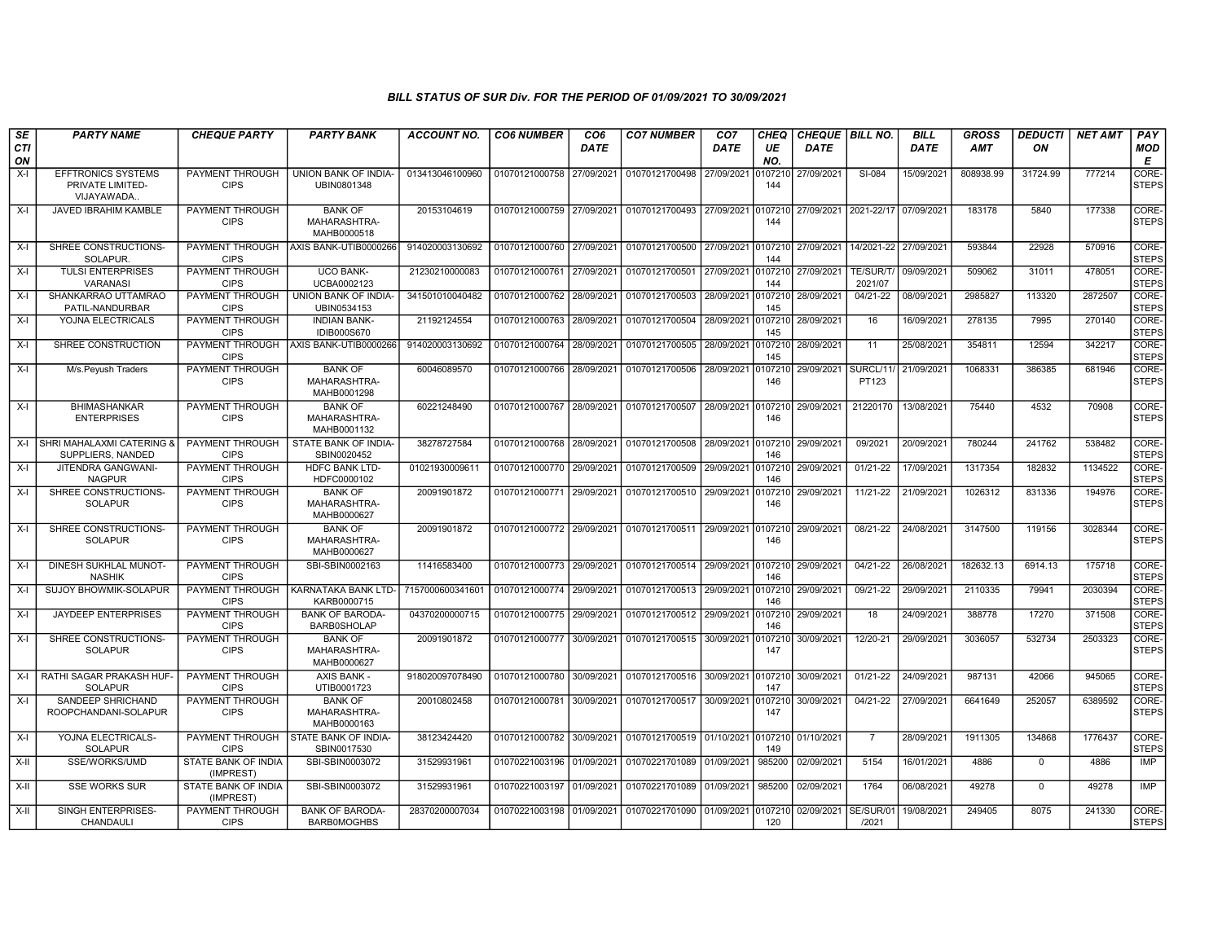| SE<br>CTI | <b>PARTY NAME</b>                                            | <b>CHEQUE PARTY</b>                     | <b>PARTY BANK</b>                             | <b>ACCOUNT NO.</b> | <b>CO6 NUMBER</b>         | CO <sub>6</sub><br><b>DATE</b> | <b>CO7 NUMBER</b>                                           | CO <sub>7</sub><br><b>DATE</b> | <b>CHEQ</b><br>UE | <b>CHEQUE   BILL NO.</b><br><b>DATE</b> |                       | <b>BILL</b><br><b>DATE</b> | <b>GROSS</b><br>AMT | <b>DEDUCTI</b><br>ON | <b>NET AMT</b> | PAY<br><b>MOD</b>     |
|-----------|--------------------------------------------------------------|-----------------------------------------|-----------------------------------------------|--------------------|---------------------------|--------------------------------|-------------------------------------------------------------|--------------------------------|-------------------|-----------------------------------------|-----------------------|----------------------------|---------------------|----------------------|----------------|-----------------------|
| ON        |                                                              |                                         |                                               |                    |                           |                                |                                                             |                                | NO.               |                                         |                       |                            |                     |                      |                | Е                     |
| $X-I$     | <b>EFFTRONICS SYSTEMS</b><br>PRIVATE LIMITED-<br>VIJAYAWADA. | PAYMENT THROUGH<br><b>CIPS</b>          | UNION BANK OF INDIA-<br>UBIN0801348           | 013413046100960    | 01070121000758            | 27/09/2021                     | 01070121700498                                              | 27/09/2021                     | 10721<br>144      | 27/09/2021                              | SI-084                | 15/09/202                  | 808938.99           | 31724.99             | 777214         | CORE-<br>STEPS        |
| $X-I$     | JAVED IBRAHIM KAMBLE                                         | PAYMENT THROUGH<br><b>CIPS</b>          | <b>BANK OF</b><br>MAHARASHTRA-<br>MAHB0000518 | 20153104619        | 01070121000759            | 27/09/2021                     | 01070121700493                                              | 27/09/2021                     | 0107210<br>144    | 27/09/2021 2021-22/17                   |                       | 07/09/2021                 | 183178              | 5840                 | 177338         | CORE-<br><b>STEPS</b> |
| $X-I$     | SHREE CONSTRUCTIONS-<br>SOLAPUR.                             | PAYMENT THROUGH<br><b>CIPS</b>          | AXIS BANK-UTIB0000266                         | 914020003130692    | 01070121000760            | 27/09/2021                     | 01070121700500                                              | 27/09/2021                     | 010721<br>144     | 27/09/2021                              | 14/2021-22 27/09/2021 |                            | 593844              | 22928                | 570916         | CORE-<br><b>STEPS</b> |
| $X-I$     | <b>TULSI ENTERPRISES</b><br><b>VARANASI</b>                  | <b>PAYMENT THROUGH</b><br><b>CIPS</b>   | <b>UCO BANK-</b><br>UCBA0002123               | 21230210000083     | 01070121000761            | 27/09/2021                     | 01070121700501                                              | 27/09/2021                     | 0107210<br>144    | 27/09/2021                              | TE/SUR/T/<br>2021/07  | 09/09/2021                 | 509062              | 31011                | 478051         | CORE-<br><b>STEPS</b> |
| $X-I$     | SHANKARRAO UTTAMRAO<br>PATIL-NANDURBAR                       | PAYMENT THROUGH<br><b>CIPS</b>          | UNION BANK OF INDIA-<br>UBIN0534153           | 341501010040482    | 01070121000762            | 28/09/2021                     | 01070121700503                                              | 28/09/2021                     | 0107210<br>145    | 28/09/2021                              | $04/21-22$            | 08/09/2021                 | 2985827             | 113320               | 2872507        | CORE-<br><b>STEPS</b> |
| $X-I$     | YOJNA ELECTRICALS                                            | PAYMENT THROUGH<br><b>CIPS</b>          | <b>INDIAN BANK-</b><br><b>IDIB000S670</b>     | 21192124554        | 01070121000763            | 28/09/2021                     | 01070121700504                                              | 28/09/2021                     | 107210<br>145     | 28/09/2021                              | 16                    | 16/09/2021                 | 278135              | 7995                 | 270140         | CORE-<br><b>STEPS</b> |
| $X-I$     | SHREE CONSTRUCTION                                           | PAYMENT THROUGH<br><b>CIPS</b>          | AXIS BANK-UTIB0000266                         | 914020003130692    | 01070121000764            | 28/09/2021                     | 01070121700505                                              | 28/09/2021                     | 010721<br>145     | 28/09/2021                              | 11                    | 25/08/202                  | 354811              | 12594                | 342217         | CORE-<br><b>STEPS</b> |
| $X-I$     | M/s.Peyush Traders                                           | PAYMENT THROUGH<br><b>CIPS</b>          | <b>BANK OF</b><br>MAHARASHTRA-<br>MAHB0001298 | 60046089570        | 01070121000766            | 28/09/2021                     | 01070121700506                                              | 28/09/2021                     | 107210<br>146     | 29/09/2021                              | SURCL/11<br>PT123     | 21/09/2021                 | 1068331             | 386385               | 681946         | CORE-<br><b>STEPS</b> |
| $X-I$     | <b>BHIMASHANKAR</b><br><b>ENTERPRISES</b>                    | PAYMENT THROUGH<br><b>CIPS</b>          | <b>BANK OF</b><br>MAHARASHTRA-<br>MAHB0001132 | 60221248490        |                           |                                | 01070121000767 28/09/2021 01070121700507 28/09/2021 0107210 |                                | 146               | 29/09/2021                              | 21220170              | 13/08/2021                 | 75440               | 4532                 | 70908          | CORE-<br><b>STEPS</b> |
|           | X-I SHRI MAHALAXMI CATERING &<br>SUPPLIERS, NANDED           | PAYMENT THROUGH<br><b>CIPS</b>          | STATE BANK OF INDIA-<br>SBIN0020452           | 38278727584        | 01070121000768            | 28/09/2021                     | 01070121700508 28/09/2021 0107210                           |                                | 146               | 29/09/2021                              | 09/2021               | 20/09/2021                 | 780244              | 241762               | 538482         | CORE-<br><b>STEPS</b> |
| $X-I$     | JITENDRA GANGWANI-<br><b>NAGPUR</b>                          | <b>PAYMENT THROUGH</b><br><b>CIPS</b>   | <b>HDFC BANK LTD-</b><br>HDFC0000102          | 01021930009611     | 01070121000770 29/09/2021 |                                | 01070121700509                                              | 29/09/2021                     | 010721<br>146     | 29/09/2021                              | 01/21-22              | 17/09/2021                 | 1317354             | 182832               | 1134522        | CORE-<br><b>STEPS</b> |
| $X-I$     | SHREE CONSTRUCTIONS-<br><b>SOLAPUR</b>                       | PAYMENT THROUGH<br><b>CIPS</b>          | <b>BANK OF</b><br>MAHARASHTRA-<br>MAHB0000627 | 20091901872        | 01070121000771            | 29/09/2021                     | 01070121700510 29/09/2021                                   |                                | 107210<br>146     | 29/09/2021                              | 11/21-22              | 21/09/2021                 | 1026312             | 831336               | 194976         | CORE-<br><b>STEPS</b> |
| $X-I$     | SHREE CONSTRUCTIONS-<br><b>SOLAPUR</b>                       | PAYMENT THROUGH<br><b>CIPS</b>          | <b>BANK OF</b><br>MAHARASHTRA-<br>MAHB0000627 | 20091901872        |                           |                                | 01070121000772 29/09/2021 01070121700511 29/09/2021         |                                | 0107210<br>146    | 29/09/2021                              | $08/21 - 22$          | 24/08/2021                 | 3147500             | 119156               | 3028344        | CORE-<br><b>STEPS</b> |
| $X-I$     | DINESH SUKHLAL MUNOT-<br><b>NASHIK</b>                       | PAYMENT THROUGH<br><b>CIPS</b>          | SBI-SBIN0002163                               | 11416583400        | 01070121000773            | 29/09/2021                     | 01070121700514 29/09/2021                                   |                                | 010721<br>146     | 29/09/2021                              | $04/21 - 22$          | 26/08/2021                 | 182632.13           | 6914.13              | 175718         | CORE-<br><b>STEPS</b> |
| $X-I$     | SUJOY BHOWMIK-SOLAPUR                                        | PAYMENT THROUGH<br><b>CIPS</b>          | KARNATAKA BANK LTD-<br>KARB0000715            | 715700060034160    | 01070121000774            | 29/09/2021                     | 01070121700513 29/09/2021                                   |                                | 0107210<br>146    | 29/09/2021                              | 09/21-22              | 29/09/202                  | 2110335             | 79941                | 2030394        | CORE-<br><b>STEPS</b> |
| $X-I$     | JAYDEEP ENTERPRISES                                          | <b>PAYMENT THROUGH</b><br><b>CIPS</b>   | <b>BANK OF BARODA-</b><br><b>BARB0SHOLAP</b>  | 04370200000715     | 01070121000775 29/09/2021 |                                | 01070121700512 29/09/2021                                   |                                | 0107210<br>146    | 29/09/2021                              | 18                    | 24/09/2021                 | 388778              | 17270                | 371508         | CORE-<br><b>STEPS</b> |
| $X-I$     | SHREE CONSTRUCTIONS-<br><b>SOLAPUR</b>                       | PAYMENT THROUGH<br><b>CIPS</b>          | <b>BANK OF</b><br>MAHARASHTRA-<br>MAHB0000627 | 20091901872        | 01070121000777            | 30/09/2021                     | 01070121700515 30/09/2021                                   |                                | 0107210<br>147    | 30/09/2021                              | 12/20-21              | 29/09/2021                 | 3036057             | 532734               | 2503323        | CORE-<br><b>STEPS</b> |
| $X-I$     | RATHI SAGAR PRAKASH HUF-<br><b>SOLAPUR</b>                   | PAYMENT THROUGH<br><b>CIPS</b>          | <b>AXIS BANK -</b><br>UTIB0001723             | 918020097078490    | 01070121000780            | 30/09/2021                     | 01070121700516 30/09/2021 0107210                           |                                | 147               | 30/09/2021                              | $01/21 - 22$          | 24/09/2021                 | 987131              | 42066                | 945065         | CORE-<br><b>STEPS</b> |
| X-I       | SANDEEP SHRICHAND<br>ROOPCHANDANI-SOLAPUR                    | PAYMENT THROUGH<br><b>CIPS</b>          | <b>BANK OF</b><br>MAHARASHTRA-<br>MAHB0000163 | 20010802458        | 01070121000781            | 30/09/2021                     | 01070121700517 30/09/2021 0107210                           |                                | 147               | 30/09/2021                              | 04/21-22              | 27/09/2021                 | 6641649             | 252057               | 6389592        | CORE-<br><b>STEPS</b> |
| $X-I$     | YOJNA ELECTRICALS-<br><b>SOLAPUR</b>                         | PAYMENT THROUGH<br><b>CIPS</b>          | STATE BANK OF INDIA-<br>SBIN0017530           | 38123424420        | 01070121000782            | 30/09/2021                     | 01070121700519 01/10/2021                                   |                                | 0107210<br>149    | 01/10/2021                              | - 7                   | 28/09/2021                 | 1911305             | 134868               | 1776437        | CORE-<br><b>STEPS</b> |
| X-II      | SSE/WORKS/UMD                                                | STATE BANK OF INDIA<br>(IMPREST)        | SBI-SBIN0003072                               | 31529931961        | 01070221003196            | 01/09/2021                     | 01070221701089 01/09/2021                                   |                                | 985200            | 02/09/2021                              | 5154                  | 16/01/2021                 | 4886                | $\mathbf 0$          | 4886           | IMP                   |
| X-II      | <b>SSE WORKS SUR</b>                                         | <b>STATE BANK OF INDIA</b><br>(IMPREST) | SBI-SBIN0003072                               | 31529931961        | 01070221003197 01/09/2021 |                                | 01070221701089 01/09/2021                                   |                                | 985200            | 02/09/2021                              | 1764                  | 06/08/2021                 | 49278               | $\Omega$             | 49278          | <b>IMP</b>            |
| X-II      | SINGH ENTERPRISES-<br>CHANDAULI                              | PAYMENT THROUGH<br><b>CIPS</b>          | <b>BANK OF BARODA-</b><br><b>BARBOMOGHBS</b>  | 28370200007034     | 01070221003198            | 01/09/2021                     | 01070221701090                                              | 01/09/2021                     | 0107210<br>120    | 02/09/2021                              | SE/SUR/0<br>/2021     | 19/08/2021                 | 249405              | 8075                 | 241330         | CORE-<br><b>STEPS</b> |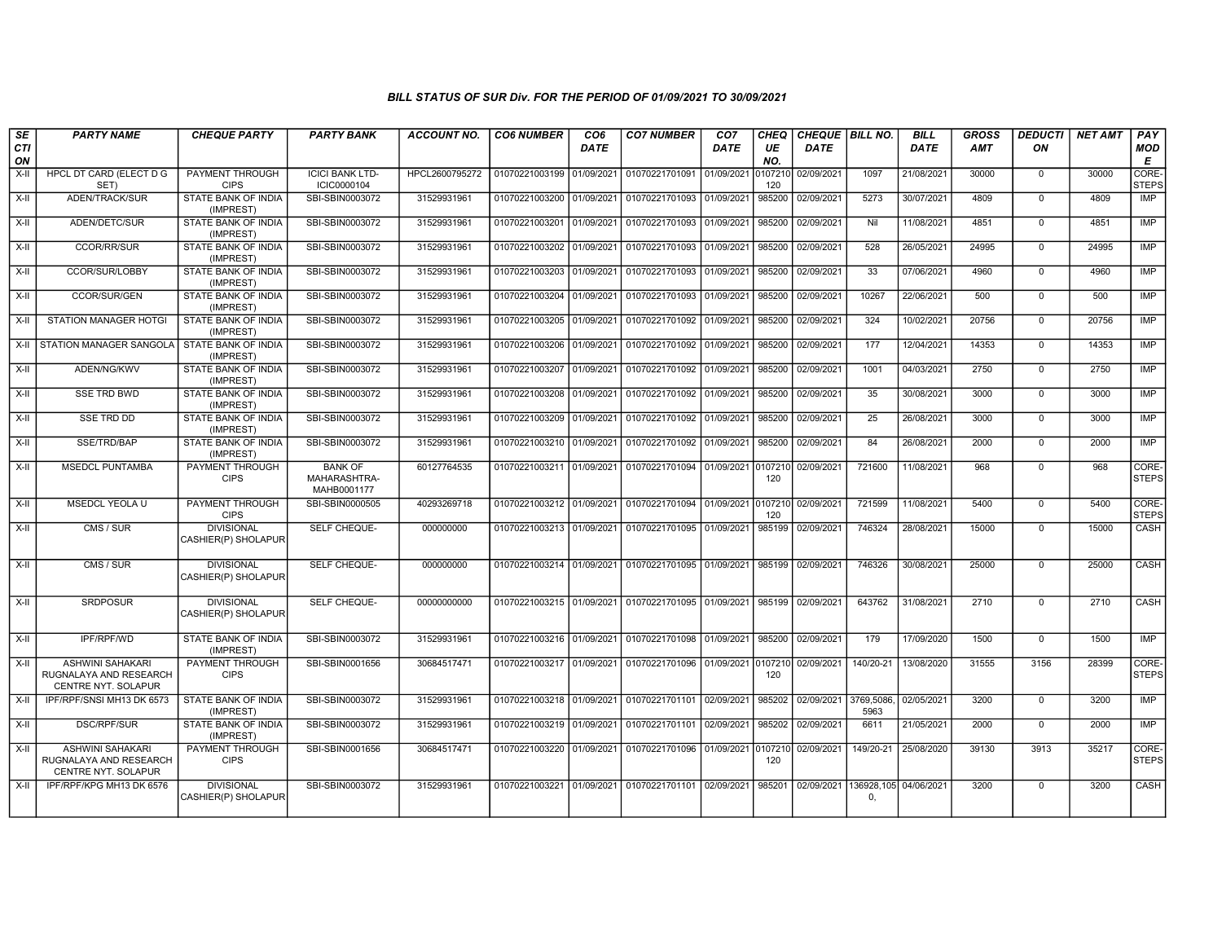| $\overline{\mathsf{SE}}$<br><b>CTI</b><br>ON | <b>PARTY NAME</b>                                                        | <b>CHEQUE PARTY</b>                      | <b>PARTY BANK</b>                             | <b>ACCOUNT NO.</b> | <b>CO6 NUMBER</b>         | CO <sub>6</sub><br><b>DATE</b> | <b>CO7 NUMBER</b>                                           | CO7<br>DATE | <b>CHEQ</b><br>UE<br>NO. | CHEQUE   BILL NO.<br>DATE |                                        | BILL<br>DATE | <b>GROSS</b><br><b>AMT</b> | <b>DEDUCTI</b><br>ON | <b>NET AMT</b> | PAY<br><b>MOD</b><br>E |
|----------------------------------------------|--------------------------------------------------------------------------|------------------------------------------|-----------------------------------------------|--------------------|---------------------------|--------------------------------|-------------------------------------------------------------|-------------|--------------------------|---------------------------|----------------------------------------|--------------|----------------------------|----------------------|----------------|------------------------|
| $X-H$                                        | <b>HPCL DT CARD (ELECT D G</b><br>SET)                                   | <b>PAYMENT THROUGH</b><br><b>CIPS</b>    | <b>ICICI BANK LTD-</b><br>ICIC0000104         | HPCL2600795272     | 01070221003199 01/09/2021 |                                | 01070221701091                                              | 01/09/2021  | 0107210<br>120           | 02/09/2021                | 1097                                   | 21/08/2021   | 30000                      | $\mathbf 0$          | 30000          | CORE-<br><b>STEPS</b>  |
| $X-H$                                        | ADEN/TRACK/SUR                                                           | <b>STATE BANK OF INDIA</b><br>(IMPREST)  | SBI-SBIN0003072                               | 31529931961        | 01070221003200 01/09/2021 |                                | 01070221701093                                              | 01/09/2021  | 985200                   | 02/09/2021                | 5273                                   | 30/07/2021   | 4809                       | $\mathbf 0$          | 4809           | IMP                    |
| $X-I$                                        | ADEN/DETC/SUR                                                            | <b>STATE BANK OF INDIA</b><br>(IMPREST)  | SBI-SBIN0003072                               | 31529931961        | 01070221003201 01/09/2021 |                                | 01070221701093                                              | 01/09/2021  | 985200                   | 02/09/2021                | Nil                                    | 11/08/2021   | 4851                       | $\Omega$             | 4851           | IMP                    |
| $X-H$                                        | <b>CCOR/RR/SUR</b>                                                       | STATE BANK OF INDIA<br>(IMPREST)         | SBI-SBIN0003072                               | 31529931961        | 01070221003202 01/09/2021 |                                | 01070221701093 01/09/2021                                   |             | 985200                   | 02/09/2021                | 528                                    | 26/05/2021   | 24995                      | $\mathbf 0$          | 24995          | <b>IMP</b>             |
| X-II                                         | CCOR/SUR/LOBBY                                                           | STATE BANK OF INDIA<br>(IMPREST)         | SBI-SBIN0003072                               | 31529931961        | 01070221003203 01/09/2021 |                                | 01070221701093 01/09/2021                                   |             | 985200                   | 02/09/2021                | 33                                     | 07/06/2021   | 4960                       | $\mathbf 0$          | 4960           | IMP                    |
| $X-H$                                        | CCOR/SUR/GEN                                                             | <b>STATE BANK OF INDIA</b><br>(IMPREST)  | SBI-SBIN0003072                               | 31529931961        | 01070221003204 01/09/2021 |                                | 01070221701093                                              | 01/09/2021  | 985200                   | 02/09/2021                | 10267                                  | 22/06/2021   | 500                        | $\mathbf{0}$         | 500            | <b>IMP</b>             |
| X-II                                         | STATION MANAGER HOTGI                                                    | STATE BANK OF INDIA<br>(IMPREST)         | SBI-SBIN0003072                               | 31529931961        | 01070221003205 01/09/2021 |                                | 01070221701092 01/09/2021                                   |             | 985200                   | 02/09/2021                | 324                                    | 10/02/2021   | 20756                      | $\mathbf 0$          | 20756          | IMP                    |
| X-II                                         | STATION MANAGER SANGOLA                                                  | STATE BANK OF INDIA<br>(IMPREST)         | SBI-SBIN0003072                               | 31529931961        | 01070221003206 01/09/2021 |                                | 01070221701092 01/09/2021                                   |             | 985200                   | 02/09/2021                | 177                                    | 12/04/2021   | 14353                      | $\mathbf{0}$         | 14353          | <b>IMP</b>             |
| $X-H$                                        | ADEN/NG/KWV                                                              | <b>STATE BANK OF INDIA</b><br>(IMPREST)  | SBI-SBIN0003072                               | 31529931961        | 01070221003207 01/09/2021 |                                | 01070221701092                                              | 01/09/2021  | 985200                   | 02/09/2021                | 1001                                   | 04/03/2021   | 2750                       | $\Omega$             | 2750           | <b>IMP</b>             |
| $X-H$                                        | <b>SSE TRD BWD</b>                                                       | <b>STATE BANK OF INDIA</b><br>(IMPREST)  | SBI-SBIN0003072                               | 31529931961        | 01070221003208 01/09/2021 |                                | 01070221701092 01/09/2021                                   |             | 985200                   | 02/09/2021                | 35                                     | 30/08/2021   | 3000                       | $\mathbf 0$          | 3000           | IMP                    |
| X-II                                         | <b>SSE TRD DD</b>                                                        | STATE BANK OF INDIA<br>(IMPREST)         | SBI-SBIN0003072                               | 31529931961        | 01070221003209 01/09/2021 |                                | 01070221701092 01/09/2021                                   |             | 985200                   | 02/09/2021                | 25                                     | 26/08/2021   | 3000                       | $\mathbf 0$          | 3000           | IMP                    |
| $X-H$                                        | SSE/TRD/BAP                                                              | STATE BANK OF INDIA<br>(IMPREST)         | SBI-SBIN0003072                               | 31529931961        | 01070221003210 01/09/2021 |                                | 01070221701092 01/09/2021                                   |             | 985200                   | 02/09/2021                | 84                                     | 26/08/2021   | 2000                       | $\Omega$             | 2000           | <b>IMP</b>             |
| $X-H$                                        | <b>MSEDCL PUNTAMBA</b>                                                   | PAYMENT THROUGH<br><b>CIPS</b>           | <b>BANK OF</b><br>MAHARASHTRA-<br>MAHB0001177 | 60127764535        |                           |                                | 01070221003211 01/09/2021 01070221701094                    | 01/09/2021  | 0107210<br>120           | 02/09/2021                | 721600                                 | 11/08/2021   | 968                        | $\mathbf 0$          | 968            | CORE-<br><b>STEPS</b>  |
| X-II                                         | MSEDCL YEOLA U                                                           | PAYMENT THROUGH<br><b>CIPS</b>           | SBI-SBIN0000505                               | 40293269718        |                           |                                | 01070221003212 01/09/2021 01070221701094                    | 01/09/2021  | 0107210<br>120           | 02/09/2021                | 721599                                 | 11/08/2021   | 5400                       | $\mathbf 0$          | 5400           | CORE-<br><b>STEPS</b>  |
| $X-II$                                       | CMS / SUR                                                                | <b>DIVISIONAL</b><br>CASHIER(P) SHOLAPUR | SELF CHEQUE-                                  | 000000000          | 01070221003213 01/09/2021 |                                | 01070221701095 01/09/2021                                   |             | 985199                   | 02/09/2021                | 746324                                 | 28/08/2021   | 15000                      | $\Omega$             | 15000          | <b>CASH</b>            |
| X-II                                         | CMS / SUR                                                                | <b>DIVISIONAL</b><br>CASHIER(P) SHOLAPUR | SELF CHEQUE-                                  | 000000000          | 01070221003214 01/09/2021 |                                | 01070221701095 01/09/2021                                   |             | 985199                   | 02/09/2021                | 746326                                 | 30/08/2021   | 25000                      | $\mathbf 0$          | 25000          | CASH                   |
| $X-H$                                        | <b>SRDPOSUR</b>                                                          | <b>DIVISIONAL</b><br>CASHIER(P) SHOLAPUR | <b>SELF CHEQUE-</b>                           | 00000000000        |                           |                                | 01070221003215 01/09/2021 01070221701095 01/09/2021 985199  |             |                          | 02/09/2021                | 643762                                 | 31/08/2021   | 2710                       | $\overline{0}$       | 2710           | CASH                   |
| $X-H$                                        | <b>IPF/RPF/WD</b>                                                        | <b>STATE BANK OF INDIA</b><br>(IMPREST)  | SBI-SBIN0003072                               | 31529931961        |                           |                                | 01070221003216 01/09/2021 01070221701098 01/09/2021 985200  |             |                          | 02/09/2021                | 179                                    | 17/09/2020   | 1500                       | $\Omega$             | 1500           | <b>IMP</b>             |
| $X-H$                                        | <b>ASHWINI SAHAKARI</b><br>RUGNALAYA AND RESEARCH<br>CENTRE NYT. SOLAPUR | <b>PAYMENT THROUGH</b><br><b>CIPS</b>    | SBI-SBIN0001656                               | 30684517471        |                           |                                | 01070221003217 01/09/2021 01070221701096 01/09/2021 0107210 |             | 120                      | 02/09/2021                | 140/20-21                              | 13/08/2020   | 31555                      | 3156                 | 28399          | CORE-<br><b>STEPS</b>  |
| $X-H$                                        | IPF/RPF/SNSI MH13 DK 6573                                                | STATE BANK OF INDIA<br>(IMPREST)         | SBI-SBIN0003072                               | 31529931961        |                           |                                | 01070221003218 01/09/2021 01070221701101 02/09/2021         |             | 985202                   | 02/09/2021                | 3769,5086,<br>5963                     | 02/05/2021   | 3200                       | $\mathbf 0$          | 3200           | <b>IMP</b>             |
| X-II                                         | <b>DSC/RPF/SUR</b>                                                       | <b>STATE BANK OF INDIA</b><br>(IMPREST)  | SBI-SBIN0003072                               | 31529931961        | 01070221003219 01/09/2021 |                                | 01070221701101                                              | 02/09/2021  | 985202                   | 02/09/2021                | 6611                                   | 21/05/2021   | 2000                       | $\mathbf 0$          | 2000           | <b>IMP</b>             |
| $X-H$                                        | <b>ASHWINI SAHAKARI</b><br>RUGNALAYA AND RESEARCH<br>CENTRE NYT. SOLAPUR | <b>PAYMENT THROUGH</b><br><b>CIPS</b>    | SBI-SBIN0001656                               | 30684517471        | 01070221003220 01/09/2021 |                                | 01070221701096 01/09/2021 0107210                           |             | 120                      | 02/09/2021                | 149/20-21                              | 25/08/2020   | 39130                      | 3913                 | 35217          | CORE-<br><b>STEPS</b>  |
| $\overline{x}$ -II                           | IPF/RPF/KPG MH13 DK 6576                                                 | <b>DIVISIONAL</b><br>CASHIER(P) SHOLAPUR | SBI-SBIN0003072                               | 31529931961        |                           |                                | 01070221003221 01/09/2021 01070221701101 02/09/2021         |             | 985201                   |                           | 02/09/2021 136928,105 04/06/2021<br>0, |              | 3200                       | $\Omega$             | 3200           | CASH                   |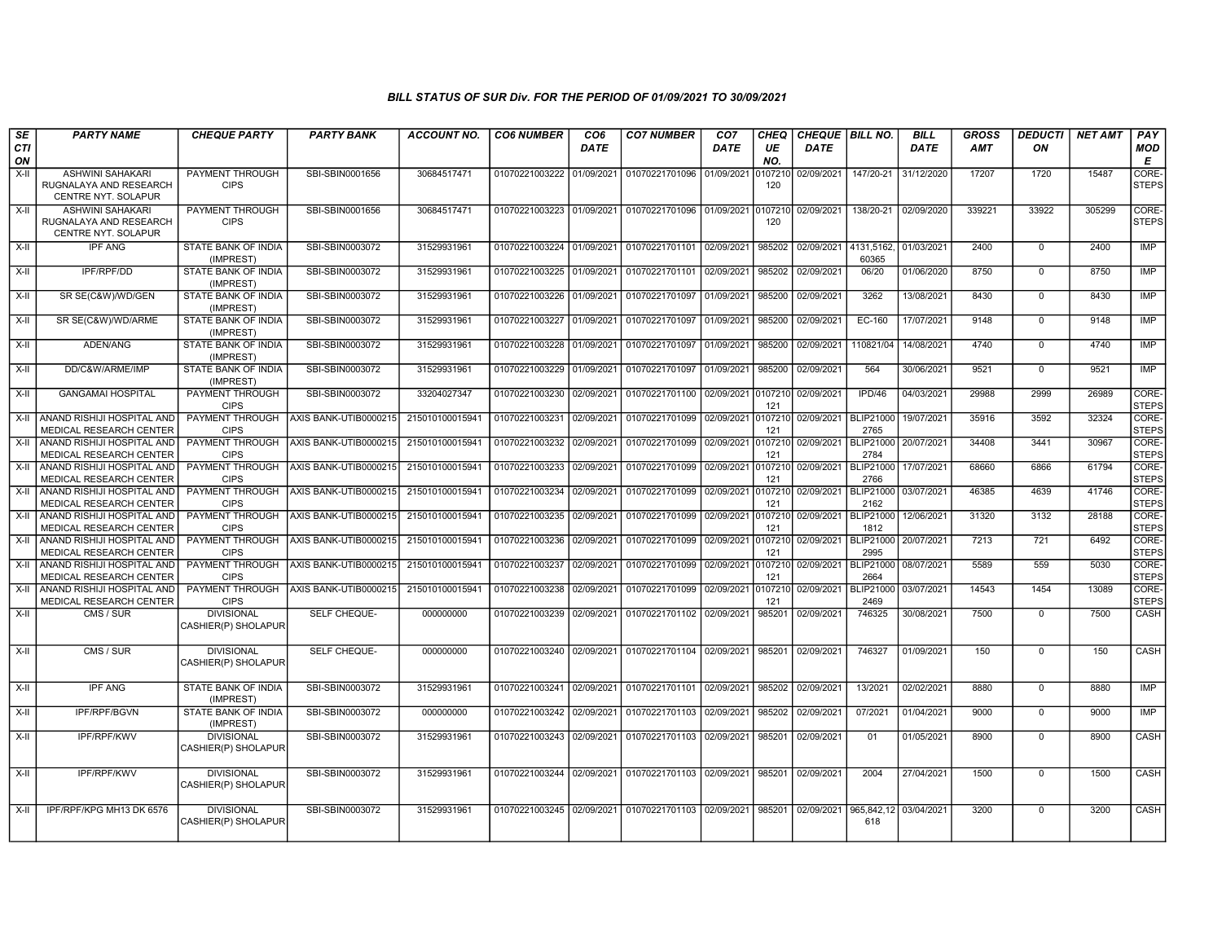| <b>SE</b>       | <b>PARTY NAME</b>                                                                   | <b>CHEQUE PARTY</b>                               | <b>PARTY BANK</b>                              | <b>ACCOUNT NO.</b>                | <b>CO6 NUMBER</b>                           | CO <sub>6</sub> | <b>CO7 NUMBER</b>                                      | CO <sub>7</sub> | <b>CHEQ</b>              | CHEQUE BILL NO.          |                                              | <b>BILL</b>              | <b>GROSS</b>   | <b>DEDUCTI</b> | <b>NET AMT</b> | PAY                            |
|-----------------|-------------------------------------------------------------------------------------|---------------------------------------------------|------------------------------------------------|-----------------------------------|---------------------------------------------|-----------------|--------------------------------------------------------|-----------------|--------------------------|--------------------------|----------------------------------------------|--------------------------|----------------|----------------|----------------|--------------------------------|
| CTI<br>ON       |                                                                                     |                                                   |                                                |                                   |                                             | <b>DATE</b>     |                                                        | DATE            | UE<br>NO.                | DATE                     |                                              | <b>DATE</b>              | <b>AMT</b>     | ON             |                | <b>MOD</b><br>Е                |
| $X-H$           | ASHWINI SAHAKARI<br>RUGNALAYA AND RESEARCH<br>CENTRE NYT. SOLAPUR                   | <b>PAYMENT THROUGH</b><br><b>CIPS</b>             | SBI-SBIN0001656                                | 30684517471                       | 01070221003222 01/09/2021                   |                 | 01070221701096 01/09/2021                              |                 | 010721<br>120            | 02/09/2021               | 147/20-21                                    | 31/12/2020               | 17207          | 1720           | 15487          | CORE-<br><b>STEPS</b>          |
| X-II            | ASHWINI SAHAKARI<br>RUGNALAYA AND RESEARCH<br>CENTRE NYT. SOLAPUR                   | PAYMENT THROUGH<br><b>CIPS</b>                    | SBI-SBIN0001656                                | 30684517471                       |                                             |                 | 01070221003223 01/09/2021 01070221701096 01/09/2021    |                 | 010721<br>120            | 02/09/2021               | 138/20-21                                    | 02/09/2020               | 339221         | 33922          | 305299         | CORE-<br><b>STEPS</b>          |
| X-II            | <b>IPF ANG</b>                                                                      | <b>STATE BANK OF INDIA</b><br>(IMPREST)           | SBI-SBIN0003072                                | 31529931961                       | 01070221003224 01/09/2021                   |                 | 01070221701101 02/09/2021                              |                 | 985202                   | 02/09/2021               | 4131.5162.<br>60365                          | 01/03/2021               | 2400           | $\mathbf 0$    | 2400           | <b>IMP</b>                     |
| $X-H$           | IPF/RPF/DD                                                                          | STATE BANK OF INDIA<br>(IMPREST)                  | SBI-SBIN0003072                                | 31529931961                       | 01070221003225 01/09/2021                   |                 | 01070221701101 02/09/2021                              |                 | 985202                   | 02/09/2021               | 06/20                                        | 01/06/2020               | 8750           | $\Omega$       | 8750           | IMP                            |
| $X-H$           | SR SE(C&W)/WD/GEN                                                                   | <b>STATE BANK OF INDIA</b><br>(IMPREST)           | SBI-SBIN0003072                                | 31529931961                       | 01070221003226 01/09/2021                   |                 | 01070221701097 01/09/2021                              |                 | 985200                   | 02/09/2021               | 3262                                         | 13/08/2021               | 8430           | $\mathbf 0$    | 8430           | <b>IMP</b>                     |
| $X-H$           | SR SE(C&W)/WD/ARME                                                                  | <b>STATE BANK OF INDIA</b><br>(IMPREST)           | SBI-SBIN0003072                                | 31529931961                       | 01070221003227 01/09/2021                   |                 | 01070221701097 01/09/2021                              |                 | 985200                   | 02/09/2021               | EC-160                                       | 17/07/2021               | 9148           | $\overline{0}$ | 9148           | <b>IMP</b>                     |
| X-II            | ADEN/ANG                                                                            | STATE BANK OF INDIA<br>(IMPREST)                  | SBI-SBIN0003072                                | 31529931961                       | 01070221003228 01/09/2021                   |                 | 01070221701097 01/09/2021                              |                 | 985200                   | 02/09/2021               | 110821/04                                    | 14/08/2021               | 4740           | $\mathbf 0$    | 4740           | <b>IMP</b>                     |
| $X-H$           | DD/C&W/ARME/IMP                                                                     | STATE BANK OF INDIA<br>(IMPREST)                  | SBI-SBIN0003072                                | 31529931961                       | 01070221003229 01/09/2021                   |                 | 01070221701097 01/09/2021                              |                 | 985200                   | 02/09/2021               | 564                                          | 30/06/2021               | 9521           | $\mathbf 0$    | 9521           | <b>IMP</b>                     |
| $X-H$           | <b>GANGAMAI HOSPITAL</b>                                                            | PAYMENT THROUGH<br><b>CIPS</b>                    | SBI-SBIN0003072                                | 33204027347                       | 01070221003230 02/09/2021                   |                 | 01070221701100 02/09/2021 0107210                      |                 | 121                      | 02/09/2021               | IPD/46                                       | 04/03/2021               | 29988          | 2999           | 26989          | CORE-<br><b>STEPS</b><br>CORE- |
| $X-H$<br>$X-II$ | ANAND RISHIJI HOSPITAL AND<br>MEDICAL RESEARCH CENTER<br>ANAND RISHIJI HOSPITAL AND | PAYMENT THROUGH<br><b>CIPS</b><br>PAYMENT THROUGH | AXIS BANK-UTIB0000215<br>AXIS BANK-UTIB0000215 | 21501010001594<br>215010100015941 | 01070221003231 02/09/2021<br>01070221003232 | 02/09/2021      | 01070221701099 02/09/2021<br>01070221701099 02/09/2021 |                 | 0107210<br>121<br>010721 | 02/09/2021<br>02/09/2021 | <b>BLIP21000</b><br>2765<br><b>BLIP21000</b> | 19/07/2021<br>20/07/2021 | 35916<br>34408 | 3592<br>3441   | 32324<br>30967 | <b>STEPS</b><br>CORE-          |
| $X-H$           | MEDICAL RESEARCH CENTER<br>ANAND RISHIJI HOSPITAL AND                               | <b>CIPS</b><br>PAYMENT THROUGH                    | AXIS BANK-UTIB0000215                          | 215010100015941                   | 01070221003233                              | 02/09/2021      | 01070221701099 02/09/2021                              |                 | 121<br>0107210           | 02/09/2021               | 2784<br><b>BLIP21000</b>                     | 17/07/2021               | 68660          | 6866           | 61794          | <b>STEPS</b><br>CORE-          |
| $X-II$          | MEDICAL RESEARCH CENTER<br>ANAND RISHIJI HOSPITAL AND                               | <b>CIPS</b><br>PAYMENT THROUGH                    | AXIS BANK-UTIB0000215                          | 215010100015941                   | 01070221003234                              | 02/09/2021      | 01070221701099 02/09/2021 0107210                      |                 | 121                      | 02/09/2021               | 2766<br><b>BLIP21000</b>                     | 03/07/2021               | 46385          | 4639           | 41746          | <b>STEPS</b><br>CORE-          |
| $X-II$          | MEDICAL RESEARCH CENTER<br>ANAND RISHIJI HOSPITAL AND                               | <b>CIPS</b><br>PAYMENT THROUGH                    | AXIS BANK-UTIB0000215                          | 215010100015941                   | 01070221003235                              | 02/09/2021      | 01070221701099                                         | 02/09/2021      | 121<br>0107210           | 02/09/2021               | 2162<br><b>BLIP21000</b>                     | 12/06/2021               | 31320          | 3132           | 28188          | <b>STEPS</b><br>CORE-          |
| $X-H$           | MEDICAL RESEARCH CENTER<br>ANAND RISHIJI HOSPITAL AND                               | <b>CIPS</b><br>PAYMENT THROUGH                    | AXIS BANK-UTIB0000215                          | 215010100015941                   | 01070221003236                              | 02/09/2021      | 01070221701099 02/09/2021 0107210                      |                 | 121                      | 02/09/2021               | 1812<br><b>BLIP21000</b>                     | 20/07/2021               | 7213           | 721            | 6492           | <b>STEPS</b><br>CORE-          |
| $X-H$           | MEDICAL RESEARCH CENTER<br>ANAND RISHIJI HOSPITAL AND                               | <b>CIPS</b><br>PAYMENT THROUGH                    | AXIS BANK-UTIB0000215                          | 215010100015941                   | 01070221003237 02/09/2021                   |                 | 01070221701099 02/09/2021                              |                 | 121<br>0107210           | 02/09/2021               | 2995<br>BLIP21000 08/07/2021                 |                          | 5589           | 559            | 5030           | <b>STEPS</b><br>CORE-          |
| $X-H$           | MEDICAL RESEARCH CENTER<br>ANAND RISHIJI HOSPITAL AND                               | <b>CIPS</b>                                       | PAYMENT THROUGH AXIS BANK-UTIB0000215          | 215010100015941                   | 01070221003238                              | 02/09/2021      | 01070221701099 02/09/2021                              |                 | 121<br>0107210           | 02/09/2021               | 2664<br><b>BLIP21000</b>                     | 03/07/2021               | 14543          | 1454           | 13089          | <b>STEPS</b><br>CORE-          |
| X-II            | MEDICAL RESEARCH CENTER<br>CMS / SUR                                                | <b>CIPS</b><br><b>DIVISIONAL</b>                  | SELF CHEQUE-                                   | 000000000                         | 01070221003239 02/09/2021                   |                 | 01070221701102 02/09/2021                              |                 | 121<br>985201            | 02/09/2021               | 2469<br>746325                               | 30/08/2021               | 7500           | $\Omega$       | 7500           | STEPS<br>CASH                  |
|                 |                                                                                     | CASHIER(P) SHOLAPUR                               |                                                |                                   |                                             |                 |                                                        |                 |                          |                          |                                              |                          |                |                |                |                                |
| $X-II$          | CMS / SUR                                                                           | <b>DIVISIONAL</b><br>CASHIER(P) SHOLAPUR          | SELF CHEQUE-                                   | 000000000                         |                                             |                 | 01070221003240 02/09/2021 01070221701104 02/09/2021    |                 | 985201                   | 02/09/2021               | 746327                                       | 01/09/2021               | 150            | $\overline{0}$ | 150            | CASH                           |
| X-II            | <b>IPF ANG</b>                                                                      | STATE BANK OF INDIA<br>(IMPREST)                  | SBI-SBIN0003072                                | 31529931961                       | 01070221003241 02/09/2021                   |                 | 01070221701101 02/09/2021                              |                 | 985202                   | 02/09/2021               | 13/2021                                      | 02/02/2021               | 8880           | $\mathbf 0$    | 8880           | IMP                            |
| X-II            | IPF/RPF/BGVN                                                                        | STATE BANK OF INDIA<br>(IMPREST)                  | SBI-SBIN0003072                                | 000000000                         | 01070221003242                              | 02/09/2021      | 01070221701103                                         | 02/09/2021      | 985202                   | 02/09/2021               | 07/2021                                      | 01/04/2021               | 9000           | $\mathbf 0$    | 9000           | IMP                            |
| $X-H$           | IPF/RPF/KWV                                                                         | <b>DIVISIONAL</b><br>CASHIER(P) SHOLAPUR          | SBI-SBIN0003072                                | 31529931961                       | 01070221003243                              | 02/09/2021      | 01070221701103 02/09/2021                              |                 | 985201                   | 02/09/2021               | 01                                           | 01/05/2021               | 8900           | $\mathbf 0$    | 8900           | <b>CASH</b>                    |
| X-II            | <b>IPF/RPF/KWV</b>                                                                  | <b>DIVISIONAL</b><br>CASHIER(P) SHOLAPUR          | SBI-SBIN0003072                                | 31529931961                       |                                             |                 | 01070221003244 02/09/2021 01070221701103 02/09/2021    |                 | 985201                   | 02/09/2021               | 2004                                         | 27/04/2021               | 1500           | $\mathbf 0$    | 1500           | CASH                           |
| $X-H$           | IPF/RPF/KPG MH13 DK 6576                                                            | <b>DIVISIONAL</b><br>CASHIER(P) SHOLAPUR          | SBI-SBIN0003072                                | 31529931961                       |                                             |                 | 01070221003245 02/09/2021 01070221701103 02/09/2021    |                 | 985201                   | 02/09/2021               | 965,842,12 03/04/2021<br>618                 |                          | 3200           | $\mathbf 0$    | 3200           | CASH                           |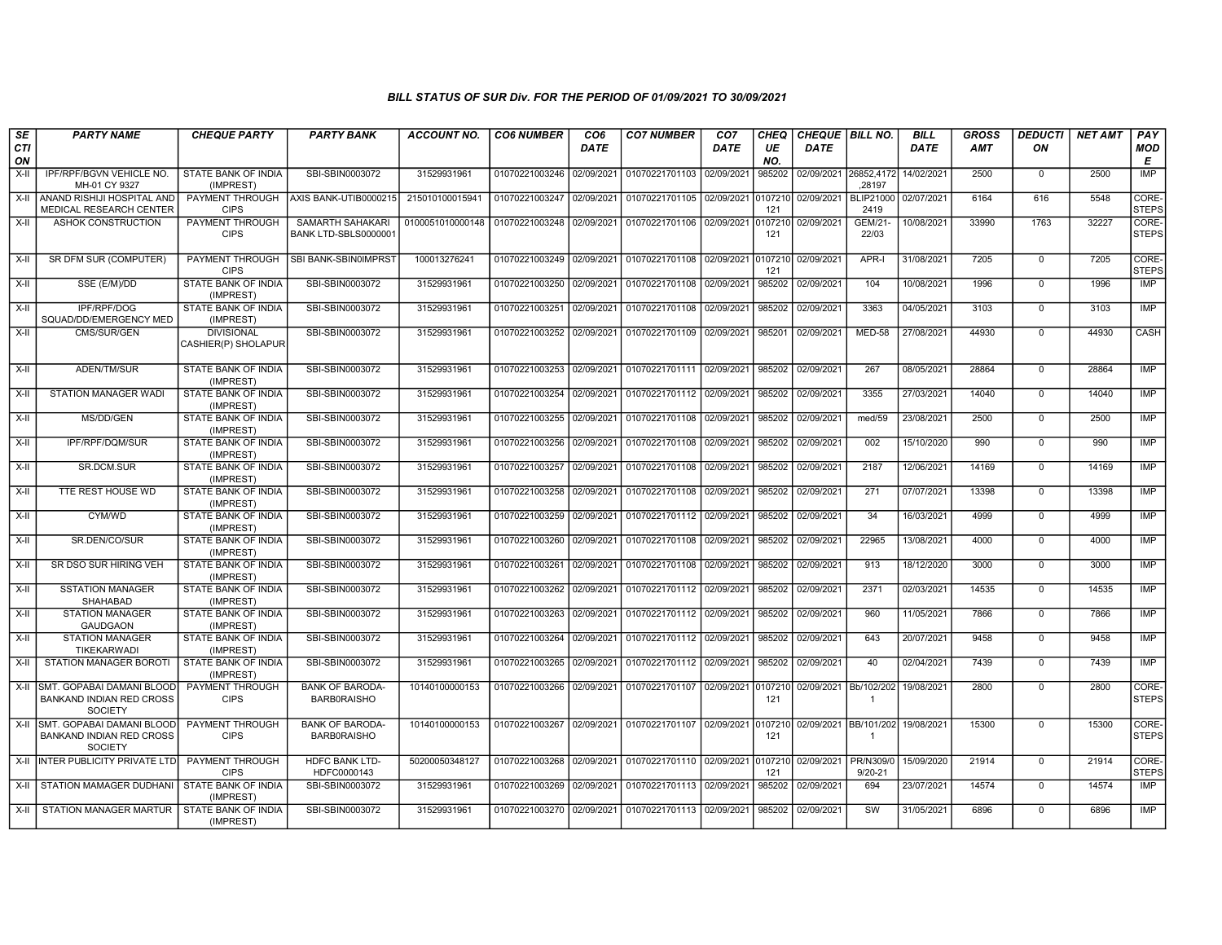| SE               | <b>PARTY NAME</b>                                                              | <b>CHEQUE PARTY</b>                      | <b>PARTY BANK</b>                            | <b>ACCOUNT NO.</b> | <b>CO6 NUMBER</b>         | CO <sub>6</sub> | <b>CO7 NUMBER</b>                 | CO <sub>7</sub> | CHEQ          | CHEQUE   BILL NO. |                                         | <b>BILL</b> | <b>GROSS</b> | <b>DEDUCTI</b> | <b>NET AMT</b> | PAY                   |
|------------------|--------------------------------------------------------------------------------|------------------------------------------|----------------------------------------------|--------------------|---------------------------|-----------------|-----------------------------------|-----------------|---------------|-------------------|-----------------------------------------|-------------|--------------|----------------|----------------|-----------------------|
| <b>CTI</b><br>ON |                                                                                |                                          |                                              |                    |                           | <b>DATE</b>     |                                   | <b>DATE</b>     | UE<br>NO.     | <b>DATE</b>       |                                         | <b>DATE</b> | <b>AMT</b>   | ON             |                | <b>MOD</b><br>E       |
| X-II             | IPF/RPF/BGVN VEHICLE NO.<br>MH-01 CY 9327                                      | STATE BANK OF INDIA<br>(IMPREST)         | SBI-SBIN0003072                              | 31529931961        | 01070221003246 02/09/2021 |                 | 01070221701103 02/09/2021         |                 | 985202        | 02/09/2021        | 26852,4172<br>.28197                    | 14/02/2021  | 2500         | $\mathbf 0$    | 2500           | IMP                   |
| $X-H$            | ANAND RISHIJI HOSPITAL AND<br>MEDICAL RESEARCH CENTER                          | PAYMENT THROUGH<br><b>CIPS</b>           | AXIS BANK-UTIB0000215                        | 215010100015941    | 01070221003247 02/09/2021 |                 | 01070221701105 02/09/2021 0107210 |                 | 121           | 02/09/2021        | <b>BLIP21000</b><br>2419                | 02/07/2021  | 6164         | 616            | 5548           | CORE-<br><b>STEPS</b> |
| X-II             | ASHOK CONSTRUCTION                                                             | PAYMENT THROUGH<br><b>CIPS</b>           | SAMARTH SAHAKARI<br>BANK LTD-SBLS0000001     | 0100051010000148   | 01070221003248            | 02/09/2021      | 01070221701106 02/09/2021         |                 | 010721<br>121 | 02/09/2021        | <b>GEM/21</b><br>22/03                  | 10/08/2021  | 33990        | 1763           | 32227          | CORE-<br><b>STEPS</b> |
| X-II             | SR DFM SUR (COMPUTER)                                                          | PAYMENT THROUGH<br><b>CIPS</b>           | SBI BANK-SBIN0IMPRST                         | 100013276241       | 01070221003249 02/09/2021 |                 | 01070221701108 02/09/2021 010721  |                 | 121           | 02/09/2021        | APR-I                                   | 31/08/2021  | 7205         | $\mathbf 0$    | 7205           | CORE-<br><b>STEPS</b> |
| X-II             | SSE (E/M)/DD                                                                   | STATE BANK OF INDIA<br>(IMPREST)         | SBI-SBIN0003072                              | 31529931961        | 01070221003250            | 02/09/2021      | 01070221701108                    | 02/09/2021      | 985202        | 02/09/2021        | 104                                     | 10/08/2021  | 1996         | $\mathbf 0$    | 1996           | <b>IMP</b>            |
| $X-II$           | IPF/RPF/DOG<br>SQUAD/DD/EMERGENCY MED                                          | STATE BANK OF INDIA<br>(IMPREST)         | SBI-SBIN0003072                              | 31529931961        | 01070221003251            | 02/09/2021      | 01070221701108 02/09/2021         |                 | 985202        | 02/09/2021        | 3363                                    | 04/05/2021  | 3103         | $\mathbf 0$    | 3103           | <b>IMP</b>            |
| $X-H$            | CMS/SUR/GEN                                                                    | <b>DIVISIONAL</b><br>CASHIER(P) SHOLAPUR | SBI-SBIN0003072                              | 31529931961        | 01070221003252 02/09/2021 |                 | 01070221701109 02/09/2021         |                 | 985201        | 02/09/2021        | <b>MED-58</b>                           | 27/08/2021  | 44930        | $\Omega$       | 44930          | CASH                  |
| $X-II$           | ADEN/TM/SUR                                                                    | STATE BANK OF INDIA<br>(IMPREST)         | SBI-SBIN0003072                              | 31529931961        | 01070221003253 02/09/2021 |                 | 01070221701111 02/09/2021         |                 | 985202        | 02/09/2021        | 267                                     | 08/05/2021  | 28864        | $\Omega$       | 28864          | IMP                   |
| $X-H$            | <b>STATION MANAGER WADI</b>                                                    | <b>STATE BANK OF INDIA</b><br>(IMPREST)  | SBI-SBIN0003072                              | 31529931961        | 01070221003254 02/09/2021 |                 | 01070221701112 02/09/2021         |                 | 985202        | 02/09/2021        | 3355                                    | 27/03/2021  | 14040        | $\Omega$       | 14040          | <b>IMP</b>            |
| $X-H$            | MS/DD/GEN                                                                      | <b>STATE BANK OF INDIA</b><br>(IMPREST)  | SBI-SBIN0003072                              | 31529931961        | 01070221003255            | 02/09/2021      | 01070221701108 02/09/2021         |                 | 985202        | 02/09/2021        | med/59                                  | 23/08/2021  | 2500         | $\mathbf 0$    | 2500           | <b>IMP</b>            |
| X-II             | IPF/RPF/DQM/SUR                                                                | <b>STATE BANK OF INDIA</b><br>(IMPREST)  | SBI-SBIN0003072                              | 31529931961        | 01070221003256            | 02/09/2021      | 01070221701108 02/09/2021         |                 | 985202        | 02/09/2021        | 002                                     | 15/10/2020  | 990          | $\mathbf 0$    | 990            | <b>IMP</b>            |
| X-II             | SR.DCM.SUR                                                                     | STATE BANK OF INDIA<br>(IMPREST)         | SBI-SBIN0003072                              | 31529931961        | 01070221003257            | 02/09/2021      | 01070221701108 02/09/2021         |                 | 985202        | 02/09/2021        | 2187                                    | 12/06/2021  | 14169        | $\mathbf 0$    | 14169          | IMP                   |
| X-II             | TTE REST HOUSE WD                                                              | STATE BANK OF INDIA<br>(IMPREST)         | SBI-SBIN0003072                              | 31529931961        | 01070221003258            | 02/09/2021      | 01070221701108 02/09/2021         |                 | 985202        | 02/09/2021        | 271                                     | 07/07/2021  | 13398        | $\mathbf 0$    | 13398          | <b>IMP</b>            |
| X-II             | CYM/WD                                                                         | STATE BANK OF INDIA<br>(IMPREST)         | SBI-SBIN0003072                              | 31529931961        | 01070221003259            | 02/09/2021      | 01070221701112 02/09/2021         |                 | 985202        | 02/09/2021        | 34                                      | 16/03/2021  | 4999         | $\mathbf 0$    | 4999           | <b>IMP</b>            |
| $X-H$            | SR.DEN/CO/SUR                                                                  | <b>STATE BANK OF INDIA</b><br>(IMPREST)  | SBI-SBIN0003072                              | 31529931961        | 01070221003260            | 02/09/2021      | 01070221701108 02/09/2021         |                 | 985202        | 02/09/2021        | 22965                                   | 13/08/2021  | 4000         | $\Omega$       | 4000           | <b>IMP</b>            |
| X-II             | SR DSO SUR HIRING VEH                                                          | STATE BANK OF INDIA<br>(IMPREST)         | SBI-SBIN0003072                              | 31529931961        | 01070221003261            | 02/09/2021      | 01070221701108 02/09/2021         |                 | 985202        | 02/09/2021        | 913                                     | 18/12/2020  | 3000         | $\mathbf 0$    | 3000           | <b>IMP</b>            |
| $X-II$           | <b>SSTATION MANAGER</b><br><b>SHAHABAD</b>                                     | STATE BANK OF INDIA<br>(IMPREST)         | SBI-SBIN0003072                              | 31529931961        | 01070221003262            | 02/09/2021      | 01070221701112 02/09/2021         |                 | 985202        | 02/09/2021        | 2371                                    | 02/03/2021  | 14535        | $\mathbf 0$    | 14535          | IMP                   |
| $X-H$            | <b>STATION MANAGER</b><br><b>GAUDGAON</b>                                      | <b>STATE BANK OF INDIA</b><br>(IMPREST)  | SBI-SBIN0003072                              | 31529931961        | 01070221003263 02/09/2021 |                 | 01070221701112 02/09/2021         |                 | 985202        | 02/09/2021        | 960                                     | 11/05/2021  | 7866         | $\mathbf 0$    | 7866           | <b>IMP</b>            |
| X-II             | <b>STATION MANAGER</b><br><b>TIKEKARWADI</b>                                   | STATE BANK OF INDIA<br>(IMPREST)         | SBI-SBIN0003072                              | 31529931961        | 01070221003264 02/09/2021 |                 | 01070221701112 02/09/2021         |                 | 985202        | 02/09/2021        | 643                                     | 20/07/2021  | 9458         | $\mathbf 0$    | 9458           | IMP                   |
| $X-H$            | <b>STATION MANAGER BOROTI</b>                                                  | STATE BANK OF INDIA<br>(IMPREST)         | SBI-SBIN0003072                              | 31529931961        | 01070221003265            | 02/09/2021      | 01070221701112 02/09/2021         |                 | 985202        | 02/09/2021        | 40                                      | 02/04/2021  | 7439         | $\mathbf 0$    | 7439           | IMP                   |
| X-II             | SMT. GOPABAI DAMANI BLOOD<br><b>BANKAND INDIAN RED CROSS</b><br><b>SOCIETY</b> | PAYMENT THROUGH<br><b>CIPS</b>           | <b>BANK OF BARODA-</b><br><b>BARBORAISHO</b> | 10140100000153     | 01070221003266            | 02/09/2021      | 01070221701107 02/09/2021 0107210 |                 | 121           | 02/09/2021        | Bb/102/202<br>$\overline{1}$            | 19/08/2021  | 2800         | $\mathbf 0$    | 2800           | CORE-<br><b>STEPS</b> |
| $X-H$            | SMT. GOPABAI DAMANI BLOOD<br><b>BANKAND INDIAN RED CROSS</b><br><b>SOCIETY</b> | PAYMENT THROUGH<br><b>CIPS</b>           | <b>BANK OF BARODA-</b><br><b>BARBORAISHO</b> | 10140100000153     | 01070221003267 02/09/2021 |                 | 01070221701107 02/09/2021 0107210 |                 | 121           |                   | 02/09/2021 BB/101/202<br>$\overline{1}$ | 19/08/2021  | 15300        | $\mathbf 0$    | 15300          | CORE-<br><b>STEPS</b> |
| $X-H$            | <b>INTER PUBLICITY PRIVATE LTD</b>                                             | PAYMENT THROUGH<br><b>CIPS</b>           | HDFC BANK LTD-<br>HDFC0000143                | 50200050348127     | 01070221003268 02/09/2021 |                 | 01070221701110 02/09/2021 0107210 |                 | 121           | 02/09/2021        | <b>PR/N309/0</b><br>$9/20 - 21$         | 15/09/2020  | 21914        | $\mathbf 0$    | 21914          | CORE-<br><b>STEPS</b> |
| X-II             | STATION MAMAGER DUDHANI                                                        | STATE BANK OF INDIA<br>(IMPREST)         | SBI-SBIN0003072                              | 31529931961        | 01070221003269            | 02/09/2021      | 01070221701113 02/09/2021         |                 | 985202        | 02/09/2021        | 694                                     | 23/07/2021  | 14574        | $\mathbf 0$    | 14574          | IMP                   |
| X-II             | STATION MANAGER MARTUR                                                         | STATE BANK OF INDIA<br>(IMPREST)         | SBI-SBIN0003072                              | 31529931961        | 01070221003270 02/09/2021 |                 | 01070221701113 02/09/2021         |                 | 985202        | 02/09/2021        | SW                                      | 31/05/2021  | 6896         | $\Omega$       | 6896           | <b>IMP</b>            |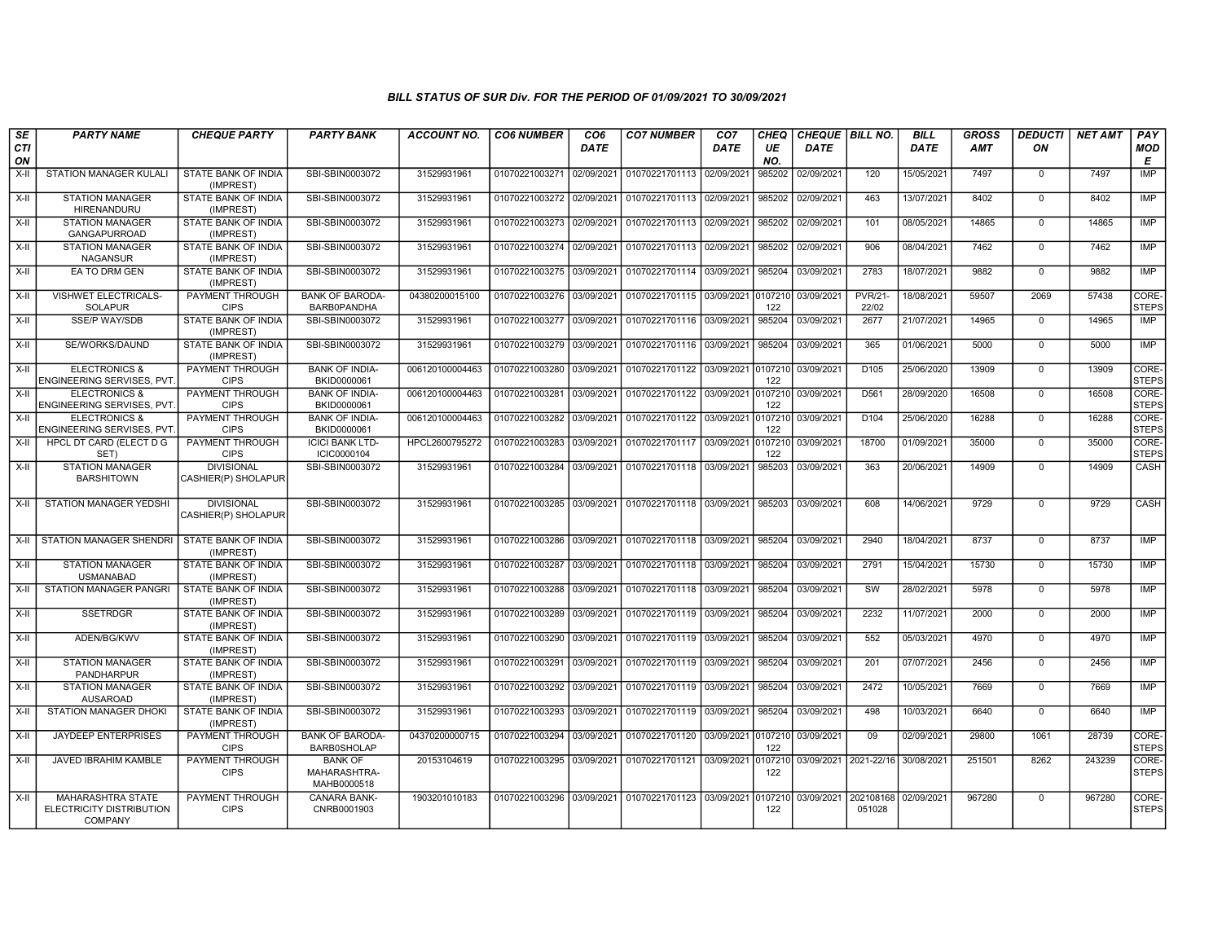| SE<br>CTI<br>ON | <b>PARTY NAME</b>                                               | <b>CHEQUE PARTY</b>                      | <b>PARTY BANK</b>                             | <b>ACCOUNT NO.</b> | <b>CO6 NUMBER</b>         | CO <sub>6</sub><br><b>DATE</b> | <b>CO7 NUMBER</b>                                   | CO <sub>7</sub><br><b>DATE</b> | <b>CHEQ</b><br>UE<br>NO. | CHEQUE   BILL NO.<br><b>DATE</b> |                                | <b>BILL</b><br><b>DATE</b> | <b>GROSS</b><br><b>AMT</b> | <b>DEDUCTI</b><br>ON | <b>NET AMT</b> | PAY<br><b>MOD</b><br>E |
|-----------------|-----------------------------------------------------------------|------------------------------------------|-----------------------------------------------|--------------------|---------------------------|--------------------------------|-----------------------------------------------------|--------------------------------|--------------------------|----------------------------------|--------------------------------|----------------------------|----------------------------|----------------------|----------------|------------------------|
| X-II            | STATION MANAGER KULALI                                          | STATE BANK OF INDIA<br>(IMPREST)         | SBI-SBIN0003072                               | 31529931961        | 01070221003271 02/09/2021 |                                | 01070221701113 02/09/2021                           |                                | 985202                   | 02/09/2021                       | 120                            | 15/05/2021                 | 7497                       | $\mathbf 0$          | 7497           | IMP                    |
| X-II            | <b>STATION MANAGER</b><br><b>HIRENANDURU</b>                    | STATE BANK OF INDIA<br>(IMPREST)         | SBI-SBIN0003072                               | 31529931961        | 01070221003272            | 02/09/2021                     | 01070221701113 02/09/2021                           |                                | 985202                   | 02/09/2021                       | 463                            | 13/07/2021                 | 8402                       | $\mathbf 0$          | 8402           | IMP                    |
| $X-II$          | <b>STATION MANAGER</b><br><b>GANGAPURROAD</b>                   | STATE BANK OF INDIA<br>(IMPREST)         | SBI-SBIN0003072                               | 31529931961        | 01070221003273            | 02/09/2021                     | 01070221701113 02/09/2021                           |                                | 985202                   | 02/09/2021                       | 101                            | 08/05/2021                 | 14865                      | $\Omega$             | 14865          | IMP                    |
| $X-II$          | <b>STATION MANAGER</b><br><b>NAGANSUR</b>                       | <b>STATE BANK OF INDIA</b><br>(IMPREST)  | SBI-SBIN0003072                               | 31529931961        | 01070221003274            | 02/09/2021                     | 01070221701113 02/09/2021                           |                                | 985202                   | 02/09/2021                       | 906                            | 08/04/2021                 | 7462                       | $\mathbf 0$          | 7462           | <b>IMP</b>             |
| X-II            | EA TO DRM GEN                                                   | STATE BANK OF INDIA<br>(IMPREST)         | SBI-SBIN0003072                               | 31529931961        | 01070221003275 03/09/2021 |                                | 01070221701114 03/09/2021                           |                                | 985204                   | 03/09/2021                       | 2783                           | 18/07/2021                 | 9882                       | $\mathbf 0$          | 9882           | IMP                    |
| X-II            | VISHWET ELECTRICALS-<br><b>SOLAPUR</b>                          | PAYMENT THROUGH<br><b>CIPS</b>           | <b>BANK OF BARODA-</b><br>BARB0PANDHA         | 04380200015100     | 01070221003276 03/09/2021 |                                | 01070221701115 03/09/2021                           |                                | 0107210<br>122           | 03/09/2021                       | <b>PVR/21-</b><br>22/02        | 18/08/2021                 | 59507                      | 2069                 | 57438          | CORE-<br><b>STEPS</b>  |
| $X-H$           | SSE/P WAY/SDB                                                   | STATE BANK OF INDIA<br>(IMPREST)         | SBI-SBIN0003072                               | 31529931961        | 01070221003277            | 03/09/2021                     | 01070221701116 03/09/2021                           |                                | 985204                   | 03/09/2021                       | 2677                           | 21/07/2021                 | 14965                      | $\mathbf 0$          | 14965          | <b>IMP</b>             |
| X-II            | SE/WORKS/DAUND                                                  | STATE BANK OF INDIA<br>(IMPREST)         | SBI-SBIN0003072                               | 31529931961        | 01070221003279            | 03/09/2021                     | 01070221701116 03/09/2021                           |                                | 985204                   | 03/09/2021                       | 365                            | 01/06/2021                 | 5000                       | $\Omega$             | 5000           | <b>IMP</b>             |
| $X-H$           | <b>ELECTRONICS &amp;</b><br>ENGINEERING SERVISES, PVT           | <b>PAYMENT THROUGH</b><br><b>CIPS</b>    | <b>BANK OF INDIA-</b><br>BKID0000061          | 006120100004463    | 01070221003280            | 03/09/2021                     | 01070221701122 03/09/2021                           |                                | 0107210<br>122           | 03/09/2021                       | D <sub>105</sub>               | 25/06/2020                 | 13909                      | $\mathbf 0$          | 13909          | CORE-<br><b>STEPS</b>  |
| X-II            | <b>ELECTRONICS &amp;</b><br>ENGINEERING SERVISES, PVT.          | <b>PAYMENT THROUGH</b><br><b>CIPS</b>    | <b>BANK OF INDIA-</b><br>BKID0000061          | 006120100004463    | 01070221003281            | 03/09/2021                     | 01070221701122 03/09/2021                           |                                | 0107210<br>122           | 03/09/2021                       | D561                           | 28/09/2020                 | 16508                      | $\mathbf 0$          | 16508          | CORE-<br><b>STEPS</b>  |
| X-II            | <b>ELECTRONICS &amp;</b><br>ENGINEERING SERVISES, PVT           | PAYMENT THROUGH<br><b>CIPS</b>           | <b>BANK OF INDIA-</b><br>BKID0000061          | 006120100004463    | 01070221003282            | 03/09/2021                     | 01070221701122 03/09/2021                           |                                | 0107210<br>122           | 03/09/2021                       | D104                           | 25/06/2020                 | 16288                      | $\mathbf 0$          | 16288          | CORE-<br><b>STEPS</b>  |
| X-II            | HPCL DT CARD (ELECT D G<br>SET)                                 | PAYMENT THROUGH<br><b>CIPS</b>           | <b>ICICI BANK LTD-</b><br>ICIC0000104         | HPCL2600795272     | 01070221003283            | 03/09/2021                     | 01070221701117 03/09/2021                           |                                | 0107210<br>122           | 03/09/2021                       | 18700                          | 01/09/2021                 | 35000                      | $\Omega$             | 35000          | CORE-<br><b>STEPS</b>  |
| $X-H$           | <b>STATION MANAGER</b><br><b>BARSHITOWN</b>                     | <b>DIVISIONAL</b><br>CASHIER(P) SHOLAPUR | SBI-SBIN0003072                               | 31529931961        | 01070221003284            | 03/09/2021                     | 01070221701118 03/09/2021                           |                                | 985203                   | 03/09/2021                       | 363                            | 20/06/2021                 | 14909                      | $\Omega$             | 14909          | <b>CASH</b>            |
| X-II            | STATION MANAGER YEDSHI                                          | <b>DIVISIONAL</b><br>CASHIER(P) SHOLAPUR | SBI-SBIN0003072                               | 31529931961        |                           |                                | 01070221003285 03/09/2021 01070221701118 03/09/2021 |                                | 985203                   | 03/09/2021                       | 608                            | 14/06/2021                 | 9729                       | $\Omega$             | 9729           | CASH                   |
| X-II            | <b>STATION MANAGER SHENDRI</b>                                  | <b>STATE BANK OF INDIA</b><br>(IMPREST)  | SBI-SBIN0003072                               | 31529931961        | 01070221003286 03/09/2021 |                                | 01070221701118 03/09/2021                           |                                | 985204                   | 03/09/2021                       | 2940                           | 18/04/2021                 | 8737                       | $\mathbf 0$          | 8737           | <b>IMP</b>             |
| $X-H$           | <b>STATION MANAGER</b><br><b>USMANABAD</b>                      | STATE BANK OF INDIA<br>(IMPREST)         | SBI-SBIN0003072                               | 31529931961        | 01070221003287            | 03/09/2021                     | 01070221701118 03/09/2021                           |                                | 985204                   | 03/09/2021                       | 2791                           | 15/04/2021                 | 15730                      | $\mathbf 0$          | 15730          | <b>IMP</b>             |
| X-II            | STATION MANAGER PANGRI                                          | STATE BANK OF INDIA<br>(IMPREST)         | SBI-SBIN0003072                               | 31529931961        | 01070221003288            | 03/09/2021                     | 01070221701118 03/09/2021                           |                                | 985204                   | 03/09/2021                       | SW                             | 28/02/2021                 | 5978                       | $\mathbf 0$          | 5978           | <b>IMP</b>             |
| X-II            | <b>SSETRDGR</b>                                                 | STATE BANK OF INDIA<br>(IMPREST)         | SBI-SBIN0003072                               | 31529931961        | 01070221003289 03/09/2021 |                                | 01070221701119 03/09/2021                           |                                | 985204                   | 03/09/2021                       | 2232                           | 11/07/2021                 | 2000                       | $\Omega$             | 2000           | <b>IMP</b>             |
| X-II            | ADEN/BG/KWV                                                     | STATE BANK OF INDIA<br>(IMPREST)         | SBI-SBIN0003072                               | 31529931961        | 01070221003290            | 03/09/2021                     | 01070221701119 03/09/2021                           |                                | 985204                   | 03/09/2021                       | 552                            | 05/03/2021                 | 4970                       | $\mathbf 0$          | 4970           | <b>IMP</b>             |
| X-II            | <b>STATION MANAGER</b><br><b>PANDHARPUR</b>                     | STATE BANK OF INDIA<br>(IMPREST)         | SBI-SBIN0003072                               | 31529931961        | 01070221003291            | 03/09/2021                     | 01070221701119 03/09/2021                           |                                | 985204                   | 03/09/2021                       | 201                            | 07/07/2021                 | 2456                       | $\Omega$             | 2456           | <b>IMP</b>             |
| $X-H$           | <b>STATION MANAGER</b><br><b>AUSAROAD</b>                       | STATE BANK OF INDIA<br>(IMPREST)         | SBI-SBIN0003072                               | 31529931961        | 01070221003292            | 03/09/2021                     | 01070221701119 03/09/2021                           |                                | 985204                   | 03/09/2021                       | 2472                           | 10/05/2021                 | 7669                       | $\Omega$             | 7669           | <b>IMP</b>             |
| $X-II$          | STATION MANAGER DHOKI                                           | STATE BANK OF INDIA<br>(IMPREST)         | SBI-SBIN0003072                               | 31529931961        | 01070221003293            | 03/09/2021                     | 01070221701119 03/09/2021                           |                                | 985204                   | 03/09/2021                       | 498                            | 10/03/2021                 | 6640                       | $\mathbf 0$          | 6640           | <b>IMP</b>             |
| X-II            | <b>JAYDEEP ENTERPRISES</b>                                      | PAYMENT THROUGH<br><b>CIPS</b>           | <b>BANK OF BARODA-</b><br><b>BARB0SHOLAP</b>  | 04370200000715     | 01070221003294            | 03/09/2021                     | 01070221701120 03/09/2021                           |                                | 0107210<br>122           | 03/09/2021                       | 09                             | 02/09/2021                 | 29800                      | 1061                 | 28739          | CORE-<br><b>STEPS</b>  |
| X-II            | JAVED IBRAHIM KAMBLE                                            | PAYMENT THROUGH<br><b>CIPS</b>           | <b>BANK OF</b><br>MAHARASHTRA-<br>MAHB0000518 | 20153104619        | 01070221003295 03/09/2021 |                                | 01070221701121 03/09/2021                           |                                | 0107210<br>122           | 03/09/2021                       | 2021-22/16                     | 30/08/2021                 | 251501                     | 8262                 | 243239         | CORE-<br><b>STEPS</b>  |
| X-II            | MAHARASHTRA STATE<br>ELECTRICITY DISTRIBUTION<br><b>COMPANY</b> | PAYMENT THROUGH<br><b>CIPS</b>           | CANARA BANK-<br>CNRB0001903                   | 1903201010183      |                           |                                | 01070221003296 03/09/2021 01070221701123 03/09/2021 |                                | 0107210<br>122           | 03/09/2021                       | 202108168 02/09/2021<br>051028 |                            | 967280                     | $\Omega$             | 967280         | CORE-<br><b>STEPS</b>  |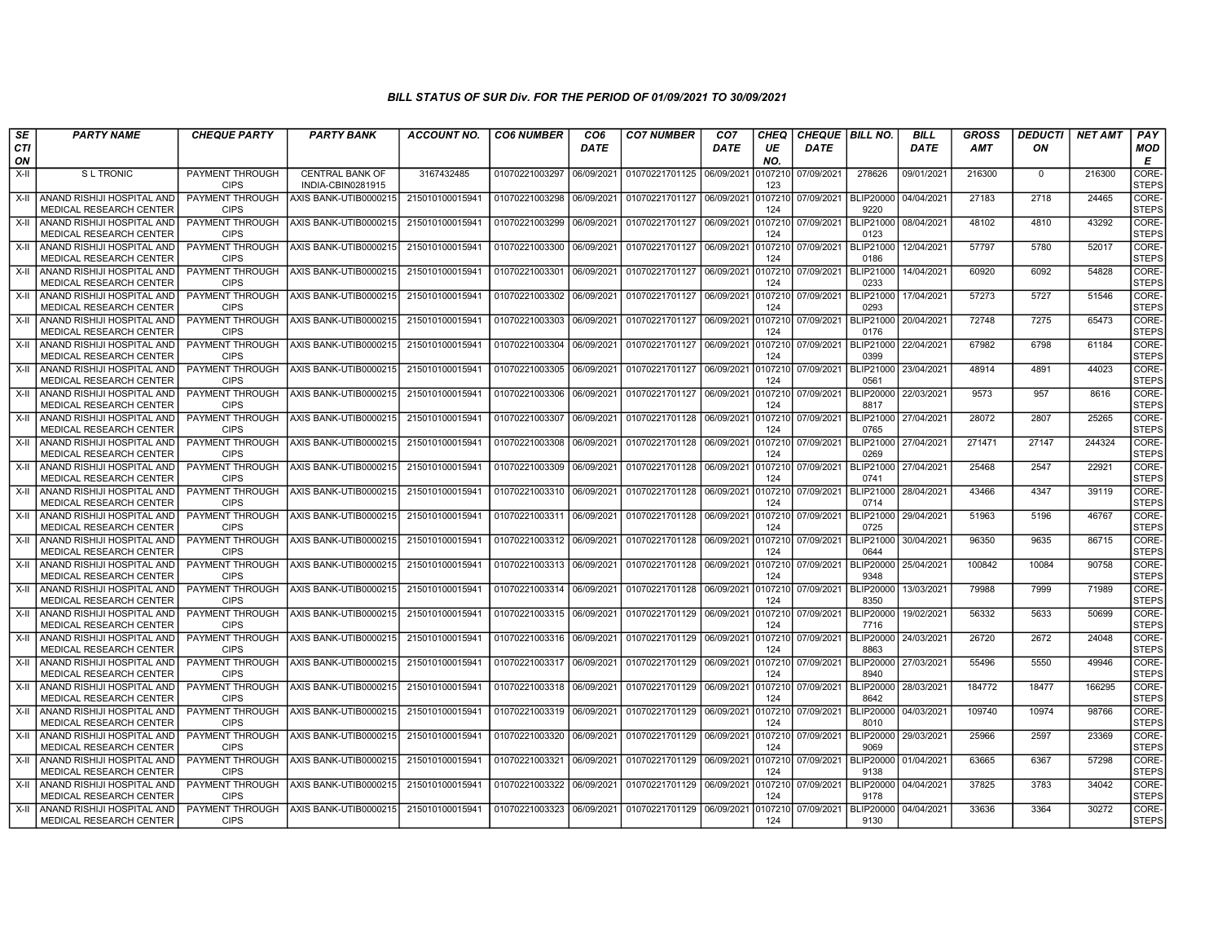| SE<br>CTI | <b>PARTY NAME</b>                                                 | <b>CHEQUE PARTY</b>                   | <b>PARTY BANK</b>                           | ACCOUNT NO.     | <b>CO6 NUMBER</b> | CO <sub>6</sub><br><b>DATE</b> | <b>CO7 NUMBER</b> | CO <sub>7</sub><br><b>DATE</b> | <b>CHEQ</b><br>UE | CHEQUE   BILL NO.<br><b>DATE</b> |                              | <b>BILL</b><br><b>DATE</b> | <b>GROSS</b><br>AMT | <b>DEDUCTI</b><br>ON | <b>NET AMT</b> | <b>PAY</b><br><b>MOD</b>         |
|-----------|-------------------------------------------------------------------|---------------------------------------|---------------------------------------------|-----------------|-------------------|--------------------------------|-------------------|--------------------------------|-------------------|----------------------------------|------------------------------|----------------------------|---------------------|----------------------|----------------|----------------------------------|
| ON        |                                                                   |                                       |                                             |                 |                   |                                |                   |                                | NO.               |                                  |                              |                            |                     |                      |                | E                                |
| $X-H$     | <b>SL TRONIC</b>                                                  | <b>PAYMENT THROUGH</b><br><b>CIPS</b> | <b>CENTRAL BANK OF</b><br>INDIA-CBIN0281915 | 3167432485      | 01070221003297    | 06/09/2021                     | 01070221701125    | 06/09/2021                     | 0107210<br>123    | 07/09/2021                       | 278626                       | 09/01/2021                 | 216300              | $\mathbf 0$          | 216300         | CORE-<br><b>STEPS</b>            |
|           | X-II ANAND RISHIJI HOSPITAL AND<br><b>MEDICAL RESEARCH CENTER</b> | PAYMENT THROUGH<br><b>CIPS</b>        | AXIS BANK-UTIB0000215                       | 215010100015941 | 01070221003298    | 06/09/2021                     | 01070221701127    | 06/09/2021                     | 0107210<br>124    | 07/09/2021                       | <b>BLIP20000</b><br>9220     | 04/04/2021                 | 27183               | 2718                 | 24465          | CORE-<br><b>STEPS</b>            |
| $X-II$    | ANAND RISHIJI HOSPITAL AND<br><b>MEDICAL RESEARCH CENTER</b>      | PAYMENT THROUGH<br><b>CIPS</b>        | AXIS BANK-UTIB000021                        | 215010100015941 | 01070221003299    | 06/09/2021                     | 01070221701127    | 06/09/2021                     | 0107210<br>124    | 07/09/2021                       | <b>BLIP21000</b><br>0123     | 08/04/2021                 | 48102               | 4810                 | 43292          | CORE-<br><b>STEPS</b>            |
| X-II      | ANAND RISHIJI HOSPITAL AND<br><b>MEDICAL RESEARCH CENTER</b>      | PAYMENT THROUGH<br><b>CIPS</b>        | AXIS BANK-UTIB000021                        | 215010100015941 | 01070221003300    | 06/09/2021                     | 01070221701127    | 06/09/2021                     | 0107210<br>124    | 07/09/2021                       | <b>BLIP21000</b><br>0186     | 12/04/2021                 | 57797               | 5780                 | 52017          | CORE <sub></sub><br><b>STEPS</b> |
|           | X-II   ANAND RISHIJI HOSPITAL AND<br>MEDICAL RESEARCH CENTER      | PAYMENT THROUGH<br><b>CIPS</b>        | AXIS BANK-UTIB0000215                       | 215010100015941 | 01070221003301    | 06/09/2021                     | 01070221701127    | 06/09/2021                     | 0107210<br>124    | 07/09/2021                       | <b>BLIP21000</b><br>0233     | 14/04/2021                 | 60920               | 6092                 | 54828          | CORE-<br><b>STEPS</b>            |
| $X-II$    | ANAND RISHIJI HOSPITAL AND<br><b>MEDICAL RESEARCH CENTER</b>      | PAYMENT THROUGH<br><b>CIPS</b>        | AXIS BANK-UTIB0000215                       | 215010100015941 | 01070221003302    | 06/09/2021                     | 01070221701127    | 06/09/2021                     | 0107210<br>124    | 07/09/2021                       | <b>BLIP21000</b><br>0293     | 17/04/2021                 | 57273               | 5727                 | 51546          | CORE-<br><b>STEPS</b>            |
| X-II      | I ANAND RISHIJI HOSPITAL AND<br><b>MEDICAL RESEARCH CENTER</b>    | PAYMENT THROUGH<br><b>CIPS</b>        | AXIS BANK-UTIB000021                        | 215010100015941 | 01070221003303    | 06/09/2021                     | 01070221701127    | 06/09/2021                     | 0107210<br>124    | 07/09/2021                       | <b>BLIP21000</b><br>0176     | 20/04/2021                 | 72748               | 7275                 | 65473          | CORE-<br><b>STEPS</b>            |
| $X-II$    | ANAND RISHIJI HOSPITAL AND<br>MEDICAL RESEARCH CENTER             | PAYMENT THROUGH<br><b>CIPS</b>        | AXIS BANK-UTIB000021                        | 215010100015941 | 01070221003304    | 06/09/2021                     | 01070221701127    | 06/09/2021                     | 0107210<br>124    | 07/09/2021                       | <b>BLIP21000</b><br>0399     | 22/04/2021                 | 67982               | 6798                 | 61184          | CORE-<br><b>STEPS</b>            |
| X-II      | ANAND RISHIJI HOSPITAL AND<br><b>MEDICAL RESEARCH CENTER</b>      | PAYMENT THROUGH<br><b>CIPS</b>        | AXIS BANK-UTIB0000215                       | 215010100015941 | 01070221003305    | 06/09/2021                     | 01070221701127    | 06/09/2021                     | 0107210<br>124    | 07/09/2021                       | BLIP21000 23/04/2021<br>0561 |                            | 48914               | 4891                 | 44023          | CORE-<br><b>STEPS</b>            |
|           | X-II ANAND RISHIJI HOSPITAL AND<br>MEDICAL RESEARCH CENTER        | PAYMENT THROUGH<br><b>CIPS</b>        | AXIS BANK-UTIB0000215                       | 215010100015941 | 01070221003306    | 06/09/2021                     | 01070221701127    | 06/09/2021                     | 0107210<br>124    | 07/09/2021                       | <b>BLIP20000</b><br>8817     | 22/03/2021                 | 9573                | 957                  | 8616           | CORE-<br><b>STEPS</b>            |
| X-II      | ANAND RISHIJI HOSPITAL AND<br>MEDICAL RESEARCH CENTER             | PAYMENT THROUGH<br><b>CIPS</b>        | AXIS BANK-UTIB0000215                       | 215010100015941 | 01070221003307    | 06/09/2021                     | 01070221701128    | 06/09/2021                     | 0107210<br>124    | 07/09/2021                       | 0765                         | BLIP21000 27/04/2021       | 28072               | 2807                 | 25265          | CORE<br><b>STEPS</b>             |
| $X-H$     | ANAND RISHIJI HOSPITAL AND<br><b>MEDICAL RESEARCH CENTER</b>      | PAYMENT THROUGH<br><b>CIPS</b>        | AXIS BANK-UTIB000021                        | 215010100015941 | 01070221003308    | 06/09/202                      | 01070221701128    | 06/09/2021                     | 0107210<br>124    | 07/09/2021                       | BLIP21000<br>0269            | 27/04/2021                 | 271471              | 27147                | 244324         | CORE-<br><b>STEPS</b>            |
| $X-II$    | ANAND RISHIJI HOSPITAL AND<br>MEDICAL RESEARCH CENTER             | <b>PAYMENT THROUGH</b><br><b>CIPS</b> | AXIS BANK-UTIB000021                        | 215010100015941 | 01070221003309    | 06/09/2021                     | 01070221701128    | 06/09/2021                     | 010721<br>124     | 07/09/2021                       | <b>BLIP21000</b><br>0741     | 27/04/2021                 | 25468               | 2547                 | 22921          | CORE <sub></sub><br><b>STEPS</b> |
| X-II      | ANAND RISHIJI HOSPITAL AND<br>MEDICAL RESEARCH CENTER             | PAYMENT THROUGH<br><b>CIPS</b>        | AXIS BANK-UTIB0000215                       | 215010100015941 | 01070221003310    | 06/09/2021                     | 01070221701128    | 06/09/2021                     | 0107210<br>124    | 07/09/2021                       | BLIP21000 28/04/2021<br>0714 |                            | 43466               | 4347                 | 39119          | CORE-<br><b>STEPS</b>            |
| X-II      | ANAND RISHIJI HOSPITAL AND<br>MEDICAL RESEARCH CENTER             | PAYMENT THROUGH<br><b>CIPS</b>        | AXIS BANK-UTIB000021                        | 215010100015941 | 01070221003311    | 06/09/2021                     | 01070221701128    | 06/09/2021                     | 0107210<br>124    | 07/09/2021                       | 0725                         | BLIP21000 29/04/2021       | 51963               | 5196                 | 46767          | CORE-<br><b>STEPS</b>            |
| $X-II$    | I ANAND RISHIJI HOSPITAL AND<br>MEDICAL RESEARCH CENTER           | PAYMENT THROUGH<br><b>CIPS</b>        | AXIS BANK-UTIB0000215                       | 215010100015941 | 01070221003312    | 06/09/2021                     | 01070221701128    | 06/09/2021                     | 0107210<br>124    | 07/09/2021                       | BLIP21000<br>0644            | 30/04/2021                 | 96350               | 9635                 | 86715          | CORE-<br><b>STEPS</b>            |
| X-II      | I ANAND RISHIJI HOSPITAL AND<br><b>MEDICAL RESEARCH CENTER</b>    | PAYMENT THROUGH<br><b>CIPS</b>        | AXIS BANK-UTIB000021                        | 215010100015941 | 01070221003313    | 06/09/202                      | 01070221701128    | 06/09/2021                     | 0107210<br>124    | 07/09/2021                       | <b>BLIP20000</b><br>9348     | 25/04/2021                 | 100842              | 10084                | 90758          | CORE-<br><b>STEPS</b>            |
| $X-II$    | ANAND RISHIJI HOSPITAL AND<br>MEDICAL RESEARCH CENTER             | <b>PAYMENT THROUGH</b><br><b>CIPS</b> | AXIS BANK-UTIB0000215                       | 21501010001594  | 01070221003314    | 06/09/2021                     | 01070221701128    | 06/09/2021                     | 0107210<br>124    | 07/09/2021                       | <b>BLIP20000</b><br>8350     | 13/03/2021                 | 79988               | 7999                 | 71989          | CORE-<br><b>STEPS</b>            |
| X-II      | ANAND RISHIJI HOSPITAL AND<br><b>MEDICAL RESEARCH CENTER</b>      | PAYMENT THROUGH<br><b>CIPS</b>        | AXIS BANK-UTIB0000215                       | 215010100015941 | 01070221003315    | 06/09/2021                     | 01070221701129    | 06/09/2021                     | 0107210<br>124    | 07/09/2021                       | <b>BLIP20000</b><br>7716     | 19/02/2021                 | 56332               | 5633                 | 50699          | CORE-<br><b>STEPS</b>            |
| X-II      | ANAND RISHIJI HOSPITAL AND<br>MEDICAL RESEARCH CENTER             | PAYMENT THROUGH<br><b>CIPS</b>        | AXIS BANK-UTIB000021                        | 215010100015941 | 01070221003316    | 06/09/2021                     | 01070221701129    | 06/09/2021                     | 0107210<br>124    | 07/09/2021                       | <b>BLIP20000</b><br>8863     | 24/03/2021                 | 26720               | 2672                 | 24048          | CORE-<br>STEPS                   |
| X-II      | ANAND RISHIJI HOSPITAL AND<br>MEDICAL RESEARCH CENTER             | <b>PAYMENT THROUGH</b><br><b>CIPS</b> | AXIS BANK-UTIB000021                        | 21501010001594  | 01070221003317    | 06/09/2021                     | 01070221701129    | 06/09/2021                     | 0107210<br>124    | 07/09/2021                       | <b>BLIP20000</b><br>8940     | 27/03/2021                 | 55496               | 5550                 | 49946          | CORE <sub></sub><br><b>STEPS</b> |
| X-II      | ANAND RISHIJI HOSPITAL AND<br>MEDICAL RESEARCH CENTER             | PAYMENT THROUGH<br><b>CIPS</b>        | AXIS BANK-UTIB000021                        | 215010100015941 | 01070221003318    | 06/09/2021                     | 01070221701129    | 06/09/2021                     | 0107210<br>124    | 07/09/2021                       | <b>BLIP20000</b><br>8642     | 28/03/2021                 | 184772              | 18477                | 166295         | CORE-<br><b>STEPS</b>            |
| $X-II$    | Í ANAND RISHIJI HOSPITAL AND<br><b>MEDICAL RESEARCH CENTER</b>    | <b>PAYMENT THROUGH</b><br><b>CIPS</b> | AXIS BANK-UTIB000021                        | 215010100015941 | 01070221003319    | 06/09/2021                     | 01070221701129    | 06/09/2021                     | 0107210<br>124    | 07/09/2021                       | <b>BLIP20000</b><br>8010     | 04/03/2021                 | 109740              | 10974                | 98766          | CORE-<br><b>STEPS</b>            |
| X-II      | ANAND RISHIJI HOSPITAL AND<br>MEDICAL RESEARCH CENTER             | PAYMENT THROUGH<br><b>CIPS</b>        | AXIS BANK-UTIB0000215                       | 215010100015941 | 01070221003320    | 06/09/2021                     | 01070221701129    | 06/09/2021                     | 0107210<br>124    | 07/09/2021                       | <b>BLIP20000</b><br>9069     | 29/03/2021                 | 25966               | 2597                 | 23369          | CORE-<br><b>STEPS</b>            |
| X-II      | ANAND RISHIJI HOSPITAL AND<br>MEDICAL RESEARCH CENTER             | PAYMENT THROUGH<br><b>CIPS</b>        | AXIS BANK-UTIB000021                        | 215010100015941 | 01070221003321    | 06/09/2021                     | 01070221701129    | 06/09/2021                     | 0107210<br>124    | 07/09/2021                       | BLIP20000<br>9138            | 01/04/2021                 | 63665               | 6367                 | 57298          | CORE-<br><b>STEPS</b>            |
| $X-II$    | ANAND RISHIJI HOSPITAL AND<br><b>MEDICAL RESEARCH CENTER</b>      | <b>PAYMENT THROUGH</b><br><b>CIPS</b> | AXIS BANK-UTIB000021                        | 215010100015941 | 01070221003322    | 06/09/2021                     | 01070221701129    | 06/09/2021                     | 0107210<br>124    | 07/09/2021                       | <b>BLIP20000</b><br>9178     | 04/04/2021                 | 37825               | 3783                 | 34042          | CORE-<br><b>STEPS</b>            |
| $X-II$    | ANAND RISHIJI HOSPITAL AND<br>MEDICAL RESEARCH CENTER             | PAYMENT THROUGH<br><b>CIPS</b>        | AXIS BANK-UTIB0000215                       | 215010100015941 | 01070221003323    | 06/09/2021                     | 01070221701129    | 06/09/2021                     | 010721<br>124     | 07/09/2021                       | <b>BLIP20000</b><br>9130     | 04/04/2021                 | 33636               | 3364                 | 30272          | CORE-<br><b>STEPS</b>            |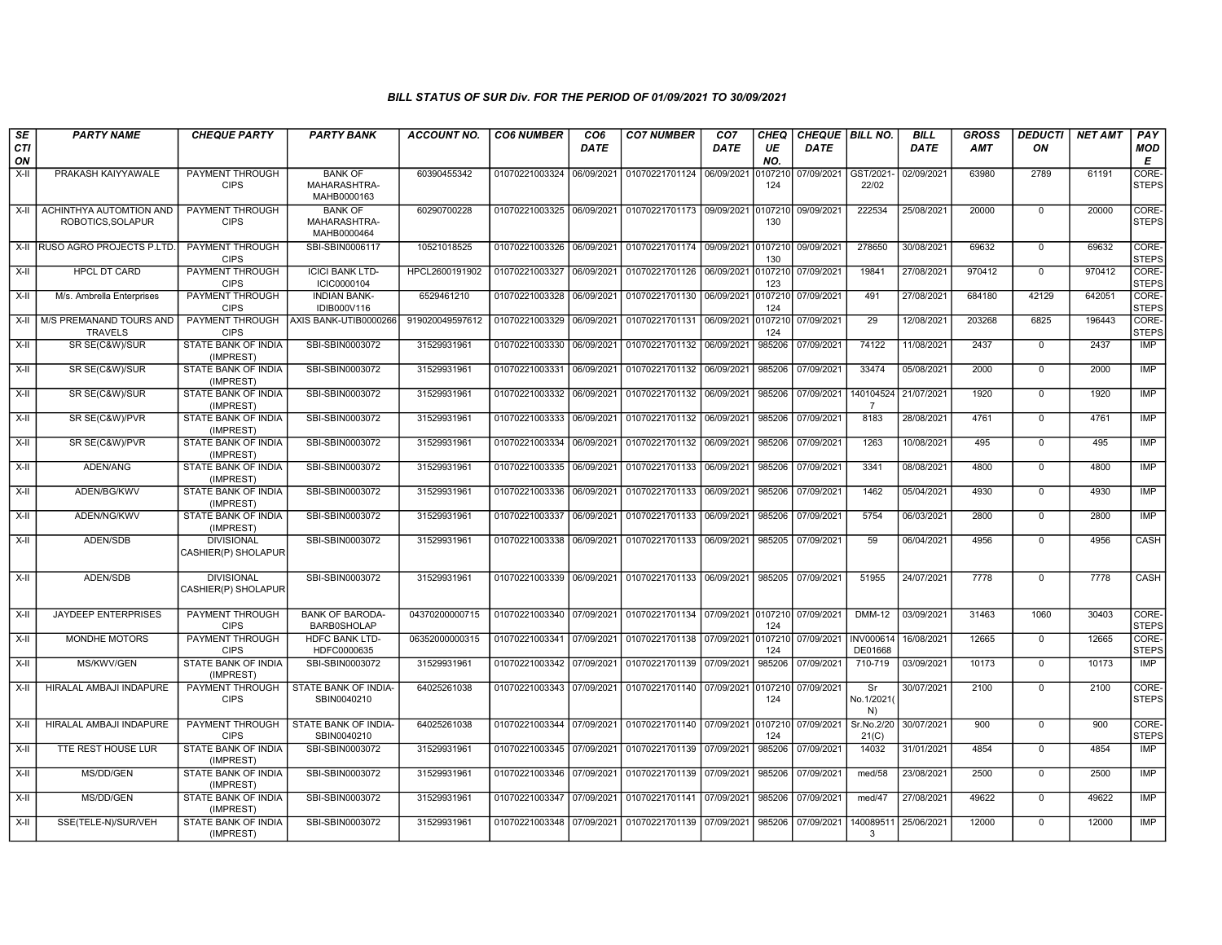| SE               | <b>PARTY NAME</b>                            | <b>CHEQUE PARTY</b>                                   | <b>PARTY BANK</b>                             | <b>ACCOUNT NO.</b>         | <b>CO6 NUMBER</b>                | CO <sub>6</sub>          | <b>CO7 NUMBER</b>                           | CO7        | <b>CHEQ</b>      | CHEQUE BILL NO.          |                             | <b>BILL</b>              | <b>GROSS</b> | <b>DEDUCTI</b>           | <b>NET AMT</b> | PAY                         |
|------------------|----------------------------------------------|-------------------------------------------------------|-----------------------------------------------|----------------------------|----------------------------------|--------------------------|---------------------------------------------|------------|------------------|--------------------------|-----------------------------|--------------------------|--------------|--------------------------|----------------|-----------------------------|
| <b>CTI</b><br>ON |                                              |                                                       |                                               |                            |                                  | <b>DATE</b>              |                                             | DATE       | UE<br>NO.        | DATE                     |                             | DATE                     | <b>AMT</b>   | ON                       |                | MOD<br>Е                    |
| $X-H$            | PRAKASH KAIYYAWALE                           | PAYMENT THROUGH<br><b>CIPS</b>                        | <b>BANK OF</b><br>MAHARASHTRA-<br>MAHB0000163 | 60390455342                | 01070221003324                   | 06/09/2021               | 01070221701124                              | 06/09/2021 | 0107210<br>124   | 07/09/2021               | GST/2021<br>22/02           | 02/09/2021               | 63980        | 2789                     | 61191          | CORE-<br><b>STEPS</b>       |
| X-II             | ACHINTHYA AUTOMTION AND<br>ROBOTICS, SOLAPUR | PAYMENT THROUGH<br><b>CIPS</b>                        | <b>BANK OF</b><br>MAHARASHTRA-<br>MAHB0000464 | 60290700228                | 01070221003325                   | 06/09/2021               | 01070221701173                              | 09/09/2021 | 107210<br>130    | 09/09/2021               | 222534                      | 25/08/2021               | 20000        | $\Omega$                 | 20000          | CORE-<br><b>STEPS</b>       |
|                  | X-II RUSO AGRO PROJECTS P.LTD                | PAYMENT THROUGH<br><b>CIPS</b>                        | SBI-SBIN0006117                               | 10521018525                | 01070221003326                   | 06/09/2021               | 01070221701174 09/09/2021                   |            | 0107210<br>130   | 09/09/2021               | 278650                      | 30/08/2021               | 69632        | $\Omega$                 | 69632          | <b>CORE</b><br><b>STEPS</b> |
| X-II             | <b>HPCL DT CARD</b>                          | PAYMENT THROUGH<br><b>CIPS</b>                        | <b>ICICI BANK LTD-</b><br>ICIC0000104         | HPCL2600191902             | 01070221003327                   | 06/09/2021               | 01070221701126                              | 06/09/2021 | 0107210<br>123   | 07/09/2021               | 19841                       | 27/08/2021               | 970412       | $\Omega$                 | 970412         | CORE-<br><b>STEPS</b>       |
| X-II             | M/s. Ambrella Enterprises                    | <b>PAYMENT THROUGH</b><br><b>CIPS</b>                 | <b>INDIAN BANK-</b><br>IDIB000V116            | 6529461210                 | 01070221003328                   | 06/09/2021               | 01070221701130                              | 06/09/2021 | 0107210<br>124   | 07/09/2021               | 491                         | 27/08/2021               | 684180       | 42129                    | 642051         | CORE-<br><b>STEPS</b>       |
| X-II             | M/S PREMANAND TOURS AND<br><b>TRAVELS</b>    | PAYMENT THROUGH<br><b>CIPS</b>                        | AXIS BANK-UTIB0000266                         | 919020049597612            | 01070221003329                   | 06/09/2021               | 01070221701131                              | 06/09/2021 | 0107210<br>124   | 07/09/2021               | 29                          | 12/08/2021               | 203268       | 6825                     | 196443         | CORE-<br><b>STEPS</b>       |
| X-II             | SR SE(C&W)/SUR                               | STATE BANK OF INDIA<br>(IMPREST)                      | SBI-SBIN0003072                               | 31529931961                | 01070221003330                   | 06/09/2021               | 01070221701132                              | 06/09/2021 | 985206           | 07/09/2021               | 74122                       | 11/08/2021               | 2437         | $\mathbf 0$              | 2437           | IMP                         |
| X-II             | SR SE(C&W)/SUR                               | STATE BANK OF INDIA<br>(IMPREST)                      | SBI-SBIN0003072                               | 31529931961                | 01070221003331                   | 06/09/2021               | 01070221701132                              | 06/09/2021 | 985206           | 07/09/2021               | 33474                       | 05/08/2021               | 2000         | $\mathbf 0$              | 2000           | <b>IMP</b>                  |
| X-II             | SR SE(C&W)/SUR                               | STATE BANK OF INDIA<br>(IMPREST)                      | SBI-SBIN0003072                               | 31529931961                | 01070221003332                   | 06/09/2021               | 01070221701132                              | 06/09/2021 | 985206           | 07/09/2021               | 140104524<br>$\overline{7}$ | 21/07/2021               | 1920         | $\mathbf{0}$             | 1920           | IMP                         |
| $X-H$            | SR SE(C&W)/PVR                               | STATE BANK OF INDIA<br>(IMPREST)                      | SBI-SBIN0003072                               | 31529931961                | 01070221003333                   | 06/09/2021               | 01070221701132                              | 06/09/2021 | 985206           | 07/09/2021               | 8183                        | 28/08/2021               | 4761         | $\mathbf 0$              | 4761           | <b>IMP</b>                  |
| $X-II$           | SR SE(C&W)/PVR                               | STATE BANK OF INDIA<br>(IMPREST)                      | SBI-SBIN0003072                               | 31529931961                | 01070221003334                   | 06/09/2021               | 01070221701132                              | 06/09/2021 | 985206           | 07/09/2021               | 1263                        | 10/08/2021               | 495          | $\Omega$                 | 495            | <b>IMP</b>                  |
| $X-II$           | ADEN/ANG                                     | STATE BANK OF INDIA<br>(IMPREST)                      | SBI-SBIN0003072                               | 31529931961                | 01070221003335                   | 06/09/2021               | 01070221701133                              | 06/09/2021 | 985206           | 07/09/2021               | 3341                        | 08/08/2021               | 4800         | $\mathbf 0$              | 4800           | <b>IMP</b>                  |
| X-II             | ADEN/BG/KWV                                  | STATE BANK OF INDIA<br>(IMPREST)                      | SBI-SBIN0003072                               | 31529931961                | 01070221003336                   | 06/09/2021               | 01070221701133                              | 06/09/2021 | 985206           | 07/09/2021               | 1462<br>5754                | 05/04/2021               | 4930<br>2800 | $\Omega$                 | 4930<br>2800   | IMP<br><b>IMP</b>           |
| X-II<br>$X-H$    | ADEN/NG/KWV<br><b>ADEN/SDB</b>               | STATE BANK OF INDIA<br>(IMPREST)<br><b>DIVISIONAL</b> | SBI-SBIN0003072<br>SBI-SBIN0003072            | 31529931961<br>31529931961 | 01070221003337<br>01070221003338 | 06/09/2021<br>06/09/2021 | 01070221701133<br>01070221701133 06/09/2021 | 06/09/2021 | 985206<br>985205 | 07/09/2021<br>07/09/2021 | 59                          | 06/03/2021<br>06/04/2021 | 4956         | $\mathbf{0}$<br>$\Omega$ | 4956           | CASH                        |
|                  |                                              | CASHIER(P) SHOLAPUR                                   |                                               |                            |                                  |                          |                                             |            |                  |                          |                             |                          |              |                          |                |                             |
| $X-H$            | <b>ADEN/SDB</b>                              | <b>DIVISIONAL</b><br>CASHIER(P) SHOLAPUR              | SBI-SBIN0003072                               | 31529931961                | 01070221003339                   | 06/09/2021               | 01070221701133 06/09/2021                   |            | 985205           | 07/09/2021               | 51955                       | 24/07/2021               | 7778         | $\Omega$                 | 7778           | <b>CASH</b>                 |
| $X-II$           | <b>JAYDEEP ENTERPRISES</b>                   | PAYMENT THROUGH<br><b>CIPS</b>                        | <b>BANK OF BARODA-</b><br><b>BARB0SHOLAP</b>  | 04370200000715             | 01070221003340                   | 07/09/2021               | 01070221701134 07/09/2021                   |            | 0107210<br>124   | 07/09/2021               | <b>DMM-12</b>               | 03/09/2021               | 31463        | 1060                     | 30403          | CORE-<br><b>STEPS</b>       |
| X-II             | <b>MONDHE MOTORS</b>                         | <b>PAYMENT THROUGH</b><br><b>CIPS</b>                 | <b>HDFC BANK LTD-</b><br>HDFC0000635          | 06352000000315             | 01070221003341                   | 07/09/2021               | 01070221701138 07/09/2021                   |            | 0107210<br>124   | 07/09/2021               | INV000614<br>DE01668        | 16/08/2021               | 12665        | $\mathbf 0$              | 12665          | CORE-<br><b>STEPS</b>       |
| X-II             | MS/KWV/GEN                                   | STATE BANK OF INDIA<br>(IMPREST)                      | SBI-SBIN0003072                               | 31529931961                | 01070221003342 07/09/2021        |                          | 01070221701139 07/09/2021                   |            | 985206           | 07/09/2021               | 710-719                     | 03/09/2021               | 10173        | $\Omega$                 | 10173          | IMP                         |
| X-II             | HIRALAL AMBAJI INDAPURE                      | PAYMENT THROUGH<br><b>CIPS</b>                        | STATE BANK OF INDIA<br>SBIN0040210            | 64025261038                | 01070221003343                   | 07/09/2021               | 01070221701140                              | 07/09/2021 | 0107210<br>124   | 07/09/2021               | Sr<br>No.1/2021<br>N)       | 30/07/2021               | 2100         | $\Omega$                 | 2100           | CORE-<br><b>STEPS</b>       |
| X-II             | HIRALAL AMBAJI INDAPURE                      | PAYMENT THROUGH<br><b>CIPS</b>                        | STATE BANK OF INDIA-<br>SBIN0040210           | 64025261038                | 01070221003344                   | 07/09/2021               | 01070221701140 07/09/2021                   |            | 0107210<br>124   | 07/09/2021               | Sr.No.2/20<br>21(C)         | 30/07/2021               | 900          | $\Omega$                 | 900            | CORE-<br><b>STEPS</b>       |
| X-II             | <b>TTE REST HOUSE LUR</b>                    | STATE BANK OF INDIA<br>(IMPREST)                      | SBI-SBIN0003072                               | 31529931961                | 01070221003345                   | 07/09/2021               | 01070221701139                              | 07/09/2021 | 985206           | 07/09/2021               | 14032                       | 31/01/2021               | 4854         | $\Omega$                 | 4854           | IMP                         |
| X-II             | MS/DD/GEN                                    | STATE BANK OF INDIA<br>(IMPREST)                      | SBI-SBIN0003072                               | 31529931961                | 01070221003346                   | 07/09/2021               | 01070221701139                              | 07/09/2021 | 985206           | 07/09/2021               | med/58                      | 23/08/2021               | 2500         | $\Omega$                 | 2500           | IMP                         |
| X-II             | MS/DD/GEN                                    | STATE BANK OF INDIA<br>(IMPREST)                      | SBI-SBIN0003072                               | 31529931961                | 01070221003347                   | 07/09/2021               | 01070221701141                              | 07/09/2021 | 985206           | 07/09/2021               | med/47                      | 27/08/2021               | 49622        | $\Omega$                 | 49622          | <b>IMP</b>                  |
| $X-H$            | SSE(TELE-N)/SUR/VEH                          | STATE BANK OF INDIA<br>(IMPREST)                      | SBI-SBIN0003072                               | 31529931961                | 01070221003348 07/09/2021        |                          | 01070221701139 07/09/2021                   |            | 985206           | 07/09/2021               | 14008951<br>-3              | 25/06/2021               | 12000        | $\Omega$                 | 12000          | <b>IMP</b>                  |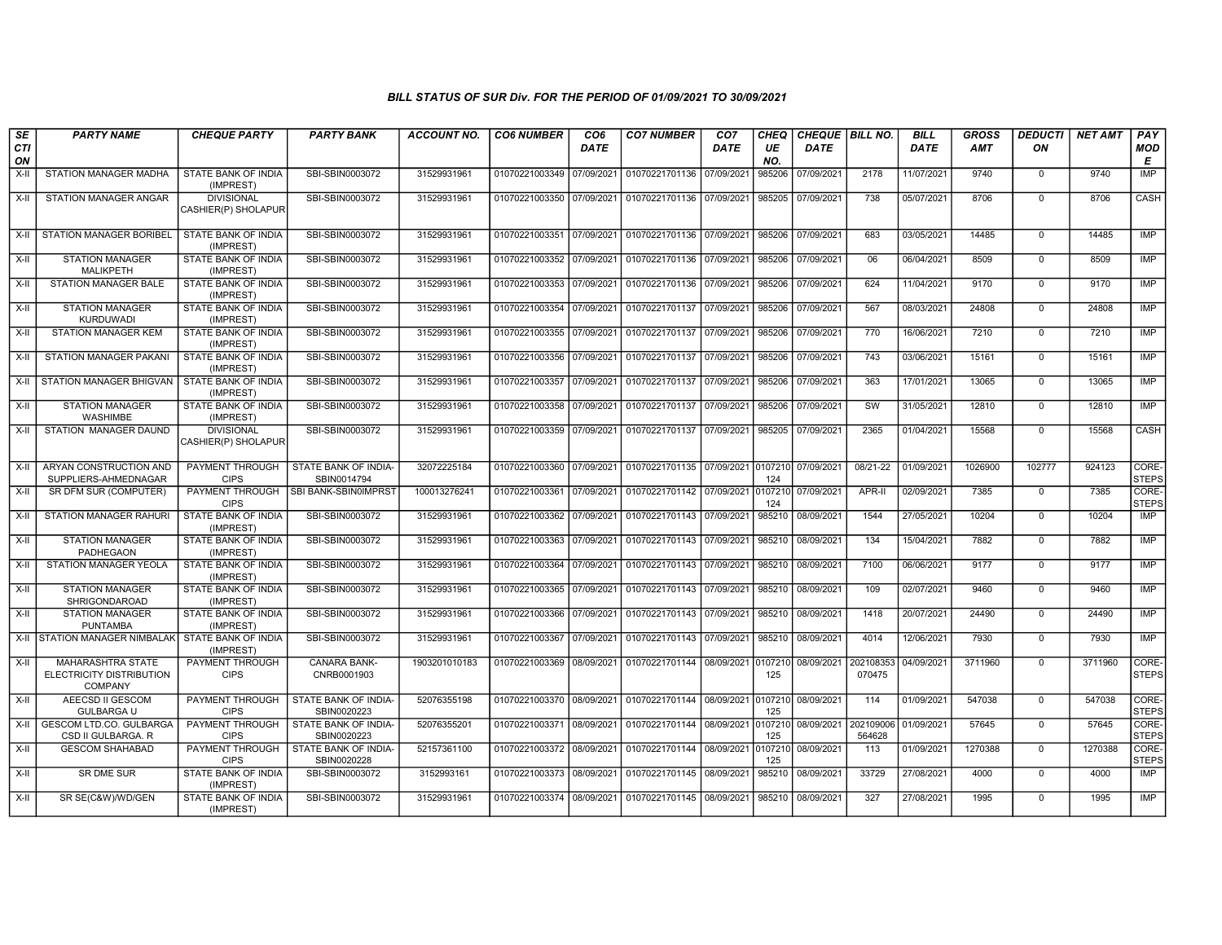| SE<br>CTI | <b>PARTY NAME</b>                                                      | <b>CHEQUE PARTY</b>                      | <b>PARTY BANK</b>                   | <b>ACCOUNT NO.</b> | <b>CO6 NUMBER</b>         | CO <sub>6</sub><br><b>DATE</b> | <b>CO7 NUMBER</b>                                   | CO <sub>7</sub><br><b>DATE</b> | <b>CHEQ</b><br>UE | CHEQUE BILL NO.<br>DATE |                     | <b>BILL</b><br>DATE | <b>GROSS</b><br><b>AMT</b> | <b>DEDUCTI</b><br>ON | <b>NET AMT</b> | PAY<br><b>MOD</b>     |
|-----------|------------------------------------------------------------------------|------------------------------------------|-------------------------------------|--------------------|---------------------------|--------------------------------|-----------------------------------------------------|--------------------------------|-------------------|-------------------------|---------------------|---------------------|----------------------------|----------------------|----------------|-----------------------|
| ON        |                                                                        |                                          |                                     |                    |                           |                                |                                                     |                                | NO.               |                         |                     |                     |                            |                      |                | E                     |
| $X-H$     | STATION MANAGER MADHA                                                  | <b>STATE BANK OF INDIA</b><br>(IMPREST)  | SBI-SBIN0003072                     | 31529931961        | 01070221003349 07/09/2021 |                                | 01070221701136                                      | 07/09/2021                     | 985206            | 07/09/2021              | 2178                | 11/07/2021          | 9740                       | $\mathbf 0$          | 9740           | <b>IMP</b>            |
| X-II      | <b>STATION MANAGER ANGAR</b>                                           | <b>DIVISIONAL</b><br>CASHIER(P) SHOLAPUR | SBI-SBIN0003072                     | 31529931961        | 01070221003350 07/09/2021 |                                | 01070221701136 07/09/2021                           |                                | 985205            | 07/09/2021              | 738                 | 05/07/2021          | 8706                       | $\Omega$             | 8706           | CASH                  |
| X-II      | <b>STATION MANAGER BORIBEL</b>                                         | STATE BANK OF INDIA<br>(IMPREST)         | SBI-SBIN0003072                     | 31529931961        |                           |                                | 01070221003351 07/09/2021 01070221701136 07/09/2021 |                                | 985206            | 07/09/2021              | 683                 | 03/05/2021          | 14485                      | $\mathbf 0$          | 14485          | IMP                   |
| X-II      | <b>STATION MANAGER</b><br>MALIKPETH                                    | <b>STATE BANK OF INDIA</b><br>(IMPREST)  | SBI-SBIN0003072                     | 31529931961        | 01070221003352            | 07/09/2021                     | 01070221701136 07/09/2021                           |                                | 985206            | 07/09/2021              | 06                  | 06/04/2021          | 8509                       | $\mathbf 0$          | 8509           | IMP                   |
| X-II      | STATION MANAGER BALE                                                   | STATE BANK OF INDIA<br>(IMPREST)         | SBI-SBIN0003072                     | 31529931961        | 01070221003353 07/09/2021 |                                | 01070221701136 07/09/2021                           |                                | 985206            | 07/09/2021              | 624                 | 11/04/2021          | 9170                       | $\mathbf 0$          | 9170           | IMP                   |
| $X-H$     | <b>STATION MANAGER</b><br><b>KURDUWADI</b>                             | STATE BANK OF INDIA<br>(IMPREST)         | SBI-SBIN0003072                     | 31529931961        | 01070221003354 07/09/2021 |                                | 01070221701137                                      | 07/09/2021                     | 985206            | 07/09/2021              | 567                 | 08/03/2021          | 24808                      | $\Omega$             | 24808          | <b>IMP</b>            |
| $X-H$     | <b>STATION MANAGER KEM</b>                                             | <b>STATE BANK OF INDIA</b><br>(IMPREST)  | SBI-SBIN0003072                     | 31529931961        | 01070221003355            | 07/09/2021                     | 01070221701137                                      | 07/09/2021                     | 985206            | 07/09/2021              | 770                 | 16/06/2021          | 7210                       | $\Omega$             | 7210           | <b>IMP</b>            |
| X-II      | <b>STATION MANAGER PAKANI</b>                                          | <b>STATE BANK OF INDIA</b><br>(IMPREST)  | SBI-SBIN0003072                     | 31529931961        | 01070221003356 07/09/2021 |                                | 01070221701137                                      | 07/09/2021                     | 985206            | 07/09/2021              | 743                 | 03/06/2021          | 15161                      | $\mathbf 0$          | 15161          | <b>IMP</b>            |
| X-II      | <b>STATION MANAGER BHIGVAN</b>                                         | STATE BANK OF INDIA<br>(IMPREST)         | SBI-SBIN0003072                     | 31529931961        | 01070221003357 07/09/2021 |                                | 01070221701137                                      | 07/09/2021                     | 985206            | 07/09/2021              | 363                 | 17/01/2021          | 13065                      | $\mathbf 0$          | 13065          | <b>IMP</b>            |
| X-II      | <b>STATION MANAGER</b><br>WASHIMBE                                     | STATE BANK OF INDIA<br>(IMPREST)         | SBI-SBIN0003072                     | 31529931961        | 01070221003358 07/09/2021 |                                | 01070221701137                                      | 07/09/2021                     | 985206            | 07/09/2021              | SW                  | 31/05/2021          | 12810                      | $\Omega$             | 12810          | IMP                   |
| X-II      | STATION MANAGER DAUND                                                  | <b>DIVISIONAL</b><br>CASHIER(P) SHOLAPUR | SBI-SBIN0003072                     | 31529931961        | 01070221003359 07/09/2021 |                                | 01070221701137                                      | 07/09/2021                     | 985205            | 07/09/2021              | 2365                | 01/04/2021          | 15568                      | $\mathbf 0$          | 15568          | CASH                  |
| X-II      | ARYAN CONSTRUCTION AND<br>SUPPLIERS-AHMEDNAGAR                         | PAYMENT THROUGH<br><b>CIPS</b>           | STATE BANK OF INDIA-<br>SBIN0014794 | 32072225184        | 01070221003360 07/09/2021 |                                | 01070221701135 07/09/2021                           |                                | 0107210<br>124    | 07/09/2021              | 08/21-22            | 01/09/2021          | 1026900                    | 102777               | 924123         | CORE-<br><b>STEPS</b> |
| $X-H$     | SR DFM SUR (COMPUTER)                                                  | PAYMENT THROUGH<br><b>CIPS</b>           | SBI BANK-SBIN0IMPRST                | 100013276241       | 01070221003361 07/09/2021 |                                | 01070221701142 07/09/2021                           |                                | 0107210<br>124    | 07/09/2021              | APR-II              | 02/09/2021          | 7385                       | $\overline{0}$       | 7385           | CORE-<br><b>STEPS</b> |
| $X-II$    | <b>STATION MANAGER RAHURI</b>                                          | <b>STATE BANK OF INDIA</b><br>(IMPREST)  | SBI-SBIN0003072                     | 31529931961        | 01070221003362 07/09/2021 |                                | 01070221701143 07/09/2021                           |                                | 985210            | 08/09/2021              | 1544                | 27/05/2021          | 10204                      | $\Omega$             | 10204          | IMP                   |
| X-II      | <b>STATION MANAGER</b><br>PADHEGAON                                    | <b>STATE BANK OF INDIA</b><br>(IMPREST)  | SBI-SBIN0003072                     | 31529931961        | 01070221003363            | 07/09/2021                     | 01070221701143                                      | 07/09/2021                     | 985210            | 08/09/2021              | 134                 | 15/04/2021          | 7882                       | $\mathbf 0$          | 7882           | IMP                   |
| X-II      | STATION MANAGER YEOLA                                                  | STATE BANK OF INDIA<br>(IMPREST)         | SBI-SBIN0003072                     | 31529931961        | 01070221003364 07/09/2021 |                                | 01070221701143 07/09/2021                           |                                | 985210            | 08/09/2021              | 7100                | 06/06/2021          | 9177                       | $\Omega$             | 9177           | <b>IMP</b>            |
| X-II      | <b>STATION MANAGER</b><br><b>SHRIGONDAROAD</b>                         | STATE BANK OF INDIA<br>(IMPREST)         | SBI-SBIN0003072                     | 31529931961        | 01070221003365 07/09/2021 |                                | 01070221701143 07/09/2021                           |                                | 985210            | 08/09/2021              | 109                 | 02/07/2021          | 9460                       | $\mathbf 0$          | 9460           | <b>IMP</b>            |
| $X-H$     | <b>STATION MANAGER</b><br><b>PUNTAMBA</b>                              | STATE BANK OF INDIA<br>(IMPREST)         | SBI-SBIN0003072                     | 31529931961        | 01070221003366 07/09/2021 |                                | 01070221701143 07/09/2021                           |                                | 985210            | 08/09/2021              | 1418                | 20/07/2021          | 24490                      | $\mathbf 0$          | 24490          | <b>IMP</b>            |
|           | X-II STATION MANAGER NIMBALAK                                          | STATE BANK OF INDIA<br>(IMPREST)         | SBI-SBIN0003072                     | 31529931961        | 01070221003367 07/09/2021 |                                | 01070221701143 07/09/2021                           |                                | 985210            | 08/09/2021              | 4014                | 12/06/2021          | 7930                       | $\mathbf 0$          | 7930           | IMP                   |
| X-II      | <b>MAHARASHTRA STATE</b><br>ELECTRICITY DISTRIBUTION<br><b>COMPANY</b> | PAYMENT THROUGH<br><b>CIPS</b>           | <b>CANARA BANK-</b><br>CNRB0001903  | 1903201010183      | 01070221003369 08/09/2021 |                                | 01070221701144                                      | 08/09/2021 0107210             | 125               | 08/09/2021              | 202108353<br>070475 | 04/09/2021          | 3711960                    | $\Omega$             | 3711960        | CORE-<br><b>STEPS</b> |
| X-II      | AEECSD II GESCOM<br><b>GULBARGA U</b>                                  | PAYMENT THROUGH<br><b>CIPS</b>           | STATE BANK OF INDIA-<br>SBIN0020223 | 52076355198        | 01070221003370 08/09/2021 |                                | 01070221701144 08/09/2021 0107210                   |                                | 125               | 08/09/2021              | 114                 | 01/09/2021          | 547038                     | $\Omega$             | 547038         | CORE-<br><b>STEPS</b> |
| X-II      | <b>GESCOM LTD.CO. GULBARGA</b><br>CSD II GULBARGA, R                   | PAYMENT THROUGH<br><b>CIPS</b>           | STATE BANK OF INDIA-<br>SBIN0020223 | 52076355201        | 01070221003371 08/09/2021 |                                | 01070221701144 08/09/2021                           |                                | 0107210<br>125    | 08/09/2021              | 202109006<br>564628 | 01/09/2021          | 57645                      | $\mathbf 0$          | 57645          | CORE-<br><b>STEPS</b> |
| $X-II$    | <b>GESCOM SHAHABAD</b>                                                 | PAYMENT THROUGH<br><b>CIPS</b>           | STATE BANK OF INDIA-<br>SBIN0020228 | 52157361100        | 01070221003372 08/09/2021 |                                | 01070221701144 08/09/2021                           |                                | 0107210<br>125    | 08/09/2021              | 113                 | 01/09/2021          | 1270388                    | $\mathbf 0$          | 1270388        | CORE-<br><b>STEPS</b> |
| X-II      | <b>SR DME SUR</b>                                                      | STATE BANK OF INDIA<br>(IMPREST)         | SBI-SBIN0003072                     | 3152993161         | 01070221003373 08/09/2021 |                                | 01070221701145 08/09/2021                           |                                | 985210            | 08/09/2021              | 33729               | 27/08/2021          | 4000                       | $\mathbf 0$          | 4000           | <b>IMP</b>            |
| X-II      | SR SE(C&W)/WD/GEN                                                      | STATE BANK OF INDIA<br>(IMPREST)         | SBI-SBIN0003072                     | 31529931961        | 01070221003374 08/09/2021 |                                | 01070221701145 08/09/2021                           |                                | 985210            | 08/09/2021              | 327                 | 27/08/2021          | 1995                       | $\mathbf 0$          | 1995           | IMP                   |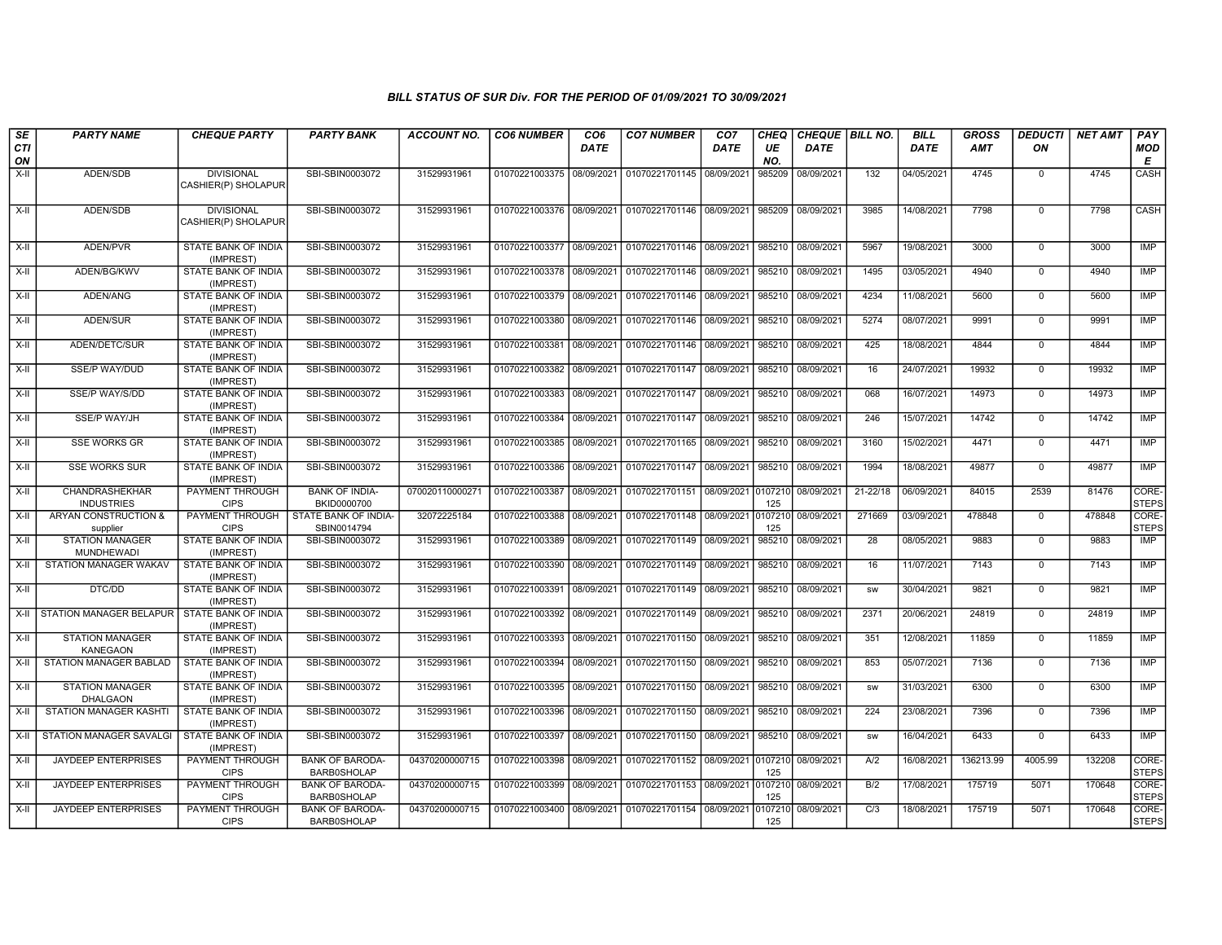| SE               | <b>PARTY NAME</b>                           | <b>CHEQUE PARTY</b>                      | <b>PARTY BANK</b>                            | <b>ACCOUNT NO.</b> | <b>CO6 NUMBER</b>         | CO <sub>6</sub> | <b>CO7 NUMBER</b>         | CO <sub>7</sub> | <b>CHEQ</b>    | CHEQUE   BILL NO. |              | <b>BILL</b> | <b>GROSS</b> | <b>DEDUCTI</b> | <b>NET AMT</b> | PAY                   |
|------------------|---------------------------------------------|------------------------------------------|----------------------------------------------|--------------------|---------------------------|-----------------|---------------------------|-----------------|----------------|-------------------|--------------|-------------|--------------|----------------|----------------|-----------------------|
| <b>CTI</b><br>ON |                                             |                                          |                                              |                    |                           | <b>DATE</b>     |                           | <b>DATE</b>     | UE<br>NO.      | <b>DATE</b>       |              | <b>DATE</b> | <b>AMT</b>   | ON             |                | MOD<br>E              |
| $X-H$            | ADEN/SDB                                    | <b>DIVISIONAL</b><br>CASHIER(P) SHOLAPUR | SBI-SBIN0003072                              | 31529931961        | 01070221003375 08/09/2021 |                 | 01070221701145            | 08/09/2021      | 985209         | 08/09/2021        | 132          | 04/05/2021  | 4745         | $\mathbf 0$    | 4745           | CASH                  |
| $X-II$           | ADEN/SDB                                    | <b>DIVISIONAL</b><br>CASHIER(P) SHOLAPUR | SBI-SBIN0003072                              | 31529931961        | 01070221003376 08/09/2021 |                 | 01070221701146            | 08/09/2021      | 985209         | 08/09/2021        | 3985         | 14/08/2021  | 7798         | $\mathbf 0$    | 7798           | CASH                  |
| X-II             | ADEN/PVR                                    | STATE BANK OF INDIA<br>(IMPREST)         | SBI-SBIN0003072                              | 31529931961        | 01070221003377 08/09/2021 |                 | 01070221701146            | 08/09/2021      | 985210         | 08/09/2021        | 5967         | 19/08/2021  | 3000         | 0              | 3000           | IMP                   |
| $X-II$           | ADEN/BG/KWV                                 | STATE BANK OF INDIA<br>(IMPREST)         | SBI-SBIN0003072                              | 31529931961        | 01070221003378 08/09/2021 |                 | 01070221701146            | 08/09/2021      | 985210         | 08/09/2021        | 1495         | 03/05/2021  | 4940         | $\mathbf 0$    | 4940           | <b>IMP</b>            |
| X-II             | ADEN/ANG                                    | STATE BANK OF INDIA<br>(IMPREST)         | SBI-SBIN0003072                              | 31529931961        | 01070221003379 08/09/2021 |                 | 01070221701146            | 08/09/2021      | 985210         | 08/09/2021        | 4234         | 11/08/2021  | 5600         | $\mathbf 0$    | 5600           | IMP                   |
| $X-H$            | ADEN/SUR                                    | <b>STATE BANK OF INDIA</b><br>(IMPREST)  | SBI-SBIN0003072                              | 31529931961        | 01070221003380 08/09/2021 |                 | 01070221701146            | 08/09/2021      | 985210         | 08/09/2021        | 5274         | 08/07/2021  | 9991         | $\mathbf 0$    | 9991           | <b>IMP</b>            |
| X-II             | ADEN/DETC/SUR                               | STATE BANK OF INDIA<br>(IMPREST)         | SBI-SBIN0003072                              | 31529931961        | 01070221003381            | 08/09/2021      | 01070221701146            | 08/09/2021      | 985210         | 08/09/2021        | 425          | 18/08/2021  | 4844         | $\mathbf 0$    | 4844           | <b>IMP</b>            |
| X-II             | <b>SSE/P WAY/DUD</b>                        | STATE BANK OF INDIA<br>(IMPREST)         | SBI-SBIN0003072                              | 31529931961        | 01070221003382 08/09/2021 |                 | 01070221701147            | 08/09/2021      | 985210         | 08/09/2021        | 16           | 24/07/2021  | 19932        | 0              | 19932          | IMP                   |
| $X-II$           | <b>SSE/P WAY/S/DD</b>                       | STATE BANK OF INDIA<br>(IMPREST)         | SBI-SBIN0003072                              | 31529931961        | 01070221003383 08/09/2021 |                 | 01070221701147            | 08/09/2021      | 985210         | 08/09/2021        | 068          | 16/07/2021  | 14973        | $\mathbf 0$    | 14973          | <b>IMP</b>            |
| X-II             | SSE/P WAY/JH                                | <b>STATE BANK OF INDIA</b><br>(IMPREST)  | SBI-SBIN0003072                              | 31529931961        | 01070221003384 08/09/2021 |                 | 01070221701147            | 08/09/2021      | 985210         | 08/09/2021        | 246          | 15/07/2021  | 14742        | $\mathbf 0$    | 14742          | <b>IMP</b>            |
| $X-H$            | <b>SSE WORKS GR</b>                         | STATE BANK OF INDIA<br>(IMPREST)         | SBI-SBIN0003072                              | 31529931961        | 01070221003385 08/09/2021 |                 | 01070221701165            | 08/09/2021      | 985210         | 08/09/2021        | 3160         | 15/02/2021  | 4471         | $\mathbf 0$    | 4471           | IMP                   |
| X-II             | <b>SSE WORKS SUR</b>                        | STATE BANK OF INDIA<br>(IMPREST)         | SBI-SBIN0003072                              | 31529931961        | 01070221003386 08/09/2021 |                 | 01070221701147            | 08/09/2021      | 985210         | 08/09/2021        | 1994         | 18/08/2021  | 49877        | $\mathbf 0$    | 49877          | IMP                   |
| $X-II$           | CHANDRASHEKHAR<br><b>INDUSTRIES</b>         | PAYMENT THROUGH<br><b>CIPS</b>           | <b>BANK OF INDIA-</b><br>BKID0000700         | 07002011000027     | 01070221003387            | 08/09/2021      | 01070221701151            | 08/09/2021      | 0107210<br>125 | 08/09/2021        | $21 - 22/18$ | 06/09/2021  | 84015        | 2539           | 81476          | CORE-<br><b>STEPS</b> |
| $X-H$            | <b>ARYAN CONSTRUCTION &amp;</b><br>supplier | <b>PAYMENT THROUGH</b><br><b>CIPS</b>    | STATE BANK OF INDIA-<br>SBIN0014794          | 32072225184        | 01070221003388 08/09/2021 |                 | 01070221701148 08/09/2021 |                 | 0107210<br>125 | 08/09/2021        | 271669       | 03/09/2021  | 478848       | $\mathbf 0$    | 478848         | CORE-<br><b>STEPS</b> |
| X-II             | <b>STATION MANAGER</b><br><b>MUNDHEWADI</b> | <b>STATE BANK OF INDIA</b><br>(IMPREST)  | SBI-SBIN0003072                              | 31529931961        | 01070221003389 08/09/2021 |                 | 01070221701149            | 08/09/2021      | 985210         | 08/09/2021        | 28           | 08/05/2021  | 9883         | $\mathbf 0$    | 9883           | <b>IMP</b>            |
| X-II             | <b>STATION MANAGER WAKAV</b>                | STATE BANK OF INDIA<br>(IMPREST)         | SBI-SBIN0003072                              | 31529931961        | 01070221003390 08/09/2021 |                 | 01070221701149            | 08/09/2021      | 985210         | 08/09/2021        | 16           | 11/07/2021  | 7143         | $\mathbf 0$    | 7143           | IMP                   |
| $X-II$           | DTC/DD                                      | STATE BANK OF INDIA<br>(IMPREST)         | SBI-SBIN0003072                              | 31529931961        | 01070221003391            | 08/09/2021      | 01070221701149            | 08/09/2021      | 985210         | 08/09/2021        | <b>SW</b>    | 30/04/2021  | 9821         | $\Omega$       | 9821           | <b>IMP</b>            |
| X-II             | <b>STATION MANAGER BELAPUR</b>              | <b>STATE BANK OF INDIA</b><br>(IMPREST)  | SBI-SBIN0003072                              | 31529931961        | 01070221003392 08/09/2021 |                 | 01070221701149            | 08/09/2021      | 985210         | 08/09/2021        | 2371         | 20/06/2021  | 24819        | $\mathbf 0$    | 24819          | <b>IMP</b>            |
| $X-H$            | <b>STATION MANAGER</b><br><b>KANEGAON</b>   | <b>STATE BANK OF INDIA</b><br>(IMPREST)  | SBI-SBIN0003072                              | 31529931961        | 01070221003393 08/09/2021 |                 | 01070221701150 08/09/2021 |                 | 985210         | 08/09/2021        | 351          | 12/08/2021  | 11859        | $\mathbf 0$    | 11859          | IMP                   |
| $X-II$           | <b>STATION MANAGER BABLAD</b>               | STATE BANK OF INDIA<br>(IMPREST)         | SBI-SBIN0003072                              | 31529931961        | 01070221003394 08/09/2021 |                 | 01070221701150            | 08/09/2021      | 985210         | 08/09/2021        | 853          | 05/07/2021  | 7136         | $\mathbf 0$    | 7136           | IMP                   |
| X-II             | <b>STATION MANAGER</b><br><b>DHALGAON</b>   | STATE BANK OF INDIA<br>(IMPREST)         | SBI-SBIN0003072                              | 31529931961        | 01070221003395 08/09/2021 |                 | 01070221701150            | 08/09/2021      | 985210         | 08/09/2021        | <b>SW</b>    | 31/03/2021  | 6300         | $\mathbf 0$    | 6300           | <b>IMP</b>            |
| $X-H$            | <b>STATION MANAGER KASHTI</b>               | <b>STATE BANK OF INDIA</b><br>(IMPREST)  | SBI-SBIN0003072                              | 31529931961        | 01070221003396 08/09/2021 |                 | 01070221701150            | 08/09/2021      | 985210         | 08/09/2021        | 224          | 23/08/2021  | 7396         | $\Omega$       | 7396           | <b>IMP</b>            |
| X-II             | STATION MANAGER SAVALGI                     | <b>STATE BANK OF INDIA</b><br>(IMPREST)  | SBI-SBIN0003072                              | 31529931961        | 01070221003397 08/09/2021 |                 | 01070221701150            | 08/09/2021      | 985210         | 08/09/2021        | <b>SW</b>    | 16/04/2021  | 6433         | $\mathbf 0$    | 6433           | <b>IMP</b>            |
| X-II             | JAYDEEP ENTERPRISES                         | PAYMENT THROUGH<br><b>CIPS</b>           | <b>BANK OF BARODA-</b><br><b>BARB0SHOLAP</b> | 04370200000715     | 01070221003398 08/09/2021 |                 | 01070221701152 08/09/2021 |                 | 0107210<br>125 | 08/09/2021        | A/2          | 16/08/2021  | 136213.99    | 4005.99        | 132208         | CORE-<br><b>STEPS</b> |
| $X-II$           | JAYDEEP ENTERPRISES                         | <b>PAYMENT THROUGH</b><br><b>CIPS</b>    | <b>BANK OF BARODA-</b><br><b>BARB0SHOLAP</b> | 04370200000715     | 01070221003399 08/09/2021 |                 | 01070221701153            | 08/09/2021      | 0107210<br>125 | 08/09/2021        | B/2          | 17/08/2021  | 175719       | 5071           | 170648         | CORE-<br><b>STEPS</b> |
| X-II             | JAYDEEP ENTERPRISES                         | PAYMENT THROUGH<br><b>CIPS</b>           | <b>BANK OF BARODA-</b><br><b>BARB0SHOLAP</b> | 04370200000715     | 01070221003400 08/09/2021 |                 | 01070221701154            | 08/09/2021      | 0107210<br>125 | 08/09/2021        | C/3          | 18/08/2021  | 175719       | 5071           | 170648         | CORE-<br><b>STEPS</b> |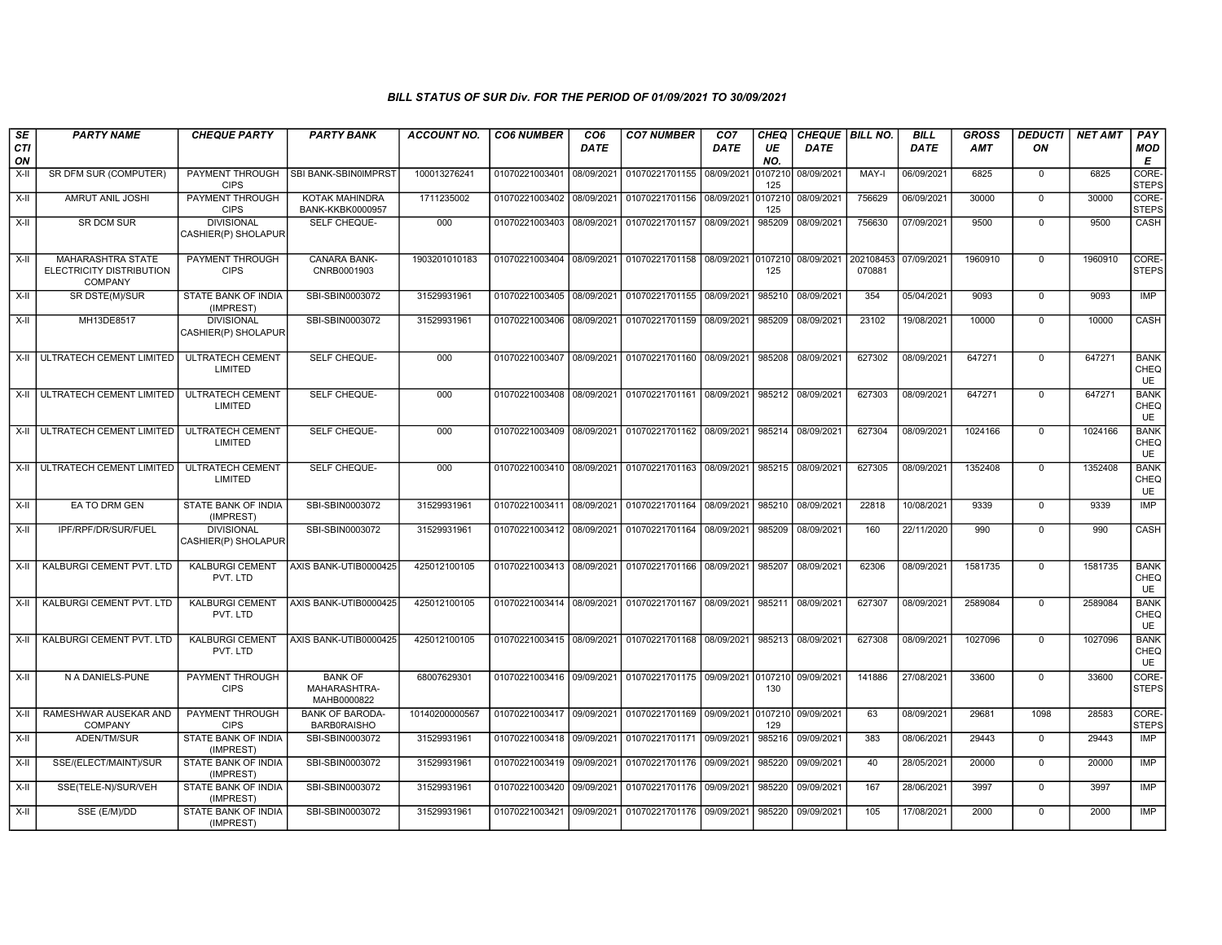| SE<br><b>CTI</b> | <b>PARTY NAME</b>                                                      | <b>CHEQUE PARTY</b>                      | <b>PARTY BANK</b>                                | <b>ACCOUNT NO.</b> | <b>CO6 NUMBER</b>         | CO <sub>6</sub><br><b>DATE</b> | <b>CO7 NUMBER</b>                                           | CO <sub>7</sub><br><b>DATE</b> | <b>CHEQ</b><br>UE | <b>DATE</b> | CHEQUE   BILL NO.   | <b>BILL</b><br><b>DATE</b> | <b>GROSS</b><br><b>AMT</b> | <b>DEDUCTI</b><br>ON | <b>NET AMT</b> | PAY<br>MOD                       |
|------------------|------------------------------------------------------------------------|------------------------------------------|--------------------------------------------------|--------------------|---------------------------|--------------------------------|-------------------------------------------------------------|--------------------------------|-------------------|-------------|---------------------|----------------------------|----------------------------|----------------------|----------------|----------------------------------|
| ON               |                                                                        |                                          |                                                  |                    |                           |                                |                                                             |                                | NO.               |             |                     |                            |                            |                      |                | Е                                |
| X-II             | SR DFM SUR (COMPUTER)                                                  | <b>PAYMENT THROUGH</b><br><b>CIPS</b>    | SBI BANK-SBIN0IMPRST                             | 100013276241       | 01070221003401 08/09/2021 |                                | 01070221701155 08/09/2021                                   |                                | 0107210<br>125    | 08/09/2021  | MAY-I               | 06/09/2021                 | 6825                       | $\mathbf 0$          | 6825           | CORE-<br><b>STEPS</b>            |
| $X-H$            | <b>AMRUT ANIL JOSHI</b>                                                | <b>PAYMENT THROUGH</b><br><b>CIPS</b>    | <b>KOTAK MAHINDRA</b><br><b>BANK-KKBK0000957</b> | 1711235002         | 01070221003402 08/09/2021 |                                | 01070221701156 08/09/2021                                   |                                | 0107210<br>125    | 08/09/2021  | 756629              | 06/09/2021                 | 30000                      | $\overline{0}$       | 30000          | CORE-<br><b>STEPS</b>            |
| X-II             | SR DCM SUR                                                             | <b>DIVISIONAL</b><br>CASHIER(P) SHOLAPUR | SELF CHEQUE-                                     | 000                | 01070221003403 08/09/2021 |                                | 01070221701157 08/09/2021                                   |                                | 985209            | 08/09/2021  | 756630              | 07/09/2021                 | 9500                       | $\Omega$             | 9500           | CASH                             |
| $X-H$            | <b>MAHARASHTRA STATE</b><br>ELECTRICITY DISTRIBUTION<br><b>COMPANY</b> | <b>PAYMENT THROUGH</b><br><b>CIPS</b>    | <b>CANARA BANK-</b><br>CNRB0001903               | 1903201010183      |                           |                                | 01070221003404 08/09/2021 01070221701158 08/09/2021 0107210 |                                | 125               | 08/09/2021  | 202108453<br>070881 | 07/09/2021                 | 1960910                    | $\mathbf 0$          | 1960910        | CORE-<br><b>STEPS</b>            |
| $X-H$            | SR DSTE(M)/SUR                                                         | <b>STATE BANK OF INDIA</b><br>(IMPREST)  | SBI-SBIN0003072                                  | 31529931961        |                           |                                | 01070221003405 08/09/2021 01070221701155 08/09/2021         |                                | 985210            | 08/09/2021  | 354                 | 05/04/2021                 | 9093                       | $\Omega$             | 9093           | IMP                              |
| X-II             | MH13DE8517                                                             | <b>DIVISIONAL</b><br>CASHIER(P) SHOLAPUR | SBI-SBIN0003072                                  | 31529931961        | 01070221003406 08/09/2021 |                                | 01070221701159 08/09/2021                                   |                                | 985209            | 08/09/2021  | 23102               | 19/08/2021                 | 10000                      | $\overline{0}$       | 10000          | <b>CASH</b>                      |
|                  | X-II ULTRATECH CEMENT LIMITED                                          | <b>ULTRATECH CEMENT</b><br>LIMITED       | SELF CHEQUE-                                     | 000                | 01070221003407 08/09/2021 |                                | 01070221701160 08/09/2021                                   |                                | 985208            | 08/09/2021  | 627302              | 08/09/2021                 | 647271                     | $\mathbf 0$          | 647271         | <b>BANK</b><br>CHEQ<br>UE        |
|                  | X-II   ULTRATECH CEMENT LIMITED                                        | <b>ULTRATECH CEMENT</b><br>LIMITED       | SELF CHEQUE-                                     | 000                | 01070221003408 08/09/2021 |                                | 01070221701161 08/09/2021                                   |                                | 985212            | 08/09/2021  | 627303              | 08/09/2021                 | 647271                     | $\mathbf 0$          | 647271         | <b>BANK</b><br>CHEQ<br><b>UE</b> |
|                  | X-II ULTRATECH CEMENT LIMITED                                          | <b>ULTRATECH CEMENT</b><br>LIMITED       | SELF CHEQUE-                                     | 000                | 01070221003409 08/09/2021 |                                | 01070221701162 08/09/2021                                   |                                | 985214            | 08/09/2021  | 627304              | 08/09/2021                 | 1024166                    | $\mathbf 0$          | 1024166        | <b>BANK</b><br>CHEQ<br>UE        |
|                  | X-II ULTRATECH CEMENT LIMITED                                          | <b>ULTRATECH CEMENT</b><br>LIMITED       | <b>SELF CHEQUE-</b>                              | 000                |                           |                                | 01070221003410 08/09/2021 01070221701163 08/09/2021         |                                | 985215            | 08/09/2021  | 627305              | 08/09/2021                 | 1352408                    | $\Omega$             | 1352408        | <b>BANK</b><br>CHEQ<br><b>UE</b> |
| X-II             | EA TO DRM GEN                                                          | STATE BANK OF INDIA<br>(IMPREST)         | SBI-SBIN0003072                                  | 31529931961        | 01070221003411 08/09/2021 |                                | 01070221701164 08/09/2021                                   |                                | 985210            | 08/09/2021  | 22818               | 10/08/2021                 | 9339                       | $\Omega$             | 9339           | IMP                              |
| X-II             | IPF/RPF/DR/SUR/FUEL                                                    | <b>DIVISIONAL</b><br>CASHIER(P) SHOLAPUR | SBI-SBIN0003072                                  | 31529931961        |                           |                                | 01070221003412 08/09/2021 01070221701164                    | 08/09/2021                     | 985209            | 08/09/2021  | 160                 | 22/11/2020                 | 990                        | $\mathbf 0$          | 990            | CASH                             |
| X-II             | KALBURGI CEMENT PVT. LTD                                               | <b>KALBURGI CEMENT</b><br>PVT. LTD       | AXIS BANK-UTIB0000425                            | 425012100105       |                           |                                | 01070221003413 08/09/2021 01070221701166 08/09/2021         |                                | 985207            | 08/09/2021  | 62306               | 08/09/2021                 | 1581735                    | $\mathbf 0$          | 1581735        | <b>BANK</b><br>CHEQ<br><b>UE</b> |
| X-II             | <b>KALBURGI CEMENT PVT. LTD</b>                                        | <b>KALBURGI CEMENT</b><br>PVT. LTD       | AXIS BANK-UTIB0000425                            | 425012100105       | 01070221003414 08/09/2021 |                                | 01070221701167 08/09/2021                                   |                                | 985211            | 08/09/2021  | 627307              | 08/09/2021                 | 2589084                    | $\overline{0}$       | 2589084        | <b>BANK</b><br>CHEQ<br>UE        |
| $X-H$            | KALBURGI CEMENT PVT. LTD                                               | <b>KALBURGI CEMENT</b><br>PVT. LTD       | AXIS BANK-UTIB0000425                            | 425012100105       | 01070221003415 08/09/2021 |                                | 01070221701168 08/09/2021                                   |                                | 985213            | 08/09/2021  | 627308              | 08/09/2021                 | 1027096                    | $\Omega$             | 1027096        | <b>BANK</b><br>CHEQ<br>UE        |
| $X-I$            | N A DANIELS-PUNE                                                       | PAYMENT THROUGH<br><b>CIPS</b>           | <b>BANK OF</b><br>MAHARASHTRA-<br>MAHB0000822    | 68007629301        | 01070221003416 09/09/2021 |                                | 01070221701175 09/09/2021 0107210 09/09/2021                |                                | 130               |             | 141886              | 27/08/2021                 | 33600                      | $\mathbf 0$          | 33600          | CORE-<br><b>STEPS</b>            |
| X-II             | RAMESHWAR AUSEKAR AND<br>COMPANY                                       | <b>PAYMENT THROUGH</b><br><b>CIPS</b>    | <b>BANK OF BARODA-</b><br><b>BARB0RAISHO</b>     | 10140200000567     | 01070221003417 09/09/2021 |                                | 01070221701169 09/09/2021                                   |                                | 0107210<br>129    | 09/09/2021  | 63                  | 08/09/2021                 | 29681                      | 1098                 | 28583          | CORE-<br><b>STEPS</b>            |
| X-II             | ADEN/TM/SUR                                                            | STATE BANK OF INDIA<br>(IMPREST)         | SBI-SBIN0003072                                  | 31529931961        | 01070221003418 09/09/2021 |                                | 01070221701171                                              | 09/09/2021                     | 985216            | 09/09/2021  | 383                 | 08/06/2021                 | 29443                      | $\mathbf 0$          | 29443          | <b>IMP</b>                       |
| X-II             | SSE/(ELECT/MAINT)/SUR                                                  | STATE BANK OF INDIA<br>(IMPREST)         | SBI-SBIN0003072                                  | 31529931961        | 01070221003419 09/09/2021 |                                | 01070221701176 09/09/2021                                   |                                | 985220            | 09/09/2021  | 40                  | 28/05/2021                 | 20000                      | $\overline{0}$       | 20000          | IMP                              |
| $X-H$            | SSE(TELE-N)/SUR/VEH                                                    | <b>STATE BANK OF INDIA</b><br>(IMPREST)  | SBI-SBIN0003072                                  | 31529931961        | 01070221003420 09/09/2021 |                                | 01070221701176 09/09/2021                                   |                                | 985220            | 09/09/2021  | 167                 | 28/06/2021                 | 3997                       | $\mathbf 0$          | 3997           | IMP                              |
| X-II             | SSE (E/M)/DD                                                           | STATE BANK OF INDIA<br>(IMPREST)         | SBI-SBIN0003072                                  | 31529931961        |                           |                                | 01070221003421 09/09/2021 01070221701176 09/09/2021         |                                | 985220            | 09/09/2021  | 105                 | 17/08/2021                 | 2000                       | $\mathbf 0$          | 2000           | IMP                              |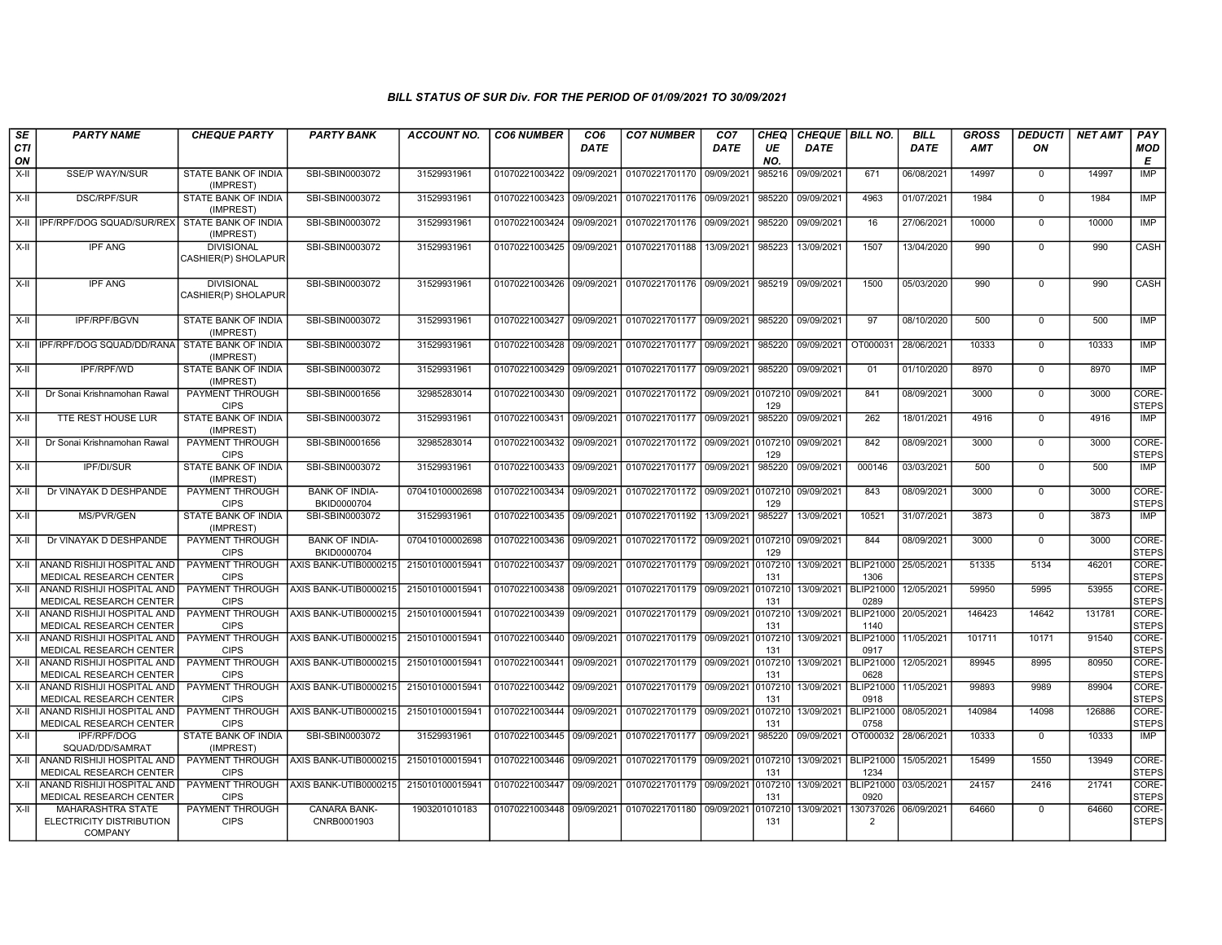| <b>SE</b><br>CTI<br>ON | <b>PARTY NAME</b>                                               | <b>CHEQUE PARTY</b>                      | <b>PARTY BANK</b>                       | <b>ACCOUNT NO.</b> | <b>CO6 NUMBER</b>         | CO <sub>6</sub><br><b>DATE</b> | <b>CO7 NUMBER</b>                 | CO <sub>7</sub><br><b>DATE</b> | <b>CHEQ</b><br>UE<br>NO. | CHEQUE   BILL NO.<br><b>DATE</b> |                             | <b>BILL</b><br><b>DATE</b> | <b>GROSS</b><br><b>AMT</b> | <b>DEDUCTI</b><br>ON | <b>NET AMT</b> | PAY<br><b>MOD</b><br>E |
|------------------------|-----------------------------------------------------------------|------------------------------------------|-----------------------------------------|--------------------|---------------------------|--------------------------------|-----------------------------------|--------------------------------|--------------------------|----------------------------------|-----------------------------|----------------------------|----------------------------|----------------------|----------------|------------------------|
| X-II                   | SSE/P WAY/N/SUR                                                 | STATE BANK OF INDIA<br>(IMPREST)         | SBI-SBIN0003072                         | 31529931961        | 01070221003422            | 09/09/2021                     | 01070221701170 09/09/2021         |                                | 985216                   | 09/09/2021                       | 671                         | 06/08/2021                 | 14997                      | $\mathbf 0$          | 14997          | <b>IMP</b>             |
| X-II                   | <b>DSC/RPF/SUR</b>                                              | STATE BANK OF INDIA<br>(IMPREST)         | SBI-SBIN0003072                         | 31529931961        | 01070221003423 09/09/2021 |                                | 01070221701176 09/09/2021         |                                | 985220                   | 09/09/2021                       | 4963                        | 01/07/2021                 | 1984                       | $\Omega$             | 1984           | IMP                    |
| X-II                   | IPF/RPF/DOG SQUAD/SUR/REX                                       | STATE BANK OF INDIA<br>(IMPREST)         | SBI-SBIN0003072                         | 31529931961        | 01070221003424            | 09/09/2021                     | 01070221701176 09/09/2021         |                                | 985220                   | 09/09/2021                       | 16                          | 27/06/2021                 | 10000                      | $\mathbf 0$          | 10000          | <b>IMP</b>             |
| X-II                   | <b>IPF ANG</b>                                                  | <b>DIVISIONAL</b><br>CASHIER(P) SHOLAPUR | SBI-SBIN0003072                         | 31529931961        | 01070221003425            | 09/09/2021                     | 01070221701188                    | 13/09/2021                     | 985223                   | 13/09/2021                       | 1507                        | 13/04/2020                 | 990                        | $\Omega$             | 990            | CASH                   |
| X-II                   | <b>IPF ANG</b>                                                  | <b>DIVISIONAL</b><br>CASHIER(P) SHOLAPUR | SBI-SBIN0003072                         | 31529931961        | 01070221003426 09/09/2021 |                                | 01070221701176 09/09/2021         |                                | 985219                   | 09/09/2021                       | 1500                        | 05/03/2020                 | 990                        | $\Omega$             | 990            | CASH                   |
| X-II                   | <b>IPF/RPF/BGVN</b>                                             | STATE BANK OF INDIA<br>(IMPREST)         | SBI-SBIN0003072                         | 31529931961        | 01070221003427            | 09/09/2021                     | 01070221701177 09/09/2021         |                                | 985220                   | 09/09/2021                       | 97                          | 08/10/2020                 | 500                        | $\mathbf 0$          | 500            | IMP                    |
|                        | X-II   IPF/RPF/DOG SQUAD/DD/RANA                                | STATE BANK OF INDIA<br>(IMPREST)         | SBI-SBIN0003072                         | 31529931961        | 01070221003428            | 09/09/2021                     | 01070221701177 09/09/2021         |                                | 985220                   | 09/09/2021                       | OT000031                    | 28/06/2021                 | 10333                      | $\Omega$             | 10333          | <b>IMP</b>             |
| X-II                   | IPF/RPF/WD                                                      | STATE BANK OF INDIA<br>(IMPREST)         | SBI-SBIN0003072                         | 31529931961        | 01070221003429            | 09/09/2021                     | 01070221701177 09/09/2021         |                                | 985220                   | 09/09/2021                       | 01                          | 01/10/2020                 | 8970                       | $\Omega$             | 8970           | <b>IMP</b>             |
| X-II                   | Dr Sonai Krishnamohan Rawal                                     | PAYMENT THROUGH<br><b>CIPS</b>           | SBI-SBIN0001656                         | 32985283014        | 01070221003430            | 09/09/2021                     | 01070221701172 09/09/2021         |                                | 0107210<br>129           | 09/09/2021                       | 841                         | 08/09/2021                 | 3000                       | $\Omega$             | 3000           | CORE-<br><b>STEPS</b>  |
| X-II                   | TTE REST HOUSE LUR                                              | <b>STATE BANK OF INDIA</b><br>(IMPREST)  | SBI-SBIN0003072                         | 31529931961        | 01070221003431            | 09/09/2021                     | 01070221701177 09/09/2021         |                                | 985220                   | 09/09/2021                       | 262                         | 18/01/2021                 | 4916                       | $\mathbf 0$          | 4916           | IMP                    |
| X-II                   | Dr Sonai Krishnamohan Rawal                                     | PAYMENT THROUGH<br><b>CIPS</b>           | SBI-SBIN0001656                         | 32985283014        | 01070221003432            | 09/09/2021                     | 01070221701172 09/09/2021 0107210 |                                | 129                      | 09/09/2021                       | 842                         | 08/09/2021                 | 3000                       | $\Omega$             | 3000           | CORE-<br><b>STEPS</b>  |
| X-II                   | IPF/DI/SUR                                                      | STATE BANK OF INDIA<br>(IMPREST)         | SBI-SBIN0003072                         | 31529931961        | 01070221003433            | 09/09/2021                     | 01070221701177 09/09/2021         |                                | 985220                   | 09/09/2021                       | 000146                      | 03/03/2021                 | 500                        | $\mathbf 0$          | 500            | <b>IMP</b>             |
| $X-II$                 | Dr VINAYAK D DESHPANDE                                          | PAYMENT THROUGH<br><b>CIPS</b>           | <b>BANK OF INDIA-</b><br>BKID0000704    | 070410100002698    | 01070221003434            | 09/09/2021                     | 01070221701172 09/09/2021         |                                | 0107210<br>129           | 09/09/2021                       | 843                         | 08/09/2021                 | 3000                       | $\mathbf 0$          | 3000           | CORE-<br><b>STEPS</b>  |
| $X-H$                  | <b>MS/PVR/GEN</b>                                               | STATE BANK OF INDIA<br>(IMPREST)         | SBI-SBIN0003072                         | 31529931961        | 01070221003435            | 09/09/2021                     | 01070221701192                    | 13/09/2021                     | 985227                   | 13/09/2021                       | 10521                       | 31/07/2021                 | 3873                       | $\Omega$             | 3873           | IMP                    |
| $X-H$                  | Dr VINAYAK D DESHPANDE                                          | PAYMENT THROUGH<br><b>CIPS</b>           | <b>BANK OF INDIA-</b><br>BKID0000704    | 070410100002698    | 01070221003436            | 09/09/2021                     | 01070221701172 09/09/2021 0107210 |                                | 129                      | 09/09/2021                       | 844                         | 08/09/2021                 | 3000                       | $\Omega$             | 3000           | CORE-<br><b>STEPS</b>  |
| X-II                   | ANAND RISHIJI HOSPITAL AND<br>MEDICAL RESEARCH CENTER           | PAYMENT THROUGH<br><b>CIPS</b>           | AXIS BANK-UTIB0000215                   | 215010100015941    | 01070221003437            | 09/09/2021                     | 01070221701179 09/09/2021         |                                | 0107210<br>131           | 13/09/2021                       | <b>BLIP21000</b><br>1306    | 25/05/2021                 | 51335                      | 5134                 | 46201          | CORE-<br><b>STEPS</b>  |
| X-II                   | ANAND RISHIJI HOSPITAL AND<br><b>MEDICAL RESEARCH CENTER</b>    | PAYMENT THROUGH<br><b>CIPS</b>           | AXIS BANK-UTIB0000215                   | 215010100015941    | 01070221003438            | 09/09/2021                     | 01070221701179 09/09/2021         |                                | 0107210<br>131           | 13/09/2021                       | <b>BLIP21000</b><br>0289    | 12/05/2021                 | 59950                      | 5995                 | 53955          | CORE-<br><b>STEPS</b>  |
| X-II                   | ANAND RISHIJI HOSPITAL AND<br>MEDICAL RESEARCH CENTER           | PAYMENT THROUGH<br><b>CIPS</b>           | AXIS BANK-UTIB0000215                   | 215010100015941    | 01070221003439            | 09/09/2021                     | 01070221701179 09/09/2021         |                                | 010721<br>131            | 13/09/2021                       | <b>BLIP21000</b><br>1140    | 20/05/2021                 | 146423                     | 14642                | 131781         | CORE-<br><b>STEPS</b>  |
| X-II                   | ANAND RISHIJI HOSPITAL AND<br>MEDICAL RESEARCH CENTER           | <b>CIPS</b>                              | PAYMENT THROUGH AXIS BANK-UTIB0000215   | 215010100015941    | 01070221003440 09/09/2021 |                                | 01070221701179 09/09/2021         |                                | 010721<br>131            | 13/09/2021                       | <b>BLIP21000</b><br>0917    | 11/05/2021                 | 101711                     | 10171                | 91540          | CORE-<br><b>STEPS</b>  |
| $X-H$                  | ANAND RISHIJI HOSPITAL AND<br>MEDICAL RESEARCH CENTER           | PAYMENT THROUGH<br><b>CIPS</b>           | AXIS BANK-UTIB0000215                   | 215010100015941    | 01070221003441            | 09/09/2021                     | 01070221701179 09/09/2021         |                                | 010721<br>131            | 13/09/2021                       | <b>BLIP21000</b><br>0628    | 12/05/2021                 | 89945                      | 8995                 | 80950          | CORE-<br><b>STEPS</b>  |
| $X-I$                  | ANAND RISHIJI HOSPITAL AND<br>MEDICAL RESEARCH CENTER           | PAYMENT THROUGH<br><b>CIPS</b>           | AXIS BANK-UTIB0000215                   | 215010100015941    | 01070221003442            | 09/09/2021                     | 01070221701179 09/09/2021         |                                | 0107210<br>131           | 13/09/2021                       | <b>BLIP21000</b><br>0918    | 11/05/2021                 | 99893                      | 9989                 | 89904          | CORE-<br><b>STEPS</b>  |
| X-II                   | ANAND RISHIJI HOSPITAL AND<br>MEDICAL RESEARCH CENTER           | PAYMENT THROUGH<br><b>CIPS</b>           | AXIS BANK-UTIB0000215                   | 215010100015941    | 01070221003444 09/09/2021 |                                | 01070221701179 09/09/2021         |                                | 0107210<br>131           | 13/09/2021                       | <b>BLIP21000</b><br>0758    | 08/05/2021                 | 140984                     | 14098                | 126886         | CORE-<br><b>STEPS</b>  |
| X-II                   | <b>IPF/RPF/DOG</b><br>SQUAD/DD/SAMRAT                           | STATE BANK OF INDIA<br>(IMPREST)         | SBI-SBIN0003072                         | 31529931961        | 01070221003445 09/09/2021 |                                | 01070221701177 09/09/2021         |                                | 985220                   | 09/09/2021                       | OT000032 28/06/2021         |                            | 10333                      | $\Omega$             | 10333          | IMP                    |
| X-II                   | ANAND RISHIJI HOSPITAL AND<br>MEDICAL RESEARCH CENTER           | <b>CIPS</b>                              | PAYMENT THROUGH   AXIS BANK-UTIB0000215 | 215010100015941    | 01070221003446            | 09/09/2021                     | 01070221701179 09/09/2021         |                                | 0107210<br>131           | 13/09/2021                       | <b>BLIP21000</b><br>1234    | 15/05/2021                 | 15499                      | 1550                 | 13949          | CORE-<br><b>STEPS</b>  |
| X-II                   | ANAND RISHIJI HOSPITAL AND<br>MEDICAL RESEARCH CENTER           | PAYMENT THROUGH<br><b>CIPS</b>           | AXIS BANK-UTIB0000215                   | 215010100015941    | 01070221003447            | 09/09/2021                     | 01070221701179 09/09/2021         |                                | 010721<br>131            | 13/09/2021                       | <b>BLIP21000</b><br>0920    | 03/05/2021                 | 24157                      | 2416                 | 21741          | CORE-<br><b>STEPS</b>  |
| X-II                   | MAHARASHTRA STATE<br>ELECTRICITY DISTRIBUTION<br><b>COMPANY</b> | PAYMENT THROUGH<br><b>CIPS</b>           | <b>CANARA BANK-</b><br>CNRB0001903      | 1903201010183      | 01070221003448 09/09/2021 |                                | 01070221701180 09/09/2021         |                                | 10721<br>131             | 13/09/2021                       | 130737026<br>$\overline{2}$ | 06/09/2021                 | 64660                      | $\Omega$             | 64660          | CORE-<br><b>STEPS</b>  |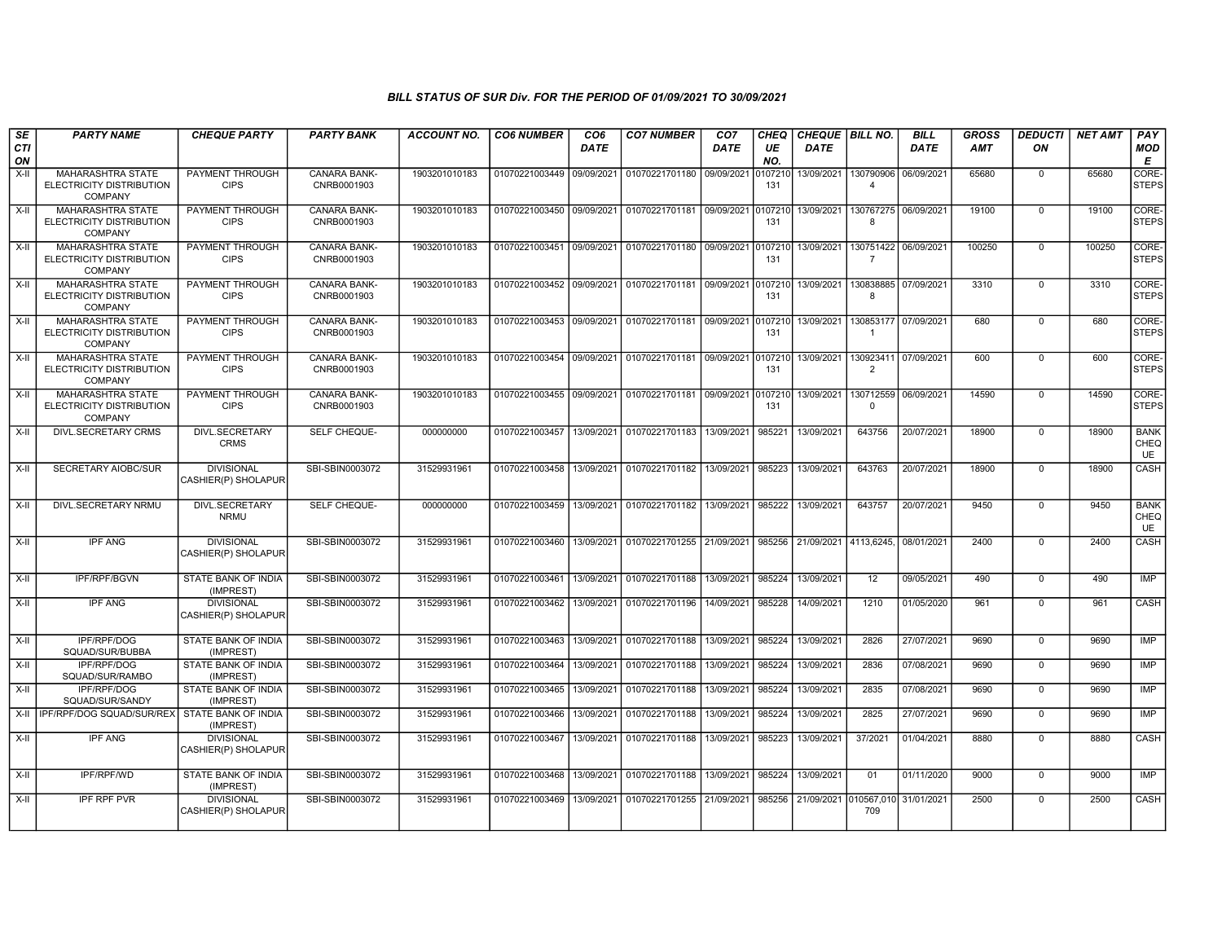| <b>SE</b>        | <b>PARTY NAME</b>                                                      | <b>CHEQUE PARTY</b>                      | <b>PARTY BANK</b>                  | <b>ACCOUNT NO.</b> | <b>CO6 NUMBER</b>         | CO <sub>6</sub> | <b>CO7 NUMBER</b>                    | CO <sub>7</sub> | CHEQ           | <b>CHEQUE   BILL NO.</b>     |                             | <b>BILL</b> | <b>GROSS</b> | <i><b>DEDUCTI</b></i> | <b>NET AMT</b> | PAY                              |
|------------------|------------------------------------------------------------------------|------------------------------------------|------------------------------------|--------------------|---------------------------|-----------------|--------------------------------------|-----------------|----------------|------------------------------|-----------------------------|-------------|--------------|-----------------------|----------------|----------------------------------|
| <b>CTI</b><br>ON |                                                                        |                                          |                                    |                    |                           | <b>DATE</b>     |                                      | <b>DATE</b>     | UE<br>NO.      | <b>DATE</b>                  |                             | <b>DATE</b> | <b>AMT</b>   | ON                    |                | <b>MOD</b><br>Е                  |
| $X-H$            | MAHARASHTRA STATE<br>ELECTRICITY DISTRIBUTION<br><b>COMPANY</b>        | PAYMENT THROUGH<br><b>CIPS</b>           | CANARA BANK-<br>CNRB0001903        | 1903201010183      | 01070221003449 09/09/2021 |                 | 01070221701180 09/09/2021            |                 | 107210<br>131  | 13/09/2021                   | 130790906<br>$\overline{4}$ | 06/09/2021  | 65680        | $\mathbf 0$           | 65680          | CORE-<br><b>STEPS</b>            |
| $X-H$            | <b>MAHARASHTRA STATE</b><br>ELECTRICITY DISTRIBUTION<br>COMPANY        | PAYMENT THROUGH<br><b>CIPS</b>           | <b>CANARA BANK-</b><br>CNRB0001903 | 1903201010183      | 01070221003450            | 09/09/2021      | 01070221701181 09/09/2021 0107210    |                 | 131            | 13/09/2021                   | 130767275<br>8              | 06/09/2021  | 19100        | $\mathbf 0$           | 19100          | <b>CORE</b><br><b>STEPS</b>      |
| X-II             | MAHARASHTRA STATE<br>ELECTRICITY DISTRIBUTION<br><b>COMPANY</b>        | PAYMENT THROUGH<br><b>CIPS</b>           | <b>CANARA BANK-</b><br>CNRB0001903 | 1903201010183      | 01070221003451            | 09/09/2021      | 01070221701180                       | 09/09/2021      | 0107210<br>131 | 13/09/2021                   | 130751422<br>$\overline{7}$ | 06/09/2021  | 100250       | $\mathbf 0$           | 100250         | CORE <sub></sub><br><b>STEPS</b> |
| X-II             | <b>MAHARASHTRA STATE</b><br>ELECTRICITY DISTRIBUTION<br><b>COMPANY</b> | PAYMENT THROUGH<br><b>CIPS</b>           | <b>CANARA BANK-</b><br>CNRB0001903 | 1903201010183      | 01070221003452            | 09/09/2021      | 01070221701181 09/09/2021            |                 | 0107210<br>131 | 13/09/2021                   | 130838885<br>8              | 07/09/2021  | 3310         | $\mathbf 0$           | 3310           | CORE-<br><b>STEPS</b>            |
| $X-I$            | <b>MAHARASHTRA STATE</b><br>ELECTRICITY DISTRIBUTION<br>COMPANY        | PAYMENT THROUGH<br><b>CIPS</b>           | <b>CANARA BANK-</b><br>CNRB0001903 | 1903201010183      | 01070221003453            | 09/09/2021      | 01070221701181 09/09/2021            |                 | 107210<br>131  | 13/09/2021                   | 130853177<br>$\mathbf{1}$   | 07/09/2021  | 680          | $\mathbf 0$           | 680            | <b>CORE</b><br><b>STEPS</b>      |
| X-II             | MAHARASHTRA STATE<br>ELECTRICITY DISTRIBUTION<br><b>COMPANY</b>        | PAYMENT THROUGH<br><b>CIPS</b>           | CANARA BANK-<br>CNRB0001903        | 1903201010183      | 01070221003454            | 09/09/2021      | 01070221701181 09/09/2021            |                 | 107210<br>131  | 13/09/2021                   | 130923411<br>$\overline{2}$ | 07/09/2021  | 600          | $\mathbf 0$           | 600            | CORE-<br>STEPS                   |
| $X-H$            | <b>MAHARASHTRA STATE</b><br>ELECTRICITY DISTRIBUTION<br><b>COMPANY</b> | PAYMENT THROUGH<br><b>CIPS</b>           | <b>CANARA BANK-</b><br>CNRB0001903 | 1903201010183      | 01070221003455 09/09/2021 |                 | 01070221701181 09/09/2021 0107210    |                 | 131            | 13/09/2021 130712559         | $\mathbf 0$                 | 06/09/2021  | 14590        | $\Omega$              | 14590          | CORE-<br><b>STEPS</b>            |
| $X-H$            | <b>DIVL.SECRETARY CRMS</b>                                             | <b>DIVL.SECRETARY</b><br><b>CRMS</b>     | SELF CHEQUE-                       | 000000000          | 01070221003457            | 13/09/2021      | 01070221701183                       | 13/09/2021      | 985221         | 13/09/2021                   | 643756                      | 20/07/2021  | 18900        | $\overline{0}$        | 18900          | <b>BANK</b><br>CHEQ<br>UE        |
| $X-II$           | SECRETARY AIOBC/SUR                                                    | <b>DIVISIONAL</b><br>CASHIER(P) SHOLAPUR | SBI-SBIN0003072                    | 31529931961        | 01070221003458            | 13/09/2021      | 01070221701182 13/09/2021            |                 | 985223         | 13/09/2021                   | 643763                      | 20/07/2021  | 18900        | $\Omega$              | 18900          | CASH                             |
| $X-H$            | DIVL.SECRETARY NRMU                                                    | <b>DIVL.SECRETARY</b><br><b>NRMU</b>     | SELF CHEQUE-                       | 000000000          | 01070221003459            |                 | 13/09/2021 01070221701182 13/09/2021 |                 | 985222         | 13/09/2021                   | 643757                      | 20/07/2021  | 9450         | $\Omega$              | 9450           | <b>BANK</b><br>CHEQ<br>UE        |
| $X-H$            | <b>IPF ANG</b>                                                         | <b>DIVISIONAL</b><br>CASHIER(P) SHOLAPUR | SBI-SBIN0003072                    | 31529931961        | 01070221003460            | 13/09/2021      | 01070221701255 21/09/2021            |                 |                | 985256 21/09/2021 4113.6245. |                             | 08/01/2021  | 2400         | $\Omega$              | 2400           | <b>CASH</b>                      |
| X-II             | IPF/RPF/BGVN                                                           | STATE BANK OF INDIA<br>(IMPREST)         | SBI-SBIN0003072                    | 31529931961        | 01070221003461            | 13/09/2021      | 01070221701188 13/09/2021            |                 | 985224         | 13/09/2021                   | 12                          | 09/05/2021  | 490          | $\mathbf 0$           | 490            | IMP                              |
| $X-II$           | <b>IPF ANG</b>                                                         | <b>DIVISIONAL</b><br>CASHIER(P) SHOLAPUR | SBI-SBIN0003072                    | 31529931961        | 01070221003462            | 13/09/2021      | 01070221701196                       | 14/09/2021      | 985228         | 14/09/2021                   | 1210                        | 01/05/2020  | 961          | $\mathbf 0$           | 961            | CASH                             |
| X-II             | IPF/RPF/DOG<br>SQUAD/SUR/BUBBA                                         | STATE BANK OF INDIA<br>(IMPREST)         | SBI-SBIN0003072                    | 31529931961        | 01070221003463            | 13/09/2021      | 01070221701188 13/09/2021            |                 | 985224         | 13/09/2021                   | 2826                        | 27/07/2021  | 9690         | $\mathbf 0$           | 9690           | <b>IMP</b>                       |
| X-II             | IPF/RPF/DOG<br>SQUAD/SUR/RAMBO                                         | STATE BANK OF INDIA<br>(IMPREST)         | SBI-SBIN0003072                    | 31529931961        | 01070221003464            | 13/09/2021      | 01070221701188                       | 13/09/2021      | 985224         | 13/09/2021                   | 2836                        | 07/08/2021  | 9690         | $\mathbf 0$           | 9690           | <b>IMP</b>                       |
| $X-H$            | <b>IPF/RPF/DOG</b><br>SQUAD/SUR/SANDY                                  | <b>STATE BANK OF INDIA</b><br>(IMPREST)  | SBI-SBIN0003072                    | 31529931961        | 01070221003465            | 13/09/2021      | 01070221701188                       | 13/09/2021      | 985224         | 13/09/2021                   | 2835                        | 07/08/2021  | 9690         | $\overline{0}$        | 9690           | <b>IMP</b>                       |
| $X-H$            | <b>IPF/RPF/DOG SQUAD/SUR/REX STATE BANK OF INDIA</b>                   | (IMPREST)                                | SBI-SBIN0003072                    | 31529931961        | 01070221003466            | 13/09/2021      | 01070221701188                       | 13/09/2021      | 985224         | 13/09/2021                   | 2825                        | 27/07/2021  | 9690         | $\mathbf 0$           | 9690           | <b>IMP</b>                       |
| X-II             | <b>IPF ANG</b>                                                         | <b>DIVISIONAL</b><br>CASHIER(P) SHOLAPUR | SBI-SBIN0003072                    | 31529931961        | 01070221003467            | 13/09/2021      | 01070221701188                       | 13/09/2021      | 985223         | 13/09/2021                   | 37/2021                     | 01/04/2021  | 8880         | $\mathbf 0$           | 8880           | CASH                             |
| $X-H$            | IPF/RPF/WD                                                             | STATE BANK OF INDIA<br>(IMPREST)         | SBI-SBIN0003072                    | 31529931961        | 01070221003468            | 13/09/2021      | 01070221701188                       | 13/09/2021      | 985224         | 13/09/2021                   | 01                          | 01/11/2020  | 9000         | $\mathbf 0$           | 9000           | <b>IMP</b>                       |
| $X-II$           | <b>IPF RPF PVR</b>                                                     | <b>DIVISIONAL</b><br>CASHIER(P) SHOLAPUR | SBI-SBIN0003072                    | 31529931961        | 01070221003469            | 13/09/2021      | 01070221701255 21/09/2021            |                 | 985256         | 21/09/2021 010567,010        | 709                         | 31/01/2021  | 2500         | $\mathbf 0$           | 2500           | CASH                             |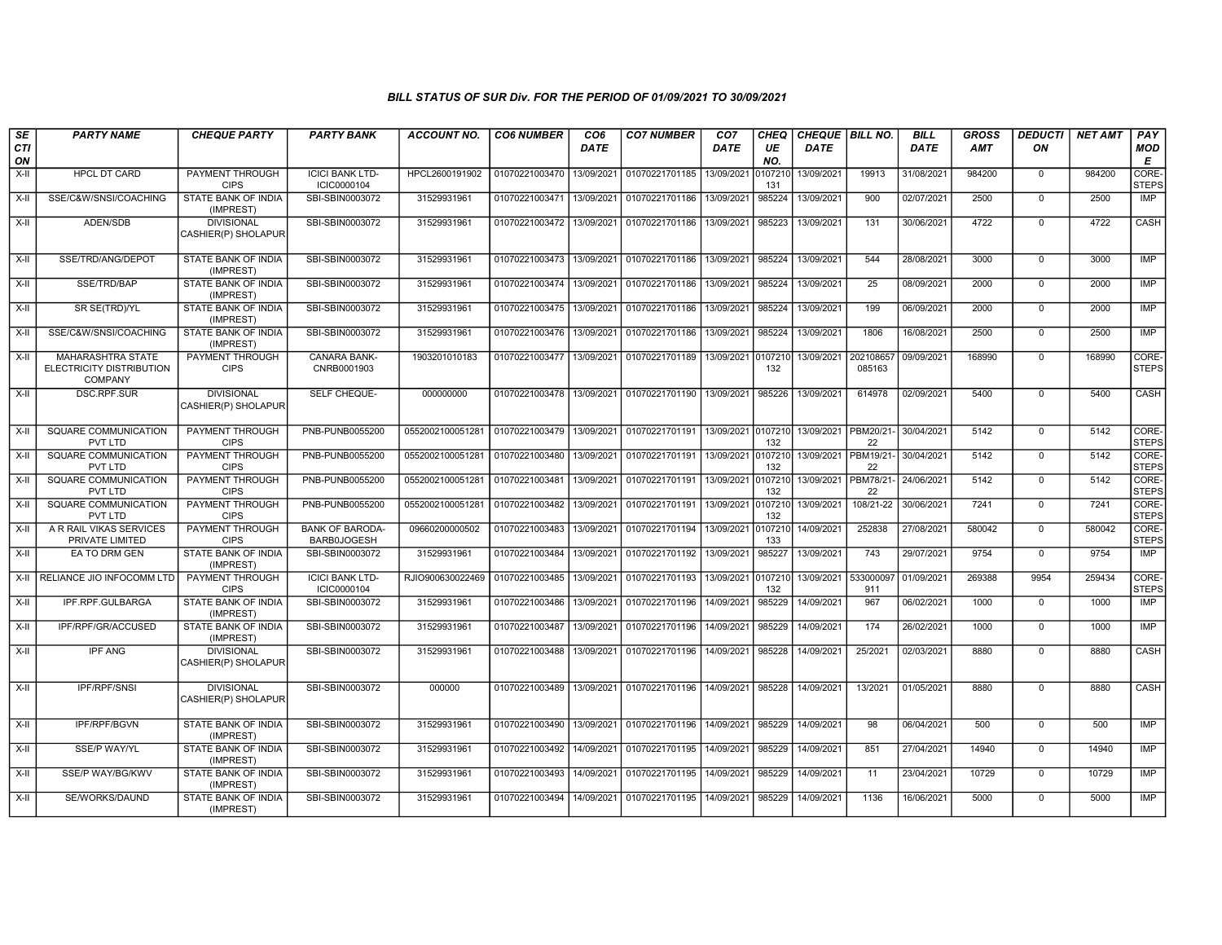| SE        | <b>PARTY NAME</b>                                                      | <b>CHEQUE PARTY</b>                      | <b>PARTY BANK</b>                            | <b>ACCOUNT NO.</b>                         | <b>CO6 NUMBER</b>                        | CO <sub>6</sub> | <b>CO7 NUMBER</b>                        | CO7                | <b>CHEQ</b>    | CHEQUE BILL NO.       |                     | <b>BILL</b> | <b>GROSS</b> | <b>DEDUCTI</b> | <b>NET AMT</b> | PAY                   |
|-----------|------------------------------------------------------------------------|------------------------------------------|----------------------------------------------|--------------------------------------------|------------------------------------------|-----------------|------------------------------------------|--------------------|----------------|-----------------------|---------------------|-------------|--------------|----------------|----------------|-----------------------|
| CTI<br>ON |                                                                        |                                          |                                              |                                            |                                          | <b>DATE</b>     |                                          | DATE               | UE<br>NO.      | DATE                  |                     | <b>DATE</b> | <b>AMT</b>   | ON             |                | <b>MOD</b><br>E       |
| $X-H$     | <b>HPCL DT CARD</b>                                                    | <b>PAYMENT THROUGH</b><br><b>CIPS</b>    | <b>ICICI BANK LTD-</b><br>ICIC0000104        | HPCL2600191902                             | 01070221003470                           | 13/09/2021      | 01070221701185                           | 13/09/2021         | 0107210<br>131 | 13/09/2021            | 19913               | 31/08/2021  | 984200       | $\mathbf 0$    | 984200         | CORE-<br><b>STEPS</b> |
| X-II      | SSE/C&W/SNSI/COACHING                                                  | <b>STATE BANK OF INDIA</b><br>(IMPREST)  | SBI-SBIN0003072                              | 31529931961                                | 01070221003471 13/09/2021                |                 | 01070221701186                           | 13/09/2021         | 985224         | 13/09/2021            | 900                 | 02/07/2021  | 2500         | $\Omega$       | 2500           | IMP                   |
| $X-II$    | ADEN/SDB                                                               | <b>DIVISIONAL</b><br>CASHIER(P) SHOLAPUR | SBI-SBIN0003072                              | 31529931961                                | 01070221003472 13/09/2021                |                 | 01070221701186                           | 13/09/2021         | 985223         | 13/09/2021            | 131                 | 30/06/2021  | 4722         | $\mathbf 0$    | 4722           | CASH                  |
| $X-H$     | SSE/TRD/ANG/DEPOT                                                      | <b>STATE BANK OF INDIA</b><br>(IMPREST)  | SBI-SBIN0003072                              | 31529931961                                | 01070221003473 13/09/2021                |                 | 01070221701186                           | 13/09/2021         | 985224         | 13/09/2021            | 544                 | 28/08/2021  | 3000         | $\mathbf 0$    | 3000           | IMP                   |
| X-II      | SSE/TRD/BAP                                                            | STATE BANK OF INDIA<br>(IMPREST)         | SBI-SBIN0003072                              | 31529931961                                | 01070221003474 13/09/2021                |                 | 01070221701186                           | 13/09/2021         | 985224         | 13/09/2021            | 25                  | 08/09/2021  | 2000         | $\mathbf 0$    | 2000           | IMP                   |
| X-II      | SR SE(TRD)/YL                                                          | STATE BANK OF INDIA<br>(IMPREST)         | SBI-SBIN0003072                              | 31529931961                                | 01070221003475 13/09/2021                |                 | 01070221701186                           | 13/09/2021         | 985224         | 13/09/2021            | 199                 | 06/09/2021  | 2000         | $\mathbf 0$    | 2000           | <b>IMP</b>            |
| X-II      | SSE/C&W/SNSI/COACHING                                                  | STATE BANK OF INDIA<br>(IMPREST)         | SBI-SBIN0003072                              | 31529931961                                | 01070221003476 13/09/2021                |                 | 01070221701186                           | 13/09/2021         | 985224         | 13/09/2021            | 1806                | 16/08/2021  | 2500         | $\Omega$       | 2500           | <b>IMP</b>            |
| X-II      | <b>MAHARASHTRA STATE</b><br>ELECTRICITY DISTRIBUTION<br><b>COMPANY</b> | PAYMENT THROUGH<br><b>CIPS</b>           | <b>CANARA BANK-</b><br>CNRB0001903           | 1903201010183                              | 01070221003477   13/09/2021              |                 | 01070221701189                           | 13/09/2021 0107210 | 132            | 13/09/2021            | 202108657<br>085163 | 09/09/2021  | 168990       | $\Omega$       | 168990         | CORE-<br><b>STEPS</b> |
| X-II      | DSC.RPF.SUR                                                            | <b>DIVISIONAL</b><br>CASHIER(P) SHOLAPUR | SELF CHEQUE-                                 | 000000000                                  | 01070221003478 13/09/2021                |                 | 01070221701190                           | 13/09/2021         | 985226         | 13/09/2021            | 614978              | 02/09/2021  | 5400         | $\Omega$       | 5400           | CASH                  |
| X-II      | SQUARE COMMUNICATION<br>PVT LTD                                        | PAYMENT THROUGH<br><b>CIPS</b>           | PNB-PUNB0055200                              | 0552002100051281                           | 01070221003479 13/09/2021                |                 | 01070221701191                           | 13/09/2021         | 0107210<br>132 | 13/09/2021   PBM20/21 | 22                  | 30/04/2021  | 5142         | $\Omega$       | 5142           | CORE-<br><b>STEPS</b> |
| $X-H$     | SQUARE COMMUNICATION<br>PVT LTD                                        | PAYMENT THROUGH<br><b>CIPS</b>           | PNB-PUNB0055200                              | 0552002100051281                           | 01070221003480                           | 13/09/2021      | 01070221701191                           | 13/09/2021         | 0107210<br>132 | 13/09/2021   PBM19/21 | 22                  | 30/04/2021  | 5142         | $\mathbf 0$    | 5142           | CORE-<br><b>STEPS</b> |
| X-II      | SQUARE COMMUNICATION<br>PVT LTD                                        | <b>PAYMENT THROUGH</b><br><b>CIPS</b>    | PNB-PUNB0055200                              | 0552002100051281 01070221003481            |                                          | 13/09/2021      | 01070221701191                           | 13/09/2021         | 0107210<br>132 | 13/09/2021   PBM78/21 | 22                  | 24/06/2021  | 5142         | $\Omega$       | 5142           | CORE-<br><b>STEPS</b> |
| $X-H$     | <b>SQUARE COMMUNICATION</b><br>PVT LTD                                 | <b>PAYMENT THROUGH</b><br><b>CIPS</b>    | PNB-PUNB0055200                              | 0552002100051281 01070221003482 13/09/2021 |                                          |                 | 01070221701191                           | 13/09/2021         | 0107210<br>132 | 13/09/2021            | 108/21-22           | 30/06/2021  | 7241         | $\mathbf 0$    | 7241           | CORE-<br><b>STEPS</b> |
| X-II      | A R RAIL VIKAS SERVICES<br>PRIVATE LIMITED                             | PAYMENT THROUGH<br><b>CIPS</b>           | <b>BANK OF BARODA-</b><br><b>BARB0JOGESH</b> | 09660200000502                             | 01070221003483                           | 13/09/2021      | 01070221701194                           | 13/09/2021         | 0107210<br>133 | 14/09/2021            | 252838              | 27/08/2021  | 580042       | $\Omega$       | 580042         | CORE-<br><b>STEPS</b> |
| X-II      | EA TO DRM GEN                                                          | STATE BANK OF INDIA<br>(IMPREST)         | SBI-SBIN0003072                              | 31529931961                                | 01070221003484                           | 13/09/2021      | 01070221701192                           | 13/09/2021         | 985227         | 13/09/2021            | 743                 | 29/07/2021  | 9754         | $\mathbf 0$    | 9754           | <b>IMP</b>            |
| X-II      | RELIANCE JIO INFOCOMM LTD PAYMENT THROUGH                              | <b>CIPS</b>                              | <b>ICICI BANK LTD-</b><br>ICIC0000104        | RJIO900630022469                           | 01070221003485 13/09/2021                |                 | 01070221701193                           | 13/09/2021         | 0107210<br>132 | 13/09/2021            | 533000097<br>911    | 01/09/2021  | 269388       | 9954           | 259434         | CORE-<br><b>STEPS</b> |
| $X-H$     | IPF.RPF.GULBARGA                                                       | <b>STATE BANK OF INDIA</b><br>(IMPREST)  | SBI-SBIN0003072                              | 31529931961                                | 01070221003486 13/09/2021                |                 | 01070221701196                           | 14/09/2021         | 985229         | 14/09/2021            | 967                 | 06/02/2021  | 1000         | $\mathbf 0$    | 1000           | IMP                   |
| $X-II$    | IPF/RPF/GR/ACCUSED                                                     | STATE BANK OF INDIA<br>(IMPREST)         | SBI-SBIN0003072                              | 31529931961                                | 01070221003487                           | 13/09/2021      | 01070221701196                           | 14/09/2021         | 985229         | 14/09/2021            | 174                 | 26/02/2021  | 1000         | $\Omega$       | 1000           | IMP                   |
| $X-II$    | <b>IPF ANG</b>                                                         | <b>DIVISIONAL</b><br>CASHIER(P) SHOLAPUR | SBI-SBIN0003072                              | 31529931961                                | 01070221003488                           | 13/09/2021      | 01070221701196                           | 14/09/2021         | 985228         | 14/09/2021            | 25/2021             | 02/03/2021  | 8880         | $\Omega$       | 8880           | CASH                  |
| X-II      | IPF/RPF/SNSI                                                           | <b>DIVISIONAL</b><br>CASHIER(P) SHOLAPUR | SBI-SBIN0003072                              | 000000                                     |                                          |                 | 01070221003489 13/09/2021 01070221701196 | 14/09/2021         | 985228         | 14/09/2021            | 13/2021             | 01/05/2021  | 8880         | $\mathbf 0$    | 8880           | CASH                  |
| X-II      | <b>IPF/RPF/BGVN</b>                                                    | STATE BANK OF INDIA<br>(IMPREST)         | SBI-SBIN0003072                              | 31529931961                                | 01070221003490 13/09/2021 01070221701196 |                 |                                          | 14/09/2021         | 985229         | 14/09/2021            | 98                  | 06/04/2021  | 500          | $\mathbf 0$    | 500            | IMP                   |
| $X-H$     | <b>SSE/P WAY/YL</b>                                                    | <b>STATE BANK OF INDIA</b><br>(IMPREST)  | SBI-SBIN0003072                              | 31529931961                                | 01070221003492 14/09/2021                |                 | 01070221701195                           | 14/09/2021         | 985229         | 14/09/2021            | 851                 | 27/04/2021  | 14940        | $\mathbf 0$    | 14940          | IMP                   |
| X-II      | SSE/P WAY/BG/KWV                                                       | STATE BANK OF INDIA<br>(IMPREST)         | SBI-SBIN0003072                              | 31529931961                                | 01070221003493 14/09/2021                |                 | 01070221701195                           | 14/09/2021         | 985229         | 14/09/2021            | 11                  | 23/04/2021  | 10729        | $\mathbf 0$    | 10729          | IMP                   |
| X-II      | SE/WORKS/DAUND                                                         | STATE BANK OF INDIA<br>(IMPREST)         | SBI-SBIN0003072                              | 31529931961                                | 01070221003494                           | 14/09/2021      | 01070221701195                           | 14/09/2021         | 985229         | 14/09/2021            | 1136                | 16/06/2021  | 5000         | $\mathbf 0$    | 5000           | <b>IMP</b>            |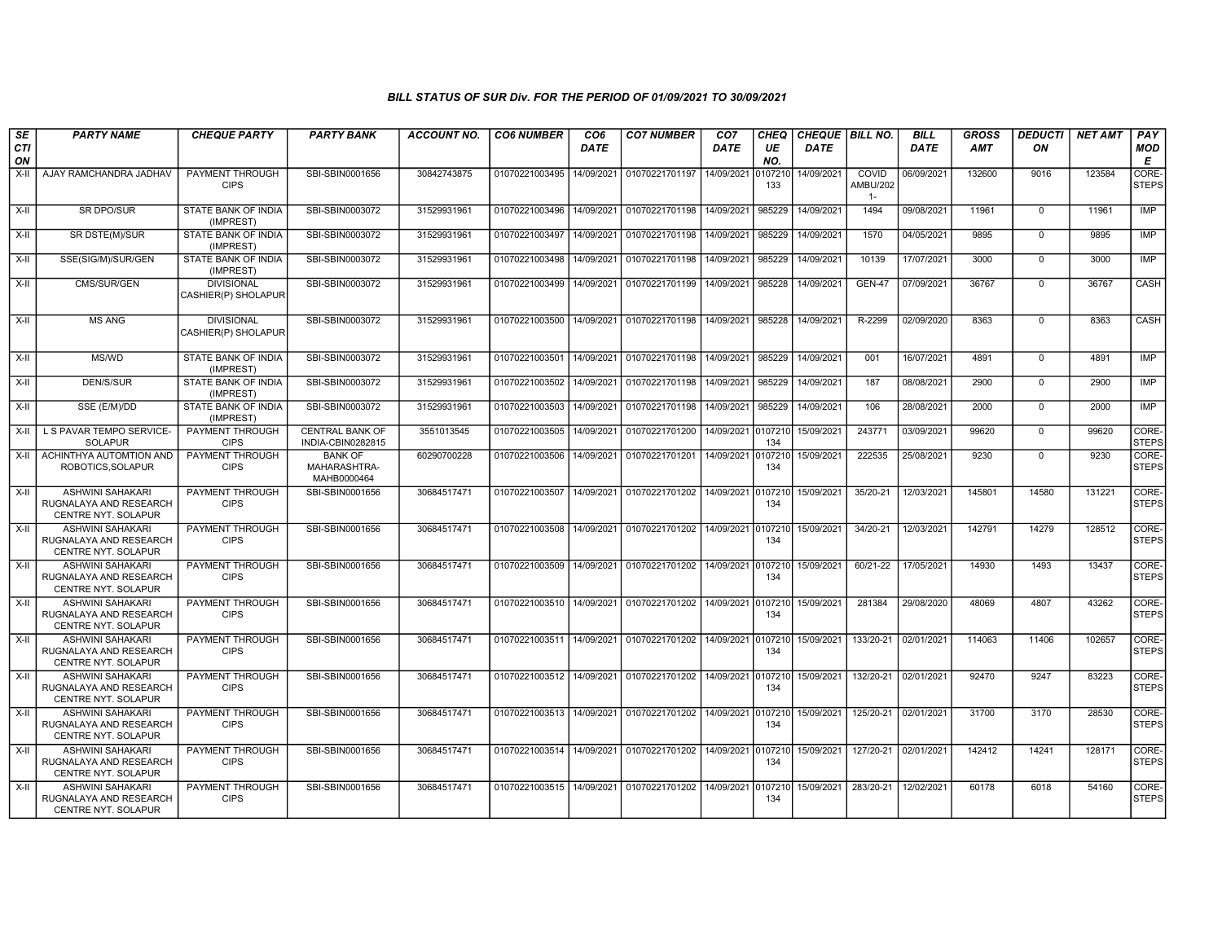| SE<br><b>CTI</b> | <b>PARTY NAME</b>                                                               | <b>CHEQUE PARTY</b>                      | <b>PARTY BANK</b>                             | <b>ACCOUNT NO.</b> | <b>CO6 NUMBER</b>         | CO <sub>6</sub><br><b>DATE</b> | <b>CO7 NUMBER</b>                 | CO <sub>7</sub><br>DATE | <b>CHEQ</b><br>UE | CHEQUE BILL NO.<br><b>DATE</b> |                                   | <b>BILL</b><br><b>DATE</b> | <b>GROSS</b><br><b>AMT</b> | <b>DEDUCTI</b><br>ON | <b>NET AMT</b> | PAY<br><b>MOD</b>           |
|------------------|---------------------------------------------------------------------------------|------------------------------------------|-----------------------------------------------|--------------------|---------------------------|--------------------------------|-----------------------------------|-------------------------|-------------------|--------------------------------|-----------------------------------|----------------------------|----------------------------|----------------------|----------------|-----------------------------|
| ON               |                                                                                 |                                          |                                               |                    |                           |                                |                                   |                         | NO.               |                                |                                   |                            |                            |                      |                | E                           |
| $X-H$            | AJAY RAMCHANDRA JADHAV                                                          | <b>PAYMENT THROUGH</b><br><b>CIPS</b>    | SBI-SBIN0001656                               | 30842743875        | 01070221003495            | 14/09/2021                     | 01070221701197                    | 14/09/2021              | 010721<br>133     | 14/09/2021                     | COVID<br><b>AMBU/202</b><br>$1 -$ | 06/09/2021                 | 132600                     | 9016                 | 123584         | CORE-<br><b>STEPS</b>       |
| $X-H$            | <b>SR DPO/SUR</b>                                                               | STATE BANK OF INDIA<br>(IMPREST)         | SBI-SBIN0003072                               | 31529931961        | 01070221003496            |                                | 14/09/2021 01070221701198         | 14/09/2021              | 985229            | 14/09/2021                     | 1494                              | 09/08/2021                 | 11961                      | $\mathbf 0$          | 11961          | IMP                         |
| X-II             | SR DSTE(M)/SUR                                                                  | STATE BANK OF INDIA<br>(IMPREST)         | SBI-SBIN0003072                               | 31529931961        | 01070221003497            | 14/09/2021                     | 01070221701198                    | 14/09/2021              | 985229            | 14/09/2021                     | 1570                              | 04/05/2021                 | 9895                       | $\mathbf 0$          | 9895           | <b>IMP</b>                  |
| X-II             | SSE(SIG/M)/SUR/GEN                                                              | <b>STATE BANK OF INDIA</b><br>(IMPREST)  | SBI-SBIN0003072                               | 31529931961        | 01070221003498            | 14/09/2021                     | 01070221701198                    | 14/09/2021              | 985229            | 14/09/2021                     | 10139                             | 17/07/2021                 | 3000                       | $\mathbf 0$          | 3000           | <b>IMP</b>                  |
| X-II             | CMS/SUR/GEN                                                                     | <b>DIVISIONAL</b><br>CASHIER(P) SHOLAPUR | SBI-SBIN0003072                               | 31529931961        | 01070221003499            | 14/09/2021                     | 01070221701199                    | 14/09/2021              | 985228            | 14/09/2021                     | <b>GEN-47</b>                     | 07/09/2021                 | 36767                      | $\mathbf 0$          | 36767          | CASH                        |
| $X-H$            | <b>MS ANG</b>                                                                   | <b>DIVISIONAL</b><br>CASHIER(P) SHOLAPUR | SBI-SBIN0003072                               | 31529931961        | 01070221003500            | 14/09/2021                     | 01070221701198                    | 14/09/2021              | 985228            | 14/09/2021                     | R-2299                            | 02/09/2020                 | 8363                       | $\mathbf 0$          | 8363           | <b>CASH</b>                 |
| $X-I$            | <b>MS/WD</b>                                                                    | STATE BANK OF INDIA<br>(IMPREST)         | SBI-SBIN0003072                               | 31529931961        | 01070221003501            | 14/09/2021                     | 01070221701198                    | 14/09/2021              | 985229            | 14/09/2021                     | 001                               | 16/07/2021                 | 4891                       | $\Omega$             | 4891           | <b>IMP</b>                  |
| $X-H$            | <b>DEN/S/SUR</b>                                                                | <b>STATE BANK OF INDIA</b><br>(IMPREST)  | SBI-SBIN0003072                               | 31529931961        | 01070221003502            | 14/09/2021                     | 01070221701198                    | 14/09/2021              | 985229            | 14/09/2021                     | 187                               | 08/08/2021                 | 2900                       | $\overline{0}$       | 2900           | <b>IMP</b>                  |
| X-II             | SSE (E/M)/DD                                                                    | <b>STATE BANK OF INDIA</b><br>(IMPREST)  | SBI-SBIN0003072                               | 31529931961        | 01070221003503            | 14/09/2021                     | 01070221701198 14/09/2021         |                         | 985229            | 14/09/2021                     | 106                               | 28/08/2021                 | 2000                       | $\mathbf 0$          | 2000           | <b>IMP</b>                  |
| X-II             | L S PAVAR TEMPO SERVICE-<br><b>SOLAPUR</b>                                      | PAYMENT THROUGH<br><b>CIPS</b>           | <b>CENTRAL BANK OF</b><br>INDIA-CBIN0282815   | 3551013545         | 01070221003505            | 14/09/2021                     | 01070221701200                    | 14/09/2021              | 0107210<br>134    | 15/09/2021                     | 243771                            | 03/09/2021                 | 99620                      | $\mathbf 0$          | 99620          | <b>CORE</b><br><b>STEPS</b> |
| $X-H$            | ACHINTHYA AUTOMTION AND<br>ROBOTICS, SOLAPUR                                    | PAYMENT THROUGH<br><b>CIPS</b>           | <b>BANK OF</b><br>MAHARASHTRA-<br>MAHB0000464 | 60290700228        | 01070221003506            | 14/09/2021                     | 01070221701201                    | 14/09/2021              | 107210<br>134     | 15/09/2021                     | 222535                            | 25/08/2021                 | 9230                       | $\mathbf 0$          | 9230           | CORE-<br><b>STEPS</b>       |
| X-II             | <b>ASHWINI SAHAKARI</b><br>RUGNALAYA AND RESEARCH<br>CENTRE NYT. SOLAPUR        | PAYMENT THROUGH<br><b>CIPS</b>           | SBI-SBIN0001656                               | 30684517471        | 01070221003507            | 14/09/2021                     | 01070221701202 14/09/2021         |                         | 0107210<br>134    | 15/09/2021                     | 35/20-21                          | 12/03/2021                 | 145801                     | 14580                | 131221         | CORE-<br><b>STEPS</b>       |
| $X-H$            | <b>ASHWINI SAHAKARI</b><br>RUGNALAYA AND RESEARCH<br>CENTRE NYT. SOLAPUR        | PAYMENT THROUGH<br><b>CIPS</b>           | SBI-SBIN0001656                               | 30684517471        | 01070221003508            | 14/09/2021                     | 01070221701202 14/09/2021 0107210 |                         | 134               | 15/09/2021                     | 34/20-21                          | 12/03/2021                 | 142791                     | 14279                | 128512         | CORE-<br>STEPS              |
| $X-H$            | <b>ASHWINI SAHAKARI</b><br>RUGNALAYA AND RESEARCH<br><b>CENTRE NYT, SOLAPUR</b> | PAYMENT THROUGH<br><b>CIPS</b>           | SBI-SBIN0001656                               | 30684517471        | 01070221003509            | 14/09/2021                     | 01070221701202 14/09/2021 0107210 |                         | 134               | 15/09/2021                     | 60/21-22                          | 17/05/2021                 | 14930                      | 1493                 | 13437          | CORE-<br><b>STEPS</b>       |
| $X-I$            | <b>ASHWINI SAHAKARI</b><br>RUGNALAYA AND RESEARCH<br>CENTRE NYT. SOLAPUR        | PAYMENT THROUGH<br><b>CIPS</b>           | SBI-SBIN0001656                               | 30684517471        | 01070221003510 14/09/2021 |                                | 01070221701202 14/09/2021 0107210 |                         | 134               | 15/09/2021                     | 281384                            | 29/08/2020                 | 48069                      | 4807                 | 43262          | CORE-<br><b>STEPS</b>       |
| $X-H$            | <b>ASHWINI SAHAKARI</b><br>RUGNALAYA AND RESEARCH<br>CENTRE NYT. SOLAPUR        | <b>PAYMENT THROUGH</b><br><b>CIPS</b>    | SBI-SBIN0001656                               | 30684517471        | 01070221003511            | 14/09/2021                     | 01070221701202 14/09/2021 0107210 |                         | 134               | 15/09/2021                     | 133/20-21                         | 02/01/2021                 | 114063                     | 11406                | 102657         | CORE-<br><b>STEPS</b>       |
| $X-H$            | <b>ASHWINI SAHAKARI</b><br>RUGNALAYA AND RESEARCH<br>CENTRE NYT. SOLAPUR        | PAYMENT THROUGH<br><b>CIPS</b>           | SBI-SBIN0001656                               | 30684517471        | 01070221003512 14/09/2021 |                                | 01070221701202 14/09/2021 0107210 |                         | 134               | 15/09/2021                     | 132/20-21 02/01/2021              |                            | 92470                      | 9247                 | 83223          | CORE-<br><b>STEPS</b>       |
| $X-I$            | <b>ASHWINI SAHAKARI</b><br>RUGNALAYA AND RESEARCH<br>CENTRE NYT. SOLAPUR        | PAYMENT THROUGH<br><b>CIPS</b>           | SBI-SBIN0001656                               | 30684517471        | 01070221003513 14/09/2021 |                                | 01070221701202 14/09/2021 0107210 |                         | 134               | 15/09/2021                     | 125/20-21 02/01/2021              |                            | 31700                      | 3170                 | 28530          | CORE-<br><b>STEPS</b>       |
| $X-H$            | <b>ASHWINI SAHAKARI</b><br>RUGNALAYA AND RESEARCH<br>CENTRE NYT. SOLAPUR        | <b>PAYMENT THROUGH</b><br><b>CIPS</b>    | SBI-SBIN0001656                               | 30684517471        | 01070221003514            | 14/09/2021                     | 01070221701202 14/09/2021 0107210 |                         | 134               | 15/09/2021                     | 127/20-21 02/01/2021              |                            | 142412                     | 14241                | 128171         | CORE-<br><b>STEPS</b>       |
| $X-H$            | <b>ASHWINI SAHAKARI</b><br>RUGNALAYA AND RESEARCH<br>CENTRE NYT. SOLAPUR        | PAYMENT THROUGH<br><b>CIPS</b>           | SBI-SBIN0001656                               | 30684517471        | 01070221003515            | 14/09/2021                     | 01070221701202 14/09/2021 0107210 |                         | 134               | 15/09/2021                     | 283/20-21                         | 12/02/2021                 | 60178                      | 6018                 | 54160          | CORE-<br><b>STEPS</b>       |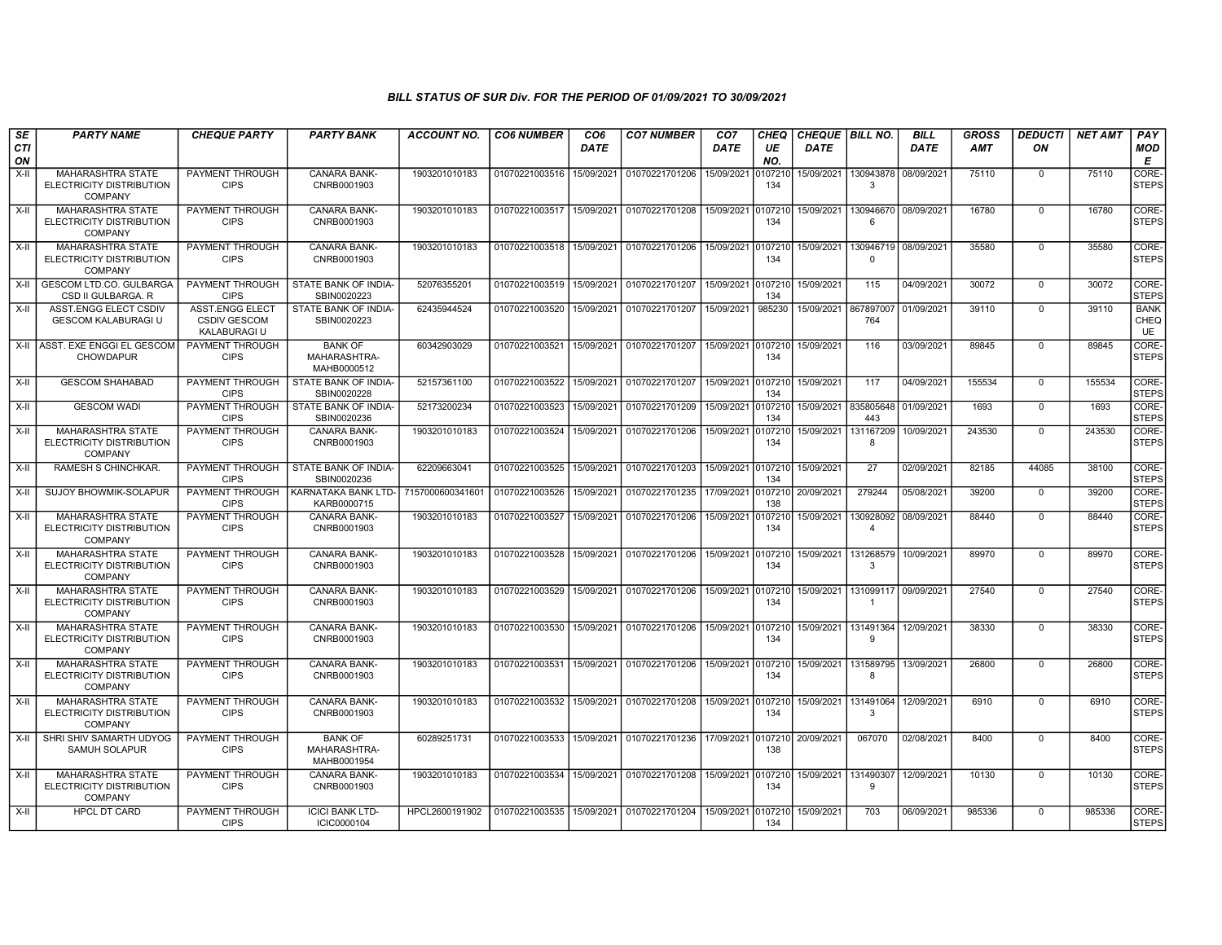| SE        | <b>PARTY NAME</b>                                                      | <b>CHEQUE PARTY</b>                                    | <b>PARTY BANK</b>                             | ACCOUNT NO.      | <b>CO6 NUMBER</b> | CO <sub>6</sub> | <b>CO7 NUMBER</b>                        | CO <sub>7</sub> | <b>CHEQ</b>    | <b>CHEQUE   BILL NO.</b> |                             | <b>BILL</b> | <b>GROSS</b> | <b>DEDUCTI</b> | <b>NET AMT</b> | PAY                       |
|-----------|------------------------------------------------------------------------|--------------------------------------------------------|-----------------------------------------------|------------------|-------------------|-----------------|------------------------------------------|-----------------|----------------|--------------------------|-----------------------------|-------------|--------------|----------------|----------------|---------------------------|
| CTI<br>ON |                                                                        |                                                        |                                               |                  |                   | <b>DATE</b>     |                                          | <b>DATE</b>     | UE<br>NO.      | <b>DATE</b>              |                             | <b>DATE</b> | <b>AMT</b>   | ON             |                | MOD<br>Е                  |
| X-II      | <b>MAHARASHTRA STATE</b><br>ELECTRICITY DISTRIBUTION<br><b>COMPANY</b> | PAYMENT THROUGH<br><b>CIPS</b>                         | CANARA BANK-<br>CNRB0001903                   | 1903201010183    | 01070221003516    | 15/09/2021      | 01070221701206                           | 15/09/2021      | )10721(<br>134 | 15/09/2021               | 130943878<br>$\mathcal{R}$  | 08/09/2021  | 75110        | $\Omega$       | 75110          | CORE-<br><b>STEPS</b>     |
| $X-H$     | <b>MAHARASHTRA STATE</b><br>ELECTRICITY DISTRIBUTION<br><b>COMPANY</b> | PAYMENT THROUGH<br><b>CIPS</b>                         | <b>CANARA BANK-</b><br>CNRB0001903            | 1903201010183    | 01070221003517    | 15/09/2021      | 01070221701208                           | 15/09/2021      | 0107210<br>134 | 15/09/2021               | 130946670<br>6              | 08/09/2021  | 16780        | $\Omega$       | 16780          | CORE-<br><b>STEPS</b>     |
| $X-I$     | <b>MAHARASHTRA STATE</b><br>ELECTRICITY DISTRIBUTION<br><b>COMPANY</b> | PAYMENT THROUGH<br><b>CIPS</b>                         | <b>CANARA BANK-</b><br>CNRB0001903            | 1903201010183    | 01070221003518    | 15/09/2021      | 01070221701206                           | 15/09/2021      | 107210<br>134  | 15/09/2021               | 130946719<br>$\Omega$       | 08/09/2021  | 35580        | $\Omega$       | 35580          | CORE-<br><b>STEPS</b>     |
| X-II      | <b>GESCOM LTD.CO. GULBARGA</b><br>CSD II GULBARGA, R                   | PAYMENT THROUGH<br><b>CIPS</b>                         | STATE BANK OF INDIA-<br>SBIN0020223           | 52076355201      | 01070221003519    | 15/09/2021      | 01070221701207                           | 15/09/2021      | 0107210<br>134 | 15/09/2021               | 115                         | 04/09/2021  | 30072        | $\Omega$       | 30072          | CORE-<br><b>STEPS</b>     |
| X-II      | ASST.ENGG ELECT CSDIV<br><b>GESCOM KALABURAGI U</b>                    | ASST.ENGG ELECT<br><b>CSDIV GESCOM</b><br>KALABURAGI U | STATE BANK OF INDIA-<br>SBIN0020223           | 62435944524      | 01070221003520    | 15/09/2021      | 01070221701207                           | 15/09/2021      | 985230         | 15/09/2021 867897007     | 764                         | 01/09/2021  | 39110        | $\mathbf 0$    | 39110          | <b>BANK</b><br>CHEQ<br>UE |
|           | X-II ASST. EXE ENGGI EL GESCOM<br>CHOWDAPUR                            | PAYMENT THROUGH<br><b>CIPS</b>                         | <b>BANK OF</b><br>MAHARASHTRA-<br>MAHB0000512 | 60342903029      | 01070221003521    |                 | 15/09/2021 01070221701207                | 15/09/2021      | 0107210<br>134 | 15/09/2021               | 116                         | 03/09/2021  | 89845        | $\Omega$       | 89845          | CORE-<br><b>STEPS</b>     |
| $X-H$     | <b>GESCOM SHAHABAD</b>                                                 | PAYMENT THROUGH<br><b>CIPS</b>                         | STATE BANK OF INDIA-<br>SBIN0020228           | 52157361100      | 01070221003522    | 15/09/2021      | 01070221701207                           | 15/09/2021      | 0107210<br>134 | 15/09/2021               | 117                         | 04/09/2021  | 155534       | $\mathbf{0}$   | 155534         | CORE-<br><b>STEPS</b>     |
| X-II      | <b>GESCOM WADI</b>                                                     | PAYMENT THROUGH<br><b>CIPS</b>                         | STATE BANK OF INDIA-<br>SBIN0020236           | 52173200234      | 01070221003523    | 15/09/2021      | 01070221701209                           | 15/09/2021      | 0107210<br>134 |                          | 15/09/2021 835805648<br>443 | 01/09/2021  | 1693         | $\mathbf{0}$   | 1693           | CORE-<br><b>STEPS</b>     |
| $X-H$     | <b>MAHARASHTRA STATE</b><br>ELECTRICITY DISTRIBUTION<br><b>COMPANY</b> | <b>PAYMENT THROUGH</b><br><b>CIPS</b>                  | <b>CANARA BANK-</b><br>CNRB0001903            | 1903201010183    | 01070221003524    | 15/09/2021      | 01070221701206                           | 15/09/2021      | 010721<br>134  | 15/09/2021               | 131167209<br>8              | 10/09/2021  | 243530       | $\mathbf 0$    | 243530         | CORE-<br><b>STEPS</b>     |
| X-II      | RAMESH S CHINCHKAR.                                                    | PAYMENT THROUGH<br><b>CIPS</b>                         | STATE BANK OF INDIA-<br>SBIN0020236           | 62209663041      | 01070221003525    |                 | 15/09/2021 01070221701203                | 15/09/2021      | 0107210<br>134 | 15/09/2021               | 27                          | 02/09/2021  | 82185        | 44085          | 38100          | CORE-<br><b>STEPS</b>     |
| X-II      | SUJOY BHOWMIK-SOLAPUR                                                  | PAYMENT THROUGH<br><b>CIPS</b>                         | KARNATAKA BANK LTD-<br>KARB0000715            | 7157000600341601 | 01070221003526    | 15/09/2021      | 01070221701235                           | 17/09/2021      | 107210<br>138  | 20/09/2021               | 279244                      | 05/08/2021  | 39200        | $\Omega$       | 39200          | CORE-<br><b>STEPS</b>     |
| X-II      | <b>MAHARASHTRA STATE</b><br>ELECTRICITY DISTRIBUTION<br><b>COMPANY</b> | PAYMENT THROUGH<br><b>CIPS</b>                         | <b>CANARA BANK-</b><br>CNRB0001903            | 1903201010183    | 01070221003527    | 15/09/2021      | 01070221701206                           | 15/09/2021      | 0107210<br>134 | 15/09/2021               | 130928092<br>$\overline{4}$ | 08/09/2021  | 88440        | $\Omega$       | 88440          | CORE-<br><b>STEPS</b>     |
| X-II      | <b>MAHARASHTRA STATE</b><br>ELECTRICITY DISTRIBUTION<br><b>COMPANY</b> | PAYMENT THROUGH<br><b>CIPS</b>                         | <b>CANARA BANK-</b><br>CNRB0001903            | 1903201010183    | 01070221003528    | 15/09/2021      | 01070221701206                           | 15/09/2021      | 0107210<br>134 | 15/09/2021               | 131268579<br>3              | 10/09/2021  | 89970        | $\Omega$       | 89970          | CORE-<br><b>STEPS</b>     |
| X-II      | <b>MAHARASHTRA STATE</b><br>ELECTRICITY DISTRIBUTION<br><b>COMPANY</b> | PAYMENT THROUGH<br><b>CIPS</b>                         | <b>CANARA BANK-</b><br>CNRB0001903            | 1903201010183    | 01070221003529    | 15/09/2021      | 01070221701206                           | 15/09/2021      | 0107210<br>134 | 15/09/2021               | 13109911<br>-1              | 09/09/2021  | 27540        | $\Omega$       | 27540          | CORE-<br><b>STEPS</b>     |
| X-II      | <b>MAHARASHTRA STATE</b><br>ELECTRICITY DISTRIBUTION<br><b>COMPANY</b> | PAYMENT THROUGH<br><b>CIPS</b>                         | <b>CANARA BANK-</b><br>CNRB0001903            | 1903201010183    | 01070221003530    | 15/09/2021      | 01070221701206                           | 15/09/2021      | 0107210<br>134 | 15/09/2021               | 131491364<br>9              | 12/09/2021  | 38330        | $\mathbf 0$    | 38330          | CORE-<br><b>STEPS</b>     |
| X-II      | <b>MAHARASHTRA STATE</b><br>ELECTRICITY DISTRIBUTION<br><b>COMPANY</b> | PAYMENT THROUGH<br><b>CIPS</b>                         | CANARA BANK-<br>CNRB0001903                   | 1903201010183    | 01070221003531    | 15/09/2021      | 01070221701206                           | 15/09/2021      | 0107210<br>134 | 15/09/2021               | 131589795<br>8              | 13/09/2021  | 26800        | $\mathbf 0$    | 26800          | CORE-<br><b>STEPS</b>     |
| $X-H$     | <b>MAHARASHTRA STATE</b><br>ELECTRICITY DISTRIBUTION<br>COMPANY        | PAYMENT THROUGH<br><b>CIPS</b>                         | CANARA BANK-<br>CNRB0001903                   | 1903201010183    | 01070221003532    | 15/09/2021      | 01070221701208                           | 15/09/2021      | 0107210<br>134 | 15/09/2021               | 131491064<br>$\mathcal{R}$  | 12/09/2021  | 6910         | $\Omega$       | 6910           | CORE-<br><b>STEPS</b>     |
| X-II      | SHRI SHIV SAMARTH UDYOG<br><b>SAMUH SOLAPUR</b>                        | PAYMENT THROUGH<br><b>CIPS</b>                         | <b>BANK OF</b><br>MAHARASHTRA-<br>MAHB0001954 | 60289251731      | 01070221003533    | 15/09/2021      | 01070221701236                           | 17/09/2021      | 0107210<br>138 | 20/09/2021               | 067070                      | 02/08/2021  | 8400         | $\Omega$       | 8400           | CORE-<br><b>STEPS</b>     |
| X-II      | MAHARASHTRA STATE<br>ELECTRICITY DISTRIBUTION<br><b>COMPANY</b>        | PAYMENT THROUGH<br><b>CIPS</b>                         | CANARA BANK-<br>CNRB0001903                   | 1903201010183    | 01070221003534    | 15/09/2021      | 01070221701208                           | 15/09/2021      | 0107210<br>134 | 15/09/2021               | 131490307<br>$\mathbf{Q}$   | 12/09/2021  | 10130        | $\Omega$       | 10130          | CORE-<br><b>STEPS</b>     |
| X-II      | <b>HPCL DT CARD</b>                                                    | PAYMENT THROUGH<br><b>CIPS</b>                         | <b>ICICI BANK LTD-</b><br>ICIC0000104         | HPCL2600191902   |                   |                 | 01070221003535 15/09/2021 01070221701204 | 15/09/2021      | 0107210<br>134 | 15/09/2021               | 703                         | 06/09/2021  | 985336       | $\Omega$       | 985336         | CORE-<br><b>STEPS</b>     |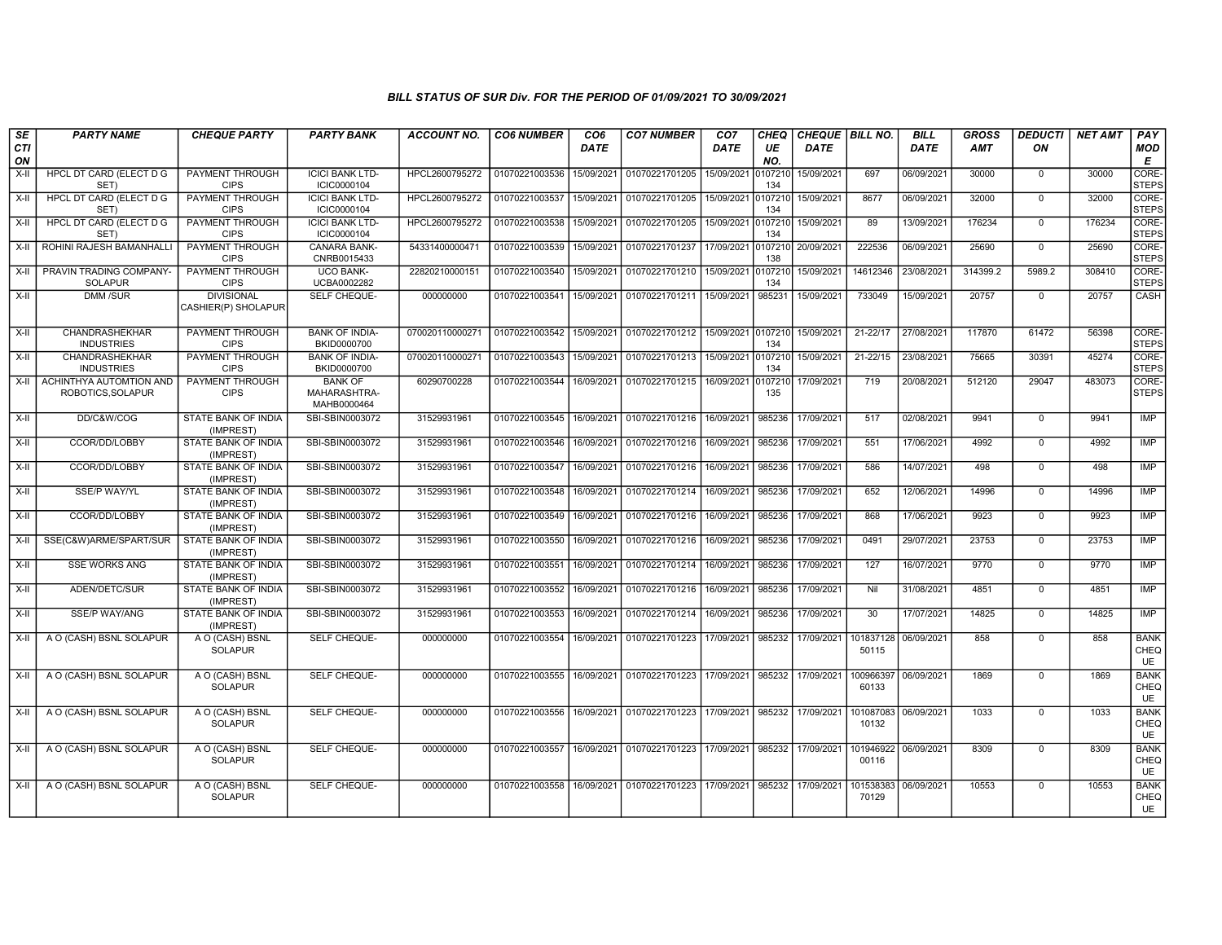| $\overline{\mathsf{SE}}$<br><b>CTI</b> | <b>PARTY NAME</b>                            | <b>CHEQUE PARTY</b>                      | <b>PARTY BANK</b>                             | <b>ACCOUNT NO.</b> | <b>CO6 NUMBER</b> | CO6<br><b>DATE</b> | <b>CO7 NUMBER</b>                                      | CO7<br>DATE | <b>CHEQ</b><br>UE | CHEQUE BILL NO.<br>DATE |                    | <b>BILL</b><br><b>DATE</b> | <b>GROSS</b><br><b>AMT</b> | <b>DEDUCTI</b><br>ON | <b>NET AMT</b> | PAY<br><b>MOD</b>         |
|----------------------------------------|----------------------------------------------|------------------------------------------|-----------------------------------------------|--------------------|-------------------|--------------------|--------------------------------------------------------|-------------|-------------------|-------------------------|--------------------|----------------------------|----------------------------|----------------------|----------------|---------------------------|
| ON                                     |                                              |                                          |                                               |                    |                   |                    |                                                        |             | NO.               |                         |                    |                            |                            |                      |                | E                         |
| $X-H$                                  | <b>HPCL DT CARD (ELECT D G</b><br>SET)       | <b>PAYMENT THROUGH</b><br><b>CIPS</b>    | <b>ICICI BANK LTD-</b><br>ICIC0000104         | HPCL2600795272     | 01070221003536    | 15/09/2021         | 01070221701205                                         | 15/09/2021  | 010721<br>134     | 15/09/2021              | 697                | 06/09/2021                 | 30000                      | $\overline{0}$       | 30000          | CORE-<br><b>STEPS</b>     |
| X-II                                   | HPCL DT CARD (ELECT D G<br>SET)              | <b>PAYMENT THROUGH</b><br><b>CIPS</b>    | <b>ICICI BANK LTD-</b><br>ICIC0000104         | HPCL2600795272     | 01070221003537    | 15/09/2021         | 01070221701205                                         | 15/09/2021  | 010721<br>134     | 15/09/2021              | 8677               | 06/09/2021                 | 32000                      | $\overline{0}$       | 32000          | CORE-<br><b>STEPS</b>     |
| $X-H$                                  | <b>HPCL DT CARD (ELECT D G</b><br>SET)       | PAYMENT THROUGH<br><b>CIPS</b>           | <b>ICICI BANK LTD-</b><br>ICIC0000104         | HPCL2600795272     | 01070221003538    | 15/09/2021         | 01070221701205                                         | 15/09/2021  | 010721<br>134     | 15/09/2021              | 89                 | 13/09/2021                 | 176234                     | $\Omega$             | 176234         | CORE-<br><b>STEPS</b>     |
| $X-II$                                 | ROHINI RAJESH BAMANHALLI                     | <b>PAYMENT THROUGH</b><br><b>CIPS</b>    | <b>CANARA BANK-</b><br>CNRB0015433            | 54331400000471     | 01070221003539    | 15/09/2021         | 01070221701237                                         | 17/09/2021  | 0107210<br>138    | 20/09/2021              | 222536             | 06/09/2021                 | 25690                      | $\overline{0}$       | 25690          | CORE-<br><b>STEPS</b>     |
| X-II                                   | PRAVIN TRADING COMPANY-<br><b>SOLAPUR</b>    | PAYMENT THROUGH<br><b>CIPS</b>           | <b>UCO BANK-</b><br>UCBA0002282               | 22820210000151     | 01070221003540    | 15/09/2021         | 01070221701210 15/09/2021                              |             | 010721<br>134     | 15/09/2021              | 14612346           | 23/08/2021                 | 314399.2                   | 5989.2               | 308410         | CORE-<br><b>STEPS</b>     |
| $X-H$                                  | <b>DMM/SUR</b>                               | <b>DIVISIONAL</b><br>CASHIER(P) SHOLAPUR | SELF CHEQUE-                                  | 000000000          | 01070221003541    | 15/09/2021         | 01070221701211                                         | 15/09/2021  | 985231            | 15/09/2021              | 733049             | 15/09/2021                 | 20757                      | $\mathbf 0$          | 20757          | CASH                      |
| $X-H$                                  | CHANDRASHEKHAR<br><b>INDUSTRIES</b>          | PAYMENT THROUGH<br><b>CIPS</b>           | <b>BANK OF INDIA-</b><br>BKID0000700          | 070020110000271    | 01070221003542    | 15/09/2021         | 01070221701212 15/09/2021                              |             | 0107210<br>134    | 15/09/2021              | $21 - 22/17$       | 27/08/2021                 | 117870                     | 61472                | 56398          | CORE-<br><b>STEPS</b>     |
| X-II                                   | <b>CHANDRASHEKHAR</b><br><b>INDUSTRIES</b>   | <b>PAYMENT THROUGH</b><br><b>CIPS</b>    | <b>BANK OF INDIA-</b><br>BKID0000700          | 070020110000271    | 01070221003543    | 15/09/2021         | 01070221701213                                         | 15/09/2021  | 0107210<br>134    | 15/09/2021              | $21 - 22/15$       | 23/08/2021                 | 75665                      | 30391                | 45274          | CORE-<br><b>STEPS</b>     |
| $X-H$                                  | ACHINTHYA AUTOMTION AND<br>ROBOTICS, SOLAPUR | <b>PAYMENT THROUGH</b><br><b>CIPS</b>    | <b>BANK OF</b><br>MAHARASHTRA-<br>MAHB0000464 | 60290700228        | 01070221003544    | 16/09/2021         | 01070221701215 16/09/2021                              |             | 010721<br>135     | 17/09/2021              | 719                | 20/08/2021                 | 512120                     | 29047                | 483073         | CORE-<br><b>STEPS</b>     |
| $X-H$                                  | DD/C&W/COG                                   | <b>STATE BANK OF INDIA</b><br>(IMPREST)  | SBI-SBIN0003072                               | 31529931961        | 01070221003545    | 16/09/2021         | 01070221701216 16/09/2021                              |             | 985236            | 17/09/2021              | 517                | 02/08/2021                 | 9941                       | $\overline{0}$       | 9941           | IMP                       |
| X-II                                   | CCOR/DD/LOBBY                                | STATE BANK OF INDIA<br>(IMPREST)         | SBI-SBIN0003072                               | 31529931961        | 01070221003546    | 16/09/2021         | 01070221701216                                         | 16/09/2021  | 985236            | 17/09/2021              | 551                | 17/06/2021                 | 4992                       | $\mathbf 0$          | 4992           | IMP                       |
| $X-II$                                 | CCOR/DD/LOBBY                                | STATE BANK OF INDIA<br>(IMPREST)         | SBI-SBIN0003072                               | 31529931961        | 01070221003547    | 16/09/2021         | 01070221701216                                         | 16/09/2021  | 985236            | 17/09/2021              | 586                | 14/07/2021                 | 498                        | $\mathbf 0$          | 498            | IMP                       |
| $X-H$                                  | <b>SSE/P WAY/YL</b>                          | STATE BANK OF INDIA<br>(IMPREST)         | SBI-SBIN0003072                               | 31529931961        | 01070221003548    | 16/09/2021         | 01070221701214                                         | 16/09/2021  | 985236            | 17/09/2021              | 652                | 12/06/2021                 | 14996                      | $\overline{0}$       | 14996          | IMP                       |
| $X-H$                                  | CCOR/DD/LOBBY                                | <b>STATE BANK OF INDIA</b><br>(IMPREST)  | SBI-SBIN0003072                               | 31529931961        | 01070221003549    | 16/09/2021         | 01070221701216 16/09/2021                              |             | 985236            | 17/09/2021              | 868                | 17/06/2021                 | 9923                       | $\overline{0}$       | 9923           | IMP                       |
| $X-H$                                  | SSE(C&W)ARME/SPART/SUR                       | <b>STATE BANK OF INDIA</b><br>(IMPREST)  | SBI-SBIN0003072                               | 31529931961        | 01070221003550    | 16/09/2021         | 01070221701216                                         | 16/09/2021  | 985236            | 17/09/2021              | 0491               | 29/07/2021                 | 23753                      | $\overline{0}$       | 23753          | IMP                       |
| X-II                                   | <b>SSE WORKS ANG</b>                         | STATE BANK OF INDIA<br>(IMPREST)         | SBI-SBIN0003072                               | 31529931961        | 01070221003551    | 16/09/2021         | 01070221701214                                         | 16/09/2021  | 985236            | 17/09/2021              | 127                | 16/07/2021                 | 9770                       | $\Omega$             | 9770           | IMP                       |
| $X-H$                                  | ADEN/DETC/SUR                                | STATE BANK OF INDIA<br>(IMPREST)         | SBI-SBIN0003072                               | 31529931961        | 01070221003552    | 16/09/2021         | 01070221701216 16/09/2021                              |             | 985236            | 17/09/2021              | Nil                | 31/08/2021                 | 4851                       | $\overline{0}$       | 4851           | IMP                       |
| $X-H$                                  | <b>SSE/P WAY/ANG</b>                         | <b>STATE BANK OF INDIA</b><br>(IMPREST)  | SBI-SBIN0003072                               | 31529931961        | 01070221003553    | 16/09/2021         | 01070221701214                                         | 16/09/2021  | 985236            | 17/09/2021              | $\overline{30}$    | 17/07/2021                 | 14825                      | $\overline{0}$       | 14825          | IMP                       |
| $X-H$                                  | A O (CASH) BSNL SOLAPUR                      | A O (CASH) BSNL<br><b>SOLAPUR</b>        | <b>SELF CHEQUE-</b>                           | 000000000          | 01070221003554    | 16/09/2021         | 01070221701223 17/09/2021                              |             | 985232            | 17/09/2021              | 101837128<br>50115 | 06/09/2021                 | 858                        | $\overline{0}$       | 858            | <b>BANK</b><br>CHEQ<br>UE |
| $X-H$                                  | A O (CASH) BSNL SOLAPUR                      | A O (CASH) BSNL<br><b>SOLAPUR</b>        | SELF CHEQUE-                                  | 000000000          | 01070221003555    | 16/09/2021         | 01070221701223 17/09/2021                              |             |                   | 985232 17/09/2021       | 100966397<br>60133 | 06/09/2021                 | 1869                       | $\overline{0}$       | 1869           | <b>BANK</b><br>CHEQ<br>UE |
| $X-H$                                  | A O (CASH) BSNL SOLAPUR                      | A O (CASH) BSNL<br><b>SOLAPUR</b>        | SELF CHEQUE-                                  | 000000000          | 01070221003556    | 16/09/2021         | 01070221701223 17/09/2021                              |             |                   | 985232 17/09/2021       | 101087083<br>10132 | 06/09/2021                 | 1033                       | $\overline{0}$       | 1033           | <b>BANK</b><br>CHEQ<br>UE |
| $X-H$                                  | A O (CASH) BSNL SOLAPUR                      | A O (CASH) BSNL<br><b>SOLAPUR</b>        | SELF CHEQUE-                                  | 000000000          | 01070221003557    |                    | 16/09/2021 01070221701223 17/09/2021 985232 17/09/2021 |             |                   |                         | 101946922<br>00116 | 06/09/2021                 | 8309                       | $\mathbf 0$          | 8309           | <b>BANK</b><br>CHEQ<br>UE |
| $X-H$                                  | A O (CASH) BSNL SOLAPUR                      | A O (CASH) BSNL<br><b>SOLAPUR</b>        | SELF CHEQUE-                                  | 000000000          | 01070221003558    | 16/09/2021         | 01070221701223                                         | 17/09/2021  | 985232            | 17/09/2021              | 101538383<br>70129 | 06/09/2021                 | 10553                      | $\mathbf 0$          | 10553          | <b>BANK</b><br>CHEQ<br>UE |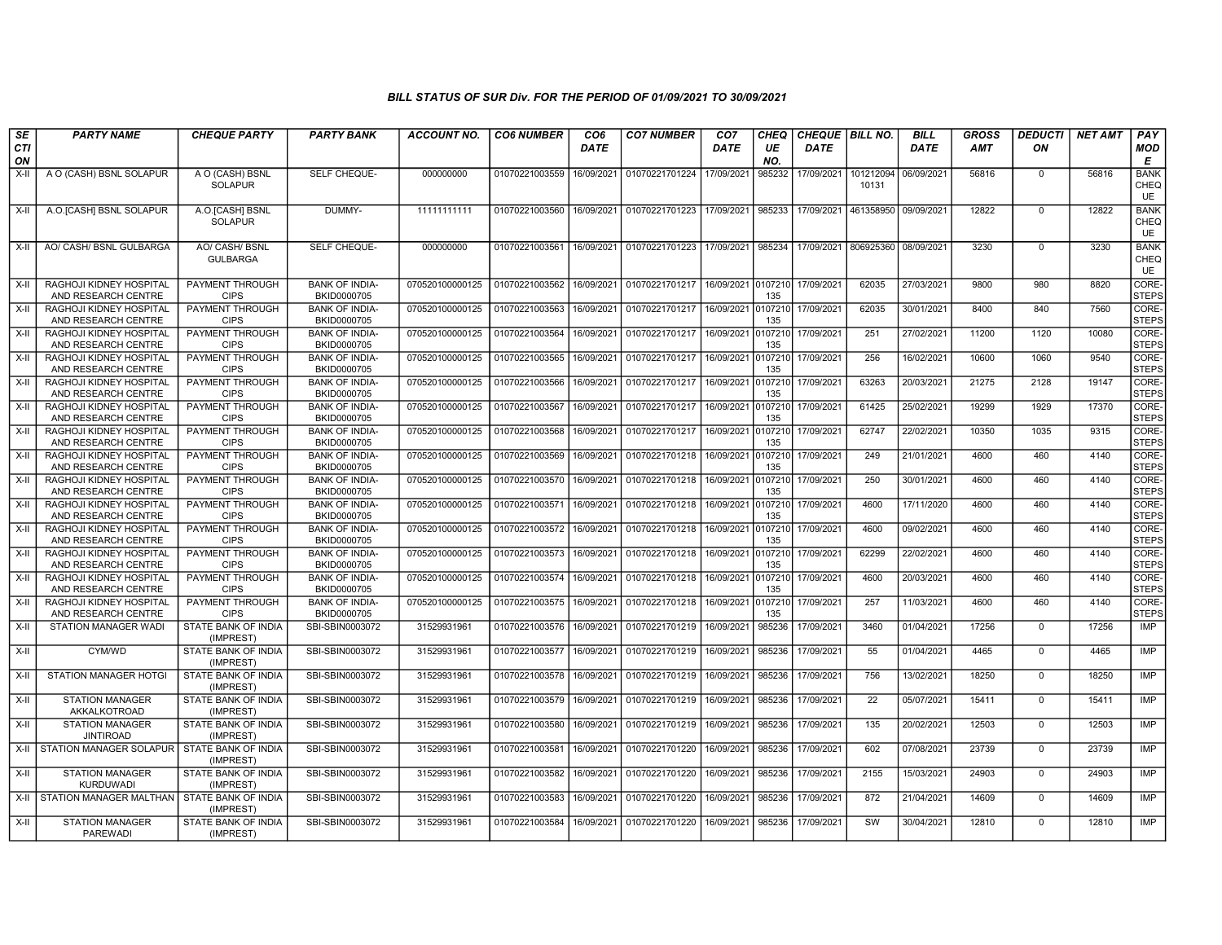| SE               | <b>PARTY NAME</b>                                                                         | <b>CHEQUE PARTY</b>                                      | <b>PARTY BANK</b>                                             | <b>ACCOUNT NO.</b>                 | <b>CO6 NUMBER</b>                            | CO <sub>6</sub>          | <b>CO7 NUMBER</b>                | CO <sub>7</sub>          | <b>CHEQ</b>               | <b>CHEQUE   BILL NO.</b> |                    | <b>BILL</b>              | <b>GROSS</b>   | <b>DEDUCTI</b>             | <b>NET AMT</b> | PAY                              |
|------------------|-------------------------------------------------------------------------------------------|----------------------------------------------------------|---------------------------------------------------------------|------------------------------------|----------------------------------------------|--------------------------|----------------------------------|--------------------------|---------------------------|--------------------------|--------------------|--------------------------|----------------|----------------------------|----------------|----------------------------------|
| CTI<br>ON        |                                                                                           |                                                          |                                                               |                                    |                                              | <b>DATE</b>              |                                  | DATE                     | UE<br>NO.                 | DATE                     |                    | <b>DATE</b>              | <b>AMT</b>     | ΟN                         |                | <b>MOD</b><br>E                  |
| $X-H$            | A O (CASH) BSNL SOLAPUR                                                                   | A O (CASH) BSNL<br><b>SOLAPUR</b>                        | SELF CHEQUE-                                                  | 000000000                          | 01070221003559                               | 16/09/2021               | 01070221701224                   | 17/09/2021               | 985232                    | 17/09/2021               | 101212094<br>10131 | 06/09/2021               | 56816          | $\mathbf 0$                | 56816          | <b>BANK</b><br>CHEQ<br>UE        |
| X-II             | A.O. [CASH] BSNL SOLAPUR                                                                  | A.O.[CASH] BSNL<br><b>SOLAPUR</b>                        | DUMMY-                                                        | 11111111111                        | 01070221003560   16/09/2021   01070221701223 |                          |                                  | 17/09/2021               | 985233                    | 17/09/2021               | 461358950          | 09/09/2021               | 12822          | $\mathbf 0$                | 12822          | <b>BANK</b><br>CHEQ<br><b>UE</b> |
| X-II             | AO/ CASH/ BSNL GULBARGA                                                                   | AO/ CASH/ BSNL<br><b>GULBARGA</b>                        | SELF CHEQUE-                                                  | 000000000                          | 01070221003561                               | 16/09/2021               | 01070221701223                   | 17/09/2021               | 985234                    | 17/09/2021               | 806925360          | 08/09/2021               | 3230           | $\mathbf 0$                | 3230           | <b>BANK</b><br>CHEQ<br><b>UE</b> |
| $X-H$            | RAGHOJI KIDNEY HOSPITAL<br>AND RESEARCH CENTRE                                            | <b>PAYMENT THROUGH</b><br><b>CIPS</b>                    | <b>BANK OF INDIA-</b><br>BKID0000705                          | 070520100000125                    | 01070221003562                               | 16/09/2021               | 01070221701217                   | 16/09/2021 0107210       | 135                       | 17/09/2021               | 62035              | 27/03/2021               | 9800           | 980                        | 8820           | CORE-<br><b>STEPS</b>            |
| $X-II$           | RAGHOJI KIDNEY HOSPITAL<br>AND RESEARCH CENTRE                                            | PAYMENT THROUGH<br><b>CIPS</b>                           | <b>BANK OF INDIA-</b><br>BKID0000705                          | 070520100000125                    | 01070221003563                               | 16/09/2021               | 01070221701217                   | 16/09/2021               | 0107210<br>135            | 17/09/2021               | 62035              | 30/01/2021               | 8400           | 840                        | 7560           | CORE-<br><b>STEPS</b>            |
| X-II             | RAGHOJI KIDNEY HOSPITAL<br>AND RESEARCH CENTRE                                            | PAYMENT THROUGH<br><b>CIPS</b>                           | <b>BANK OF INDIA-</b><br>BKID0000705                          | 070520100000125                    | 01070221003564                               | 16/09/2021               | 01070221701217                   | 16/09/2021               | 0107210<br>135            | 17/09/2021               | 251                | 27/02/2021               | 11200          | 1120                       | 10080          | CORE-<br><b>STEPS</b>            |
| $X-II$           | RAGHOJI KIDNEY HOSPITAL<br>AND RESEARCH CENTRE                                            | <b>PAYMENT THROUGH</b><br><b>CIPS</b>                    | <b>BANK OF INDIA-</b><br>BKID0000705                          | 070520100000125                    | 01070221003565                               | 16/09/2021               | 01070221701217                   | 16/09/2021               | 0107210<br>135            | 17/09/2021               | 256                | 16/02/2021               | 10600          | 1060                       | 9540           | CORE-<br><b>STEPS</b>            |
| X-II             | RAGHOJI KIDNEY HOSPITAL<br>AND RESEARCH CENTRE                                            | <b>PAYMENT THROUGH</b><br><b>CIPS</b>                    | <b>BANK OF INDIA-</b><br>BKID0000705                          | 070520100000125                    | 01070221003566                               | 16/09/2021               | 01070221701217                   | 16/09/2021               | 0107210<br>135            | 17/09/2021               | 63263              | 20/03/2021               | 21275          | 2128                       | 19147          | CORE-<br><b>STEPS</b>            |
| X-II             | RAGHOJI KIDNEY HOSPITAL<br>AND RESEARCH CENTRE                                            | <b>PAYMENT THROUGH</b><br><b>CIPS</b>                    | <b>BANK OF INDIA-</b><br>BKID0000705                          | 070520100000125                    | 01070221003567                               | 16/09/2021               | 01070221701217                   | 16/09/2021               | 0107210<br>135            | 17/09/2021               | 61425              | 25/02/2021               | 19299          | 1929                       | 17370          | CORE-<br><b>STEPS</b>            |
| X-II             | RAGHOJI KIDNEY HOSPITAL<br>AND RESEARCH CENTRE                                            | PAYMENT THROUGH<br><b>CIPS</b>                           | <b>BANK OF INDIA-</b><br>BKID0000705                          | 070520100000125                    | 01070221003568                               | 16/09/2021               | 01070221701217                   | 16/09/2021               | 0107210<br>135            | 17/09/2021               | 62747              | 22/02/2021               | 10350          | 1035                       | 9315           | CORE-<br><b>STEPS</b>            |
| $X-II$           | RAGHOJI KIDNEY HOSPITAL<br>AND RESEARCH CENTRE                                            | PAYMENT THROUGH<br><b>CIPS</b>                           | <b>BANK OF INDIA-</b><br>BKID0000705                          | 070520100000125                    | 01070221003569                               | 16/09/2021               | 01070221701218                   | 16/09/2021               | 0107210<br>135            | 17/09/2021               | 249                | 21/01/2021               | 4600           | 460                        | 4140           | CORE-<br><b>STEPS</b>            |
| X-II             | RAGHOJI KIDNEY HOSPITAL<br>AND RESEARCH CENTRE                                            | PAYMENT THROUGH<br><b>CIPS</b><br><b>PAYMENT THROUGH</b> | <b>BANK OF INDIA-</b><br>BKID0000705                          | 070520100000125                    | 01070221003570                               | 16/09/2021               | 01070221701218                   | 16/09/2021               | 0107210<br>135            | 17/09/2021               | 250                | 30/01/2021               | 4600           | 460                        | 4140           | CORE-<br><b>STEPS</b>            |
| X-II             | RAGHOJI KIDNEY HOSPITAL<br>AND RESEARCH CENTRE                                            | <b>CIPS</b>                                              | <b>BANK OF INDIA-</b><br>BKID0000705                          | 070520100000125                    | 01070221003571                               | 16/09/2021               | 01070221701218                   | 16/09/2021               | 0107210<br>135            | 17/09/2021               | 4600               | 17/11/2020               | 4600           | 460                        | 4140           | CORE-<br><b>STEPS</b>            |
| $X-II$           | RAGHOJI KIDNEY HOSPITAL<br>AND RESEARCH CENTRE                                            | PAYMENT THROUGH<br><b>CIPS</b>                           | <b>BANK OF INDIA-</b><br>BKID0000705                          | 070520100000125                    | 01070221003572                               | 16/09/2021               | 01070221701218                   | 16/09/2021               | 0107210<br>135            | 17/09/2021               | 4600               | 09/02/2021               | 4600           | 460                        | 4140           | CORE-<br><b>STEPS</b><br>CORE-   |
| $X-II$           | RAGHOJI KIDNEY HOSPITAL<br>AND RESEARCH CENTRE                                            | PAYMENT THROUGH<br><b>CIPS</b>                           | <b>BANK OF INDIA-</b><br>BKID0000705                          | 070520100000125                    | 01070221003573                               | 16/09/2021               | 01070221701218                   | 16/09/2021               | 0107210<br>135            | 17/09/2021               | 62299              | 22/02/2021               | 4600           | 460                        | 4140           | <b>STEPS</b>                     |
| X-II             | RAGHOJI KIDNEY HOSPITAL<br>AND RESEARCH CENTRE<br>RAGHOJI KIDNEY HOSPITAL                 | PAYMENT THROUGH<br><b>CIPS</b><br>PAYMENT THROUGH        | <b>BANK OF INDIA-</b><br>BKID0000705<br><b>BANK OF INDIA-</b> | 070520100000125<br>070520100000125 | 01070221003574<br>01070221003575             | 16/09/2021               | 01070221701218<br>01070221701218 | 16/09/2021               | 0107210<br>135<br>0107210 | 17/09/2021               | 4600<br>257        | 20/03/2021               | 4600<br>4600   | 460<br>460                 | 4140<br>4140   | CORE-<br><b>STEPS</b><br>CORE-   |
| X-II             | AND RESEARCH CENTRE                                                                       | <b>CIPS</b>                                              | BKID0000705                                                   |                                    |                                              | 16/09/2021               |                                  | 16/09/2021               | 135                       | 17/09/2021               |                    | 11/03/2021               |                | $\Omega$                   |                | <b>STEPS</b>                     |
| $X-II$<br>$X-II$ | STATION MANAGER WADI<br>CYM/WD                                                            | STATE BANK OF INDIA<br>(IMPREST)<br>STATE BANK OF INDIA  | SBI-SBIN0003072<br>SBI-SBIN0003072                            | 31529931961<br>31529931961         | 01070221003576 16/09/2021                    |                          | 01070221701219<br>01070221701219 | 16/09/2021<br>16/09/2021 | 985236<br>985236          | 17/09/2021<br>17/09/2021 | 3460<br>55         | 01/04/2021<br>01/04/2021 | 17256<br>4465  | $\mathbf 0$                | 17256<br>4465  | IMP<br><b>IMP</b>                |
| X-II             | <b>STATION MANAGER HOTGI</b>                                                              | (IMPREST)<br>STATE BANK OF INDIA                         | SBI-SBIN0003072                                               | 31529931961                        | 01070221003577<br>01070221003578             | 16/09/2021<br>16/09/2021 | 01070221701219                   | 16/09/2021               | 985236                    | 17/09/2021               | 756                | 13/02/2021               | 18250          | $\mathbf 0$                | 18250          | <b>IMP</b>                       |
| X-II             | <b>STATION MANAGER</b>                                                                    | (IMPREST)<br><b>STATE BANK OF INDIA</b>                  | SBI-SBIN0003072                                               | 31529931961                        | 01070221003579 16/09/2021                    |                          | 01070221701219                   | 16/09/2021               | 985236                    | 17/09/2021               | 22                 | 05/07/2021               | 15411          | $\Omega$                   | 15411          | <b>IMP</b>                       |
|                  | AKKALKOTROAD                                                                              | (IMPREST)                                                |                                                               |                                    |                                              |                          |                                  |                          |                           |                          |                    |                          |                |                            |                |                                  |
| X-II<br>X-II     | <b>STATION MANAGER</b><br><b>JINTIROAD</b><br>STATION MANAGER SOLAPUR STATE BANK OF INDIA | STATE BANK OF INDIA<br>(IMPREST)                         | SBI-SBIN0003072<br>SBI-SBIN0003072                            | 31529931961<br>31529931961         | 01070221003580<br>01070221003581             | 16/09/2021<br>16/09/2021 | 01070221701219<br>01070221701220 | 16/09/2021<br>16/09/2021 | 985236<br>985236          | 17/09/2021<br>17/09/2021 | 135<br>602         | 20/02/2021<br>07/08/2021 | 12503<br>23739 | $\mathbf 0$<br>$\mathbf 0$ | 12503<br>23739 | IMP<br>IMP                       |
|                  | <b>STATION MANAGER</b>                                                                    | (IMPREST)<br><b>STATE BANK OF INDIA</b>                  | SBI-SBIN0003072                                               | 31529931961                        | 01070221003582                               | 16/09/2021               | 01070221701220                   | 16/09/2021               | 985236                    | 17/09/2021               | 2155               | 15/03/2021               | 24903          | $\mathbf 0$                | 24903          | IMP                              |
| X-II             | <b>KURDUWADI</b><br>X-II STATION MANAGER MALTHAN STATE BANK OF INDIA                      | (IMPREST)                                                | SBI-SBIN0003072                                               | 31529931961                        | 01070221003583                               | 16/09/2021               | 01070221701220                   | 16/09/2021               | 985236                    | 17/09/2021               | 872                | 21/04/2021               | 14609          | $\Omega$                   | 14609          | IMP                              |
|                  |                                                                                           | (IMPREST)<br>STATE BANK OF INDIA                         |                                                               | 31529931961                        |                                              |                          |                                  |                          | 985236                    |                          | SW                 |                          | 12810          | $\mathbf 0$                | 12810          | <b>IMP</b>                       |
| X-II             | <b>STATION MANAGER</b><br><b>PAREWADI</b>                                                 | (IMPREST)                                                | SBI-SBIN0003072                                               |                                    | 01070221003584                               | 16/09/2021               | 01070221701220                   | 16/09/2021               |                           | 17/09/2021               |                    | 30/04/2021               |                |                            |                |                                  |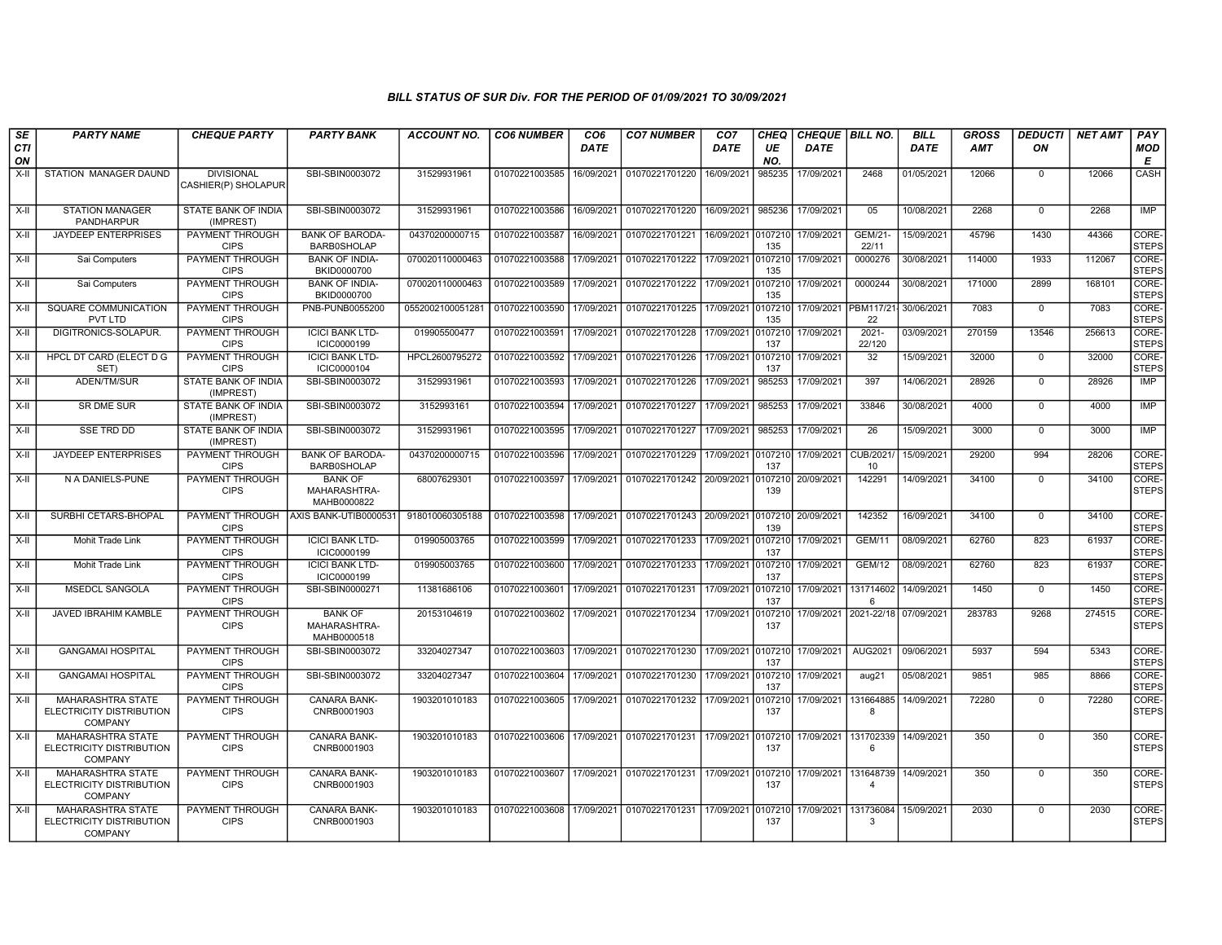| <b>SE</b>        | <b>PARTY NAME</b>                                                      | <b>CHEQUE PARTY</b>                      | <b>PARTY BANK</b>                             | <b>ACCOUNT NO.</b> | <b>CO6 NUMBER</b> | CO <sub>6</sub> | <b>CO7 NUMBER</b>                 | CO <sub>7</sub>    | <b>CHEQ</b>    | CHEQUE BILL NO. |                             | <b>BILL</b> | <b>GROSS</b> | <b>DEDUCTI</b> | <b>NET AMT</b> | PAY                   |
|------------------|------------------------------------------------------------------------|------------------------------------------|-----------------------------------------------|--------------------|-------------------|-----------------|-----------------------------------|--------------------|----------------|-----------------|-----------------------------|-------------|--------------|----------------|----------------|-----------------------|
| <b>CTI</b><br>ON |                                                                        |                                          |                                               |                    |                   | <b>DATE</b>     |                                   | DATE               | UE<br>NO.      | <b>DATE</b>     |                             | <b>DATE</b> | <b>AMT</b>   | ON             |                | <b>MOD</b><br>Е       |
| $X-H$            | STATION MANAGER DAUND                                                  | <b>DIVISIONAL</b><br>CASHIER(P) SHOLAPUR | SBI-SBIN0003072                               | 31529931961        | 01070221003585    | 16/09/2021      | 01070221701220                    | 16/09/2021         | 985235         | 17/09/2021      | 2468                        | 01/05/2021  | 12066        | $\mathbf 0$    | 12066          | CASH                  |
| X-II             | <b>STATION MANAGER</b><br><b>PANDHARPUR</b>                            | STATE BANK OF INDIA<br>(IMPREST)         | SBI-SBIN0003072                               | 31529931961        | 01070221003586    | 16/09/2021      | 01070221701220                    | 16/09/2021         | 985236         | 17/09/2021      | 0 <sub>5</sub>              | 10/08/2021  | 2268         | $\Omega$       | 2268           | <b>IMP</b>            |
| $X-H$            | <b>JAYDEEP ENTERPRISES</b>                                             | PAYMENT THROUGH<br><b>CIPS</b>           | <b>BANK OF BARODA-</b><br><b>BARB0SHOLAP</b>  | 04370200000715     | 01070221003587    | 16/09/2021      | 01070221701221                    | 16/09/2021 010721  | 135            | 17/09/2021      | <b>GEM/21</b><br>22/11      | 15/09/2021  | 45796        | 1430           | 44366          | CORE-<br><b>STEPS</b> |
| $X-H$            | Sai Computers                                                          | <b>PAYMENT THROUGH</b><br><b>CIPS</b>    | <b>BANK OF INDIA-</b><br>BKID0000700          | 070020110000463    | 01070221003588    | 17/09/2021      | 01070221701222 17/09/2021 0107210 |                    | 135            | 17/09/2021      | 0000276                     | 30/08/2021  | 114000       | 1933           | 112067         | CORE-<br><b>STEPS</b> |
| X-II             | Sai Computers                                                          | PAYMENT THROUGH<br><b>CIPS</b>           | <b>BANK OF INDIA-</b><br>BKID0000700          | 070020110000463    | 01070221003589    | 17/09/2021      | 01070221701222 17/09/2021 0107210 |                    | 135            | 17/09/2021      | 0000244                     | 30/08/2021  | 171000       | 2899           | 168101         | CORE-<br><b>STEPS</b> |
| X-II             | <b>SQUARE COMMUNICATION</b><br>PVT LTD                                 | PAYMENT THROUGH<br><b>CIPS</b>           | PNB-PUNB0055200                               | 0552002100051281   | 01070221003590    | 17/09/2021      | 01070221701225                    | 17/09/2021         | 0107210<br>135 | 17/09/2021      | PBM117/21-<br>22            | 30/06/2021  | 7083         | $\mathbf 0$    | 7083           | CORE-<br><b>STEPS</b> |
| X-II             | DIGITRONICS-SOLAPUR.                                                   | PAYMENT THROUGH<br><b>CIPS</b>           | <b>ICICI BANK LTD-</b><br>ICIC0000199         | 019905500477       | 01070221003591    | 17/09/2021      | 01070221701228                    | 17/09/2021         | 0107210<br>137 | 17/09/2021      | $2021 -$<br>22/120          | 03/09/2021  | 270159       | 13546          | 256613         | CORE-<br><b>STEPS</b> |
| $X-H$            | <b>HPCL DT CARD (ELECT D G</b><br>SET)                                 | PAYMENT THROUGH<br><b>CIPS</b>           | <b>ICICI BANK LTD-</b><br>ICIC0000104         | HPCL2600795272     | 01070221003592    | 17/09/2021      | 01070221701226 17/09/2021         |                    | 0107210<br>137 | 17/09/2021      | $\overline{32}$             | 15/09/2021  | 32000        | $\mathbf 0$    | 32000          | CORE-<br><b>STEPS</b> |
| X-II             | ADEN/TM/SUR                                                            | STATE BANK OF INDIA<br>(IMPREST)         | SBI-SBIN0003072                               | 31529931961        | 01070221003593    | 17/09/2021      | 01070221701226                    | 17/09/2021         | 985253         | 17/09/2021      | 397                         | 14/06/2021  | 28926        | $\mathbf 0$    | 28926          | IMP                   |
| X-II             | <b>SR DME SUR</b>                                                      | STATE BANK OF INDIA<br>(IMPREST)         | SBI-SBIN0003072                               | 3152993161         | 01070221003594    | 17/09/2021      | 01070221701227                    | 17/09/2021         | 985253         | 17/09/2021      | 33846                       | 30/08/2021  | 4000         | $\Omega$       | 4000           | IMP                   |
| X-II             | <b>SSE TRD DD</b>                                                      | <b>STATE BANK OF INDIA</b><br>(IMPREST)  | SBI-SBIN0003072                               | 31529931961        | 01070221003595    | 17/09/2021      | 01070221701227                    | 17/09/2021         | 985253         | 17/09/2021      | 26                          | 15/09/2021  | 3000         | $\mathbf 0$    | 3000           | <b>IMP</b>            |
| $X-H$            | <b>JAYDEEP ENTERPRISES</b>                                             | <b>PAYMENT THROUGH</b><br><b>CIPS</b>    | <b>BANK OF BARODA-</b><br><b>BARB0SHOLAP</b>  | 04370200000715     | 01070221003596    | 17/09/2021      | 01070221701229 17/09/2021 0107210 |                    | 137            | 17/09/2021      | <b>CUB/2021</b><br>10       | 15/09/2021  | 29200        | 994            | 28206          | CORE-<br><b>STEPS</b> |
| $X-II$           | N A DANIELS-PUNE                                                       | PAYMENT THROUGH<br><b>CIPS</b>           | <b>BANK OF</b><br>MAHARASHTRA-<br>MAHB0000822 | 68007629301        | 01070221003597    | 17/09/2021      | 01070221701242 20/09/2021         |                    | 0107210<br>139 | 20/09/2021      | 142291                      | 14/09/2021  | 34100        | $\mathbf 0$    | 34100          | CORE-<br><b>STEPS</b> |
| $X-H$            | SURBHI CETARS-BHOPAL                                                   | PAYMENT THROUGH<br><b>CIPS</b>           | AXIS BANK-UTIB0000531                         | 918010060305188    | 01070221003598    | 17/09/2021      | 01070221701243 20/09/2021 0107210 |                    | 139            | 20/09/2021      | 142352                      | 16/09/2021  | 34100        | $\overline{0}$ | 34100          | CORE-<br><b>STEPS</b> |
| X-II             | Mohit Trade Link                                                       | <b>PAYMENT THROUGH</b><br><b>CIPS</b>    | <b>ICICI BANK LTD-</b><br>ICIC0000199         | 019905003765       | 01070221003599    | 17/09/2021      | 01070221701233                    | 17/09/2021         | 010721<br>137  | 17/09/2021      | <b>GEM/11</b>               | 08/09/2021  | 62760        | 823            | 61937          | CORE-<br><b>STEPS</b> |
| X-II             | Mohit Trade Link                                                       | PAYMENT THROUGH<br><b>CIPS</b>           | <b>ICICI BANK LTD-</b><br>ICIC0000199         | 019905003765       | 01070221003600    | 17/09/2021      | 01070221701233                    | 17/09/2021         | 0107210<br>137 | 17/09/2021      | <b>GEM/12</b>               | 08/09/2021  | 62760        | 823            | 61937          | CORE-<br><b>STEPS</b> |
| $X-II$           | <b>MSEDCL SANGOLA</b>                                                  | PAYMENT THROUGH<br><b>CIPS</b>           | SBI-SBIN0000271                               | 11381686106        | 01070221003601    | 17/09/2021      | 01070221701231                    | 17/09/2021         | 0107210<br>137 | 17/09/2021      | 131714602<br>6              | 14/09/2021  | 1450         | $\mathbf 0$    | 1450           | CORE-<br><b>STEPS</b> |
| X-II             | JAVED IBRAHIM KAMBLE                                                   | PAYMENT THROUGH<br><b>CIPS</b>           | <b>BANK OF</b><br>MAHARASHTRA-<br>MAHB0000518 | 20153104619        | 01070221003602    | 17/09/2021      | 01070221701234                    | 17/09/2021 0107210 | 137            | 17/09/2021      | 2021-22/18 07/09/2021       |             | 283783       | 9268           | 274515         | CORE-<br><b>STEPS</b> |
| $X-II$           | <b>GANGAMAI HOSPITAL</b>                                               | PAYMENT THROUGH<br><b>CIPS</b>           | SBI-SBIN0003072                               | 33204027347        | 01070221003603    | 17/09/2021      | 01070221701230                    | 17/09/2021         | 010721<br>137  | 17/09/2021      | AUG2021                     | 09/06/2021  | 5937         | 594            | 5343           | CORE-<br><b>STEPS</b> |
| $X-H$            | <b>GANGAMAI HOSPITAL</b>                                               | <b>PAYMENT THROUGH</b><br><b>CIPS</b>    | SBI-SBIN0003072                               | 33204027347        | 01070221003604    | 17/09/2021      | 01070221701230 17/09/2021 0107210 |                    | 137            | 17/09/2021      | aug21                       | 05/08/2021  | 9851         | 985            | 8866           | CORE-<br><b>STEPS</b> |
| $X-H$            | <b>MAHARASHTRA STATE</b><br>ELECTRICITY DISTRIBUTION<br><b>COMPANY</b> | <b>PAYMENT THROUGH</b><br><b>CIPS</b>    | <b>CANARA BANK-</b><br>CNRB0001903            | 1903201010183      | 01070221003605    | 17/09/2021      | 01070221701232 17/09/2021         |                    | 0107210<br>137 | 17/09/2021      | 131664885<br>8              | 14/09/2021  | 72280        | $\mathbf 0$    | 72280          | CORE-<br><b>STEPS</b> |
| $X-II$           | <b>MAHARASHTRA STATE</b><br>ELECTRICITY DISTRIBUTION<br><b>COMPANY</b> | PAYMENT THROUGH<br><b>CIPS</b>           | <b>CANARA BANK-</b><br>CNRB0001903            | 1903201010183      | 01070221003606    | 17/09/2021      | 01070221701231 17/09/2021         |                    | 010721<br>137  | 17/09/2021      | 131702339<br>6              | 14/09/2021  | 350          | $\overline{0}$ | 350            | CORE-<br><b>STEPS</b> |
| $X-II$           | <b>MAHARASHTRA STATE</b><br>ELECTRICITY DISTRIBUTION<br>COMPANY        | PAYMENT THROUGH<br><b>CIPS</b>           | <b>CANARA BANK-</b><br>CNRB0001903            | 1903201010183      | 01070221003607    | 17/09/2021      | 01070221701231 17/09/2021 010721  |                    | 137            | 17/09/2021      | 131648739<br>$\overline{4}$ | 14/09/2021  | 350          | $\mathbf 0$    | 350            | CORE-<br><b>STEPS</b> |
| $X-H$            | <b>MAHARASHTRA STATE</b><br>ELECTRICITY DISTRIBUTION<br><b>COMPANY</b> | <b>PAYMENT THROUGH</b><br><b>CIPS</b>    | CANARA BANK-<br>CNRB0001903                   | 1903201010183      | 01070221003608    | 17/09/2021      | 01070221701231 17/09/2021 0107210 |                    | 137            | 17/09/2021      | 131736084<br>3              | 15/09/2021  | 2030         | $\Omega$       | 2030           | CORE-<br><b>STEPS</b> |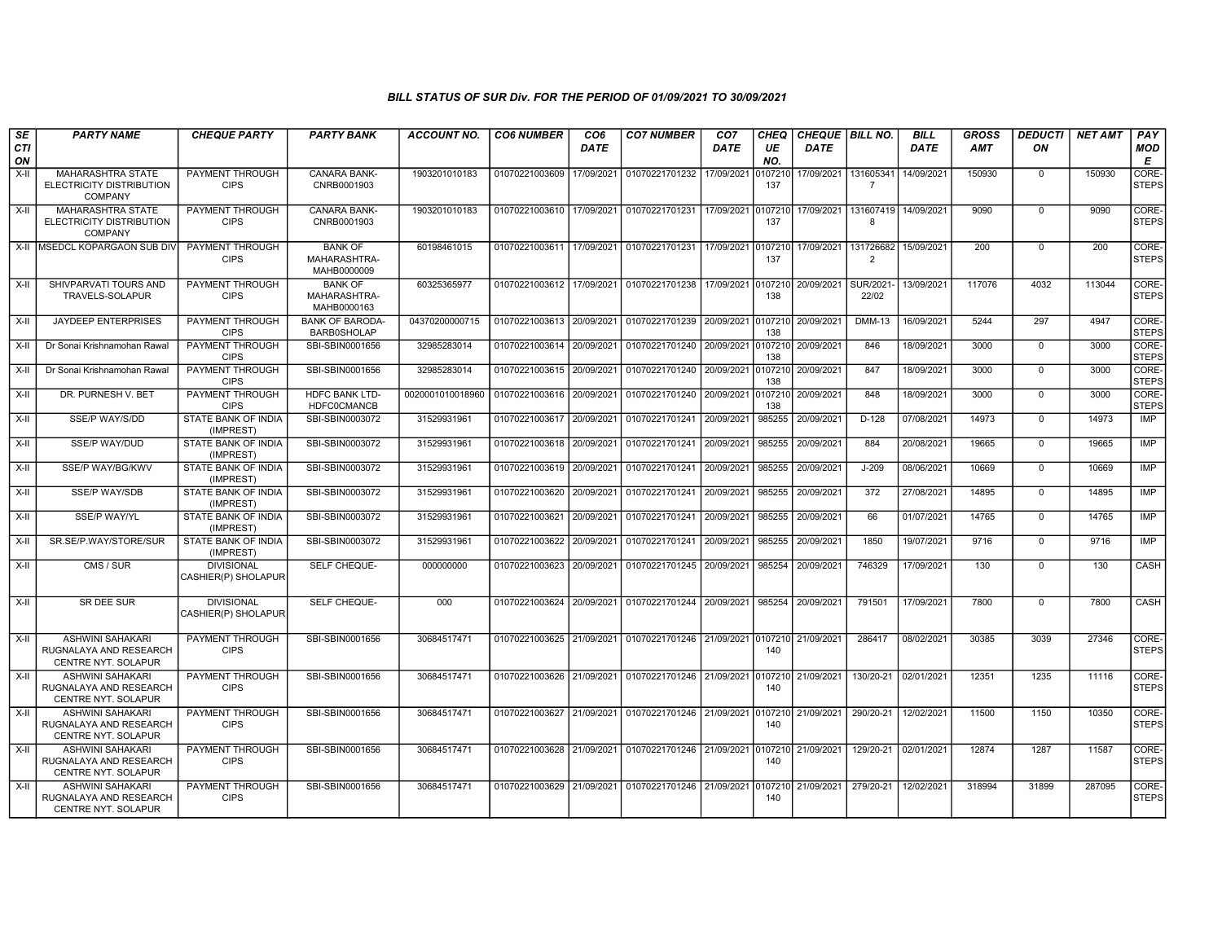| SE<br><b>CTI</b><br>ON | <b>PARTY NAME</b>                                                               | <b>CHEQUE PARTY</b>                      | <b>PARTY BANK</b>                             | <b>ACCOUNT NO.</b> | <b>CO6 NUMBER</b>         | CO <sub>6</sub><br><b>DATE</b> | <b>CO7 NUMBER</b>         | CO <sub>7</sub><br><b>DATE</b> | <b>CHEQ</b><br>UE<br>NO. | <b>CHEQUE BILL NO.</b><br><b>DATE</b> |                             | <b>BILL</b><br><b>DATE</b> | <b>GROSS</b><br><b>AMT</b> | <b>DEDUCTI</b><br>ON | <b>NET AMT</b> | PAY<br>MOD<br>E       |
|------------------------|---------------------------------------------------------------------------------|------------------------------------------|-----------------------------------------------|--------------------|---------------------------|--------------------------------|---------------------------|--------------------------------|--------------------------|---------------------------------------|-----------------------------|----------------------------|----------------------------|----------------------|----------------|-----------------------|
| $X-H$                  | <b>MAHARASHTRA STATE</b><br>ELECTRICITY DISTRIBUTION<br><b>COMPANY</b>          | <b>PAYMENT THROUGH</b><br><b>CIPS</b>    | <b>CANARA BANK-</b><br>CNRB0001903            | 1903201010183      | 01070221003609            | 17/09/2021                     | 01070221701232            | 17/09/2021                     | 107210<br>137            | 17/09/2021                            | 131605341<br>$\overline{7}$ | 14/09/2021                 | 150930                     | $\Omega$             | 150930         | CORE-<br><b>STEPS</b> |
| $X-H$                  | <b>MAHARASHTRA STATE</b><br>ELECTRICITY DISTRIBUTION<br><b>COMPANY</b>          | PAYMENT THROUGH<br><b>CIPS</b>           | CANARA BANK-<br>CNRB0001903                   | 1903201010183      | 01070221003610            | 17/09/2021                     | 01070221701231            | 17/09/2021                     | 107210<br>137            | 17/09/2021                            | 131607419<br>$\mathbf{a}$   | 14/09/2021                 | 9090                       | $\Omega$             | 9090           | CORE-<br><b>STEPS</b> |
|                        | X-II MSEDCL KOPARGAON SUB DIV                                                   | PAYMENT THROUGH<br><b>CIPS</b>           | <b>BANK OF</b><br>MAHARASHTRA-<br>MAHB0000009 | 60198461015        | 01070221003611            | 17/09/2021                     | 01070221701231            | 17/09/2021                     | 107210<br>137            | 17/09/2021                            | 131726682<br>2              | 15/09/2021                 | 200                        | $\mathbf 0$          | 200            | CORE-<br><b>STEPS</b> |
| X-II                   | SHIVPARVATI TOURS AND<br>TRAVELS-SOLAPUR                                        | PAYMENT THROUGH<br><b>CIPS</b>           | <b>BANK OF</b><br>MAHARASHTRA-<br>MAHB0000163 | 60325365977        | 01070221003612            | 17/09/2021                     | 01070221701238            | 17/09/2021                     | 0107210<br>138           | 20/09/2021                            | SUR/2021<br>22/02           | 13/09/2021                 | 117076                     | 4032                 | 113044         | CORE-<br><b>STEPS</b> |
| $X-H$                  | <b>JAYDEEP ENTERPRISES</b>                                                      | PAYMENT THROUGH<br><b>CIPS</b>           | <b>BANK OF BARODA-</b><br><b>BARB0SHOLAP</b>  | 04370200000715     | 01070221003613 20/09/2021 |                                | 01070221701239 20/09/2021 |                                | 0107210<br>138           | 20/09/2021                            | <b>DMM-13</b>               | 16/09/2021                 | 5244                       | 297                  | 4947           | CORE-<br><b>STEPS</b> |
| $X-H$                  | Dr Sonai Krishnamohan Rawal                                                     | PAYMENT THROUGH<br><b>CIPS</b>           | SBI-SBIN0001656                               | 32985283014        | 01070221003614            | 20/09/2021                     | 01070221701240 20/09/2021 |                                | 0107210<br>138           | 20/09/2021                            | 846                         | 18/09/2021                 | 3000                       | $\mathbf 0$          | 3000           | CORE-<br><b>STEPS</b> |
| X-II                   | Dr Sonai Krishnamohan Rawal                                                     | <b>PAYMENT THROUGH</b><br><b>CIPS</b>    | SBI-SBIN0001656                               | 32985283014        | 01070221003615            | 20/09/2021                     | 01070221701240 20/09/2021 |                                | 107210<br>138            | 20/09/2021                            | 847                         | 18/09/2021                 | 3000                       | $\mathbf 0$          | 3000           | CORE-<br><b>STEPS</b> |
| X-II                   | DR. PURNESH V. BET                                                              | PAYMENT THROUGH<br><b>CIPS</b>           | <b>HDFC BANK LTD-</b><br><b>HDFC0CMANCB</b>   | 0020001010018960   | 01070221003616            | 20/09/2021                     | 01070221701240            | 20/09/2021                     | 0107210<br>138           | 20/09/2021                            | 848                         | 18/09/2021                 | 3000                       | $\mathbf 0$          | 3000           | CORE-<br><b>STEPS</b> |
| $X-II$                 | SSE/P WAY/S/DD                                                                  | STATE BANK OF INDIA<br>(IMPREST)         | SBI-SBIN0003072                               | 31529931961        | 01070221003617 20/09/2021 |                                | 01070221701241 20/09/2021 |                                | 985255                   | 20/09/2021                            | $D-128$                     | 07/08/2021                 | 14973                      | $\mathbf 0$          | 14973          | <b>IMP</b>            |
| X-II                   | <b>SSE/P WAY/DUD</b>                                                            | STATE BANK OF INDIA<br>(IMPREST)         | SBI-SBIN0003072                               | 31529931961        | 01070221003618 20/09/2021 |                                | 01070221701241 20/09/2021 |                                | 985255                   | 20/09/2021                            | 884                         | 20/08/2021                 | 19665                      | $\mathbf{0}$         | 19665          | <b>IMP</b>            |
| X-II                   | SSE/P WAY/BG/KWV                                                                | STATE BANK OF INDIA<br>(IMPREST)         | SBI-SBIN0003072                               | 31529931961        | 01070221003619            | 20/09/2021                     | 01070221701241            | 20/09/2021                     | 985255                   | 20/09/2021                            | $J-209$                     | 08/06/2021                 | 10669                      | 0                    | 10669          | <b>IMP</b>            |
| X-II                   | <b>SSE/P WAY/SDB</b>                                                            | STATE BANK OF INDIA<br>(IMPREST)         | SBI-SBIN0003072                               | 31529931961        | 01070221003620            | 20/09/2021                     | 01070221701241 20/09/2021 |                                | 985255                   | 20/09/2021                            | 372                         | 27/08/2021                 | 14895                      | $\Omega$             | 14895          | <b>IMP</b>            |
| X-II                   | <b>SSE/P WAY/YL</b>                                                             | <b>STATE BANK OF INDIA</b><br>(IMPREST)  | SBI-SBIN0003072                               | 31529931961        | 01070221003621            | 20/09/2021                     | 01070221701241            | 20/09/2021                     | 985255                   | 20/09/2021                            | 66                          | 01/07/2021                 | 14765                      | $\Omega$             | 14765          | <b>IMP</b>            |
| X-II                   | SR.SE/P.WAY/STORE/SUR                                                           | STATE BANK OF INDIA<br>(IMPREST)         | SBI-SBIN0003072                               | 31529931961        | 01070221003622            | 20/09/2021                     | 01070221701241            | 20/09/2021                     | 985255                   | 20/09/2021                            | 1850                        | 19/07/2021                 | 9716                       | $\mathbf 0$          | 9716           | <b>IMP</b>            |
| $X-H$                  | CMS / SUR                                                                       | <b>DIVISIONAL</b><br>CASHIER(P) SHOLAPUR | <b>SELF CHEQUE-</b>                           | 000000000          | 01070221003623 20/09/2021 |                                | 01070221701245 20/09/2021 |                                | 985254                   | 20/09/2021                            | 746329                      | 17/09/2021                 | 130                        | $\mathbf 0$          | 130            | <b>CASH</b>           |
| $X-H$                  | <b>SR DEE SUR</b>                                                               | <b>DIVISIONAL</b><br>CASHIER(P) SHOLAPUR | SELF CHEQUE-                                  | 000                | 01070221003624 20/09/2021 |                                | 01070221701244 20/09/2021 |                                | 985254                   | 20/09/2021                            | 791501                      | 17/09/2021                 | 7800                       | $\mathbf 0$          | 7800           | CASH                  |
| X-II                   | <b>ASHWINI SAHAKARI</b><br>RUGNALAYA AND RESEARCH<br>CENTRE NYT. SOLAPUR        | PAYMENT THROUGH<br><b>CIPS</b>           | SBI-SBIN0001656                               | 30684517471        | 01070221003625 21/09/2021 |                                | 01070221701246 21/09/2021 |                                | 140                      | 0107210 21/09/2021                    | 286417                      | 08/02/2021                 | 30385                      | 3039                 | 27346          | CORE-<br><b>STEPS</b> |
| $X-H$                  | <b>ASHWINI SAHAKARI</b><br>RUGNALAYA AND RESEARCH<br>CENTRE NYT. SOLAPUR        | <b>PAYMENT THROUGH</b><br><b>CIPS</b>    | SBI-SBIN0001656                               | 30684517471        | 01070221003626 21/09/2021 |                                | 01070221701246 21/09/2021 |                                | 0107210<br>140           | 21/09/2021                            | 130/20-21                   | 02/01/2021                 | 12351                      | 1235                 | 11116          | CORE-<br><b>STEPS</b> |
| $X-H$                  | <b>ASHWINI SAHAKARI</b><br>RUGNALAYA AND RESEARCH<br>CENTRE NYT. SOLAPUR        | PAYMENT THROUGH<br><b>CIPS</b>           | SBI-SBIN0001656                               | 30684517471        | 01070221003627 21/09/2021 |                                | 01070221701246 21/09/2021 |                                | 0107210<br>140           | 21/09/2021                            | 290/20-21                   | 12/02/2021                 | 11500                      | 1150                 | 10350          | CORE-<br><b>STEPS</b> |
| $X-I$                  | <b>ASHWINI SAHAKARI</b><br>RUGNALAYA AND RESEARCH<br><b>CENTRE NYT, SOLAPUR</b> | PAYMENT THROUGH<br><b>CIPS</b>           | SBI-SBIN0001656                               | 30684517471        | 01070221003628 21/09/2021 |                                | 01070221701246 21/09/2021 |                                | 107210<br>140            | 21/09/2021                            | 129/20-21                   | 02/01/2021                 | 12874                      | 1287                 | 11587          | CORE-<br><b>STEPS</b> |
| $X-H$                  | <b>ASHWINI SAHAKARI</b><br>RUGNALAYA AND RESEARCH<br>CENTRE NYT. SOLAPUR        | PAYMENT THROUGH<br><b>CIPS</b>           | SBI-SBIN0001656                               | 30684517471        | 01070221003629 21/09/2021 |                                | 01070221701246 21/09/2021 |                                | 0107210<br>140           | 21/09/2021                            | 279/20-21                   | 12/02/2021                 | 318994                     | 31899                | 287095         | CORE-<br><b>STEPS</b> |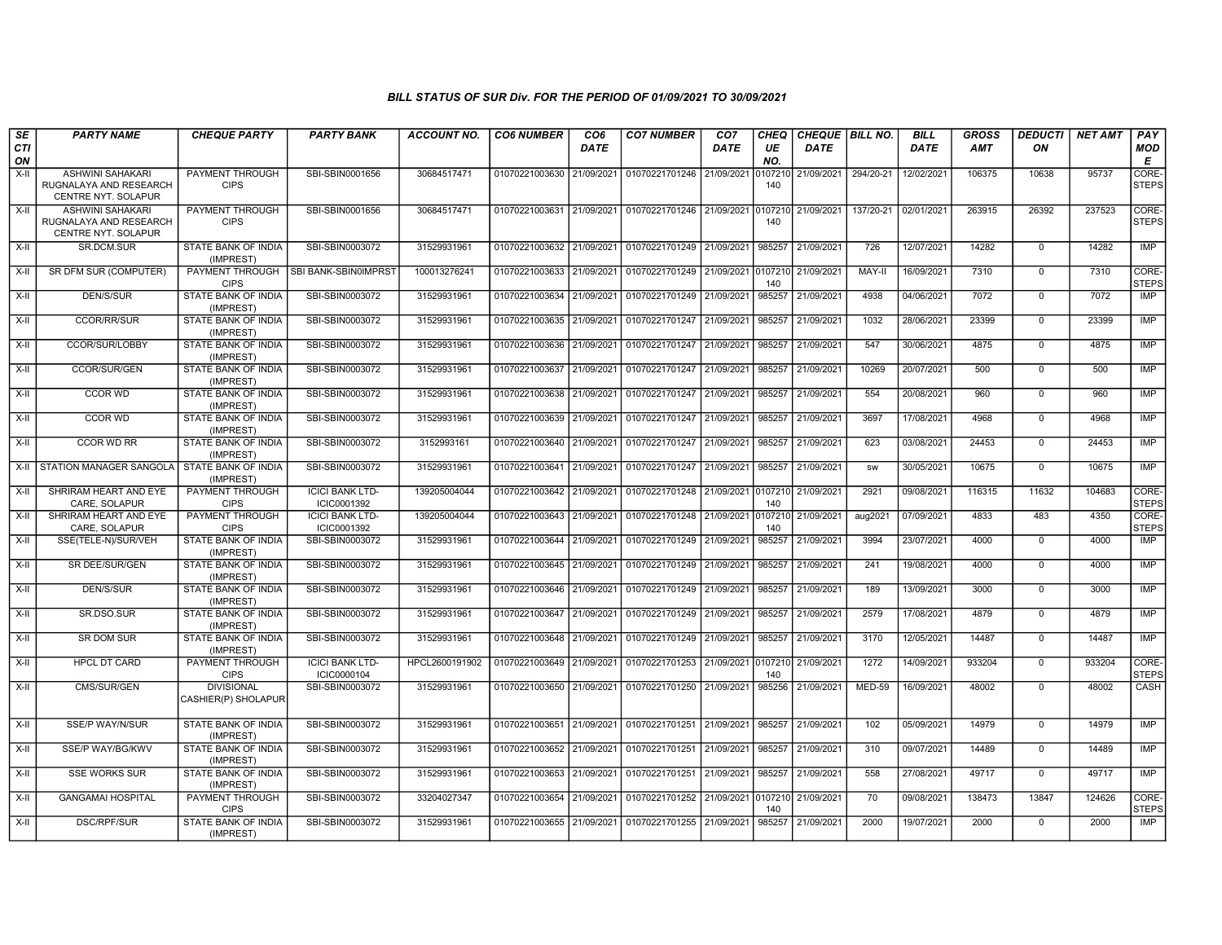| SE<br><b>CTI</b> | <b>PARTY NAME</b>                                                                        | <b>CHEQUE PARTY</b>                                     | <b>PARTY BANK</b>                     | <b>ACCOUNT NO.</b>         | <b>CO6 NUMBER</b>                | CO <sub>6</sub><br><b>DATE</b> | <b>CO7 NUMBER</b>                | CO <sub>7</sub><br><b>DATE</b> | <b>CHEQ</b><br>UE     | CHEQUE BILL NO.<br>DATE  |             | <b>BILL</b><br><b>DATE</b> | <b>GROSS</b><br><b>AMT</b> | <b>DEDUCTI</b><br>ON    | <b>NET AMT</b> | PAY<br><b>MOD</b>                |
|------------------|------------------------------------------------------------------------------------------|---------------------------------------------------------|---------------------------------------|----------------------------|----------------------------------|--------------------------------|----------------------------------|--------------------------------|-----------------------|--------------------------|-------------|----------------------------|----------------------------|-------------------------|----------------|----------------------------------|
| ON<br>X-II       | ASHWINI SAHAKARI<br>RUGNALAYA AND RESEARCH                                               | <b>PAYMENT THROUGH</b><br><b>CIPS</b>                   | SBI-SBIN0001656                       | 30684517471                | 01070221003630                   | 21/09/2021                     | 01070221701246                   | 21/09/2021                     | NO.<br>0107210<br>140 | 21/09/2021               | 294/20-21   | 12/02/2021                 | 106375                     | 10638                   | 95737          | Е<br><b>CORE</b><br><b>STEPS</b> |
| X-II             | CENTRE NYT. SOLAPUR<br>ASHWINI SAHAKARI<br>RUGNALAYA AND RESEARCH<br>CENTRE NYT. SOLAPUR | PAYMENT THROUGH<br><b>CIPS</b>                          | SBI-SBIN0001656                       | 30684517471                | 01070221003631                   | 21/09/2021                     | 01070221701246                   | 21/09/2021                     | 0107210<br>140        | 21/09/2021               | 137/20-21   | 02/01/2021                 | 263915                     | 26392                   | 237523         | <b>CORE</b><br><b>STEPS</b>      |
| X-II             | SR.DCM.SUR                                                                               | STATE BANK OF INDIA<br>(IMPREST)                        | SBI-SBIN0003072                       | 31529931961                | 01070221003632 21/09/2021        |                                | 01070221701249                   | 21/09/2021                     | 985257                | 21/09/2021               | 726         | 12/07/2021                 | 14282                      | $\mathbf 0$             | 14282          | IMP                              |
| X-II             | SR DFM SUR (COMPUTER)                                                                    | PAYMENT THROUGH<br><b>CIPS</b>                          | SBI BANK-SBIN0IMPRST                  | 100013276241               | 01070221003633                   | 21/09/2021                     | 01070221701249                   | 21/09/2021                     | 0107210<br>140        | 21/09/2021               | MAY-II      | 16/09/2021                 | 7310                       | $\Omega$                | 7310           | CORE-<br><b>STEPS</b>            |
| X-II             | DEN/S/SUR                                                                                | <b>STATE BANK OF INDIA</b><br>(IMPREST)                 | SBI-SBIN0003072                       | 31529931961                | 01070221003634                   | 21/09/2021                     | 01070221701249                   | 21/09/2021                     | 985257                | 21/09/2021               | 4938        | 04/06/2021                 | 7072                       | $\Omega$                | 7072           | <b>IMP</b>                       |
| X-II             | <b>CCOR/RR/SUR</b>                                                                       | <b>STATE BANK OF INDIA</b><br>(IMPREST)                 | SBI-SBIN0003072                       | 31529931961                | 01070221003635                   | 21/09/2021                     | 01070221701247                   | 21/09/2021                     | 985257                | 21/09/2021               | 1032        | 28/06/2021                 | 23399                      | $\Omega$                | 23399          | IMP                              |
| X-II             | CCOR/SUR/LOBBY                                                                           | <b>STATE BANK OF INDIA</b><br>(IMPREST)                 | SBI-SBIN0003072                       | 31529931961                | 01070221003636                   | 21/09/2021                     | 01070221701247                   | 21/09/2021                     | 985257                | 21/09/2021               | 547         | 30/06/2021                 | 4875                       | $\mathbf 0$             | 4875           | <b>IMP</b>                       |
| X-II             | CCOR/SUR/GEN                                                                             | STATE BANK OF INDIA<br>(IMPREST)                        | SBI-SBIN0003072                       | 31529931961                | 01070221003637                   | 21/09/2021                     | 01070221701247                   | 21/09/2021                     | 985257                | 21/09/2021               | 10269       | 20/07/2021                 | 500                        | $\mathbf 0$             | 500            | <b>IMP</b>                       |
| X-II             | CCOR WD                                                                                  | STATE BANK OF INDIA<br>(IMPREST)                        | SBI-SBIN0003072                       | 31529931961                | 01070221003638                   | 21/09/2021                     | 01070221701247                   | 21/09/2021                     | 985257                | 21/09/2021               | 554         | 20/08/2021                 | 960                        | $\mathbf 0$             | 960            | <b>IMP</b>                       |
| X-II             | <b>CCOR WD</b>                                                                           | STATE BANK OF INDIA<br>(IMPREST)                        | SBI-SBIN0003072                       | 31529931961                | 01070221003639                   | 21/09/2021                     | 01070221701247                   | 21/09/2021                     | 985257                | 21/09/2021               | 3697        | 17/08/2021                 | 4968                       | $\mathbf 0$             | 4968           | IMP                              |
| X-II             | <b>CCOR WD RR</b>                                                                        | <b>STATE BANK OF INDIA</b><br>(IMPREST)                 | SBI-SBIN0003072                       | 3152993161                 | 01070221003640                   | 21/09/2021                     | 01070221701247                   | 21/09/2021                     | 985257                | 21/09/2021               | 623         | 03/08/2021                 | 24453                      | $\Omega$                | 24453          | <b>IMP</b>                       |
|                  | X-II STATION MANAGER SANGOLA STATE BANK OF INDIA                                         | (IMPREST)                                               | SBI-SBIN0003072                       | 31529931961                | 01070221003641                   | 21/09/2021                     | 01070221701247                   | 21/09/2021                     | 985257                | 21/09/2021               | SW          | 30/05/2021                 | 10675                      | $\mathbf 0$             | 10675          | IMP                              |
| X-II             | SHRIRAM HEART AND EYE<br>CARE, SOLAPUR                                                   | PAYMENT THROUGH<br><b>CIPS</b>                          | <b>ICICI BANK LTD-</b><br>ICIC0001392 | 139205004044               | 01070221003642                   | 21/09/2021                     | 01070221701248                   | 21/09/2021                     | 0107210<br>140        | 21/09/2021               | 2921        | 09/08/2021                 | 116315                     | 11632                   | 104683         | <b>CORE</b><br><b>STEPS</b>      |
| X-II             | SHRIRAM HEART AND EYE<br>CARE, SOLAPUR                                                   | <b>PAYMENT THROUGH</b><br><b>CIPS</b>                   | <b>ICICI BANK LTD-</b><br>ICIC0001392 | 139205004044               | 01070221003643 21/09/2021        |                                | 01070221701248                   | 21/09/2021                     | 0107210<br>140        | 21/09/2021               | aug2021     | 07/09/2021                 | 4833                       | 483                     | 4350           | CORE-<br><b>STEPS</b>            |
| X-II             | SSE(TELE-N)/SUR/VEH                                                                      | <b>STATE BANK OF INDIA</b><br>(IMPREST)                 | SBI-SBIN0003072                       | 31529931961                | 01070221003644                   | 21/09/2021                     | 01070221701249                   | 21/09/2021                     | 985257                | 21/09/2021               | 3994        | 23/07/2021                 | 4000                       | $\mathbf 0$             | 4000           | <b>IMP</b>                       |
| X-II             | SR DEE/SUR/GEN                                                                           | STATE BANK OF INDIA<br>(IMPREST)                        | SBI-SBIN0003072                       | 31529931961                | 01070221003645 21/09/2021        |                                | 01070221701249 21/09/2021        |                                | 985257                | 21/09/2021               | 241         | 19/08/2021                 | 4000                       | $\mathbf 0$             | 4000           | IMP                              |
| X-II             | DEN/S/SUR                                                                                | STATE BANK OF INDIA<br>(IMPREST)                        | SBI-SBIN0003072                       | 31529931961                | 01070221003646                   | 21/09/2021<br>21/09/2021       | 01070221701249<br>01070221701249 | 21/09/2021<br>21/09/2021       | 985257<br>985257      | 21/09/2021<br>21/09/2021 | 189<br>2579 | 13/09/2021<br>17/08/2021   | 3000<br>4879               | $\mathbf 0$             | 3000<br>4879   | IMP<br><b>IMP</b>                |
| X-II             | SR.DSO.SUR<br><b>SR DOM SUR</b>                                                          | STATE BANK OF INDIA<br>(IMPREST)<br>STATE BANK OF INDIA | SBI-SBIN0003072<br>SBI-SBIN0003072    | 31529931961<br>31529931961 | 01070221003647<br>01070221003648 | 21/09/2021                     | 01070221701249                   | 21/09/2021                     | 985257                | 21/09/2021               | 3170        | 12/05/2021                 | 14487                      | $\mathbf 0$<br>$\Omega$ | 14487          | IMP                              |
| X-II             | HPCL DT CARD                                                                             | (IMPREST)<br>PAYMENT THROUGH                            | <b>ICICI BANK LTD-</b>                | HPCL2600191902             | 01070221003649                   | 21/09/2021                     | 01070221701253                   | 21/09/2021                     | 0107210               | 21/09/2021               | 1272        | 14/09/2021                 | 933204                     | $\Omega$                | 933204         | CORE-                            |
| X-II<br>X-II     | CMS/SUR/GEN                                                                              | <b>CIPS</b><br><b>DIVISIONAL</b>                        | ICIC0000104<br>SBI-SBIN0003072        | 31529931961                | 01070221003650                   | 21/09/2021                     | 01070221701250                   | 21/09/2021                     | 140<br>985256         | 21/09/2021               | MED-59      | 16/09/2021                 | 48002                      | $\Omega$                | 48002          | <b>STEPS</b><br>CASH             |
|                  |                                                                                          | CASHIER(P) SHOLAPUR                                     |                                       |                            |                                  |                                |                                  |                                |                       |                          |             |                            |                            |                         |                |                                  |
| X-II             | SSE/P WAY/N/SUR                                                                          | STATE BANK OF INDIA<br>(IMPREST)                        | SBI-SBIN0003072                       | 31529931961                | 01070221003651                   | 21/09/2021                     | 01070221701251                   | 21/09/2021                     | 985257                | 21/09/2021               | 102         | 05/09/2021                 | 14979                      | $\mathbf 0$             | 14979          | IMP                              |
| X-II             | SSE/P WAY/BG/KWV                                                                         | STATE BANK OF INDIA<br>(IMPREST)                        | SBI-SBIN0003072                       | 31529931961                | 01070221003652                   | 21/09/2021                     | 01070221701251                   | 21/09/2021                     | 985257                | 21/09/2021               | 310         | 09/07/2021                 | 14489                      | $\Omega$                | 14489          | IMP                              |
| X-II             | <b>SSE WORKS SUR</b>                                                                     | <b>STATE BANK OF INDIA</b><br>(IMPREST)                 | SBI-SBIN0003072                       | 31529931961                | 01070221003653                   | 21/09/2021                     | 01070221701251                   | 21/09/2021                     | 985257                | 21/09/2021               | 558         | 27/08/2021                 | 49717                      | $\Omega$                | 49717          | <b>IMP</b>                       |
| X-II             | <b>GANGAMAI HOSPITAL</b>                                                                 | PAYMENT THROUGH<br><b>CIPS</b>                          | SBI-SBIN0003072                       | 33204027347                | 01070221003654                   | 21/09/2021                     | 01070221701252                   | 21/09/2021                     | 0107210<br>140        | 21/09/2021               | 70          | 09/08/2021                 | 138473                     | 13847                   | 124626         | CORE-<br><b>STEPS</b>            |
| X-II             | DSC/RPF/SUR                                                                              | STATE BANK OF INDIA<br>(IMPREST)                        | SBI-SBIN0003072                       | 31529931961                | 01070221003655 21/09/2021        |                                | 01070221701255 21/09/2021        |                                | 985257                | 21/09/2021               | 2000        | 19/07/2021                 | 2000                       | $\mathbf 0$             | 2000           | IMP                              |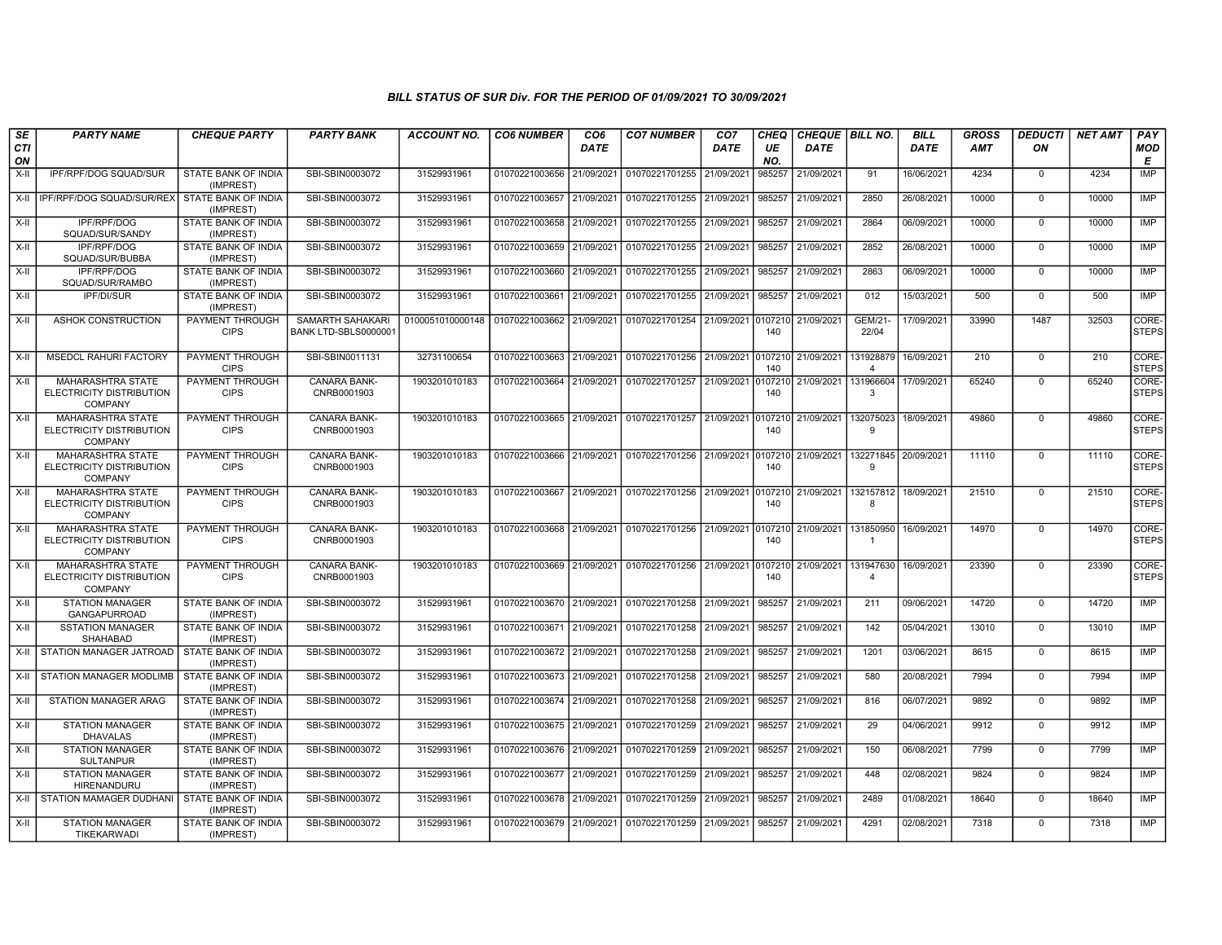| <b>SE</b> | <b>PARTY NAME</b>                                                      | <b>CHEQUE PARTY</b>                     | <b>PARTY BANK</b>                        | ACCOUNT NO.      | <b>CO6 NUMBER</b>         | CO <sub>6</sub> | <b>CO7 NUMBER</b>                                   | CO <sub>7</sub> | <b>CHEQ</b>    | CHEQUE BILL NO. |                             | <b>BILL</b> | <b>GROSS</b> | <b>DEDUCTI</b> | <b>NET AMT</b> | PAY                   |
|-----------|------------------------------------------------------------------------|-----------------------------------------|------------------------------------------|------------------|---------------------------|-----------------|-----------------------------------------------------|-----------------|----------------|-----------------|-----------------------------|-------------|--------------|----------------|----------------|-----------------------|
| CTI<br>ON |                                                                        |                                         |                                          |                  |                           | <b>DATE</b>     |                                                     | DATE            | UE<br>NO.      | DATE            |                             | <b>DATE</b> | AMT          | ON             |                | <b>MOD</b><br>Е       |
| X-II      | IPF/RPF/DOG SQUAD/SUR                                                  | STATE BANK OF INDIA<br>(IMPREST)        | SBI-SBIN0003072                          | 31529931961      | 01070221003656 21/09/2021 |                 | 01070221701255                                      | 21/09/2021      | 985257         | 21/09/2021      | 91                          | 16/06/2021  | 4234         | $\mathbf 0$    | 4234           | <b>IMP</b>            |
| $X-H$     | IPF/RPF/DOG SQUAD/SUR/REX                                              | <b>STATE BANK OF INDIA</b><br>(IMPREST) | SBI-SBIN0003072                          | 31529931961      | 01070221003657 21/09/2021 |                 | 01070221701255 21/09/2021                           |                 | 985257         | 21/09/2021      | 2850                        | 26/08/2021  | 10000        | $\mathbf 0$    | 10000          | IMP                   |
| X-II      | IPF/RPF/DOG<br>SQUAD/SUR/SANDY                                         | STATE BANK OF INDIA<br>(IMPREST)        | SBI-SBIN0003072                          | 31529931961      | 01070221003658 21/09/2021 |                 | 01070221701255 21/09/2021                           |                 | 985257         | 21/09/2021      | 2864                        | 06/09/2021  | 10000        | $\Omega$       | 10000          | IMP                   |
| X-II      | IPF/RPF/DOG<br>SQUAD/SUR/BUBBA                                         | <b>STATE BANK OF INDIA</b><br>(IMPREST) | SBI-SBIN0003072                          | 31529931961      | 01070221003659 21/09/2021 |                 | 01070221701255                                      | 21/09/2021      | 985257         | 21/09/2021      | 2852                        | 26/08/2021  | 10000        | $\Omega$       | 10000          | <b>IMP</b>            |
| X-II      | <b>IPF/RPF/DOG</b><br>SQUAD/SUR/RAMBO                                  | <b>STATE BANK OF INDIA</b><br>(IMPREST) | SBI-SBIN0003072                          | 31529931961      | 01070221003660 21/09/2021 |                 | 01070221701255                                      | 21/09/2021      | 985257         | 21/09/2021      | 2863                        | 06/09/2021  | 10000        | $\mathbf 0$    | 10000          | <b>IMP</b>            |
| X-II      | <b>IPF/DI/SUR</b>                                                      | STATE BANK OF INDIA<br>(IMPREST)        | SBI-SBIN0003072                          | 31529931961      | 01070221003661 21/09/2021 |                 | 01070221701255 21/09/2021                           |                 | 985257         | 21/09/2021      | 012                         | 15/03/2021  | 500          | $\mathbf 0$    | 500            | IMP                   |
| X-II      | ASHOK CONSTRUCTION                                                     | PAYMENT THROUGH<br><b>CIPS</b>          | SAMARTH SAHAKARI<br>BANK LTD-SBLS0000001 | 0100051010000148 | 01070221003662 21/09/2021 |                 | 01070221701254 21/09/2021                           |                 | 0107210<br>140 | 21/09/2021      | GEM/21<br>22/04             | 17/09/2021  | 33990        | 1487           | 32503          | CORE-<br><b>STEPS</b> |
| X-II      | <b>MSEDCL RAHURI FACTORY</b>                                           | <b>PAYMENT THROUGH</b><br><b>CIPS</b>   | SBI-SBIN0011131                          | 32731100654      | 01070221003663 21/09/2021 |                 | 01070221701256 21/09/2021 0107210                   |                 | 140            | 21/09/2021      | 131928879<br>$\overline{4}$ | 16/09/2021  | 210          | $\mathbf 0$    | 210            | CORE-<br><b>STEPS</b> |
| X-II      | <b>MAHARASHTRA STATE</b><br>ELECTRICITY DISTRIBUTION<br><b>COMPANY</b> | PAYMENT THROUGH<br><b>CIPS</b>          | <b>CANARA BANK-</b><br>CNRB0001903       | 1903201010183    | 01070221003664 21/09/2021 |                 | 01070221701257                                      | 21/09/2021      | 0107210<br>140 | 21/09/2021      | 131966604<br>3              | 17/09/2021  | 65240        | $\mathbf 0$    | 65240          | CORE-<br><b>STEPS</b> |
| X-II      | <b>MAHARASHTRA STATE</b><br>ELECTRICITY DISTRIBUTION<br><b>COMPANY</b> | PAYMENT THROUGH<br><b>CIPS</b>          | <b>CANARA BANK-</b><br>CNRB0001903       | 1903201010183    | 01070221003665 21/09/2021 |                 | 01070221701257 21/09/2021 0107210                   |                 | 140            | 21/09/2021      | 132075023<br>9              | 18/09/2021  | 49860        | $\Omega$       | 49860          | CORE-<br><b>STEPS</b> |
| X-II      | MAHARASHTRA STATE<br>ELECTRICITY DISTRIBUTION<br><b>COMPANY</b>        | PAYMENT THROUGH<br><b>CIPS</b>          | CANARA BANK-<br>CNRB0001903              | 1903201010183    | 01070221003666            | 21/09/2021      | 01070221701256 21/09/2021                           |                 | 0107210<br>140 | 21/09/2021      | 132271845<br>-9             | 20/09/2021  | 11110        | $\mathbf 0$    | 11110          | CORE-<br><b>STEPS</b> |
| X-II      | <b>MAHARASHTRA STATE</b><br>ELECTRICITY DISTRIBUTION<br><b>COMPANY</b> | PAYMENT THROUGH<br><b>CIPS</b>          | <b>CANARA BANK-</b><br>CNRB0001903       | 1903201010183    | 01070221003667 21/09/2021 |                 | 01070221701256                                      | 21/09/2021      | 0107210<br>140 | 21/09/2021      | 132157812<br>8              | 18/09/2021  | 21510        | $\Omega$       | 21510          | CORE-<br><b>STEPS</b> |
| X-II      | <b>MAHARASHTRA STATE</b><br>ELECTRICITY DISTRIBUTION<br>COMPANY        | PAYMENT THROUGH<br><b>CIPS</b>          | CANARA BANK-<br>CNRB0001903              | 1903201010183    | 01070221003668 21/09/2021 |                 | 01070221701256 21/09/2021 0107210                   |                 | 140            | 21/09/2021      | 131850950<br>$\overline{1}$ | 16/09/2021  | 14970        | $\mathbf 0$    | 14970          | CORE-<br><b>STEPS</b> |
| X-II      | <b>MAHARASHTRA STATE</b><br>ELECTRICITY DISTRIBUTION<br><b>COMPANY</b> | PAYMENT THROUGH<br><b>CIPS</b>          | <b>CANARA BANK-</b><br>CNRB0001903       | 1903201010183    |                           |                 | 01070221003669 21/09/2021 01070221701256 21/09/2021 |                 | 0107210<br>140 | 21/09/2021      | 131947630<br>$\overline{4}$ | 16/09/2021  | 23390        | $\mathbf 0$    | 23390          | CORE-<br><b>STEPS</b> |
| $X-H$     | <b>STATION MANAGER</b><br><b>GANGAPURROAD</b>                          | <b>STATE BANK OF INDIA</b><br>(IMPREST) | SBI-SBIN0003072                          | 31529931961      |                           |                 | 01070221003670 21/09/2021 01070221701258 21/09/2021 |                 | 985257         | 21/09/2021      | 211                         | 09/06/2021  | 14720        | $\Omega$       | 14720          | <b>IMP</b>            |
| X-II      | <b>SSTATION MANAGER</b><br><b>SHAHABAD</b>                             | STATE BANK OF INDIA<br>(IMPREST)        | SBI-SBIN0003072                          | 31529931961      | 01070221003671 21/09/2021 |                 | 01070221701258                                      | 21/09/2021      | 985257         | 21/09/2021      | 142                         | 05/04/2021  | 13010        | $\Omega$       | 13010          | <b>IMP</b>            |
| X-II      | STATION MANAGER JATROAD                                                | STATE BANK OF INDIA<br>(IMPREST)        | SBI-SBIN0003072                          | 31529931961      | 01070221003672 21/09/2021 |                 | 01070221701258                                      | 21/09/2021      | 985257         | 21/09/2021      | 1201                        | 03/06/2021  | 8615         | $\mathbf 0$    | 8615           | <b>IMP</b>            |
| $X-H$     | STATION MANAGER MODLIMB                                                | STATE BANK OF INDIA<br>(IMPREST)        | SBI-SBIN0003072                          | 31529931961      | 01070221003673 21/09/2021 |                 | 01070221701258 21/09/2021                           |                 | 985257         | 21/09/2021      | 580                         | 20/08/2021  | 7994         | $\Omega$       | 7994           | IMP                   |
| $X-H$     | STATION MANAGER ARAG                                                   | STATE BANK OF INDIA<br>(IMPREST)        | SBI-SBIN0003072                          | 31529931961      | 01070221003674 21/09/2021 |                 | 01070221701258                                      | 21/09/2021      | 985257         | 21/09/2021      | 816                         | 06/07/2021  | 9892         | $\mathbf 0$    | 9892           | IMP                   |
| X-II      | <b>STATION MANAGER</b><br><b>DHAVALAS</b>                              | STATE BANK OF INDIA<br>(IMPREST)        | SBI-SBIN0003072                          | 31529931961      | 01070221003675 21/09/2021 |                 | 01070221701259                                      | 21/09/2021      | 985257         | 21/09/2021      | 29                          | 04/06/2021  | 9912         | $\Omega$       | 9912           | <b>IMP</b>            |
| X-II      | <b>STATION MANAGER</b><br><b>SULTANPUR</b>                             | <b>STATE BANK OF INDIA</b><br>(IMPREST) | SBI-SBIN0003072                          | 31529931961      | 01070221003676 21/09/2021 |                 | 01070221701259                                      | 21/09/2021      | 985257         | 21/09/2021      | 150                         | 06/08/2021  | 7799         | $\Omega$       | 7799           | <b>IMP</b>            |
| X-II      | <b>STATION MANAGER</b><br><b>HIRENANDURU</b>                           | STATE BANK OF INDIA<br>(IMPREST)        | SBI-SBIN0003072                          | 31529931961      | 01070221003677 21/09/2021 |                 | 01070221701259                                      | 21/09/2021      | 985257         | 21/09/2021      | 448                         | 02/08/2021  | 9824         | $\mathbf 0$    | 9824           | IMP                   |
| X-II      | <b>STATION MAMAGER DUDHANI</b>                                         | STATE BANK OF INDIA<br>(IMPREST)        | SBI-SBIN0003072                          | 31529931961      | 01070221003678 21/09/2021 |                 | 01070221701259                                      | 21/09/2021      | 985257         | 21/09/2021      | 2489                        | 01/08/2021  | 18640        | $\Omega$       | 18640          | <b>IMP</b>            |
| X-II      | <b>STATION MANAGER</b><br><b>TIKEKARWADI</b>                           | STATE BANK OF INDIA<br>(IMPREST)        | SBI-SBIN0003072                          | 31529931961      |                           |                 | 01070221003679 21/09/2021 01070221701259 21/09/2021 |                 | 985257         | 21/09/2021      | 4291                        | 02/08/2021  | 7318         | $\mathbf 0$    | 7318           | <b>IMP</b>            |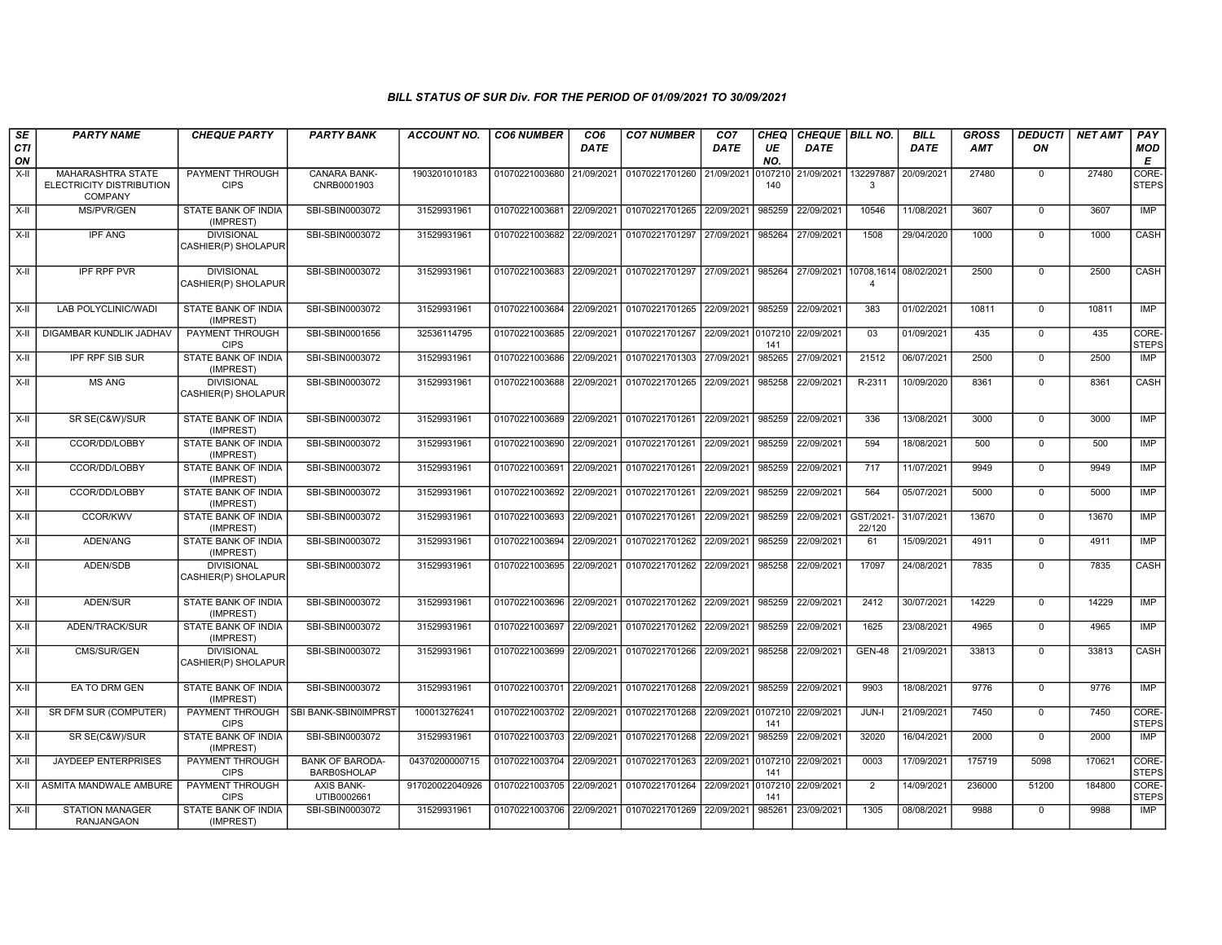| SE               | <b>PARTY NAME</b>                                                      | <b>CHEQUE PARTY</b>                      | <b>PARTY BANK</b>                            | <b>ACCOUNT NO.</b> | <b>CO6 NUMBER</b>         | CO <sub>6</sub> | <b>CO7 NUMBER</b>                 | CO7        | <b>CHEQ</b>    | CHEQUE   BILL NO. |                                         | <b>BILL</b> | GROSS      | <b>DEDUCTI</b> | <b>NET AMT</b> | PAY                   |
|------------------|------------------------------------------------------------------------|------------------------------------------|----------------------------------------------|--------------------|---------------------------|-----------------|-----------------------------------|------------|----------------|-------------------|-----------------------------------------|-------------|------------|----------------|----------------|-----------------------|
| <b>CTI</b><br>ON |                                                                        |                                          |                                              |                    |                           | DATE            |                                   | DATE       | UE<br>NO.      | <b>DATE</b>       |                                         | <b>DATE</b> | <b>AMT</b> | ON             |                | <b>MOD</b><br>Е       |
| $X-H$            | <b>MAHARASHTRA STATE</b><br>ELECTRICITY DISTRIBUTION<br><b>COMPANY</b> | <b>PAYMENT THROUGH</b><br><b>CIPS</b>    | CANARA BANK-<br>CNRB0001903                  | 1903201010183      | 01070221003680 21/09/2021 |                 | 01070221701260 21/09/2021         |            | 0107210<br>140 | 21/09/2021        | 132297887<br>$\mathbf{3}$               | 20/09/2021  | 27480      | $\mathbf 0$    | 27480          | CORE-<br><b>STEPS</b> |
| $X-H$            | MS/PVR/GEN                                                             | STATE BANK OF INDIA<br>(IMPREST)         | SBI-SBIN0003072                              | 31529931961        | 01070221003681            | 22/09/2021      | 01070221701265                    | 22/09/2021 | 985259         | 22/09/2021        | 10546                                   | 11/08/2021  | 3607       | $\mathbf 0$    | 3607           | <b>IMP</b>            |
| $X-H$            | <b>IPF ANG</b>                                                         | <b>DIVISIONAL</b><br>CASHIER(P) SHOLAPUR | SBI-SBIN0003072                              | 31529931961        | 01070221003682 22/09/2021 |                 | 01070221701297 27/09/2021         |            | 985264         | 27/09/2021        | 1508                                    | 29/04/2020  | 1000       | $\mathbf 0$    | 1000           | CASH                  |
| $X-H$            | <b>IPF RPF PVR</b>                                                     | <b>DIVISIONAL</b><br>CASHIER(P) SHOLAPUR | SBI-SBIN0003072                              | 31529931961        | 01070221003683            | 22/09/2021      | 01070221701297                    | 27/09/2021 | 985264         | 27/09/2021        | 10708,1614 08/02/2021<br>$\overline{4}$ |             | 2500       | $\mathsf 0$    | 2500           | CASH                  |
| X-II             | LAB POLYCLINIC/WADI                                                    | STATE BANK OF INDIA<br>(IMPREST)         | SBI-SBIN0003072                              | 31529931961        | 01070221003684            | 22/09/2021      | 01070221701265                    | 22/09/2021 | 985259         | 22/09/2021        | 383                                     | 01/02/2021  | 10811      | $\mathsf 0$    | 10811          | IMP                   |
| X-II             | DIGAMBAR KUNDLIK JADHAV                                                | PAYMENT THROUGH<br><b>CIPS</b>           | SBI-SBIN0001656                              | 32536114795        | 01070221003685 22/09/2021 |                 | 01070221701267                    | 22/09/2021 | 0107210<br>141 | 22/09/2021        | 03                                      | 01/09/2021  | 435        | $\mathbf 0$    | 435            | CORE-<br><b>STEPS</b> |
| $X-H$            | <b>IPF RPF SIB SUR</b>                                                 | STATE BANK OF INDIA<br>(IMPREST)         | SBI-SBIN0003072                              | 31529931961        | 01070221003686 22/09/2021 |                 | 01070221701303                    | 27/09/2021 | 985265         | 27/09/2021        | 21512                                   | 06/07/2021  | 2500       | $\mathbf 0$    | 2500           | <b>IMP</b>            |
| $X-H$            | <b>MS ANG</b>                                                          | <b>DIVISIONAL</b><br>CASHIER(P) SHOLAPUR | SBI-SBIN0003072                              | 31529931961        | 01070221003688 22/09/2021 |                 | 01070221701265 22/09/2021         |            | 985258         | 22/09/2021        | R-2311                                  | 10/09/2020  | 8361       | $\overline{0}$ | 8361           | <b>CASH</b>           |
| $X-II$           | SR SE(C&W)/SUR                                                         | STATE BANK OF INDIA<br>(IMPREST)         | SBI-SBIN0003072                              | 31529931961        | 01070221003689 22/09/2021 |                 | 01070221701261                    | 22/09/2021 | 985259         | 22/09/2021        | 336                                     | 13/08/2021  | 3000       | $\overline{0}$ | 3000           | IMP                   |
| $X-H$            | CCOR/DD/LOBBY                                                          | <b>STATE BANK OF INDIA</b><br>(IMPREST)  | SBI-SBIN0003072                              | 31529931961        | 01070221003690 22/09/2021 |                 | 01070221701261                    | 22/09/2021 | 985259         | 22/09/2021        | 594                                     | 18/08/2021  | 500        | $\overline{0}$ | 500            | IMP                   |
| X-II             | CCOR/DD/LOBBY                                                          | STATE BANK OF INDIA<br>(IMPREST)         | SBI-SBIN0003072                              | 31529931961        | 01070221003691 22/09/2021 |                 | 01070221701261                    | 22/09/2021 | 985259         | 22/09/2021        | 717                                     | 11/07/2021  | 9949       | $\mathbf 0$    | 9949           | IMP                   |
| X-II             | CCOR/DD/LOBBY                                                          | STATE BANK OF INDIA<br>(IMPREST)         | SBI-SBIN0003072                              | 31529931961        | 01070221003692            | 22/09/2021      | 01070221701261                    | 22/09/2021 | 985259         | 22/09/2021        | 564                                     | 05/07/2021  | 5000       | $\mathbf 0$    | 5000           | <b>IMP</b>            |
| $X-II$           | CCOR/KWV                                                               | STATE BANK OF INDIA<br>(IMPREST)         | SBI-SBIN0003072                              | 31529931961        | 01070221003693            | 22/09/2021      | 01070221701261                    | 22/09/2021 | 985259         | 22/09/2021        | GST/2021<br>22/120                      | 31/07/2021  | 13670      | $\overline{0}$ | 13670          | IMP                   |
| X-II             | ADEN/ANG                                                               | STATE BANK OF INDIA<br>(IMPREST)         | SBI-SBIN0003072                              | 31529931961        | 01070221003694 22/09/2021 |                 | 01070221701262 22/09/2021         |            | 985259         | 22/09/2021        | 61                                      | 15/09/2021  | 4911       | $\mathbf 0$    | 4911           | <b>IMP</b>            |
| $X-H$            | ADEN/SDB                                                               | <b>DIVISIONAL</b><br>CASHIER(P) SHOLAPUR | SBI-SBIN0003072                              | 31529931961        | 01070221003695 22/09/2021 |                 | 01070221701262                    | 22/09/2021 | 985258         | 22/09/2021        | 17097                                   | 24/08/2021  | 7835       | $\overline{0}$ | 7835           | <b>CASH</b>           |
| $X-H$            | <b>ADEN/SUR</b>                                                        | STATE BANK OF INDIA<br>(IMPREST)         | SBI-SBIN0003072                              | 31529931961        | 01070221003696 22/09/2021 |                 | 01070221701262                    | 22/09/2021 | 985259         | 22/09/2021        | 2412                                    | 30/07/2021  | 14229      | $\overline{0}$ | 14229          | <b>IMP</b>            |
| $X-H$            | ADEN/TRACK/SUR                                                         | <b>STATE BANK OF INDIA</b><br>(IMPREST)  | SBI-SBIN0003072                              | 31529931961        | 01070221003697            | 22/09/2021      | 01070221701262                    | 22/09/2021 | 985259         | 22/09/2021        | 1625                                    | 23/08/2021  | 4965       | $\mathbf 0$    | 4965           | <b>IMP</b>            |
| X-II             | CMS/SUR/GEN                                                            | <b>DIVISIONAL</b><br>CASHIER(P) SHOLAPUR | SBI-SBIN0003072                              | 31529931961        | 01070221003699 22/09/2021 |                 | 01070221701266                    | 22/09/2021 | 985258         | 22/09/2021        | <b>GEN-48</b>                           | 21/09/2021  | 33813      | 0              | 33813          | CASH                  |
| $X-H$            | EA TO DRM GEN                                                          | <b>STATE BANK OF INDIA</b><br>(IMPREST)  | SBI-SBIN0003072                              | 31529931961        | 01070221003701 22/09/2021 |                 | 01070221701268 22/09/2021         |            | 985259         | 22/09/2021        | 9903                                    | 18/08/2021  | 9776       | $\overline{0}$ | 9776           | IMP                   |
| X-II             | SR DFM SUR (COMPUTER)                                                  | PAYMENT THROUGH<br><b>CIPS</b>           | SBI BANK-SBIN0IMPRST                         | 100013276241       | 01070221003702 22/09/2021 |                 | 01070221701268 22/09/2021 0107210 |            | 141            | 22/09/2021        | JUN-I                                   | 21/09/2021  | 7450       | $\Omega$       | 7450           | CORE-<br><b>STEPS</b> |
| X-II             | SR SE(C&W)/SUR                                                         | STATE BANK OF INDIA<br>(IMPREST)         | SBI-SBIN0003072                              | 31529931961        | 01070221003703            | 22/09/2021      | 01070221701268                    | 22/09/2021 | 985259         | 22/09/2021        | 32020                                   | 16/04/2021  | 2000       | $\mathbf 0$    | 2000           | <b>IMP</b>            |
| $X-II$           | <b>JAYDEEP ENTERPRISES</b>                                             | PAYMENT THROUGH<br><b>CIPS</b>           | <b>BANK OF BARODA-</b><br><b>BARB0SHOLAP</b> | 04370200000715     | 01070221003704 22/09/2021 |                 | 01070221701263                    | 22/09/2021 | 0107210<br>141 | 22/09/2021        | 0003                                    | 17/09/2021  | 175719     | 5098           | 170621         | CORE-<br><b>STEPS</b> |
| $X-H$            | ASMITA MANDWALE AMBURE                                                 | PAYMENT THROUGH<br><b>CIPS</b>           | <b>AXIS BANK-</b><br>UTIB0002661             | 917020022040926    | 01070221003705 22/09/2021 |                 | 01070221701264                    | 22/09/2021 | 0107210<br>141 | 22/09/2021        | $\overline{2}$                          | 14/09/2021  | 236000     | 51200          | 184800         | CORE-<br><b>STEPS</b> |
| X-II             | <b>STATION MANAGER</b><br><b>RANJANGAON</b>                            | <b>STATE BANK OF INDIA</b><br>(IMPREST)  | SBI-SBIN0003072                              | 31529931961        | 01070221003706 22/09/2021 |                 | 01070221701269 22/09/2021         |            | 985261         | 23/09/2021        | 1305                                    | 08/08/2021  | 9988       | $\mathbf 0$    | 9988           | IMP                   |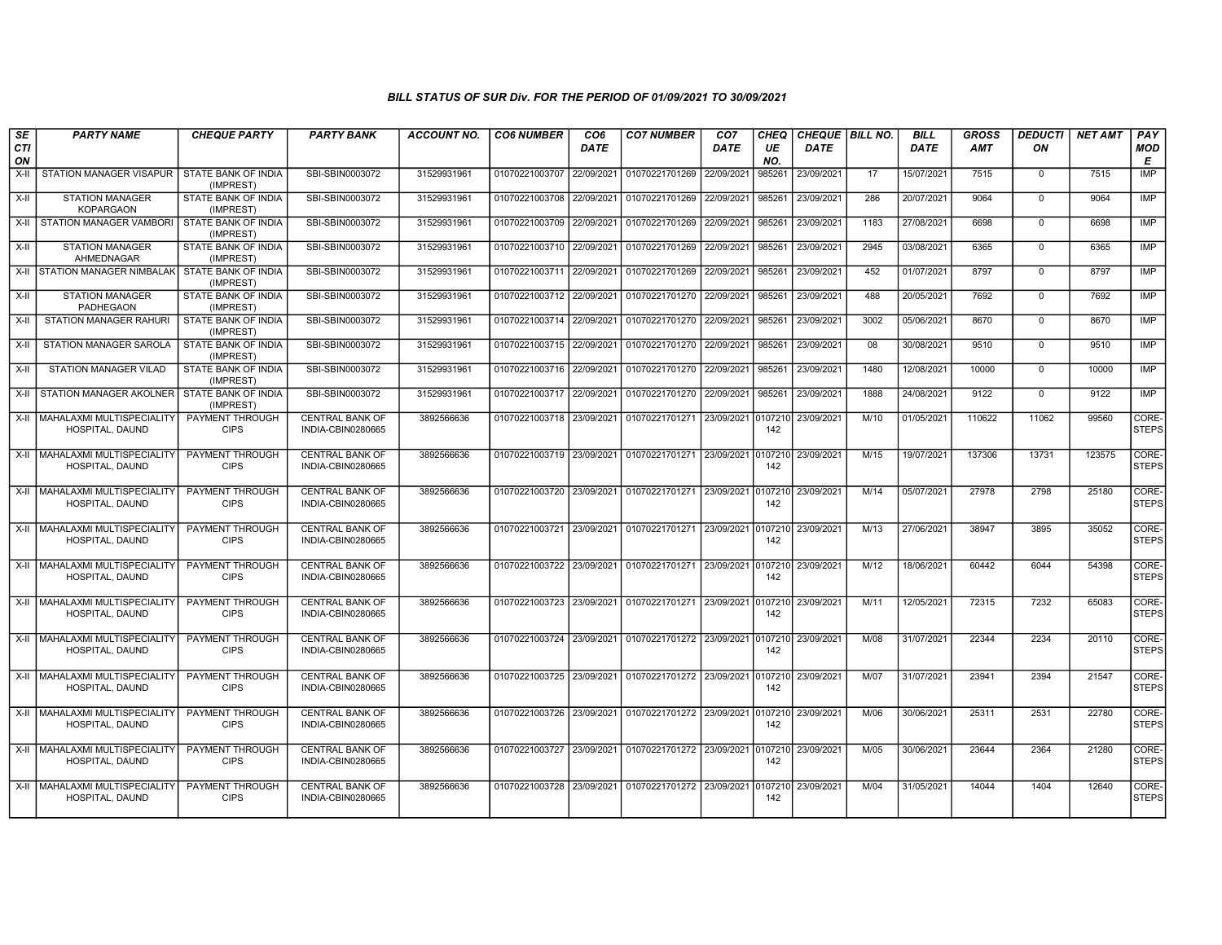| SE<br>CTI | <b>PARTY NAME</b>                                   | <b>CHEQUE PARTY</b>                     | <b>PARTY BANK</b>                           | ACCOUNT NO. | <b>CO6 NUMBER</b>         | CO <sub>6</sub><br><b>DATE</b> | <b>CO7 NUMBER</b>                 | CO <sub>7</sub><br>DATE | CHEQ<br>UE     | CHEQUE   BILL NO.<br><b>DATE</b> |      | <b>BILL</b><br><b>DATE</b> | <b>GROSS</b><br><b>AMT</b> | <b>DEDUCTI</b><br>ON | <b>NET AMT</b> | PAY<br><b>MOD</b>     |
|-----------|-----------------------------------------------------|-----------------------------------------|---------------------------------------------|-------------|---------------------------|--------------------------------|-----------------------------------|-------------------------|----------------|----------------------------------|------|----------------------------|----------------------------|----------------------|----------------|-----------------------|
| ON        |                                                     |                                         |                                             |             |                           |                                |                                   |                         | NO.            |                                  |      |                            |                            |                      |                | Е                     |
| X-II      | <b>STATION MANAGER VISAPUR</b>                      | STATE BANK OF INDIA<br>(IMPREST)        | SBI-SBIN0003072                             | 31529931961 | 01070221003707            | 22/09/2021                     | 01070221701269                    | 22/09/2021              | 985261         | 23/09/2021                       | 17   | 15/07/2021                 | 7515                       | $\mathbf 0$          | 7515           | <b>IMP</b>            |
| X-II      | <b>STATION MANAGER</b><br><b>KOPARGAON</b>          | STATE BANK OF INDIA<br>(IMPREST)        | SBI-SBIN0003072                             | 31529931961 | 01070221003708            | 22/09/2021                     | 01070221701269 22/09/2021         |                         | 985261         | 23/09/2021                       | 286  | 20/07/2021                 | 9064                       | $\mathbf 0$          | 9064           | IMP                   |
| X-II      | STATION MANAGER VAMBORI                             | STATE BANK OF INDIA<br>(IMPREST)        | SBI-SBIN0003072                             | 31529931961 | 01070221003709            | 22/09/2021                     | 01070221701269                    | 22/09/2021              | 985261         | 23/09/2021                       | 1183 | 27/08/2021                 | 6698                       | $\mathbf 0$          | 6698           | IMP                   |
| X-II      | <b>STATION MANAGER</b><br>AHMEDNAGAR                | STATE BANK OF INDIA<br>(IMPREST)        | SBI-SBIN0003072                             | 31529931961 | 01070221003710 22/09/2021 |                                | 01070221701269 22/09/2021         |                         | 985261         | 23/09/2021                       | 2945 | 03/08/2021                 | 6365                       | $\mathbf 0$          | 6365           | <b>IMP</b>            |
|           | X-II STATION MANAGER NIMBALAK STATE BANK OF INDIA   | (IMPREST)                               | SBI-SBIN0003072                             | 31529931961 | 01070221003711            | 22/09/2021                     | 01070221701269                    | 22/09/2021              | 985261         | 23/09/2021                       | 452  | 01/07/2021                 | 8797                       | 0                    | 8797           | IMP                   |
| $X-H$     | <b>STATION MANAGER</b><br>PADHEGAON                 | STATE BANK OF INDIA<br>(IMPREST)        | SBI-SBIN0003072                             | 31529931961 | 01070221003712            | 22/09/2021                     | 01070221701270 22/09/2021         |                         | 985261         | 23/09/2021                       | 488  | 20/05/2021                 | 7692                       | $\mathbf 0$          | 7692           | IMP                   |
| X-II      | STATION MANAGER RAHURI                              | STATE BANK OF INDIA<br>(IMPREST)        | SBI-SBIN0003072                             | 31529931961 | 01070221003714 22/09/2021 |                                | 01070221701270 22/09/2021         |                         | 985261         | 23/09/2021                       | 3002 | 05/06/2021                 | 8670                       | $\mathbf 0$          | 8670           | IMP                   |
| X-II      | <b>STATION MANAGER SAROLA</b>                       | STATE BANK OF INDIA<br>(IMPREST)        | SBI-SBIN0003072                             | 31529931961 | 01070221003715 22/09/2021 |                                | 01070221701270 22/09/2021         |                         | 985261         | 23/09/2021                       | 08   | 30/08/2021                 | 9510                       | $\mathbf 0$          | 9510           | IMP                   |
| X-II      | STATION MANAGER VILAD                               | STATE BANK OF INDIA<br>(IMPREST)        | SBI-SBIN0003072                             | 31529931961 | 01070221003716 22/09/2021 |                                | 01070221701270 22/09/2021         |                         | 985261         | 23/09/2021                       | 1480 | 12/08/2021                 | 10000                      | $\Omega$             | 10000          | IMP                   |
| X-II      | STATION MANAGER AKOLNER                             | <b>STATE BANK OF INDIA</b><br>(IMPREST) | SBI-SBIN0003072                             | 31529931961 | 01070221003717 22/09/2021 |                                | 01070221701270 22/09/2021         |                         | 985261         | 23/09/2021                       | 1888 | 24/08/2021                 | 9122                       | $\mathbf 0$          | 9122           | <b>IMP</b>            |
|           | X-II   MAHALAXMI MULTISPECIALITY<br>HOSPITAL, DAUND | PAYMENT THROUGH<br><b>CIPS</b>          | <b>CENTRAL BANK OF</b><br>INDIA-CBIN0280665 | 3892566636  | 01070221003718 23/09/2021 |                                | 01070221701271 23/09/2021         |                         | 0107210<br>142 | 23/09/2021                       | M/10 | 01/05/2021                 | 110622                     | 11062                | 99560          | CORE-<br><b>STEPS</b> |
|           | X-II   MAHALAXMI MULTISPECIALITY<br>HOSPITAL, DAUND | PAYMENT THROUGH<br><b>CIPS</b>          | <b>CENTRAL BANK OF</b><br>INDIA-CBIN0280665 | 3892566636  | 01070221003719 23/09/2021 |                                | 01070221701271 23/09/2021         |                         | 0107210<br>142 | 23/09/2021                       | M/15 | 19/07/2021                 | 137306                     | 13731                | 123575         | CORE-<br><b>STEPS</b> |
|           | X-II MAHALAXMI MULTISPECIALITY<br>HOSPITAL, DAUND   | PAYMENT THROUGH<br><b>CIPS</b>          | <b>CENTRAL BANK OF</b><br>INDIA-CBIN0280665 | 3892566636  | 01070221003720 23/09/2021 |                                | 01070221701271 23/09/2021 0107210 |                         | 142            | 23/09/2021                       | M/14 | 05/07/2021                 | 27978                      | 2798                 | 25180          | CORE-<br><b>STEPS</b> |
|           | X-II MAHALAXMI MULTISPECIALITY<br>HOSPITAL, DAUND   | PAYMENT THROUGH<br><b>CIPS</b>          | <b>CENTRAL BANK OF</b><br>INDIA-CBIN0280665 | 3892566636  | 01070221003721 23/09/2021 |                                | 01070221701271 23/09/2021         |                         | 0107210<br>142 | 23/09/2021                       | M/13 | 27/06/2021                 | 38947                      | 3895                 | 35052          | CORE-<br><b>STEPS</b> |
|           | X-II   MAHALAXMI MULTISPECIALITY<br>HOSPITAL, DAUND | <b>PAYMENT THROUGH</b><br><b>CIPS</b>   | <b>CENTRAL BANK OF</b><br>INDIA-CBIN0280665 | 3892566636  | 01070221003722 23/09/2021 |                                | 01070221701271 23/09/2021 0107210 |                         | 142            | 23/09/2021                       | M/12 | 18/06/2021                 | 60442                      | 6044                 | 54398          | CORE-<br><b>STEPS</b> |
|           | X-II   MAHALAXMI MULTISPECIALITY<br>HOSPITAL, DAUND | PAYMENT THROUGH<br><b>CIPS</b>          | <b>CENTRAL BANK OF</b><br>INDIA-CBIN0280665 | 3892566636  | 01070221003723 23/09/2021 |                                | 01070221701271 23/09/2021 0107210 |                         | 142            | 23/09/2021                       | M/11 | 12/05/2021                 | 72315                      | 7232                 | 65083          | CORE-<br><b>STEPS</b> |
|           | X-II   MAHALAXMI MULTISPECIALITY<br>HOSPITAL, DAUND | PAYMENT THROUGH<br><b>CIPS</b>          | <b>CENTRAL BANK OF</b><br>INDIA-CBIN0280665 | 3892566636  | 01070221003724 23/09/2021 |                                | 01070221701272 23/09/2021         |                         | 0107210<br>142 | 23/09/2021                       | M/08 | 31/07/2021                 | 22344                      | 2234                 | 20110          | CORE-<br><b>STEPS</b> |
|           | X-II   MAHALAXMI MULTISPECIALITY<br>HOSPITAL, DAUND | <b>PAYMENT THROUGH</b><br><b>CIPS</b>   | CENTRAL BANK OF<br>INDIA-CBIN0280665        | 3892566636  | 01070221003725 23/09/2021 |                                | 01070221701272 23/09/2021         |                         | 0107210<br>142 | 23/09/2021                       | M/07 | 31/07/2021                 | 23941                      | 2394                 | 21547          | CORE-<br><b>STEPS</b> |
|           | X-II   MAHALAXMI MULTISPECIALITY<br>HOSPITAL, DAUND | PAYMENT THROUGH<br><b>CIPS</b>          | <b>CENTRAL BANK OF</b><br>INDIA-CBIN0280665 | 3892566636  | 01070221003726 23/09/2021 |                                | 01070221701272 23/09/2021         |                         | 0107210<br>142 | 23/09/2021                       | M/06 | 30/06/2021                 | 25311                      | 2531                 | 22780          | CORE-<br><b>STEPS</b> |
|           | X-II   MAHALAXMI MULTISPECIALITY<br>HOSPITAL, DAUND | PAYMENT THROUGH<br><b>CIPS</b>          | <b>CENTRAL BANK OF</b><br>INDIA-CBIN0280665 | 3892566636  | 01070221003727 23/09/2021 |                                | 01070221701272 23/09/2021         |                         | 0107210<br>142 | 23/09/2021                       | M/05 | 30/06/2021                 | 23644                      | 2364                 | 21280          | CORE-<br><b>STEPS</b> |
|           | X-II   MAHALAXMI MULTISPECIALITY<br>HOSPITAL, DAUND | PAYMENT THROUGH<br><b>CIPS</b>          | <b>CENTRAL BANK OF</b><br>INDIA-CBIN0280665 | 3892566636  | 01070221003728            | 23/09/2021                     | 01070221701272 23/09/2021         |                         | 010721<br>142  | 23/09/2021                       | M/04 | 31/05/2021                 | 14044                      | 1404                 | 12640          | CORE-<br><b>STEPS</b> |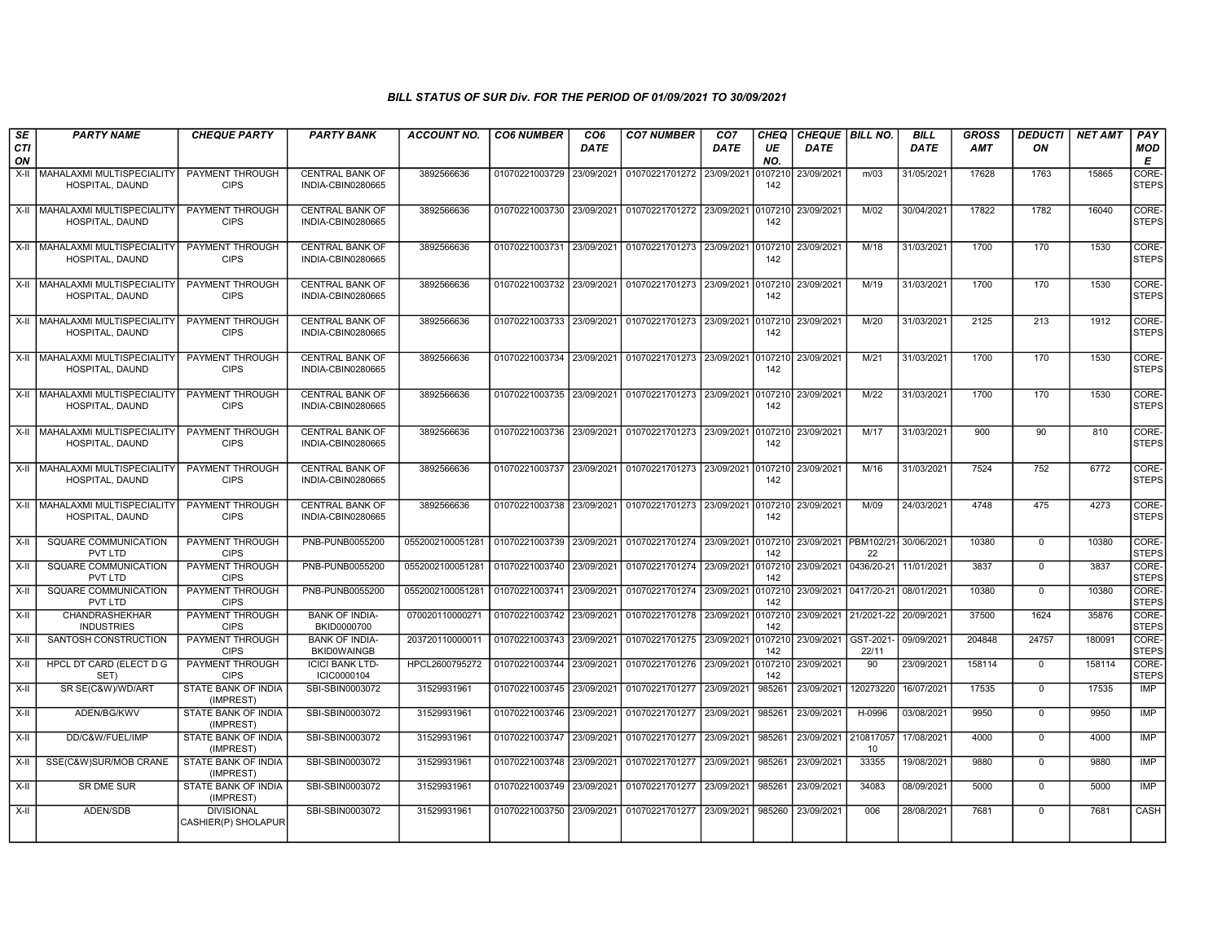| <b>SE</b>     | <b>PARTY NAME</b>                                      | <b>CHEQUE PARTY</b>                                      | <b>PARTY BANK</b>                                        | <b>ACCOUNT NO.</b>                         | <b>CO6 NUMBER</b>                                      | CO <sub>6</sub>          | <b>CO7 NUMBER</b>                                           | CO <sub>7</sub> | CHEQ                    | CHEQUE BILL NO.          |                                       | <b>BILL</b>              | <b>GROSS</b>     | <b>DEDUCTI</b>       | <b>NET AMT</b>   | PAY                            |
|---------------|--------------------------------------------------------|----------------------------------------------------------|----------------------------------------------------------|--------------------------------------------|--------------------------------------------------------|--------------------------|-------------------------------------------------------------|-----------------|-------------------------|--------------------------|---------------------------------------|--------------------------|------------------|----------------------|------------------|--------------------------------|
| CTI<br>ON     |                                                        |                                                          |                                                          |                                            |                                                        | <b>DATE</b>              |                                                             | DATE            | UE<br>NO.               | DATE                     |                                       | <b>DATE</b>              | <b>AMT</b>       | ON                   |                  | <b>MOD</b><br>Е                |
| $X-H$         | MAHALAXMI MULTISPECIALITY<br>HOSPITAL, DAUND           | <b>PAYMENT THROUGH</b><br><b>CIPS</b>                    | <b>CENTRAL BANK OF</b><br>INDIA-CBIN0280665              | 3892566636                                 | 01070221003729                                         | 23/09/2021               | 01070221701272 23/09/2021                                   |                 | 010721<br>142           | 23/09/2021               | m/03                                  | 31/05/2021               | 17628            | 1763                 | 15865            | CORE-<br><b>STEPS</b>          |
| $X-H$         | MAHALAXMI MULTISPECIALITY<br>HOSPITAL, DAUND           | PAYMENT THROUGH<br><b>CIPS</b>                           | <b>CENTRAL BANK OF</b><br>INDIA-CBIN0280665              | 3892566636                                 | 01070221003730                                         |                          | 23/09/2021 01070221701272 23/09/2021                        |                 | 010721<br>142           | 23/09/2021               | M/02                                  | 30/04/2021               | 17822            | 1782                 | 16040            | CORE-<br><b>STEPS</b>          |
| $X-H$         | MAHALAXMI MULTISPECIALITY<br>HOSPITAL, DAUND           | PAYMENT THROUGH<br><b>CIPS</b>                           | <b>CENTRAL BANK OF</b><br>INDIA-CBIN0280665              | 3892566636                                 | 01070221003731 23/09/2021                              |                          | 01070221701273 23/09/2021                                   |                 | 0107210<br>142          | 23/09/2021               | M/18                                  | 31/03/2021               | 1700             | 170                  | 1530             | CORE-<br><b>STEPS</b>          |
|               | X-II MAHALAXMI MULTISPECIALITY<br>HOSPITAL, DAUND      | <b>PAYMENT THROUGH</b><br><b>CIPS</b>                    | <b>CENTRAL BANK OF</b><br>INDIA-CBIN0280665              | 3892566636                                 | 01070221003732 23/09/2021                              |                          | 01070221701273 23/09/2021 0107210                           |                 | 142                     | 23/09/2021               | M/19                                  | 31/03/2021               | 1700             | 170                  | 1530             | CORE-<br><b>STEPS</b>          |
| $X-H$         | MAHALAXMI MULTISPECIALITY<br>HOSPITAL, DAUND           | PAYMENT THROUGH<br><b>CIPS</b>                           | <b>CENTRAL BANK OF</b><br>INDIA-CBIN0280665              | 3892566636                                 | 01070221003733                                         | 23/09/2021               | 01070221701273 23/09/2021                                   |                 | 0107210<br>142          | 23/09/2021               | M/20                                  | 31/03/2021               | 2125             | 213                  | 1912             | CORE-<br><b>STEPS</b>          |
| $X-II$        | MAHALAXMI MULTISPECIALITY<br>HOSPITAL, DAUND           | PAYMENT THROUGH<br><b>CIPS</b>                           | <b>CENTRAL BANK OF</b><br>INDIA-CBIN0280665              | 3892566636                                 |                                                        |                          | 01070221003734 23/09/2021 01070221701273 23/09/2021 010721  |                 | 142                     | 23/09/2021               | M/21                                  | 31/03/2021               | 1700             | 170                  | 1530             | CORE-<br><b>STEPS</b>          |
| X-II          | MAHALAXMI MULTISPECIALITY<br>HOSPITAL, DAUND           | <b>PAYMENT THROUGH</b><br><b>CIPS</b>                    | <b>CENTRAL BANK OF</b><br>INDIA-CBIN0280665              | 3892566636                                 |                                                        |                          | 01070221003735 23/09/2021 01070221701273 23/09/2021         |                 | 0107210<br>142          | 23/09/2021               | M/22                                  | 31/03/2021               | 1700             | 170                  | 1530             | CORE-<br><b>STEPS</b>          |
|               | X-II MAHALAXMI MULTISPECIALITY<br>HOSPITAL, DAUND      | PAYMENT THROUGH<br><b>CIPS</b>                           | <b>CENTRAL BANK OF</b><br>INDIA-CBIN0280665              | 3892566636                                 |                                                        |                          | 01070221003736 23/09/2021 01070221701273 23/09/2021 0107210 |                 | 142                     | 23/09/2021               | M/17                                  | 31/03/2021               | 900              | 90                   | 810              | CORE-<br><b>STEPS</b>          |
| $X-II$        | MAHALAXMI MULTISPECIALITY<br>HOSPITAL, DAUND           | PAYMENT THROUGH<br><b>CIPS</b>                           | <b>CENTRAL BANK OF</b><br>INDIA-CBIN0280665              | 3892566636                                 |                                                        |                          | 01070221003737 23/09/2021 01070221701273 23/09/2021         |                 | 0107210<br>142          | 23/09/2021               | M/16                                  | 31/03/2021               | 7524             | 752                  | 6772             | CORE-<br><b>STEPS</b>          |
| $X-H$         | MAHALAXMI MULTISPECIALITY<br>HOSPITAL, DAUND           | <b>PAYMENT THROUGH</b><br><b>CIPS</b>                    | <b>CENTRAL BANK OF</b><br>INDIA-CBIN0280665              | 3892566636                                 |                                                        |                          | 01070221003738 23/09/2021 01070221701273 23/09/2021 0107210 |                 | 142                     | 23/09/2021               | M/09                                  | 24/03/2021               | 4748             | 475                  | 4273             | CORE-<br><b>STEPS</b>          |
| $X-II$        | <b>SQUARE COMMUNICATION</b><br>PVT LTD                 | <b>PAYMENT THROUGH</b><br><b>CIPS</b>                    | PNB-PUNB0055200                                          | 0552002100051281 01070221003739 23/09/2021 |                                                        |                          | 01070221701274 23/09/2021 0107210                           |                 | 142                     |                          | 23/09/2021 PBM102/21 30/06/2021<br>22 |                          | 10380            | $\overline{0}$       | 10380            | CORE-<br><b>STEPS</b>          |
| $X-II$        | <b>SQUARE COMMUNICATION</b><br>PVT LTD                 | <b>PAYMENT THROUGH</b><br><b>CIPS</b>                    | PNB-PUNB0055200                                          | 0552002100051281                           | 01070221003740 23/09/2021                              |                          | 01070221701274 23/09/2021                                   |                 | 0107210<br>142          |                          | 23/09/2021 0436/20-21 11/01/2021      |                          | 3837             | $\mathbf 0$          | 3837             | CORE-<br><b>STEPS</b>          |
| $X-II$        | <b>SQUARE COMMUNICATION</b><br>PVT LTD                 | PAYMENT THROUGH<br><b>CIPS</b>                           | PNB-PUNB0055200                                          | 0552002100051281                           | 01070221003741 23/09/2021                              |                          | 01070221701274 23/09/2021                                   |                 | 0107210<br>142          |                          | 23/09/2021 0417/20-21                 | 08/01/2021               | 10380            | $\mathbf 0$          | 10380            | CORE-<br><b>STEPS</b>          |
| X-II          | CHANDRASHEKHAR<br><b>INDUSTRIES</b>                    | PAYMENT THROUGH<br><b>CIPS</b>                           | <b>BANK OF INDIA-</b><br>BKID0000700                     | 070020110000271                            | 01070221003742 23/09/2021                              |                          | 01070221701278 23/09/2021                                   |                 | 010721<br>142           | 23/09/2021               | 21/2021-22 20/09/2021                 |                          | 37500            | 1624                 | 35876            | CORE-<br><b>STEPS</b>          |
| X-II          | SANTOSH CONSTRUCTION<br><b>HPCL DT CARD (ELECT D G</b> | PAYMENT THROUGH<br><b>CIPS</b><br><b>PAYMENT THROUGH</b> | <b>BANK OF INDIA-</b><br><b>BKID0WAINGB</b>              | 203720110000011                            | 01070221003743 23/09/2021                              |                          | 01070221701275 23/09/2021                                   |                 | 0107210<br>142          | 23/09/2021<br>23/09/2021 | GST-2021-<br>22/11<br>90              | 09/09/2021<br>23/09/2021 | 204848<br>158114 | 24757<br>$\mathbf 0$ | 180091<br>158114 | CORE-<br><b>STEPS</b><br>CORE- |
| X-II<br>$X-H$ | SET)<br>SR SE(C&W)/WD/ART                              | <b>CIPS</b><br><b>STATE BANK OF INDIA</b>                | <b>ICICI BANK LTD-</b><br>ICIC0000104<br>SBI-SBIN0003072 | HPCL2600795272<br>31529931961              | 01070221003744<br>01070221003745                       | 23/09/2021<br>23/09/2021 | 01070221701276 23/09/2021<br>01070221701277                 | 23/09/2021      | 010721<br>142<br>985261 | 23/09/2021               | 120273220                             | 16/07/2021               | 17535            | $\overline{0}$       | 17535            | <b>STEPS</b><br>IMP            |
| $X-II$        | ADEN/BG/KWV                                            | (IMPREST)<br>STATE BANK OF INDIA                         | SBI-SBIN0003072                                          | 31529931961                                | 01070221003746                                         | 23/09/2021               | 01070221701277 23/09/2021                                   |                 | 985261                  | 23/09/2021               | H-0996                                | 03/08/2021               | 9950             | $\overline{0}$       | 9950             | IMP                            |
|               | DD/C&W/FUEL/IMP                                        | (IMPREST)<br><b>STATE BANK OF INDIA</b>                  |                                                          |                                            |                                                        |                          |                                                             |                 |                         |                          | 210817057                             | 17/08/2021               | 4000             | $\mathbf 0$          | 4000             | <b>IMP</b>                     |
| X-II<br>X-II  | SSE(C&W)SUR/MOB CRANE                                  | (IMPREST)<br>STATE BANK OF INDIA                         | SBI-SBIN0003072<br>SBI-SBIN0003072                       | 31529931961<br>31529931961                 | 01070221003747 23/09/2021<br>01070221003748 23/09/2021 |                          | 01070221701277 23/09/2021<br>01070221701277 23/09/2021      |                 | 985261<br>985261        | 23/09/2021<br>23/09/2021 | 10<br>33355                           | 19/08/2021               | 9880             | $\overline{0}$       | 9880             | IMP                            |
| $X-H$         | <b>SR DME SUR</b>                                      | (IMPREST)<br>STATE BANK OF INDIA                         | SBI-SBIN0003072                                          | 31529931961                                | 01070221003749 23/09/2021                              |                          | 01070221701277 23/09/2021                                   |                 | 985261                  | 23/09/2021               | 34083                                 | 08/09/2021               | 5000             | $\overline{0}$       | 5000             | IMP                            |
| X-II          | ADEN/SDB                                               | (IMPREST)<br><b>DIVISIONAL</b>                           | SBI-SBIN0003072                                          | 31529931961                                | 01070221003750 23/09/2021                              |                          | 01070221701277 23/09/2021                                   |                 | 985260                  | 23/09/2021               | 006                                   | 28/08/2021               | 7681             | $\mathbf 0$          | 7681             | CASH                           |
|               |                                                        | CASHIER(P) SHOLAPUR                                      |                                                          |                                            |                                                        |                          |                                                             |                 |                         |                          |                                       |                          |                  |                      |                  |                                |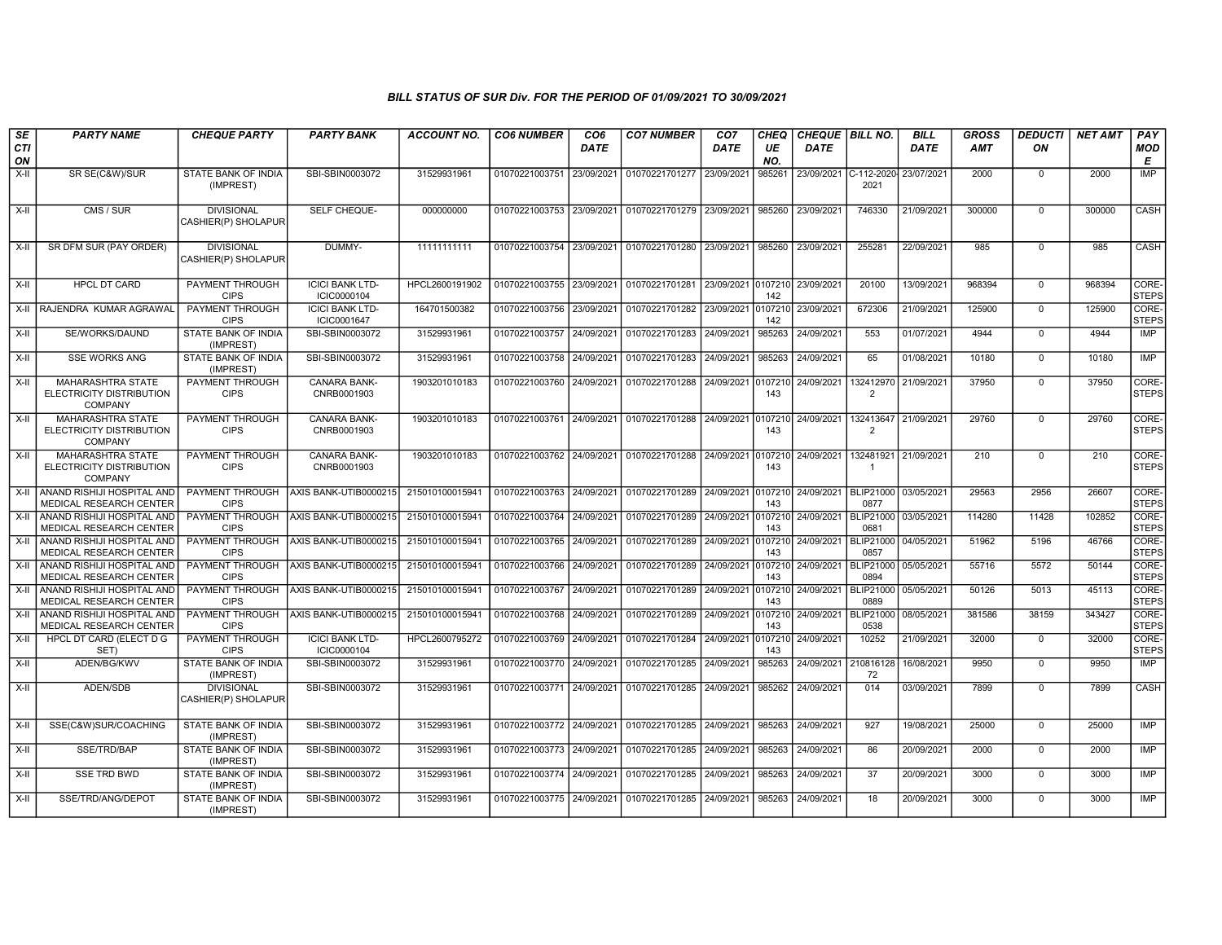| SE               | <b>PARTY NAME</b>                                                      | <b>CHEQUE PARTY</b>                      | <b>PARTY BANK</b>                     | <b>ACCOUNT NO.</b> | <b>CO6 NUMBER</b>         | CO <sub>6</sub> | <b>CO7 NUMBER</b>                 | CO <sub>7</sub> | CHEQ           | CHEQUE BILL NO. |                                        | <b>BILL</b> | <b>GROSS</b> | <b>DEDUCTI</b> | <b>NET AMT</b> | PAY                   |
|------------------|------------------------------------------------------------------------|------------------------------------------|---------------------------------------|--------------------|---------------------------|-----------------|-----------------------------------|-----------------|----------------|-----------------|----------------------------------------|-------------|--------------|----------------|----------------|-----------------------|
| <b>CTI</b><br>ON |                                                                        |                                          |                                       |                    |                           | <b>DATE</b>     |                                   | DATE            | UE<br>NO.      | DATE            |                                        | <b>DATE</b> | <b>AMT</b>   | ON             |                | MOD<br>E              |
| $X-H$            | SR SE(C&W)/SUR                                                         | STATE BANK OF INDIA<br>(IMPREST)         | SBI-SBIN0003072                       | 31529931961        | 01070221003751            | 23/09/2021      | 01070221701277                    | 23/09/2021      | 985261         | 23/09/2021      | C-112-2020<br>2021                     | 23/07/2021  | 2000         | $\mathbf 0$    | 2000           | <b>IMP</b>            |
| $X-II$           | CMS / SUR                                                              | <b>DIVISIONAL</b><br>CASHIER(P) SHOLAPUR | SELF CHEQUE-                          | 000000000          | 01070221003753            | 23/09/2021      | 01070221701279 23/09/2021         |                 | 985260         | 23/09/2021      | 746330                                 | 21/09/2021  | 300000       | $\Omega$       | 300000         | CASH                  |
| $X-II$           | SR DFM SUR (PAY ORDER)                                                 | <b>DIVISIONAL</b><br>CASHIER(P) SHOLAPUR | DUMMY-                                | 11111111111        | 01070221003754            | 23/09/2021      | 01070221701280                    | 23/09/2021      | 985260         | 23/09/2021      | 255281                                 | 22/09/2021  | 985          | $\Omega$       | 985            | CASH                  |
| X-II             | <b>HPCL DT CARD</b>                                                    | PAYMENT THROUGH<br><b>CIPS</b>           | <b>ICICI BANK LTD-</b><br>ICIC0000104 | HPCL2600191902     | 01070221003755 23/09/2021 |                 | 01070221701281 23/09/2021         |                 | 0107210<br>142 | 23/09/2021      | 20100                                  | 13/09/2021  | 968394       | $\mathbf 0$    | 968394         | CORE-<br><b>STEPS</b> |
| X-II             | RAJENDRA KUMAR AGRAWAL                                                 | PAYMENT THROUGH<br><b>CIPS</b>           | <b>ICICI BANK LTD-</b><br>ICIC0001647 | 164701500382       | 01070221003756            | 23/09/2021      | 01070221701282                    | 23/09/2021      | 0107210<br>142 | 23/09/2021      | 672306                                 | 21/09/2021  | 125900       | $\mathbf 0$    | 125900         | CORE-<br>STEPS        |
| X-II             | SE/WORKS/DAUND                                                         | STATE BANK OF INDIA<br>(IMPREST)         | SBI-SBIN0003072                       | 31529931961        | 01070221003757            | 24/09/2021      | 01070221701283                    | 24/09/2021      | 985263         | 24/09/2021      | 553                                    | 01/07/2021  | 4944         | $\mathbf 0$    | 4944           | IMP                   |
| $X-H$            | <b>SSE WORKS ANG</b>                                                   | <b>STATE BANK OF INDIA</b><br>(IMPREST)  | SBI-SBIN0003072                       | 31529931961        | 01070221003758 24/09/2021 |                 | 01070221701283 24/09/2021         |                 | 985263         | 24/09/2021      | 65                                     | 01/08/2021  | 10180        | $\Omega$       | 10180          | IMP                   |
| $X-H$            | <b>MAHARASHTRA STATE</b><br>ELECTRICITY DISTRIBUTION<br><b>COMPANY</b> | PAYMENT THROUGH<br><b>CIPS</b>           | <b>CANARA BANK-</b><br>CNRB0001903    | 1903201010183      | 01070221003760 24/09/2021 |                 | 01070221701288 24/09/2021         |                 | 0107210<br>143 | 24/09/2021      | 132412970<br>$\overline{2}$            | 21/09/2021  | 37950        | $\overline{0}$ | 37950          | CORE-<br><b>STEPS</b> |
| $X-H$            | <b>MAHARASHTRA STATE</b><br>ELECTRICITY DISTRIBUTION<br><b>COMPANY</b> | PAYMENT THROUGH<br><b>CIPS</b>           | <b>CANARA BANK-</b><br>CNRB0001903    | 1903201010183      | 01070221003761 24/09/2021 |                 | 01070221701288 24/09/2021 0107210 |                 | 143            | 24/09/2021      | 132413647 21/09/2021<br>2              |             | 29760        | $\overline{0}$ | 29760          | CORE-<br><b>STEPS</b> |
| X-II             | <b>MAHARASHTRA STATE</b><br>ELECTRICITY DISTRIBUTION<br><b>COMPANY</b> | PAYMENT THROUGH<br><b>CIPS</b>           | <b>CANARA BANK-</b><br>CNRB0001903    | 1903201010183      | 01070221003762 24/09/2021 |                 | 01070221701288 24/09/2021 0107210 |                 | 143            | 24/09/2021      | 132481921 21/09/2021<br>$\overline{1}$ |             | 210          | $\mathbf 0$    | 210            | CORE-<br><b>STEPS</b> |
| $X-H$            | ANAND RISHIJI HOSPITAL AND<br>MEDICAL RESEARCH CENTER                  | <b>CIPS</b>                              | PAYMENT THROUGH AXIS BANK-UTIB0000215 | 215010100015941    | 01070221003763 24/09/2021 |                 | 01070221701289 24/09/2021 0107210 |                 | 143            | 24/09/2021      | <b>BLIP21000</b><br>0877               | 03/05/2021  | 29563        | 2956           | 26607          | CORE-<br><b>STEPS</b> |
| X-II             | ANAND RISHIJI HOSPITAL AND<br>MEDICAL RESEARCH CENTER                  | PAYMENT THROUGH<br><b>CIPS</b>           | AXIS BANK-UTIB0000215                 | 215010100015941    | 01070221003764            | 24/09/2021      | 01070221701289 24/09/2021 0107210 |                 | 143            | 24/09/2021      | <b>BLIP21000</b><br>0681               | 03/05/2021  | 114280       | 11428          | 102852         | CORE-<br><b>STEPS</b> |
| $X-II$           | ANAND RISHIJI HOSPITAL AND<br>MEDICAL RESEARCH CENTER                  | <b>PAYMENT THROUGH</b><br><b>CIPS</b>    | AXIS BANK-UTIB0000215                 | 215010100015941    | 01070221003765            | 24/09/2021      | 01070221701289 24/09/2021         |                 | 0107210<br>143 | 24/09/2021      | BLIP21000<br>0857                      | 04/05/2021  | 51962        | 5196           | 46766          | CORE-<br><b>STEPS</b> |
| X-II             | ANAND RISHIJI HOSPITAL AND<br>MEDICAL RESEARCH CENTER                  | PAYMENT THROUGH<br><b>CIPS</b>           | AXIS BANK-UTIB0000215                 | 215010100015941    | 01070221003766 24/09/2021 |                 | 01070221701289 24/09/2021         |                 | 0107210<br>143 | 24/09/2021      | BLIP21000<br>0894                      | 05/05/2021  | 55716        | 5572           | 50144          | CORE-<br><b>STEPS</b> |
| X-II             | ANAND RISHIJI HOSPITAL AND<br>MEDICAL RESEARCH CENTER                  | <b>PAYMENT THROUGH</b><br><b>CIPS</b>    | AXIS BANK-UTIB0000215                 | 215010100015941    | 01070221003767 24/09/2021 |                 | 01070221701289 24/09/2021 010721  |                 | 143            | 24/09/2021      | BLIP21000<br>0889                      | 05/05/2021  | 50126        | 5013           | 45113          | CORE-<br><b>STEPS</b> |
| $X-H$            | ANAND RISHIJI HOSPITAL AND<br>MEDICAL RESEARCH CENTER                  | PAYMENT THROUGH<br><b>CIPS</b>           | AXIS BANK-UTIB0000215                 | 215010100015941    | 01070221003768            | 24/09/2021      | 01070221701289                    | 24/09/2021      | 0107210<br>143 | 24/09/2021      | <b>BLIP21000</b><br>0538               | 08/05/2021  | 381586       | 38159          | 343427         | CORE-<br><b>STEPS</b> |
| X-II             | HPCL DT CARD (ELECT D G<br>SET)                                        | PAYMENT THROUGH<br><b>CIPS</b>           | <b>ICICI BANK LTD-</b><br>ICIC0000104 | HPCL2600795272     | 01070221003769 24/09/2021 |                 | 01070221701284 24/09/2021         |                 | 0107210<br>143 | 24/09/2021      | 10252                                  | 21/09/2021  | 32000        | $\Omega$       | 32000          | CORE-<br><b>STEPS</b> |
| $X-II$           | ADEN/BG/KWV                                                            | <b>STATE BANK OF INDIA</b><br>(IMPREST)  | SBI-SBIN0003072                       | 31529931961        | 01070221003770 24/09/2021 |                 | 01070221701285 24/09/2021         |                 | 985263         | 24/09/2021      | 210816128<br>72                        | 16/08/2021  | 9950         | $\mathbf 0$    | 9950           | IMP                   |
| X-II             | ADEN/SDB                                                               | <b>DIVISIONAL</b><br>CASHIER(P) SHOLAPUR | SBI-SBIN0003072                       | 31529931961        | 01070221003771 24/09/2021 |                 | 01070221701285 24/09/2021         |                 | 985262         | 24/09/2021      | 014                                    | 03/09/2021  | 7899         | $\mathbf 0$    | 7899           | <b>CASH</b>           |
| X-II             | SSE(C&W)SUR/COACHING                                                   | STATE BANK OF INDIA<br>(IMPREST)         | SBI-SBIN0003072                       | 31529931961        | 01070221003772 24/09/2021 |                 | 01070221701285 24/09/2021         |                 | 985263         | 24/09/2021      | 927                                    | 19/08/2021  | 25000        | $\mathbf 0$    | 25000          | <b>IMP</b>            |
| $X-H$            | SSE/TRD/BAP                                                            | <b>STATE BANK OF INDIA</b><br>(IMPREST)  | SBI-SBIN0003072                       | 31529931961        | 01070221003773            | 24/09/2021      | 01070221701285 24/09/2021         |                 | 985263         | 24/09/2021      | 86                                     | 20/09/2021  | 2000         | $\mathbf 0$    | 2000           | IMP                   |
| X-II             | <b>SSE TRD BWD</b>                                                     | STATE BANK OF INDIA<br>(IMPREST)         | SBI-SBIN0003072                       | 31529931961        | 01070221003774 24/09/2021 |                 | 01070221701285 24/09/2021         |                 | 985263         | 24/09/2021      | 37                                     | 20/09/2021  | 3000         | $\mathbf 0$    | 3000           | <b>IMP</b>            |
| X-II             | SSE/TRD/ANG/DEPOT                                                      | STATE BANK OF INDIA<br>(IMPREST)         | SBI-SBIN0003072                       | 31529931961        | 01070221003775 24/09/2021 |                 | 01070221701285 24/09/2021         |                 | 985263         | 24/09/2021      | 18                                     | 20/09/2021  | 3000         | $\mathbf 0$    | 3000           | IMP                   |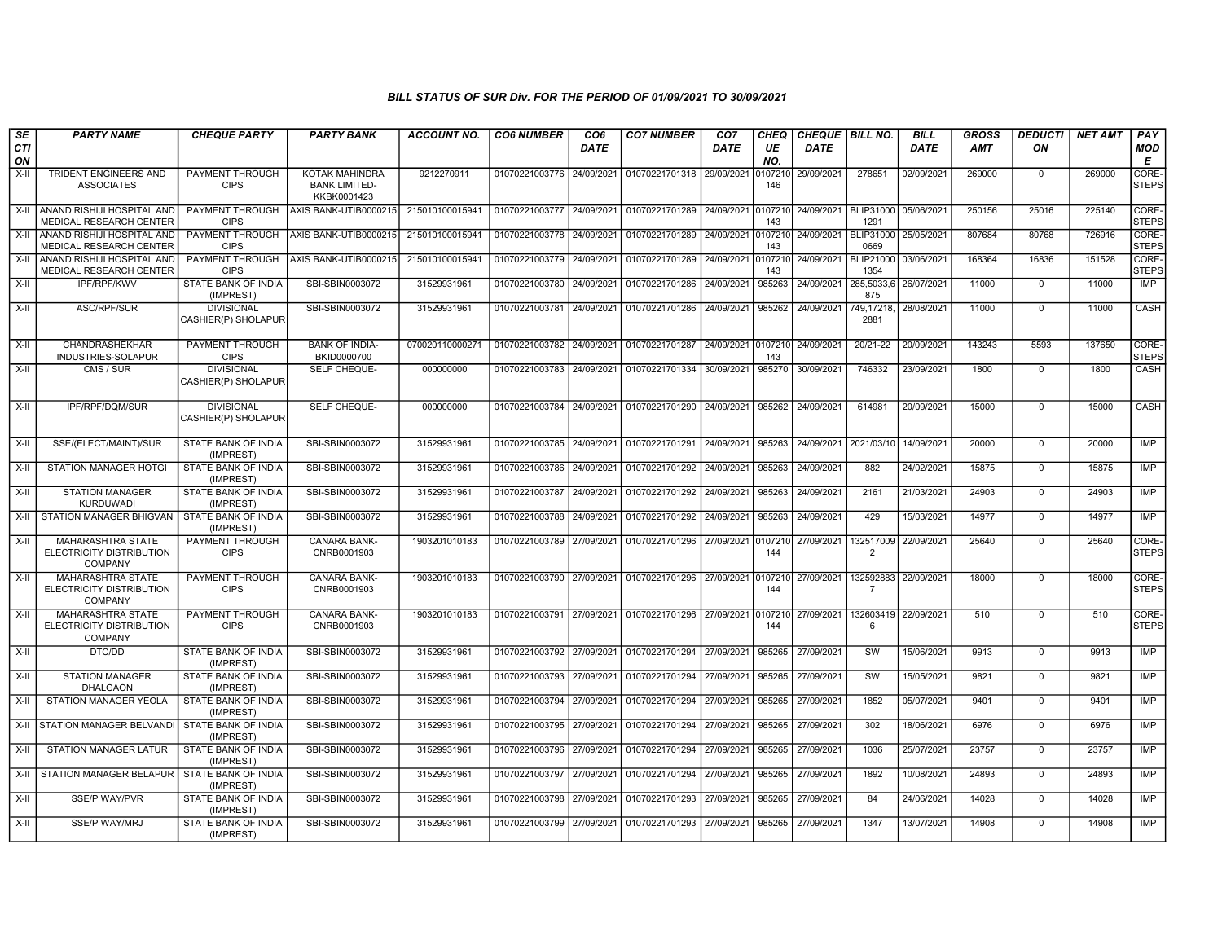| SE               | <b>PARTY NAME</b>                                                      | <b>CHEQUE PARTY</b>                      | <b>PARTY BANK</b>                                     | <b>ACCOUNT NO.</b> | <b>CO6 NUMBER</b>         | CO <sub>6</sub> | <b>CO7 NUMBER</b> | CO <sub>7</sub> | CHEQ           | CHEQUE BILL NO. |                              | <b>BILL</b> | <b>GROSS</b> | <b>DEDUCTI</b> | <b>NET AMT</b> | PAY                   |
|------------------|------------------------------------------------------------------------|------------------------------------------|-------------------------------------------------------|--------------------|---------------------------|-----------------|-------------------|-----------------|----------------|-----------------|------------------------------|-------------|--------------|----------------|----------------|-----------------------|
| <b>CTI</b><br>ON |                                                                        |                                          |                                                       |                    |                           | <b>DATE</b>     |                   | DATE            | UE<br>NO.      | DATE            |                              | <b>DATE</b> | <b>AMT</b>   | ON             |                | <b>MOD</b><br>Е       |
| X-II             | <b>TRIDENT ENGINEERS AND</b><br><b>ASSOCIATES</b>                      | PAYMENT THROUGH<br><b>CIPS</b>           | KOTAK MAHINDRA<br><b>BANK LIMITED-</b><br>KKBK0001423 | 9212270911         | 01070221003776            | 24/09/2021      | 01070221701318    | 29/09/2021      | 0107210<br>146 | 29/09/2021      | 278651                       | 02/09/2021  | 269000       | $^{\circ}$     | 269000         | CORE-<br><b>STEPS</b> |
| X-II             | ANAND RISHIJI HOSPITAL AND<br><b>MEDICAL RESEARCH CENTER</b>           | PAYMENT THROUGH<br><b>CIPS</b>           | AXIS BANK-UTIB0000215                                 | 215010100015941    | 01070221003777 24/09/2021 |                 | 01070221701289    | 24/09/2021      | 0107210<br>143 | 24/09/2021      | <b>BLIP31000</b><br>1291     | 05/06/2021  | 250156       | 25016          | 225140         | CORE-<br>STEPS        |
| X-II             | ANAND RISHIJI HOSPITAL AND<br>MEDICAL RESEARCH CENTER                  | PAYMENT THROUGH<br><b>CIPS</b>           | AXIS BANK-UTIB0000215                                 | 215010100015941    | 01070221003778            | 24/09/2021      | 01070221701289    | 24/09/2021      | 0107210<br>143 | 24/09/2021      | <b>BLIP31000</b><br>0669     | 25/05/2021  | 807684       | 80768          | 726916         | CORE-<br><b>STEPS</b> |
| X-II             | ANAND RISHIJI HOSPITAL AND<br>MEDICAL RESEARCH CENTER                  | PAYMENT THROUGH<br><b>CIPS</b>           | AXIS BANK-UTIB0000215                                 | 215010100015941    | 01070221003779 24/09/2021 |                 | 01070221701289    | 24/09/2021      | 0107210<br>143 | 24/09/2021      | BLIP21000 03/06/2021<br>1354 |             | 168364       | 16836          | 151528         | CORE-<br><b>STEPS</b> |
| X-II             | IPF/RPF/KWV                                                            | STATE BANK OF INDIA<br>(IMPREST)         | SBI-SBIN0003072                                       | 31529931961        | 01070221003780            | 24/09/2021      | 01070221701286    | 24/09/2021      | 985263         | 24/09/2021      | 285,5033,6<br>875            | 26/07/2021  | 11000        | $\mathbf 0$    | 11000          | IMP                   |
| X-II             | ASC/RPF/SUR                                                            | <b>DIVISIONAL</b><br>CASHIER(P) SHOLAPUR | SBI-SBIN0003072                                       | 31529931961        | 01070221003781            | 24/09/2021      | 01070221701286    | 24/09/2021      | 985262         | 24/09/2021      | 749,17218,<br>2881           | 28/08/2021  | 11000        | $\Omega$       | 11000          | CASH                  |
| X-II             | CHANDRASHEKHAR<br>INDUSTRIES-SOLAPUR                                   | PAYMENT THROUGH<br><b>CIPS</b>           | <b>BANK OF INDIA-</b><br>BKID0000700                  | 070020110000271    | 01070221003782            | 24/09/2021      | 01070221701287    | 24/09/2021      | 0107210<br>143 | 24/09/2021      | 20/21-22                     | 20/09/2021  | 143243       | 5593           | 137650         | CORE-<br><b>STEPS</b> |
| X-II             | CMS / SUR                                                              | <b>DIVISIONAL</b><br>CASHIER(P) SHOLAPUR | SELF CHEQUE-                                          | 000000000          | 01070221003783            | 24/09/2021      | 01070221701334    | 30/09/2021      | 985270         | 30/09/2021      | 746332                       | 23/09/2021  | 1800         | $\mathbf 0$    | 1800           | CASH                  |
| X-II             | IPF/RPF/DQM/SUR                                                        | <b>DIVISIONAL</b><br>CASHIER(P) SHOLAPUR | SELF CHEQUE-                                          | 000000000          | 01070221003784            | 24/09/2021      | 01070221701290    | 24/09/2021      | 985262         | 24/09/2021      | 614981                       | 20/09/2021  | 15000        | $\Omega$       | 15000          | CASH                  |
| X-II             | SSE/(ELECT/MAINT)/SUR                                                  | STATE BANK OF INDIA<br>(IMPREST)         | SBI-SBIN0003072                                       | 31529931961        | 01070221003785            | 24/09/2021      | 01070221701291    | 24/09/2021      | 985263         | 24/09/2021      | 2021/03/10                   | 14/09/2021  | 20000        | $\mathbf 0$    | 20000          | IMP                   |
| X-II             | <b>STATION MANAGER HOTGI</b>                                           | STATE BANK OF INDIA<br>(IMPREST)         | SBI-SBIN0003072                                       | 31529931961        | 01070221003786            | 24/09/2021      | 01070221701292    | 24/09/2021      | 985263         | 24/09/2021      | 882                          | 24/02/2021  | 15875        | $\mathbf 0$    | 15875          | IMP                   |
| $X-II$           | <b>STATION MANAGER</b><br><b>KURDUWADI</b>                             | STATE BANK OF INDIA<br>(IMPREST)         | SBI-SBIN0003072                                       | 31529931961        | 01070221003787            | 24/09/2021      | 01070221701292    | 24/09/2021      | 985263         | 24/09/2021      | 2161                         | 21/03/2021  | 24903        | $\mathbf 0$    | 24903          | IMP                   |
| X-II             | STATION MANAGER BHIGVAN                                                | STATE BANK OF INDIA<br>(IMPREST)         | SBI-SBIN0003072                                       | 31529931961        | 01070221003788            | 24/09/2021      | 01070221701292    | 24/09/2021      | 985263         | 24/09/2021      | 429                          | 15/03/2021  | 14977        | $\mathbf 0$    | 14977          | IMP                   |
| $X-H$            | MAHARASHTRA STATE<br>ELECTRICITY DISTRIBUTION<br><b>COMPANY</b>        | <b>PAYMENT THROUGH</b><br><b>CIPS</b>    | CANARA BANK-<br>CNRB0001903                           | 1903201010183      | 01070221003789            | 27/09/2021      | 01070221701296    | 27/09/2021      | 0107210<br>144 | 27/09/2021      | 132517009<br>$\overline{2}$  | 22/09/2021  | 25640        | $\mathbf 0$    | 25640          | CORE-<br><b>STEPS</b> |
| $X-H$            | <b>MAHARASHTRA STATE</b><br>ELECTRICITY DISTRIBUTION<br><b>COMPANY</b> | PAYMENT THROUGH<br><b>CIPS</b>           | <b>CANARA BANK-</b><br>CNRB0001903                    | 1903201010183      | 01070221003790            | 27/09/2021      | 01070221701296    | 27/09/2021      | 0107210<br>144 | 27/09/2021      | 132592883<br>$\overline{7}$  | 22/09/2021  | 18000        | $\Omega$       | 18000          | CORE-<br><b>STEPS</b> |
| $X-H$            | <b>MAHARASHTRA STATE</b><br>ELECTRICITY DISTRIBUTION<br><b>COMPANY</b> | PAYMENT THROUGH<br><b>CIPS</b>           | CANARA BANK-<br>CNRB0001903                           | 1903201010183      | 01070221003791            | 27/09/2021      | 01070221701296    | 27/09/2021      | 0107210<br>144 | 27/09/2021      | 132603419<br>6               | 22/09/2021  | 510          | $\Omega$       | 510            | CORE-<br><b>STEPS</b> |
| X-II             | DTC/DD                                                                 | STATE BANK OF INDIA<br>(IMPREST)         | SBI-SBIN0003072                                       | 31529931961        | 01070221003792 27/09/2021 |                 | 01070221701294    | 27/09/2021      | 985265         | 27/09/2021      | SW                           | 15/06/2021  | 9913         | $\mathbf 0$    | 9913           | <b>IMP</b>            |
| X-II             | <b>STATION MANAGER</b><br><b>DHALGAON</b>                              | <b>STATE BANK OF INDIA</b><br>(IMPREST)  | SBI-SBIN0003072                                       | 31529931961        | 01070221003793 27/09/2021 |                 | 01070221701294    | 27/09/2021      | 985265         | 27/09/2021      | SW                           | 15/05/2021  | 9821         | $\Omega$       | 9821           | IMP                   |
| X-II             | STATION MANAGER YEOLA                                                  | STATE BANK OF INDIA<br>(IMPREST)         | SBI-SBIN0003072                                       | 31529931961        | 01070221003794            | 27/09/2021      | 01070221701294    | 27/09/2021      | 985265         | 27/09/2021      | 1852                         | 05/07/2021  | 9401         | $\Omega$       | 9401           | IMP                   |
| X-II             | STATION MANAGER BELVANDI                                               | STATE BANK OF INDIA<br>(IMPREST)         | SBI-SBIN0003072                                       | 31529931961        | 01070221003795            | 27/09/2021      | 01070221701294    | 27/09/2021      | 985265         | 27/09/2021      | 302                          | 18/06/2021  | 6976         | $\overline{0}$ | 6976           | <b>IMP</b>            |
| X-II             | <b>STATION MANAGER LATUR</b>                                           | <b>STATE BANK OF INDIA</b><br>(IMPREST)  | SBI-SBIN0003072                                       | 31529931961        | 01070221003796            | 27/09/2021      | 01070221701294    | 27/09/2021      | 985265         | 27/09/2021      | 1036                         | 25/07/2021  | 23757        | $\mathbf 0$    | 23757          | <b>IMP</b>            |
| X-II             | STATION MANAGER BELAPUR                                                | STATE BANK OF INDIA<br>(IMPREST)         | SBI-SBIN0003072                                       | 31529931961        | 01070221003797            | 27/09/2021      | 01070221701294    | 27/09/2021      | 985265         | 27/09/2021      | 1892                         | 10/08/2021  | 24893        | $^{\circ}$     | 24893          | IMP                   |
| X-II             | <b>SSE/P WAY/PVR</b>                                                   | STATE BANK OF INDIA<br>(IMPREST)         | SBI-SBIN0003072                                       | 31529931961        | 01070221003798            | 27/09/2021      | 01070221701293    | 27/09/2021      | 985265         | 27/09/2021      | 84                           | 24/06/2021  | 14028        | $\mathbf 0$    | 14028          | <b>IMP</b>            |
| X-II             | <b>SSE/P WAY/MRJ</b>                                                   | STATE BANK OF INDIA<br>(IMPREST)         | SBI-SBIN0003072                                       | 31529931961        | 01070221003799            | 27/09/2021      | 01070221701293    | 27/09/2021      | 985265         | 27/09/2021      | 1347                         | 13/07/2021  | 14908        | $\mathbf 0$    | 14908          | IMP                   |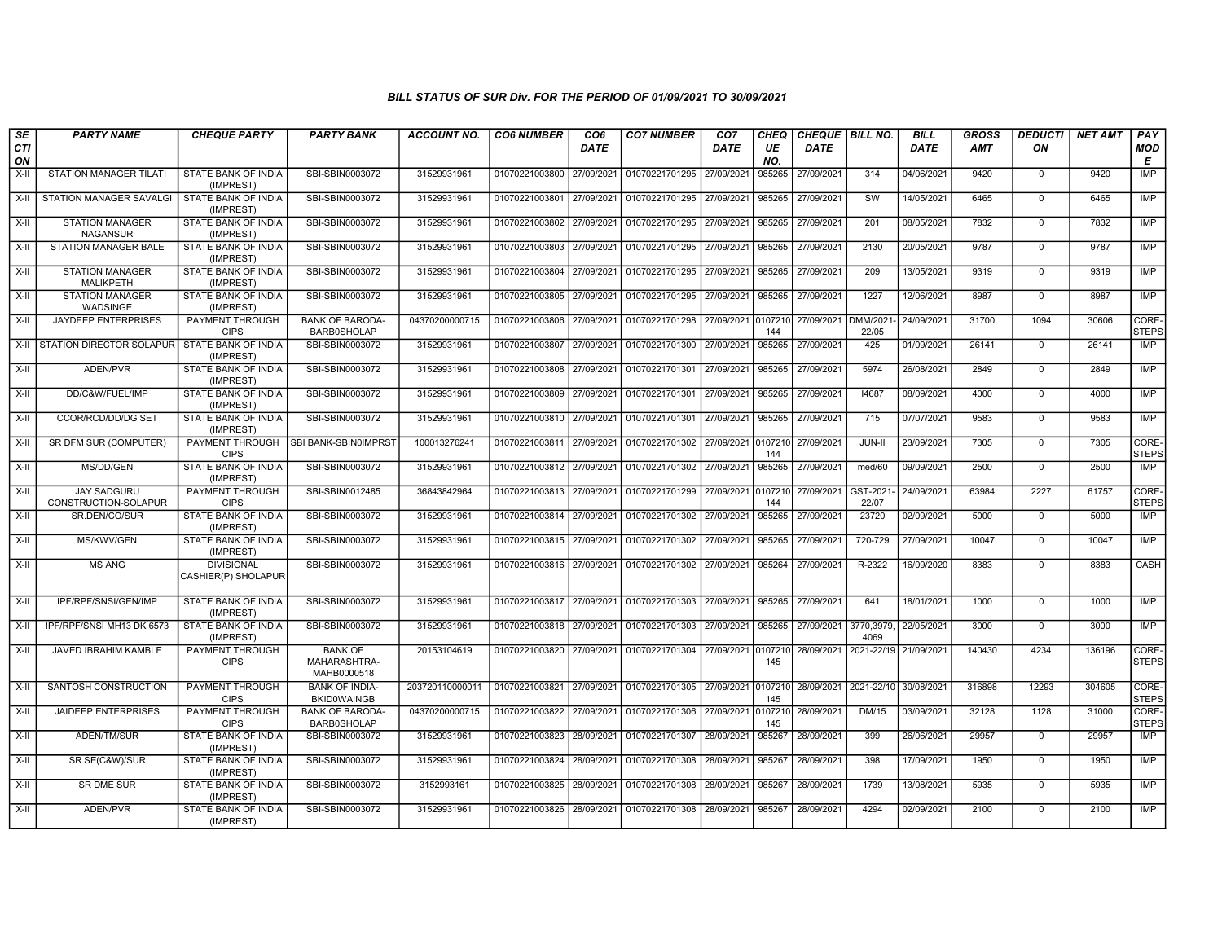| SE<br><b>CTI</b> | <b>PARTY NAME</b>                          | <b>CHEQUE PARTY</b>                      | <b>PARTY BANK</b>                             | <b>ACCOUNT NO.</b> | <b>CO6 NUMBER</b>         | CO <sub>6</sub><br><b>DATE</b> | <b>CO7 NUMBER</b>                 | CO <sub>7</sub><br><b>DATE</b> | CHEQ<br>UE     | CHEQUE   BILL NO.<br><b>DATE</b> |                        | <b>BILL</b><br><b>DATE</b> | <b>GROSS</b><br><b>AMT</b> | <b>DEDUCTI</b><br>ON | <b>NET AMT</b> | PAY<br><b>MOD</b>     |
|------------------|--------------------------------------------|------------------------------------------|-----------------------------------------------|--------------------|---------------------------|--------------------------------|-----------------------------------|--------------------------------|----------------|----------------------------------|------------------------|----------------------------|----------------------------|----------------------|----------------|-----------------------|
| ON<br>$X-II$     | STATION MANAGER TILATI                     | STATE BANK OF INDIA                      | SBI-SBIN0003072                               | 31529931961        | 01070221003800 27/09/2021 |                                | 01070221701295                    | 27/09/2021                     | NO.<br>985265  | 27/09/2021                       | 314                    | 04/06/2021                 | 9420                       | $\mathbf 0$          | 9420           | E<br><b>IMP</b>       |
|                  |                                            | (IMPREST)                                |                                               |                    |                           |                                |                                   |                                |                |                                  |                        |                            |                            |                      |                |                       |
| $X-H$            | <b>STATION MANAGER SAVALGI</b>             | <b>STATE BANK OF INDIA</b><br>(IMPREST)  | SBI-SBIN0003072                               | 31529931961        | 01070221003801 27/09/2021 |                                | 01070221701295                    | 27/09/2021                     | 985265         | 27/09/2021                       | $\overline{\text{sw}}$ | 14/05/2021                 | 6465                       | $\mathbf 0$          | 6465           | IMP                   |
| X-II             | <b>STATION MANAGER</b><br><b>NAGANSUR</b>  | STATE BANK OF INDIA<br>(IMPREST)         | SBI-SBIN0003072                               | 31529931961        | 01070221003802 27/09/2021 |                                | 01070221701295                    | 27/09/2021                     | 985265         | 27/09/2021                       | 201                    | 08/05/2021                 | 7832                       | $\Omega$             | 7832           | <b>IMP</b>            |
| $X-H$            | <b>STATION MANAGER BALE</b>                | <b>STATE BANK OF INDIA</b><br>(IMPREST)  | SBI-SBIN0003072                               | 31529931961        | 01070221003803 27/09/2021 |                                | 01070221701295                    | 27/09/2021                     | 985265         | 27/09/2021                       | 2130                   | 20/05/2021                 | 9787                       | $\mathbf 0$          | 9787           | <b>IMP</b>            |
| $X-H$            | <b>STATION MANAGER</b><br>MALIKPETH        | <b>STATE BANK OF INDIA</b><br>(IMPREST)  | SBI-SBIN0003072                               | 31529931961        | 01070221003804 27/09/2021 |                                | 01070221701295                    | 27/09/2021                     | 985265         | 27/09/2021                       | $\overline{209}$       | 13/05/2021                 | 9319                       | $\mathbf 0$          | 9319           | IMP                   |
| X-II             | <b>STATION MANAGER</b><br>WADSINGE         | STATE BANK OF INDIA<br>(IMPREST)         | SBI-SBIN0003072                               | 31529931961        | 01070221003805 27/09/2021 |                                | 01070221701295                    | 27/09/2021                     | 985265         | 27/09/2021                       | 1227                   | 12/06/2021                 | 8987                       | $\mathbf 0$          | 8987           | IMP                   |
| $X-H$            | <b>JAYDEEP ENTERPRISES</b>                 | PAYMENT THROUGH<br><b>CIPS</b>           | <b>BANK OF BARODA-</b><br><b>BARB0SHOLAP</b>  | 04370200000715     | 01070221003806 27/09/2021 |                                | 01070221701298                    | 27/09/2021                     | 0107210<br>144 | 27/09/2021                       | DMM/202<br>22/05       | 24/09/2021                 | 31700                      | 1094                 | 30606          | CORE-<br><b>STEPS</b> |
| X-II             | STATION DIRECTOR SOLAPUR                   | STATE BANK OF INDIA<br>(IMPREST)         | SBI-SBIN0003072                               | 31529931961        | 01070221003807            | 27/09/2021                     | 01070221701300                    | 27/09/2021                     | 985265         | 27/09/2021                       | 425                    | 01/09/2021                 | 26141                      | $\mathbf 0$          | 26141          | <b>IMP</b>            |
| $X-H$            | ADEN/PVR                                   | STATE BANK OF INDIA<br>(IMPREST)         | SBI-SBIN0003072                               | 31529931961        | 01070221003808 27/09/2021 |                                | 01070221701301                    | 27/09/2021                     | 985265         | 27/09/2021                       | 5974                   | 26/08/2021                 | 2849                       | $\mathbf 0$          | 2849           | <b>IMP</b>            |
| X-II             | DD/C&W/FUEL/IMP                            | STATE BANK OF INDIA<br>(IMPREST)         | SBI-SBIN0003072                               | 31529931961        | 01070221003809 27/09/2021 |                                | 01070221701301                    | 27/09/2021                     | 985265         | 27/09/2021                       | 14687                  | 08/09/2021                 | 4000                       | $\mathbf 0$          | 4000           | <b>IMP</b>            |
| X-II             | CCOR/RCD/DD/DG SET                         | STATE BANK OF INDIA<br>(IMPREST)         | SBI-SBIN0003072                               | 31529931961        | 01070221003810 27/09/2021 |                                | 01070221701301                    | 27/09/2021                     | 985265         | 27/09/2021                       | 715                    | 07/07/2021                 | 9583                       | $\mathbf 0$          | 9583           | IMP                   |
| X-II             | SR DFM SUR (COMPUTER)                      | PAYMENT THROUGH<br><b>CIPS</b>           | SBI BANK-SBIN0IMPRST                          | 100013276241       | 01070221003811 27/09/2021 |                                | 01070221701302                    | 27/09/2021                     | 0107210<br>144 | 27/09/2021                       | JUN-II                 | 23/09/2021                 | 7305                       | $\mathbf 0$          | 7305           | CORE-<br><b>STEPS</b> |
| X-II             | MS/DD/GEN                                  | STATE BANK OF INDIA<br>(IMPREST)         | SBI-SBIN0003072                               | 31529931961        | 01070221003812 27/09/2021 |                                | 01070221701302                    | 27/09/2021                     | 985265         | 27/09/2021                       | med/60                 | 09/09/2021                 | 2500                       | $\mathbf 0$          | 2500           | <b>IMP</b>            |
| $X-H$            | <b>JAY SADGURU</b><br>CONSTRUCTION-SOLAPUR | <b>PAYMENT THROUGH</b><br><b>CIPS</b>    | SBI-SBIN0012485                               | 36843842964        | 01070221003813 27/09/2021 |                                | 01070221701299                    | 27/09/2021                     | 0107210<br>144 | 27/09/2021                       | GST-2021<br>22/07      | 24/09/2021                 | 63984                      | 2227                 | 61757          | CORE-<br><b>STEPS</b> |
| X-II             | SR.DEN/CO/SUR                              | STATE BANK OF INDIA<br>(IMPREST)         | SBI-SBIN0003072                               | 31529931961        | 01070221003814 27/09/2021 |                                | 01070221701302                    | 27/09/2021                     | 985265         | 27/09/2021                       | 23720                  | 02/09/2021                 | 5000                       | $\mathbf 0$          | 5000           | <b>IMP</b>            |
| $X-II$           | MS/KWV/GEN                                 | STATE BANK OF INDIA<br>(IMPREST)         | SBI-SBIN0003072                               | 31529931961        | 01070221003815 27/09/2021 |                                | 01070221701302                    | 27/09/2021                     | 985265         | 27/09/2021                       | 720-729                | 27/09/2021                 | 10047                      | $\mathbf 0$          | 10047          | IMP                   |
| X-II             | <b>MS ANG</b>                              | <b>DIVISIONAL</b><br>CASHIER(P) SHOLAPUR | SBI-SBIN0003072                               | 31529931961        | 01070221003816 27/09/2021 |                                | 01070221701302                    | 27/09/2021                     | 985264         | 27/09/2021                       | R-2322                 | 16/09/2020                 | 8383                       | $\mathbf 0$          | 8383           | CASH                  |
| $X-II$           | IPF/RPF/SNSI/GEN/IMP                       | <b>STATE BANK OF INDIA</b><br>(IMPREST)  | SBI-SBIN0003072                               | 31529931961        | 01070221003817 27/09/2021 |                                | 01070221701303 27/09/2021         |                                | 985265         | 27/09/2021                       | 641                    | 18/01/2021                 | 1000                       | $\mathbf{0}$         | 1000           | IMP                   |
| $X-II$           | IPF/RPF/SNSI MH13 DK 6573                  | STATE BANK OF INDIA<br>(IMPREST)         | SBI-SBIN0003072                               | 31529931961        | 01070221003818 27/09/2021 |                                | 01070221701303                    | 27/09/2021                     | 985265         | 27/09/2021                       | 3770,3979<br>4069      | 22/05/2021                 | 3000                       | $\Omega$             | 3000           | IMP                   |
| $X-H$            | JAVED IBRAHIM KAMBLE                       | <b>PAYMENT THROUGH</b><br><b>CIPS</b>    | <b>BANK OF</b><br>MAHARASHTRA-<br>MAHB0000518 | 20153104619        | 01070221003820 27/09/2021 |                                | 01070221701304                    | 27/09/2021 0107210             | 145            |                                  | 28/09/2021 2021-22/19  | 21/09/2021                 | 140430                     | 4234                 | 136196         | CORE-<br><b>STEPS</b> |
| X-II             | SANTOSH CONSTRUCTION                       | PAYMENT THROUGH<br><b>CIPS</b>           | <b>BANK OF INDIA-</b><br><b>BKID0WAINGB</b>   | 203720110000011    | 01070221003821 27/09/2021 |                                | 01070221701305 27/09/2021 0107210 |                                | 145            |                                  | 28/09/2021 2021-22/10  | 30/08/2021                 | 316898                     | 12293                | 304605         | CORE-<br><b>STEPS</b> |
| $X-H$            | <b>JAIDEEP ENTERPRISES</b>                 | <b>PAYMENT THROUGH</b><br><b>CIPS</b>    | <b>BANK OF BARODA-</b><br><b>BARB0SHOLAP</b>  | 04370200000715     | 01070221003822 27/09/2021 |                                | 01070221701306                    | 27/09/2021                     | 0107210<br>145 | 28/09/2021                       | <b>DM/15</b>           | 03/09/2021                 | 32128                      | 1128                 | 31000          | CORE-<br><b>STEPS</b> |
| X-II             | ADEN/TM/SUR                                | <b>STATE BANK OF INDIA</b><br>(IMPREST)  | SBI-SBIN0003072                               | 31529931961        | 01070221003823 28/09/2021 |                                | 01070221701307                    | 28/09/2021                     | 985267         | 28/09/2021                       | 399                    | 26/06/2021                 | 29957                      | $\mathbf 0$          | 29957          | IMP                   |
| X-II             | SR SE(C&W)/SUR                             | STATE BANK OF INDIA<br>(IMPREST)         | SBI-SBIN0003072                               | 31529931961        | 01070221003824 28/09/2021 |                                | 01070221701308                    | 28/09/2021                     | 985267         | 28/09/2021                       | 398                    | 17/09/2021                 | 1950                       | $\mathbf 0$          | 1950           | IMP                   |
| X-II             | SR DME SUR                                 | STATE BANK OF INDIA<br>(IMPREST)         | SBI-SBIN0003072                               | 3152993161         | 01070221003825 28/09/2021 |                                | 01070221701308                    | 28/09/2021                     | 985267         | 28/09/2021                       | 1739                   | 13/08/2021                 | 5935                       | $\Omega$             | 5935           | IMP                   |
| X-II             | ADEN/PVR                                   | STATE BANK OF INDIA<br>(IMPREST)         | SBI-SBIN0003072                               | 31529931961        | 01070221003826 28/09/2021 |                                | 01070221701308                    | 28/09/2021                     | 985267         | 28/09/2021                       | 4294                   | 02/09/2021                 | 2100                       | $\Omega$             | 2100           | <b>IMP</b>            |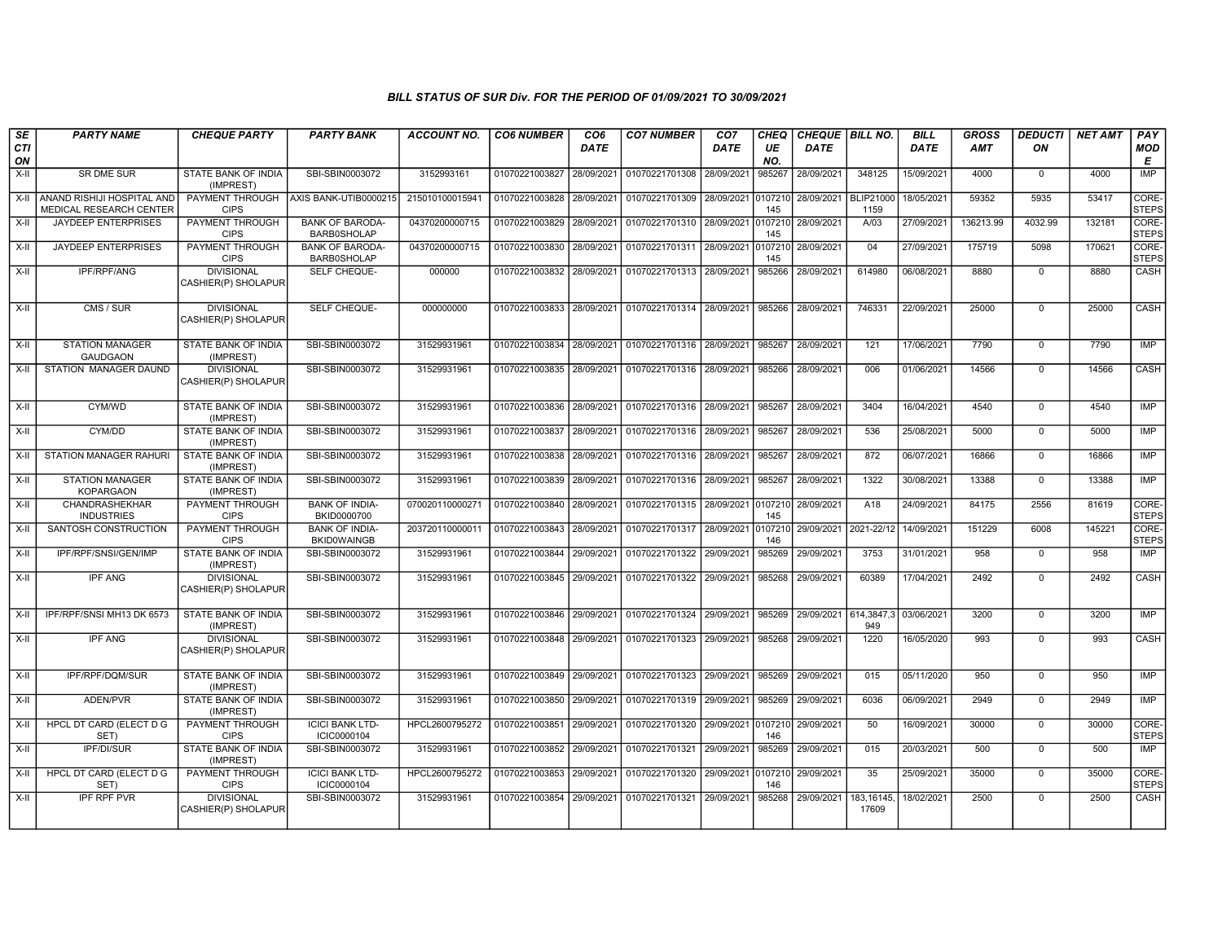| SE               | <b>PARTY NAME</b>                                     | <b>CHEQUE PARTY</b>                      | <b>PARTY BANK</b>                            | <b>ACCOUNT NO.</b> | <b>CO6 NUMBER</b>         | CO <sub>6</sub> | <b>CO7 NUMBER</b>                 | CO <sub>7</sub> | CHEQ           | CHEQUE   BILL NO.     |                          | <b>BILL</b> | <b>GROSS</b> | <b>DEDUCTI</b> | <b>NET AMT</b> | PAY                   |
|------------------|-------------------------------------------------------|------------------------------------------|----------------------------------------------|--------------------|---------------------------|-----------------|-----------------------------------|-----------------|----------------|-----------------------|--------------------------|-------------|--------------|----------------|----------------|-----------------------|
| <b>CTI</b><br>ON |                                                       |                                          |                                              |                    |                           | <b>DATE</b>     |                                   | DATE            | UE<br>NO.      | DATE                  |                          | <b>DATE</b> | <b>AMT</b>   | ΟN             |                | <b>MOD</b><br>E       |
| $X-H$            | <b>SR DME SUR</b>                                     | STATE BANK OF INDIA<br>(IMPREST)         | SBI-SBIN0003072                              | 3152993161         | 01070221003827            | 28/09/2021      | 01070221701308 28/09/2021         |                 | 985267         | 28/09/2021            | 348125                   | 15/09/2021  | 4000         | $\mathbf 0$    | 4000           | <b>IMP</b>            |
| $X-H$            | ANAND RISHIJI HOSPITAL AND<br>MEDICAL RESEARCH CENTER | <b>CIPS</b>                              | PAYMENT THROUGH AXIS BANK-UTIB0000215        | 215010100015941    | 01070221003828            | 28/09/2021      | 01070221701309 28/09/2021         |                 | 010721<br>145  | 28/09/2021            | <b>BLIP21000</b><br>1159 | 18/05/2021  | 59352        | 5935           | 53417          | CORE-<br><b>STEPS</b> |
| X-II             | JAYDEEP ENTERPRISES                                   | PAYMENT THROUGH<br><b>CIPS</b>           | <b>BANK OF BARODA-</b><br><b>BARB0SHOLAP</b> | 04370200000715     | 01070221003829            | 28/09/2021      | 01070221701310 28/09/2021         |                 | 010721<br>145  | 28/09/2021            | A/03                     | 27/09/202   | 136213.99    | 4032.99        | 132181         | CORE-<br><b>STEPS</b> |
| $X-II$           | <b>JAYDEEP ENTERPRISES</b>                            | PAYMENT THROUGH<br><b>CIPS</b>           | <b>BANK OF BARODA-</b><br><b>BARB0SHOLAP</b> | 04370200000715     | 01070221003830            | 28/09/2021      | 01070221701311 28/09/2021         |                 | 0107210<br>145 | 28/09/2021            | 04                       | 27/09/2021  | 175719       | 5098           | 170621         | CORE-<br><b>STEPS</b> |
| $X-H$            | IPF/RPF/ANG                                           | <b>DIVISIONAL</b><br>CASHIER(P) SHOLAPUR | SELF CHEQUE-                                 | 000000             | 01070221003832 28/09/2021 |                 | 01070221701313 28/09/2021         |                 | 985266         | 28/09/2021            | 614980                   | 06/08/2021  | 8880         | $\mathbf 0$    | 8880           | CASH                  |
| $X-II$           | CMS / SUR                                             | <b>DIVISIONAL</b><br>CASHIER(P) SHOLAPUR | SELF CHEQUE-                                 | 000000000          | 01070221003833            | 28/09/2021      | 01070221701314 28/09/2021         |                 | 985266         | 28/09/2021            | 746331                   | 22/09/2021  | 25000        | $\overline{0}$ | 25000          | CASH                  |
| X-II             | <b>STATION MANAGER</b><br><b>GAUDGAON</b>             | STATE BANK OF INDIA<br>(IMPREST)         | SBI-SBIN0003072                              | 31529931961        | 01070221003834            | 28/09/2021      | 01070221701316 28/09/2021         |                 | 985267         | 28/09/2021            | 121                      | 17/06/2021  | 7790         | $\mathbf 0$    | 7790           | IMP                   |
| $X-II$           | STATION MANAGER DAUND                                 | <b>DIVISIONAL</b><br>CASHIER(P) SHOLAPUR | SBI-SBIN0003072                              | 31529931961        | 01070221003835            | 28/09/2021      | 01070221701316 28/09/2021         |                 | 985266         | 28/09/2021            | 006                      | 01/06/2021  | 14566        | $\Omega$       | 14566          | CASH                  |
| $X-H$            | CYM/WD                                                | <b>STATE BANK OF INDIA</b><br>(IMPREST)  | SBI-SBIN0003072                              | 31529931961        | 01070221003836 28/09/2021 |                 | 01070221701316 28/09/2021         |                 | 985267         | 28/09/2021            | 3404                     | 16/04/2021  | 4540         | $\mathbf 0$    | 4540           | IMP                   |
| X-II             | CYM/DD                                                | STATE BANK OF INDIA<br>(IMPREST)         | SBI-SBIN0003072                              | 31529931961        | 01070221003837 28/09/2021 |                 | 01070221701316 28/09/2021         |                 | 985267         | 28/09/2021            | 536                      | 25/08/2021  | 5000         | $\mathbf 0$    | 5000           | IMP                   |
| $X-H$            | STATION MANAGER RAHURI                                | STATE BANK OF INDIA<br>(IMPREST)         | SBI-SBIN0003072                              | 31529931961        | 01070221003838            | 28/09/2021      | 01070221701316 28/09/2021         |                 | 985267         | 28/09/2021            | 872                      | 06/07/2021  | 16866        | $\overline{0}$ | 16866          | IMP                   |
| X-II             | <b>STATION MANAGER</b><br><b>KOPARGAON</b>            | STATE BANK OF INDIA<br>(IMPREST)         | SBI-SBIN0003072                              | 31529931961        | 01070221003839            | 28/09/2021      | 01070221701316 28/09/2021         |                 | 985267         | 28/09/2021            | 1322                     | 30/08/2021  | 13388        | $\mathbf 0$    | 13388          | <b>IMP</b>            |
| X-II             | CHANDRASHEKHAR<br><b>INDUSTRIES</b>                   | PAYMENT THROUGH<br><b>CIPS</b>           | <b>BANK OF INDIA-</b><br>BKID0000700         | 07002011000027     | 01070221003840 28/09/2021 |                 | 01070221701315 28/09/2021 0107210 |                 | 145            | 28/09/2021            | A18                      | 24/09/2021  | 84175        | 2556           | 81619          | CORE-<br><b>STEPS</b> |
| $X-II$           | SANTOSH CONSTRUCTION                                  | PAYMENT THROUGH<br><b>CIPS</b>           | <b>BANK OF INDIA-</b><br><b>BKID0WAINGB</b>  | 203720110000011    | 01070221003843            | 28/09/2021      | 01070221701317 28/09/2021         |                 | 0107210<br>146 | 29/09/2021            | 2021-22/12               | 14/09/2021  | 151229       | 6008           | 145221         | CORE-<br><b>STEPS</b> |
| $X-II$           | IPF/RPF/SNSI/GEN/IMP                                  | STATE BANK OF INDIA<br>(IMPREST)         | SBI-SBIN0003072                              | 31529931961        | 01070221003844 29/09/2021 |                 | 01070221701322 29/09/2021         |                 | 985269         | 29/09/2021            | 3753                     | 31/01/2021  | 958          | $\mathbf 0$    | 958            | <b>IMP</b>            |
| $X-H$            | <b>IPF ANG</b>                                        | <b>DIVISIONAL</b><br>CASHIER(P) SHOLAPUR | SBI-SBIN0003072                              | 31529931961        | 01070221003845 29/09/2021 |                 | 01070221701322 29/09/2021         |                 | 985268         | 29/09/2021            | 60389                    | 17/04/2021  | 2492         | $\overline{0}$ | 2492           | CASH                  |
| $X-II$           | IPF/RPF/SNSI MH13 DK 6573                             | STATE BANK OF INDIA<br>(IMPREST)         | SBI-SBIN0003072                              | 31529931961        | 01070221003846 29/09/2021 |                 | 01070221701324 29/09/2021         |                 | 985269         | 29/09/2021 614,3847,3 | 949                      | 03/06/2021  | 3200         | $\overline{0}$ | 3200           | IMP                   |
| $X-II$           | <b>IPF ANG</b>                                        | <b>DIVISIONAL</b><br>CASHIER(P) SHOLAPUR | SBI-SBIN0003072                              | 31529931961        | 01070221003848 29/09/2021 |                 | 01070221701323 29/09/2021         |                 | 985268         | 29/09/2021            | 1220                     | 16/05/2020  | 993          | $\mathbf 0$    | 993            | CASH                  |
| $X-II$           | IPF/RPF/DQM/SUR                                       | STATE BANK OF INDIA<br>(IMPREST)         | SBI-SBIN0003072                              | 31529931961        | 01070221003849 29/09/2021 |                 | 01070221701323                    | 29/09/2021      | 985269         | 29/09/2021            | 015                      | 05/11/2020  | 950          | $\mathbf 0$    | 950            | IMP                   |
| $X-H$            | ADEN/PVR                                              | STATE BANK OF INDIA<br>(IMPREST)         | SBI-SBIN0003072                              | 31529931961        | 01070221003850            | 29/09/2021      | 01070221701319 29/09/2021         |                 | 985269         | 29/09/2021            | 6036                     | 06/09/2021  | 2949         | $\overline{0}$ | 2949           | IMP                   |
| X-II             | HPCL DT CARD (ELECT D G<br>SET)                       | PAYMENT THROUGH<br><b>CIPS</b>           | <b>ICICI BANK LTD-</b><br>ICIC0000104        | HPCL2600795272     | 01070221003851            | 29/09/2021      | 01070221701320 29/09/2021 0107210 |                 | 146            | 29/09/2021            | 50                       | 16/09/2021  | 30000        | $\mathbf 0$    | 30000          | CORE-<br><b>STEPS</b> |
| $X-H$            | <b>IPF/DI/SUR</b>                                     | STATE BANK OF INDIA<br>(IMPREST)         | SBI-SBIN0003072                              | 31529931961        | 01070221003852            | 29/09/2021      | 01070221701321 29/09/2021         |                 | 985269         | 29/09/2021            | 015                      | 20/03/2021  | 500          | $\overline{0}$ | 500            | IMP                   |
| X-II             | HPCL DT CARD (ELECT D G<br>SET)                       | PAYMENT THROUGH<br><b>CIPS</b>           | <b>ICICI BANK LTD-</b><br>ICIC0000104        | HPCL2600795272     | 01070221003853            | 29/09/2021      | 01070221701320 29/09/2021 0107210 |                 | 146            | 29/09/2021            | 35                       | 25/09/2021  | 35000        | $\mathbf 0$    | 35000          | CORE-<br><b>STEPS</b> |
| $X-II$           | <b>IPF RPF PVR</b>                                    | <b>DIVISIONAL</b><br>CASHIER(P) SHOLAPUR | SBI-SBIN0003072                              | 31529931961        | 01070221003854            | 29/09/2021      | 01070221701321                    | 29/09/2021      | 985268         | 29/09/2021            | 183,16145<br>17609       | 18/02/2021  | 2500         | $\Omega$       | 2500           | CASH                  |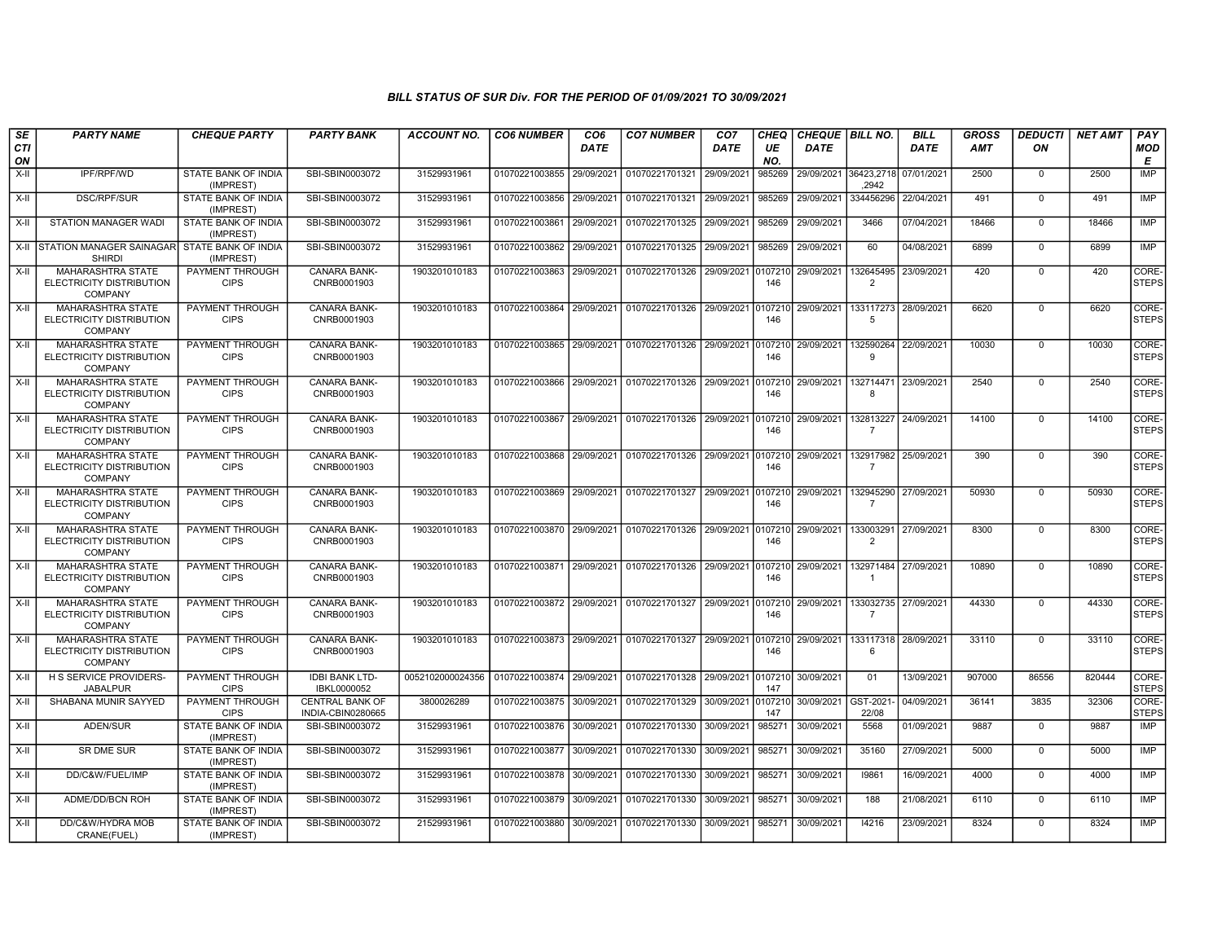| <b>SE</b><br>CTI<br>ON | <b>PARTY NAME</b>                                                      | <b>CHEQUE PARTY</b>                   | <b>PARTY BANK</b>                           | ACCOUNT NO.      | <b>CO6 NUMBER</b>         | CO <sub>6</sub><br><b>DATE</b> | <b>CO7 NUMBER</b>                                                                | CO <sub>7</sub><br>DATE | <b>CHEQ</b><br>UE<br>NO. | CHEQUE BILL NO.<br>DATE |                             | <b>BILL</b><br><b>DATE</b> | <b>GROSS</b><br>AMT | <b>DEDUCTI</b><br>OΝ | <b>NET AMT</b> | PAY<br><b>MOD</b><br>Е |
|------------------------|------------------------------------------------------------------------|---------------------------------------|---------------------------------------------|------------------|---------------------------|--------------------------------|----------------------------------------------------------------------------------|-------------------------|--------------------------|-------------------------|-----------------------------|----------------------------|---------------------|----------------------|----------------|------------------------|
| X-II                   | IPF/RPF/WD                                                             | STATE BANK OF INDIA<br>(IMPREST)      | SBI-SBIN0003072                             | 31529931961      | 01070221003855            | 29/09/2021                     | 01070221701321                                                                   | 29/09/2021              | 985269                   | 29/09/2021              | 36423.2718<br>.2942         | 07/01/2021                 | 2500                | $\mathbf 0$          | 2500           | IMP                    |
| X-II                   | <b>DSC/RPF/SUR</b>                                                     | STATE BANK OF INDIA<br>(IMPREST)      | SBI-SBIN0003072                             | 31529931961      | 01070221003856            | 29/09/2021                     | 01070221701321                                                                   | 29/09/2021              | 985269                   | 29/09/2021              | 334456296                   | 22/04/2021                 | 491                 | $\mathbf 0$          | 491            | IMP                    |
| X-II                   | STATION MANAGER WADI                                                   | STATE BANK OF INDIA<br>(IMPREST)      | SBI-SBIN0003072                             | 31529931961      | 01070221003861            | 29/09/2021                     | 01070221701325                                                                   | 29/09/2021              | 985269                   | 29/09/2021              | 3466                        | 07/04/2021                 | 18466               | $\Omega$             | 18466          | <b>IMP</b>             |
|                        | X-II STATION MANAGER SAINAGAR STATE BANK OF INDIA<br><b>SHIRDI</b>     | (IMPREST)                             | SBI-SBIN0003072                             | 31529931961      | 01070221003862            | 29/09/2021                     | 01070221701325 29/09/2021                                                        |                         | 985269                   | 29/09/2021              | 60                          | 04/08/2021                 | 6899                | $\Omega$             | 6899           | <b>IMP</b>             |
| X-II                   | <b>MAHARASHTRA STATE</b><br>ELECTRICITY DISTRIBUTION<br><b>COMPANY</b> | <b>PAYMENT THROUGH</b><br><b>CIPS</b> | CANARA BANK-<br>CNRB0001903                 | 1903201010183    | 01070221003863            | 29/09/2021                     | 01070221701326 29/09/2021 0107210                                                |                         | 146                      | 29/09/2021              | 132645495<br>$\overline{2}$ | 23/09/2021                 | 420                 | $\mathbf 0$          | 420            | CORE-<br><b>STEPS</b>  |
| X-II                   | <b>MAHARASHTRA STATE</b><br>ELECTRICITY DISTRIBUTION<br><b>COMPANY</b> | PAYMENT THROUGH<br><b>CIPS</b>        | CANARA BANK-<br>CNRB0001903                 | 1903201010183    |                           |                                | 01070221003864 29/09/2021 01070221701326 29/09/2021 0107210                      |                         | 146                      | 29/09/2021              | 133117273<br>5              | 28/09/2021                 | 6620                | $\Omega$             | 6620           | CORE-<br><b>STEPS</b>  |
| X-II                   | MAHARASHTRA STATE<br>ELECTRICITY DISTRIBUTION<br>COMPANY               | PAYMENT THROUGH<br><b>CIPS</b>        | CANARA BANK-<br>CNRB0001903                 | 1903201010183    | 01070221003865            | 29/09/2021                     | 01070221701326                                                                   | 29/09/2021              | 0107210<br>146           | 29/09/2021              | 132590264<br>۰Q             | 22/09/2021                 | 10030               | $^{\circ}$           | 10030          | CORE-<br><b>STEPS</b>  |
| X-II                   | <b>MAHARASHTRA STATE</b><br>ELECTRICITY DISTRIBUTION<br><b>COMPANY</b> | PAYMENT THROUGH<br><b>CIPS</b>        | <b>CANARA BANK-</b><br>CNRB0001903          | 1903201010183    | 01070221003866            | 29/09/2021                     | 01070221701326 29/09/2021                                                        |                         | 0107210<br>146           | 29/09/2021              | 132714471<br>-8             | 23/09/2021                 | 2540                | $\mathbf 0$          | 2540           | CORE-<br><b>STEPS</b>  |
| X-II                   | MAHARASHTRA STATE<br>ELECTRICITY DISTRIBUTION<br><b>COMPANY</b>        | PAYMENT THROUGH<br><b>CIPS</b>        | CANARA BANK-<br>CNRB0001903                 | 1903201010183    | 01070221003867            | 29/09/2021                     | 01070221701326 29/09/2021                                                        |                         | 0107210<br>146           | 29/09/2021              | 132813227<br>$\overline{7}$ | 24/09/2021                 | 14100               | $\Omega$             | 14100          | CORE-<br><b>STEPS</b>  |
| X-II                   | <b>MAHARASHTRA STATE</b><br>ELECTRICITY DISTRIBUTION<br><b>COMPANY</b> | PAYMENT THROUGH<br><b>CIPS</b>        | <b>CANARA BANK-</b><br>CNRB0001903          | 1903201010183    | 01070221003868            | 29/09/2021                     | 01070221701326 29/09/2021                                                        |                         | 0107210<br>146           | 29/09/2021              | 132917982<br>-7             | 25/09/2021                 | 390                 | $\Omega$             | 390            | CORE-<br><b>STEPS</b>  |
| X-II                   | <b>MAHARASHTRA STATE</b><br>ELECTRICITY DISTRIBUTION<br><b>COMPANY</b> | PAYMENT THROUGH<br><b>CIPS</b>        | <b>CANARA BANK-</b><br>CNRB0001903          | 1903201010183    |                           |                                | 01070221003869 29/09/2021 01070221701327 29/09/2021 0107210                      |                         | 146                      | 29/09/2021              | 132945290<br>$\overline{7}$ | 27/09/2021                 | 50930               | $\Omega$             | 50930          | CORE-<br><b>STEPS</b>  |
| X-II                   | <b>MAHARASHTRA STATE</b><br>ELECTRICITY DISTRIBUTION<br><b>COMPANY</b> | PAYMENT THROUGH<br><b>CIPS</b>        | <b>CANARA BANK-</b><br>CNRB0001903          | 1903201010183    |                           |                                | 01070221003870   29/09/2021   01070221701326   29/09/2021   0107210   29/09/2021 |                         | 146                      |                         | 133003291<br>$\overline{2}$ | 27/09/2021                 | 8300                | $\mathbf 0$          | 8300           | CORE-<br><b>STEPS</b>  |
| X-II                   | <b>MAHARASHTRA STATE</b><br>ELECTRICITY DISTRIBUTION<br><b>COMPANY</b> | PAYMENT THROUGH<br><b>CIPS</b>        | <b>CANARA BANK-</b><br>CNRB0001903          | 1903201010183    |                           |                                | 01070221003871 29/09/2021 01070221701326 29/09/2021 0107210 29/09/2021           |                         | 146                      |                         | 132971484<br>$\mathbf{1}$   | 27/09/2021                 | 10890               | $\Omega$             | 10890          | CORE-<br><b>STEPS</b>  |
| X-II                   | <b>MAHARASHTRA STATE</b><br>ELECTRICITY DISTRIBUTION<br><b>COMPANY</b> | PAYMENT THROUGH<br><b>CIPS</b>        | CANARA BANK-<br>CNRB0001903                 | 1903201010183    |                           |                                | 01070221003872 29/09/2021 01070221701327 29/09/2021 0107210                      |                         | 146                      | 29/09/2021              | 133032735<br>$\overline{7}$ | 27/09/2021                 | 44330               | $\Omega$             | 44330          | CORE-<br><b>STEPS</b>  |
| X-II                   | <b>MAHARASHTRA STATE</b><br>ELECTRICITY DISTRIBUTION<br><b>COMPANY</b> | PAYMENT THROUGH<br><b>CIPS</b>        | <b>CANARA BANK-</b><br>CNRB0001903          | 1903201010183    | 01070221003873 29/09/2021 |                                | 01070221701327 29/09/2021                                                        |                         | 0107210<br>146           | 29/09/2021              | 133117318<br>6              | 28/09/2021                 | 33110               | $\Omega$             | 33110          | CORE-<br><b>STEPS</b>  |
| X-II                   | H S SERVICE PROVIDERS-<br><b>JABALPUR</b>                              | PAYMENT THROUGH<br><b>CIPS</b>        | <b>IDBI BANK LTD-</b><br>IBKL0000052        | 0052102000024356 | 01070221003874 29/09/2021 |                                | 01070221701328 29/09/2021                                                        |                         | 0107210<br>147           | 30/09/2021              | 01                          | 13/09/2021                 | 907000              | 86556                | 820444         | CORE-<br><b>STEPS</b>  |
| X-II                   | SHABANA MUNIR SAYYED                                                   | PAYMENT THROUGH<br><b>CIPS</b>        | <b>CENTRAL BANK OF</b><br>INDIA-CBIN0280665 | 3800026289       | 01070221003875 30/09/2021 |                                | 01070221701329 30/09/2021                                                        |                         | 0107210<br>147           | 30/09/2021              | GST-2021<br>22/08           | 04/09/2021                 | 36141               | 3835                 | 32306          | CORE-<br><b>STEPS</b>  |
| X-II                   | ADEN/SUR                                                               | STATE BANK OF INDIA<br>(IMPREST)      | SBI-SBIN0003072                             | 31529931961      | 01070221003876 30/09/2021 |                                | 01070221701330                                                                   | 30/09/2021              | 985271                   | 30/09/2021              | 5568                        | 01/09/2021                 | 9887                | $\mathbf 0$          | 9887           | IMP                    |
| X-II                   | <b>SR DME SUR</b>                                                      | STATE BANK OF INDIA<br>(IMPREST)      | SBI-SBIN0003072                             | 31529931961      | 01070221003877            | 30/09/2021                     | 01070221701330                                                                   | 30/09/2021              | 985271                   | 30/09/2021              | 35160                       | 27/09/2021                 | 5000                | $\Omega$             | 5000           | IMP                    |
| X-II                   | DD/C&W/FUEL/IMP                                                        | STATE BANK OF INDIA<br>(IMPREST)      | SBI-SBIN0003072                             | 31529931961      | 01070221003878            | 30/09/2021                     | 01070221701330                                                                   | 30/09/2021              | 985271                   | 30/09/2021              | 19861                       | 16/09/2021                 | 4000                | $\mathbf 0$          | 4000           | <b>IMP</b>             |
| X-II                   | ADME/DD/BCN ROH                                                        | STATE BANK OF INDIA<br>(IMPREST)      | SBI-SBIN0003072                             | 31529931961      | 01070221003879            | 30/09/2021                     | 01070221701330                                                                   | 30/09/2021              | 985271                   | 30/09/2021              | 188                         | 21/08/2021                 | 6110                | $\Omega$             | 6110           | IMP                    |
| X-II                   | DD/C&W/HYDRA MOB<br>CRANE(FUEL)                                        | STATE BANK OF INDIA<br>(IMPREST)      | SBI-SBIN0003072                             | 21529931961      |                           |                                | 01070221003880 30/09/2021 01070221701330                                         | 30/09/2021              | 985271                   | 30/09/2021              | 14216                       | 23/09/2021                 | 8324                | $\Omega$             | 8324           | <b>IMP</b>             |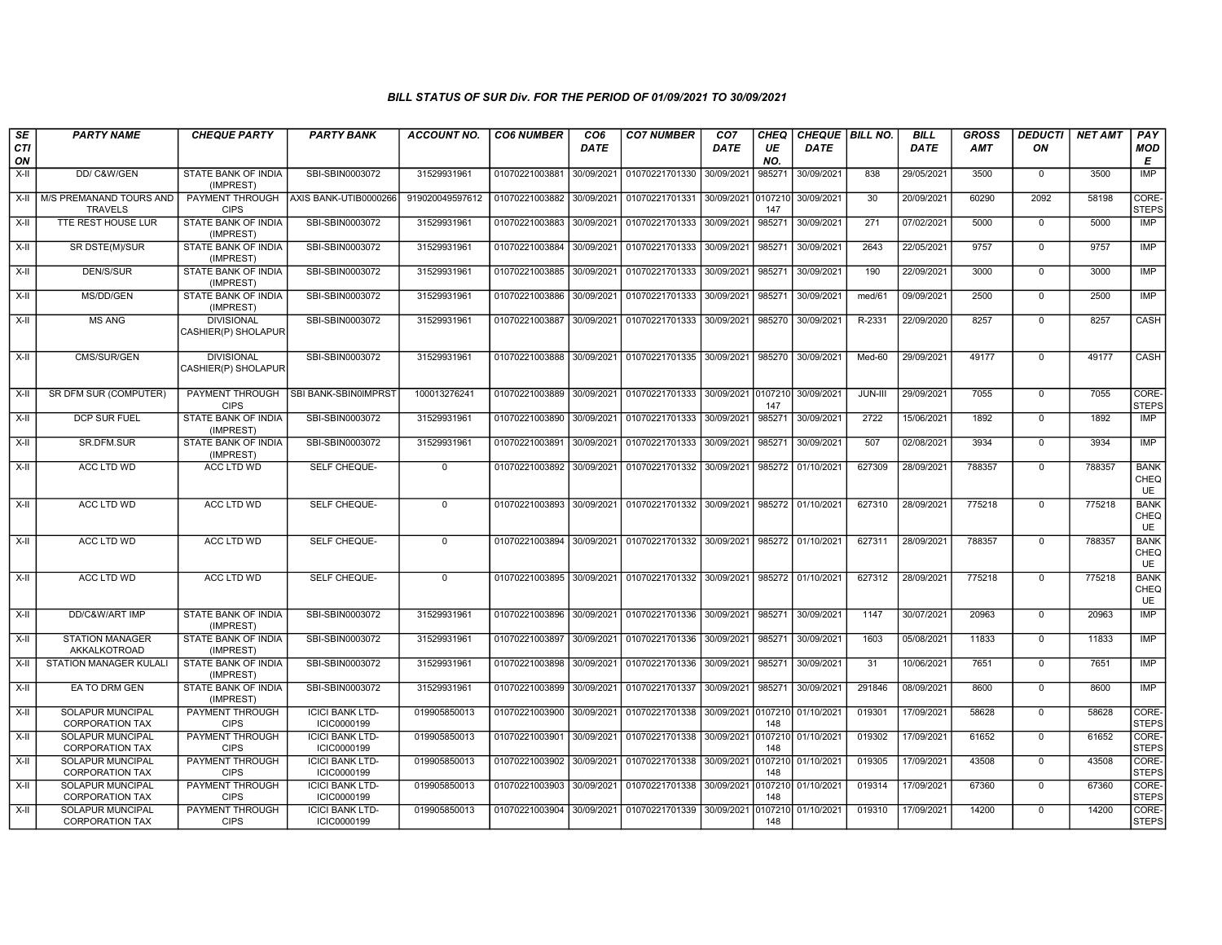| SE<br><b>CTI</b> | <b>PARTY NAME</b>                                 | <b>CHEQUE PARTY</b>                      | <b>PARTY BANK</b>                       | <b>ACCOUNT NO.</b> | <b>CO6 NUMBER</b>         | CO <sub>6</sub><br><b>DATE</b> | <b>CO7 NUMBER</b>                                                     | CO <sub>7</sub><br><b>DATE</b> | <b>CHEQ</b><br>UE | <b>DATE</b>        | CHEQUE   BILL NO. | <b>BILL</b><br><b>DATE</b> | <b>GROSS</b><br><b>AMT</b> | <b>DEDUCTI</b><br>ON | <b>NET AMT</b> | PAY<br>MOD                       |
|------------------|---------------------------------------------------|------------------------------------------|-----------------------------------------|--------------------|---------------------------|--------------------------------|-----------------------------------------------------------------------|--------------------------------|-------------------|--------------------|-------------------|----------------------------|----------------------------|----------------------|----------------|----------------------------------|
| ON<br>X-II       | DD/ C&W/GEN                                       | STATE BANK OF INDIA                      | SBI-SBIN0003072                         | 31529931961        | 01070221003881            | 30/09/2021                     | 01070221701330                                                        | 30/09/2021                     | NO.<br>985271     | 30/09/2021         | 838               | 29/05/2021                 | 3500                       | $\mathbf 0$          | 3500           | Е<br><b>IMP</b>                  |
|                  |                                                   | (IMPREST)                                |                                         |                    |                           |                                |                                                                       |                                |                   |                    |                   |                            |                            |                      |                |                                  |
|                  | X-II   M/S PREMANAND TOURS AND<br><b>TRAVELS</b>  | <b>CIPS</b>                              | PAYMENT THROUGH   AXIS BANK-UTIB0000266 | 919020049597612    | 01070221003882 30/09/2021 |                                | 01070221701331                                                        | 30/09/2021                     | 0107210<br>147    | 30/09/2021         | 30                | 20/09/2021                 | 60290                      | 2092                 | 58198          | CORE-<br>STEPS                   |
| X-II             | TTE REST HOUSE LUR                                | <b>STATE BANK OF INDIA</b><br>(IMPREST)  | SBI-SBIN0003072                         | 31529931961        | 01070221003883 30/09/2021 |                                | 01070221701333                                                        | 30/09/2021                     | 985271            | 30/09/2021         | 271               | 07/02/2021                 | 5000                       | $\mathbf 0$          | 5000           | <b>IMP</b>                       |
| X-II             | SR DSTE(M)/SUR                                    | STATE BANK OF INDIA<br>(IMPREST)         | SBI-SBIN0003072                         | 31529931961        | 01070221003884            | 30/09/2021                     | 01070221701333                                                        | 30/09/2021                     | 985271            | 30/09/2021         | 2643              | 22/05/2021                 | 9757                       | $\mathbf 0$          | 9757           | IMP                              |
| $X-H$            | DEN/S/SUR                                         | STATE BANK OF INDIA<br>(IMPREST)         | SBI-SBIN0003072                         | 31529931961        | 01070221003885            | 30/09/2021                     | 01070221701333                                                        | 30/09/2021                     | 985271            | 30/09/2021         | 190               | 22/09/2021                 | 3000                       | $\mathbf 0$          | 3000           | IMP                              |
| X-II             | <b>MS/DD/GEN</b>                                  | <b>STATE BANK OF INDIA</b><br>(IMPREST)  | SBI-SBIN0003072                         | 31529931961        | 01070221003886 30/09/2021 |                                | 01070221701333                                                        | 30/09/2021                     | 985271            | 30/09/2021         | med/61            | 09/09/2021                 | 2500                       | $\mathbf 0$          | 2500           | IMP                              |
| X-II             | <b>MS ANG</b>                                     | <b>DIVISIONAL</b><br>CASHIER(P) SHOLAPUR | SBI-SBIN0003072                         | 31529931961        | 01070221003887            | 30/09/2021                     | 01070221701333                                                        | 30/09/2021                     | 985270            | 30/09/2021         | R-2331            | 22/09/2020                 | 8257                       | $\mathbf 0$          | 8257           | CASH                             |
| $X-H$            | CMS/SUR/GEN                                       | <b>DIVISIONAL</b><br>CASHIER(P) SHOLAPUR | SBI-SBIN0003072                         | 31529931961        | 01070221003888 30/09/2021 |                                | 01070221701335 30/09/2021                                             |                                | 985270            | 30/09/2021         | $Med-60$          | 29/09/2021                 | 49177                      | $\mathbf 0$          | 49177          | <b>CASH</b>                      |
| $X-II$           | SR DFM SUR (COMPUTER)                             | PAYMENT THROUGH<br><b>CIPS</b>           | SBI BANK-SBIN0IMPRST                    | 100013276241       | 01070221003889 30/09/2021 |                                | 01070221701333 30/09/2021 0107210 30/09/2021                          |                                | 147               |                    | JUN-III           | 29/09/2021                 | 7055                       | $\overline{0}$       | 7055           | CORE-<br><b>STEPS</b>            |
| X-II             | <b>DCP SUR FUEL</b>                               | <b>STATE BANK OF INDIA</b><br>(IMPREST)  | SBI-SBIN0003072                         | 31529931961        | 01070221003890 30/09/2021 |                                | 01070221701333                                                        | 30/09/2021                     | 985271            | 30/09/2021         | 2722              | 15/06/2021                 | 1892                       | $\mathbf 0$          | 1892           | IMP                              |
| X-II             | SR.DFM.SUR                                        | STATE BANK OF INDIA<br>(IMPREST)         | SBI-SBIN0003072                         | 31529931961        | 01070221003891            | 30/09/2021                     | 01070221701333                                                        | 30/09/2021                     | 985271            | 30/09/2021         | 507               | 02/08/2021                 | 3934                       | $\mathsf 0$          | 3934           | IMP                              |
| X-II             | ACC LTD WD                                        | ACC LTD WD                               | <b>SELF CHEQUE-</b>                     | $\Omega$           | 01070221003892            | 30/09/2021                     | 01070221701332                                                        | 30/09/2021                     | 985272            | 01/10/2021         | 627309            | 28/09/2021                 | 788357                     | $\Omega$             | 788357         | <b>BANK</b><br>CHEQ<br><b>UE</b> |
| $X-H$            | <b>ACC LTD WD</b>                                 | <b>ACC LTD WD</b>                        | <b>SELF CHEQUE-</b>                     | $\overline{0}$     |                           |                                | 01070221003893 30/09/2021 01070221701332 30/09/2021 985272            |                                |                   | 01/10/2021         | 627310            | 28/09/2021                 | 775218                     | $\mathbf 0$          | 775218         | <b>BANK</b><br>CHEQ<br><b>UE</b> |
| $X-H$            | <b>ACC LTD WD</b>                                 | <b>ACC LTD WD</b>                        | <b>SELF CHEQUE-</b>                     | $\overline{0}$     |                           |                                | 01070221003894 30/09/2021 01070221701332 30/09/2021 985272 01/10/2021 |                                |                   |                    | 627311            | 28/09/2021                 | 788357                     | $\Omega$             | 788357         | <b>BANK</b><br>CHEQ<br><b>UE</b> |
| $X-H$            | ACC LTD WD                                        | ACC LTD WD                               | SELF CHEQUE-                            | $\Omega$           |                           |                                | 01070221003895 30/09/2021 01070221701332 30/09/2021                   |                                |                   | 985272 01/10/2021  | 627312            | 28/09/2021                 | 775218                     | $\mathbf 0$          | 775218         | <b>BANK</b><br>CHEQ<br><b>UE</b> |
| $X-H$            | DD/C&W/ART IMP                                    | <b>STATE BANK OF INDIA</b><br>(IMPREST)  | SBI-SBIN0003072                         | 31529931961        | 01070221003896 30/09/2021 |                                | 01070221701336                                                        | 30/09/2021                     | 985271            | 30/09/2021         | 1147              | 30/07/2021                 | 20963                      | $\mathbf 0$          | 20963          | IMP                              |
| X-II             | <b>STATION MANAGER</b><br>AKKALKOTROAD            | STATE BANK OF INDIA<br>(IMPREST)         | SBI-SBIN0003072                         | 31529931961        | 01070221003897 30/09/2021 |                                | 01070221701336 30/09/2021                                             |                                | 985271            | 30/09/2021         | 1603              | 05/08/2021                 | 11833                      | $\mathbf 0$          | 11833          | <b>IMP</b>                       |
| X-II             | STATION MANAGER KULALI                            | STATE BANK OF INDIA<br>(IMPREST)         | SBI-SBIN0003072                         | 31529931961        | 01070221003898 30/09/2021 |                                | 01070221701336                                                        | 30/09/2021                     | 985271            | 30/09/2021         | 31                | 10/06/2021                 | 7651                       | $\mathbf 0$          | 7651           | IMP                              |
| $X-H$            | EA TO DRM GEN                                     | <b>STATE BANK OF INDIA</b><br>(IMPREST)  | SBI-SBIN0003072                         | 31529931961        | 01070221003899            | 30/09/2021                     | 01070221701337                                                        | 30/09/2021                     | 985271            | 30/09/2021         | 291846            | 08/09/2021                 | 8600                       | $\overline{0}$       | 8600           | <b>IMP</b>                       |
| X-II             | <b>SOLAPUR MUNCIPAL</b><br><b>CORPORATION TAX</b> | <b>PAYMENT THROUGH</b><br><b>CIPS</b>    | <b>ICICI BANK LTD-</b><br>ICIC0000199   | 019905850013       | 01070221003900 30/09/2021 |                                | 01070221701338 30/09/2021 0107210 01/10/2021                          |                                | 148               |                    | 019301            | 17/09/2021                 | 58628                      | $\mathbf 0$          | 58628          | CORE-<br><b>STEPS</b>            |
| X-II             | SOLAPUR MUNCIPAL<br><b>CORPORATION TAX</b>        | PAYMENT THROUGH<br><b>CIPS</b>           | <b>ICICI BANK LTD-</b><br>ICIC0000199   | 019905850013       | 01070221003901            | 30/09/2021                     | 01070221701338                                                        | 30/09/2021                     | 0107210<br>148    | 01/10/2021         | 019302            | 17/09/2021                 | 61652                      | $\mathbf 0$          | 61652          | CORE-<br><b>STEPS</b>            |
| $X-II$           | SOLAPUR MUNCIPAL<br><b>CORPORATION TAX</b>        | PAYMENT THROUGH<br><b>CIPS</b>           | <b>ICICI BANK LTD-</b><br>ICIC0000199   | 019905850013       | 01070221003902 30/09/2021 |                                | 01070221701338 30/09/2021                                             |                                | 0107210<br>148    | 01/10/2021         | 019305            | 17/09/2021                 | 43508                      | $\mathbf 0$          | 43508          | CORE-<br><b>STEPS</b>            |
| $X-H$            | SOLAPUR MUNCIPAL<br><b>CORPORATION TAX</b>        | <b>PAYMENT THROUGH</b><br><b>CIPS</b>    | <b>ICICI BANK LTD-</b><br>ICIC0000199   | 019905850013       | 01070221003903 30/09/2021 |                                | 01070221701338 30/09/2021                                             |                                | 0107210<br>148    | 01/10/2021         | 019314            | 17/09/2021                 | 67360                      | $\mathbf 0$          | 67360          | CORE-<br><b>STEPS</b>            |
| X-II             | SOLAPUR MUNCIPAL<br><b>CORPORATION TAX</b>        | PAYMENT THROUGH<br><b>CIPS</b>           | <b>ICICI BANK LTD-</b><br>ICIC0000199   | 019905850013       | 01070221003904 30/09/2021 |                                | 01070221701339 30/09/2021                                             |                                | 148               | 0107210 01/10/2021 | 019310            | 17/09/2021                 | 14200                      | $\mathbf 0$          | 14200          | CORE-<br><b>STEPS</b>            |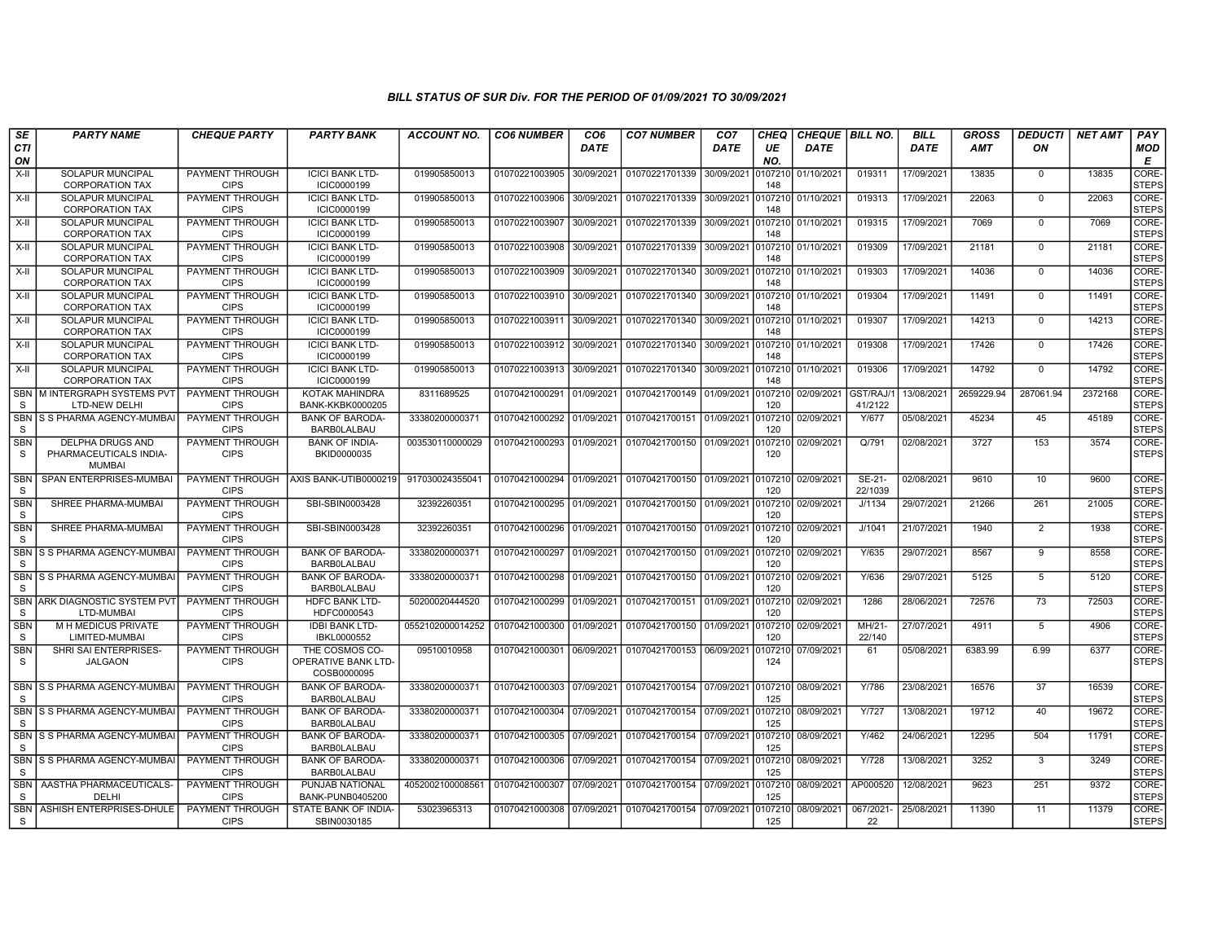| SE<br><b>CTI</b>           | <b>PARTY NAME</b>                                           | <b>CHEQUE PARTY</b>                   | <b>PARTY BANK</b>                                           | ACCOUNT NO.      | <b>CO6 NUMBER</b>         | CO <sub>6</sub><br><b>DATE</b> | <b>CO7 NUMBER</b>         | CO <sub>7</sub><br>DATE | <b>CHEQ</b><br>UE | CHEQUE   BILL NO.<br><b>DATE</b> |                     | <b>BILL</b><br><b>DATE</b> | <b>GROSS</b><br><b>AMT</b> | <b>DEDUCTI</b><br>ON | <b>NET AMT</b> | PAY<br><b>MOD</b>           |
|----------------------------|-------------------------------------------------------------|---------------------------------------|-------------------------------------------------------------|------------------|---------------------------|--------------------------------|---------------------------|-------------------------|-------------------|----------------------------------|---------------------|----------------------------|----------------------------|----------------------|----------------|-----------------------------|
| ON<br>X-II                 | SOLAPUR MUNCIPAL                                            | PAYMENT THROUGH                       | <b>ICICI BANK LTD-</b>                                      | 019905850013     | 01070221003905            | 30/09/2021                     | 01070221701339            | 30/09/2021              | NO.<br>107210     | 01/10/2021                       | 019311              | 17/09/2021                 | 13835                      | $\mathbf 0$          | 13835          | E<br>CORE-                  |
|                            | <b>CORPORATION TAX</b>                                      | <b>CIPS</b>                           | ICIC0000199                                                 |                  |                           |                                |                           |                         | 148               |                                  |                     |                            |                            |                      |                | <b>STEPS</b>                |
| $X-H$                      | <b>SOLAPUR MUNCIPAL</b><br><b>CORPORATION TAX</b>           | PAYMENT THROUGH<br><b>CIPS</b>        | <b>ICICI BANK LTD-</b><br>ICIC0000199                       | 019905850013     | 01070221003906            | 30/09/2021                     | 01070221701339 30/09/2021 |                         | 107210<br>148     | 01/10/2021                       | 019313              | 17/09/2021                 | 22063                      | $\mathbf 0$          | 22063          | CORE-<br>STEPS              |
| X-II                       | SOLAPUR MUNCIPAL<br><b>CORPORATION TAX</b>                  | PAYMENT THROUGH<br><b>CIPS</b>        | <b>ICICI BANK LTD-</b><br>ICIC0000199                       | 019905850013     | 01070221003907            | 30/09/2021                     | 01070221701339 30/09/2021 |                         | 0107210<br>148    | 01/10/2021                       | 019315              | 17/09/2021                 | 7069                       | $\mathbf 0$          | 7069           | CORE-<br><b>STEPS</b>       |
| $X-II$                     | SOLAPUR MUNCIPAL<br><b>CORPORATION TAX</b>                  | PAYMENT THROUGH<br><b>CIPS</b>        | <b>ICICI BANK LTD-</b><br>ICIC0000199                       | 019905850013     | 01070221003908            | 30/09/2021                     | 01070221701339            | 30/09/2021              | 107210<br>148     | 01/10/2021                       | 019309              | 17/09/2021                 | 21181                      | $\mathbf 0$          | 21181          | CORE-<br><b>STEPS</b>       |
| $X-H$                      | <b>SOLAPUR MUNCIPAL</b><br><b>CORPORATION TAX</b>           | PAYMENT THROUGH<br><b>CIPS</b>        | <b>ICICI BANK LTD-</b><br>ICIC0000199                       | 019905850013     | 01070221003909            | 30/09/2021                     | 01070221701340 30/09/2021 |                         | 0107210<br>148    | 01/10/2021                       | 019303              | 17/09/2021                 | 14036                      | $\mathbf 0$          | 14036          | CORE-<br><b>STEPS</b>       |
| X-II                       | <b>SOLAPUR MUNCIPAL</b><br><b>CORPORATION TAX</b>           | PAYMENT THROUGH<br><b>CIPS</b>        | <b>ICICI BANK LTD-</b><br>ICIC0000199                       | 019905850013     | 01070221003910            | 30/09/2021                     | 01070221701340 30/09/2021 |                         | 0107210<br>148    | 01/10/2021                       | 019304              | 17/09/2021                 | 11491                      | $\mathbf 0$          | 11491          | CORE-<br><b>STEPS</b>       |
| X-II                       | SOLAPUR MUNCIPAL<br><b>CORPORATION TAX</b>                  | PAYMENT THROUGH<br><b>CIPS</b>        | <b>ICICI BANK LTD-</b><br>ICIC0000199                       | 019905850013     | 01070221003911            | 30/09/2021                     | 01070221701340 30/09/2021 |                         | 0107210<br>148    | 01/10/2021                       | 019307              | 17/09/2021                 | 14213                      | $\mathbf 0$          | 14213          | CORE-<br><b>STEPS</b>       |
| X-II                       | SOLAPUR MUNCIPAL<br><b>CORPORATION TAX</b>                  | PAYMENT THROUGH<br><b>CIPS</b>        | <b>ICICI BANK LTD-</b><br>ICIC0000199                       | 019905850013     | 01070221003912            | 30/09/2021                     | 01070221701340 30/09/2021 |                         | 0107210<br>148    | 01/10/2021                       | 019308              | 17/09/2021                 | 17426                      | $\mathbf 0$          | 17426          | CORE-<br><b>STEPS</b>       |
| X-II                       | SOLAPUR MUNCIPAL<br><b>CORPORATION TAX</b>                  | PAYMENT THROUGH<br><b>CIPS</b>        | <b>ICICI BANK LTD-</b><br>ICIC0000199                       | 019905850013     | 01070221003913            | 30/09/2021                     | 01070221701340            | 30/09/2021              | 0107210<br>148    | 01/10/2021                       | 019306              | 17/09/2021                 | 14792                      | $\mathbf 0$          | 14792          | CORE-<br><b>STEPS</b>       |
| <b>SBN</b><br><sub>S</sub> | M INTERGRAPH SYSTEMS PVT<br>LTD-NEW DELHI                   | <b>PAYMENT THROUGH</b><br><b>CIPS</b> | <b>KOTAK MAHINDRA</b><br><b>BANK-KKBK0000205</b>            | 8311689525       | 01070421000291            | 01/09/2021                     | 01070421700149 01/09/2021 |                         | 0107210<br>120    | 02/09/2021                       | GST/RAJ/<br>41/2122 | 13/08/2021                 | 2659229.94                 | 287061.94            | 2372168        | CORE-<br><b>STEPS</b>       |
| SBN<br><b>S</b>            | S S PHARMA AGENCY-MUMBAI                                    | PAYMENT THROUGH<br><b>CIPS</b>        | <b>BANK OF BARODA-</b><br><b>BARBOLALBAU</b>                | 33380200000371   | 01070421000292            | 01/09/2021                     | 01070421700151 01/09/2021 |                         | 0107210<br>120    | 02/09/2021                       | Y/677               | 05/08/2021                 | 45234                      | 45                   | 45189          | CORE-<br><b>STEPS</b>       |
| <b>SBN</b><br>S            | DELPHA DRUGS AND<br>PHARMACEUTICALS INDIA-<br><b>MUMBAI</b> | PAYMENT THROUGH<br><b>CIPS</b>        | <b>BANK OF INDIA-</b><br>BKID0000035                        | 003530110000029  | 01070421000293            | 01/09/2021                     | 01070421700150 01/09/2021 |                         | 0107210<br>120    | 02/09/2021                       | Q/791               | 02/08/2021                 | 3727                       | 153                  | 3574           | CORE-<br><b>STEPS</b>       |
| <b>SBN</b><br><b>S</b>     | SPAN ENTERPRISES-MUMBAI                                     | PAYMENT THROUGH<br><b>CIPS</b>        | AXIS BANK-UTIB0000219                                       | 917030024355041  | 01070421000294 01/09/2021 |                                | 01070421700150 01/09/2021 |                         | 0107210<br>120    | 02/09/2021                       | SE-21-<br>22/1039   | 02/08/2021                 | 9610                       | 10                   | 9600           | CORE-<br>STEPS              |
| <b>SBN</b><br>S            | SHREE PHARMA-MUMBAI                                         | PAYMENT THROUGH<br><b>CIPS</b>        | SBI-SBIN0003428                                             | 32392260351      | 01070421000295            | 01/09/2021                     | 01070421700150 01/09/2021 |                         | 0107210<br>120    | 02/09/2021                       | J/1134              | 29/07/2021                 | 21266                      | 261                  | 21005          | CORE-<br><b>STEPS</b>       |
| <b>SBN</b><br>S            | SHREE PHARMA-MUMBAI                                         | PAYMENT THROUGH<br><b>CIPS</b>        | SBI-SBIN0003428                                             | 32392260351      | 01070421000296            | 01/09/2021                     | 01070421700150 01/09/2021 |                         | 010721<br>120     | 02/09/2021                       | J/1041              | 21/07/2021                 | 1940                       | 2                    | 1938           | CORE-<br><b>STEPS</b>       |
| <b>SBN</b><br><sub>S</sub> | S S PHARMA AGENCY-MUMBA                                     | <b>PAYMENT THROUGH</b><br><b>CIPS</b> | <b>BANK OF BARODA-</b><br><b>BARBOLALBAU</b>                | 3338020000037    | 01070421000297            | 01/09/2021                     | 01070421700150 01/09/2021 |                         | 0107210<br>120    | 02/09/2021                       | Y/635               | 29/07/2021                 | 8567                       | 9                    | 8558           | CORE-<br><b>STEPS</b>       |
| - S                        | SBN S S PHARMA AGENCY-MUMBAI                                | PAYMENT THROUGH<br><b>CIPS</b>        | <b>BANK OF BARODA-</b><br><b>BARBOLALBAU</b>                | 33380200000371   | 01070421000298            | 01/09/2021                     | 01070421700150 01/09/2021 |                         | 0107210<br>120    | 02/09/2021                       | Y/636               | 29/07/2021                 | 5125                       | -5                   | 5120           | CORE-<br>Isteps             |
| <b>SBN</b><br>S            | ARK DIAGNOSTIC SYSTEM PVT<br>LTD-MUMBAI                     | PAYMENT THROUGH<br><b>CIPS</b>        | HDFC BANK LTD-<br>HDFC0000543                               | 50200020444520   | 01070421000299            | 01/09/2021                     | 01070421700151            | 01/09/2021              | 107210<br>120     | 02/09/2021                       | 1286                | 28/06/2021                 | 72576                      | 73                   | 72503          | <b>CORE</b><br><b>STEPS</b> |
| <b>SBN</b><br>S            | <b>M H MEDICUS PRIVATE</b><br>LIMITED-MUMBAI                | <b>PAYMENT THROUGH</b><br><b>CIPS</b> | <b>IDBI BANK LTD-</b><br>IBKL0000552                        | 0552102000014252 | 01070421000300            | 01/09/2021                     | 01070421700150 01/09/2021 |                         | 0107210<br>120    | 02/09/2021                       | MH/21-<br>22/140    | 27/07/2021                 | 4911                       | 5                    | 4906           | CORE-<br><b>STEPS</b>       |
| <b>SBN</b><br><sub>S</sub> | SHRI SAI ENTERPRISES-<br><b>JALGAON</b>                     | <b>PAYMENT THROUGH</b><br><b>CIPS</b> | THE COSMOS CO-<br><b>OPERATIVE BANK LTD-</b><br>COSB0000095 | 09510010958      | 01070421000301 06/09/2021 |                                | 01070421700153 06/09/2021 |                         | 10721<br>124      | 07/09/2021                       | 61                  | 05/08/2021                 | 6383.99                    | 6.99                 | 6377           | CORE-<br><b>STEPS</b>       |
| SBN<br>S                   | IS S PHARMA AGENCY-MUMBAI                                   | PAYMENT THROUGH<br><b>CIPS</b>        | <b>BANK OF BARODA-</b><br><b>BARBOLALBAU</b>                | 33380200000371   | 01070421000303 07/09/2021 |                                | 01070421700154 07/09/2021 |                         | 0107210<br>125    | 08/09/2021                       | Y/786               | 23/08/2021                 | 16576                      | 37                   | 16539          | CORE-<br><b>STEPS</b>       |
| <b>SBN</b><br>S            | S S PHARMA AGENCY-MUMBA                                     | <b>PAYMENT THROUGH</b><br><b>CIPS</b> | <b>BANK OF BARODA-</b><br><b>BARBOLALBAU</b>                | 33380200000371   | 01070421000304            | 07/09/2021                     | 01070421700154 07/09/2021 |                         | 0107210<br>125    | 08/09/2021                       | Y/727               | 13/08/2021                 | 19712                      | 40                   | 19672          | CORE-<br><b>STEPS</b>       |
| <b>SBN</b><br><sub>S</sub> | S S PHARMA AGENCY-MUMBA                                     | <b>PAYMENT THROUGH</b><br><b>CIPS</b> | <b>BANK OF BARODA-</b><br><b>BARBOLALBAU</b>                | 33380200000371   | 01070421000305            | 07/09/2021                     | 01070421700154            | 07/09/2021              | 0107210<br>125    | 08/09/2021                       | Y/462               | 24/06/2021                 | 12295                      | 504                  | 11791          | CORE-<br><b>STEPS</b>       |
| <b>SBN</b><br>- S          | S S PHARMA AGENCY-MUMBAI                                    | <b>PAYMENT THROUGH</b><br><b>CIPS</b> | <b>BANK OF BARODA-</b><br><b>BARBOLALBAU</b>                | 33380200000371   | 01070421000306            | 07/09/2021                     | 01070421700154 07/09/2021 |                         | 107210<br>125     | 08/09/2021                       | Y/728               | 13/08/2021                 | 3252                       | 3                    | 3249           | CORE-<br><b>STEPS</b>       |
| <b>SBN</b><br><sub>S</sub> | AASTHA PHARMACEUTICALS-<br>DELHI                            | PAYMENT THROUGH<br><b>CIPS</b>        | PUNJAB NATIONAL<br><b>BANK-PUNB0405200</b>                  | 4052002100008561 | 01070421000307            | 07/09/2021                     | 01070421700154 07/09/2021 |                         | 0107210<br>125    | 08/09/2021                       | AP000520            | 12/08/2021                 | 9623                       | 251                  | 9372           | CORE-<br>STEPS              |
| <b>SBN</b><br><sub>S</sub> | ASHISH ENTERPRISES-DHULE                                    | <b>PAYMENT THROUGH</b><br><b>CIPS</b> | STATE BANK OF INDIA-<br>SBIN0030185                         | 53023965313      | 01070421000308            | 07/09/2021                     | 01070421700154 07/09/2021 |                         | 107210<br>125     | 08/09/2021                       | 067/2021<br>22      | 25/08/2021                 | 11390                      | 11                   | 11379          | CORE-<br><b>STEPS</b>       |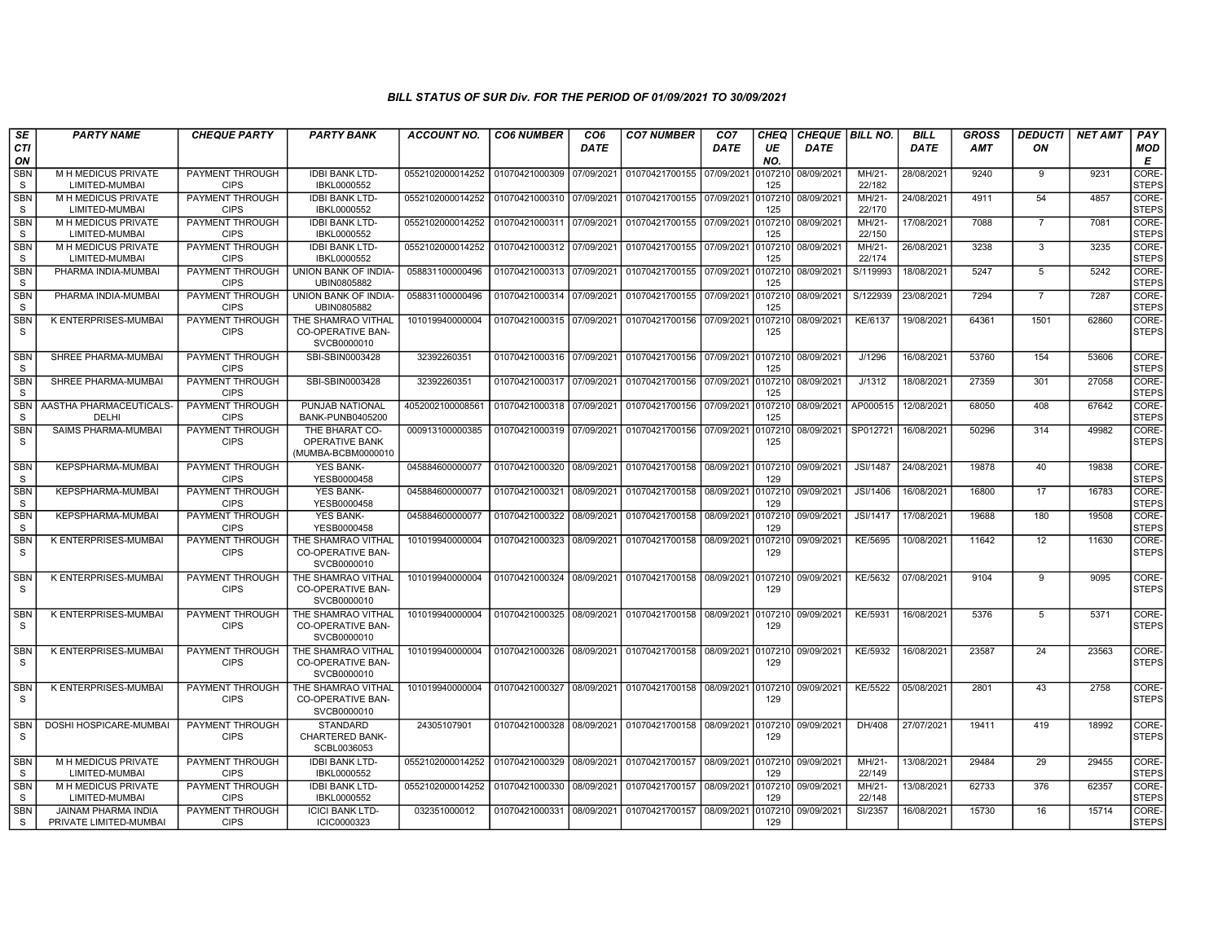| SE<br><b>CTI</b>           | <b>PARTY NAME</b>                                    | <b>CHEQUE PARTY</b>                   | <b>PARTY BANK</b>                                             | <b>ACCOUNT NO.</b> | <b>CO6 NUMBER</b>         | CO <sub>6</sub><br><b>DATE</b> | <b>CO7 NUMBER</b>                 | CO <sub>7</sub><br><b>DATE</b> | CHEQ<br>UE     | <b>CHEQUE   BILL NO.</b><br><b>DATE</b> |                    | <b>BILL</b><br><b>DATE</b> | GROSS<br>AMT | <b>DEDUCTI</b><br>ON | <b>NET AMT</b> | PAY<br>MOD            |
|----------------------------|------------------------------------------------------|---------------------------------------|---------------------------------------------------------------|--------------------|---------------------------|--------------------------------|-----------------------------------|--------------------------------|----------------|-----------------------------------------|--------------------|----------------------------|--------------|----------------------|----------------|-----------------------|
| ON<br><b>SBN</b>           | M H MEDICUS PRIVATE                                  | PAYMENT THROUGH                       | <b>IDBI BANK LTD-</b>                                         | 0552102000014252   | 01070421000309            | 07/09/2021                     | 01070421700155 07/09/2021         |                                | NO.<br>107210  | 08/09/2021                              | MH/21-             | 28/08/2021                 | 9240         | 9                    | 9231           | Е<br>CORE-            |
| S                          | LIMITED-MUMBAI<br>M H MEDICUS PRIVATE                | <b>CIPS</b><br><b>PAYMENT THROUGH</b> | IBKL0000552                                                   |                    | 01070421000310 07/09/2021 |                                | 01070421700155 07/09/2021         |                                | 125            |                                         | 22/182<br>$MH/21-$ | 24/08/2021                 |              | 54                   |                | <b>STEPS</b><br>CORE- |
| <b>SBN</b><br>S            | LIMITED-MUMBAI                                       | <b>CIPS</b>                           | <b>IDBI BANK LTD-</b><br>IBKL0000552                          | 0552102000014252   |                           |                                |                                   |                                | 107210<br>125  | 08/09/2021                              | 22/170             |                            | 4911         |                      | 4857           | <b>STEPS</b>          |
| <b>SBN</b><br>S            | M H MEDICUS PRIVATE<br>LIMITED-MUMBAI                | PAYMENT THROUGH<br><b>CIPS</b>        | <b>IDBI BANK LTD-</b><br>IBKL0000552                          | 0552102000014252   | 01070421000311            | 07/09/2021                     | 01070421700155 07/09/2021         |                                | 107210<br>125  | 08/09/2021                              | MH/21-<br>22/150   | 17/08/2021                 | 7088         | $\overline{7}$       | 7081           | CORE-<br><b>STEPS</b> |
| <b>SBN</b><br>S            | M H MEDICUS PRIVATE<br>LIMITED-MUMBAI                | PAYMENT THROUGH<br><b>CIPS</b>        | <b>IDBI BANK LTD-</b><br>IBKL0000552                          | 0552102000014252   | 01070421000312            | 07/09/2021                     | 01070421700155                    | 07/09/2021                     | 107210<br>125  | 08/09/2021                              | MH/21-<br>22/174   | 26/08/2021                 | 3238         | 3                    | 3235           | CORE-<br><b>STEPS</b> |
| <b>SBN</b><br>S            | PHARMA INDIA-MUMBAI                                  | PAYMENT THROUGH<br><b>CIPS</b>        | UNION BANK OF INDIA-<br>UBIN0805882                           | 058831100000496    | 01070421000313            | 07/09/2021                     | 01070421700155 07/09/2021         |                                | 107210<br>125  | 08/09/2021                              | S/119993           | 18/08/2021                 | 5247         | 5                    | 5242           | CORE-<br><b>STEPS</b> |
| <b>SBN</b><br><sub>S</sub> | PHARMA INDIA-MUMBAI                                  | <b>PAYMENT THROUGH</b><br><b>CIPS</b> | UNION BANK OF INDIA-<br>UBIN0805882                           | 058831100000496    | 01070421000314 07/09/2021 |                                | 01070421700155 07/09/2021         |                                | 107210<br>125  | 08/09/2021                              | S/122939           | 23/08/2021                 | 7294         | $\overline{7}$       | 7287           | CORE-<br><b>STEPS</b> |
| SBN<br>S                   | K ENTERPRISES-MUMBAI                                 | PAYMENT THROUGH<br><b>CIPS</b>        | THE SHAMRAO VITHAL<br><b>CO-OPERATIVE BAN-</b><br>SVCB0000010 | 101019940000004    | 01070421000315 07/09/2021 |                                | 01070421700156 07/09/2021         |                                | 107210<br>125  | 08/09/2021                              | KE/6137            | 19/08/2021                 | 64361        | 1501                 | 62860          | CORE-<br><b>STEPS</b> |
| <b>SBN</b><br><sub>S</sub> | SHREE PHARMA-MUMBAI                                  | PAYMENT THROUGH<br><b>CIPS</b>        | SBI-SBIN0003428                                               | 32392260351        | 01070421000316 07/09/2021 |                                | 01070421700156 07/09/2021         |                                | 107210<br>125  | 08/09/2021                              | J/1296             | 16/08/2021                 | 53760        | 154                  | 53606          | CORE-<br><b>STEPS</b> |
| <b>SBN</b><br><sub>S</sub> | SHREE PHARMA-MUMBAI                                  | PAYMENT THROUGH<br><b>CIPS</b>        | SBI-SBIN0003428                                               | 32392260351        | 01070421000317 07/09/2021 |                                | 01070421700156                    | 07/09/2021                     | 107210<br>125  | 08/09/2021                              | J/1312             | 18/08/2021                 | 27359        | 301                  | 27058          | CORE-<br><b>STEPS</b> |
| <b>SBN</b><br>S            | AASTHA PHARMACEUTICALS-<br>DELHI                     | PAYMENT THROUGH<br><b>CIPS</b>        | PUNJAB NATIONAL<br><b>BANK-PUNB0405200</b>                    | 4052002100008561   | 01070421000318            | 07/09/2021                     | 01070421700156                    | 07/09/2021                     | 107210<br>125  | 08/09/2021                              | AP000515           | 12/08/2021                 | 68050        | 408                  | 67642          | CORE-<br><b>STEPS</b> |
| <b>SBN</b><br>S            | <b>SAIMS PHARMA-MUMBAI</b>                           | <b>PAYMENT THROUGH</b><br><b>CIPS</b> | THE BHARAT CO-<br>OPERATIVE BANK<br>(MUMBA-BCBM0000010        | 000913100000385    | 01070421000319            | 07/09/2021                     | 01070421700156 07/09/2021         |                                | 107210<br>125  | 08/09/2021                              | SP012721           | 16/08/2021                 | 50296        | 314                  | 49982          | CORE-<br><b>STEPS</b> |
| <b>SBN</b><br>S            | <b>KEPSPHARMA-MUMBAI</b>                             | PAYMENT THROUGH<br><b>CIPS</b>        | <b>YES BANK-</b><br>YESB0000458                               | 045884600000077    | 01070421000320            | 08/09/2021                     | 01070421700158 08/09/2021         |                                | 0107210<br>129 | 09/09/2021                              | <b>JSI/1487</b>    | 24/08/2021                 | 19878        | 40                   | 19838          | CORE-<br><b>STEPS</b> |
| <b>SBN</b><br>S            | KEPSPHARMA-MUMBAI                                    | PAYMENT THROUGH<br><b>CIPS</b>        | YES BANK-<br>YESB0000458                                      | 045884600000077    | 01070421000321            | 08/09/2021                     | 01070421700158                    | 08/09/2021                     | 107210<br>129  | 09/09/2021                              | JSI/1406           | 16/08/2021                 | 16800        | 17                   | 16783          | CORE-<br><b>STEPS</b> |
| <b>SBN</b><br>S            | KEPSPHARMA-MUMBAI                                    | <b>PAYMENT THROUGH</b><br><b>CIPS</b> | <b>YES BANK-</b><br>YESB0000458                               | 045884600000077    | 01070421000322            | 08/09/2021                     | 01070421700158                    | 08/09/2021                     | 107210<br>129  | 09/09/2021                              | <b>JSI/1417</b>    | 17/08/2021                 | 19688        | 180                  | 19508          | CORE-<br><b>STEPS</b> |
| <b>SBN</b><br><sub>S</sub> | K ENTERPRISES-MUMBAI                                 | PAYMENT THROUGH<br><b>CIPS</b>        | THE SHAMRAO VITHAL<br><b>CO-OPERATIVE BAN-</b><br>SVCB0000010 | 101019940000004    | 01070421000323 08/09/2021 |                                | 01070421700158 08/09/2021         |                                | 107210<br>129  | 09/09/2021                              | KE/5695            | 10/08/2021                 | 11642        | 12                   | 11630          | CORE-<br><b>STEPS</b> |
| <b>SBN</b><br>S.           | K ENTERPRISES-MUMBAI                                 | <b>PAYMENT THROUGH</b><br><b>CIPS</b> | THE SHAMRAO VITHAL<br><b>CO-OPERATIVE BAN-</b><br>SVCB0000010 | 101019940000004    | 01070421000324 08/09/2021 |                                | 01070421700158 08/09/2021         |                                | 0107210<br>129 | 09/09/2021                              | KE/5632            | 07/08/2021                 | 9104         | 9                    | 9095           | CORE-<br><b>STEPS</b> |
| <b>SBN</b><br>S            | K ENTERPRISES-MUMBAI                                 | PAYMENT THROUGH<br><b>CIPS</b>        | THE SHAMRAO VITHAL<br>CO-OPERATIVE BAN-<br>SVCB0000010        | 101019940000004    | 01070421000325 08/09/2021 |                                | 01070421700158 08/09/2021         |                                | 0107210<br>129 | 09/09/2021                              | KE/5931            | 16/08/2021                 | 5376         | $5\overline{)}$      | 5371           | CORE-<br><b>STEPS</b> |
| SBN<br>S                   | K ENTERPRISES-MUMBAI                                 | PAYMENT THROUGH<br><b>CIPS</b>        | THE SHAMRAO VITHAL<br><b>CO-OPERATIVE BAN-</b><br>SVCB0000010 | 101019940000004    | 01070421000326 08/09/2021 |                                | 01070421700158 08/09/2021 0107210 |                                | 129            | 09/09/2021                              | KE/5932            | 16/08/2021                 | 23587        | 24                   | 23563          | CORE-<br><b>STEPS</b> |
| <b>SBN</b><br>s            | K ENTERPRISES-MUMBAI                                 | <b>PAYMENT THROUGH</b><br><b>CIPS</b> | THE SHAMRAO VITHAL<br><b>CO-OPERATIVE BAN-</b><br>SVCB0000010 | 101019940000004    | 01070421000327 08/09/2021 |                                | 01070421700158 08/09/2021         |                                | 129            | 0107210 09/09/2021                      | <b>KE/5522</b>     | 05/08/2021                 | 2801         | 43                   | 2758           | CORE-<br><b>STEPS</b> |
| <b>SBN</b><br>S            | DOSHI HOSPICARE-MUMBAI                               | PAYMENT THROUGH<br><b>CIPS</b>        | <b>STANDARD</b><br><b>CHARTERED BANK-</b><br>SCBL0036053      | 24305107901        | 01070421000328 08/09/2021 |                                | 01070421700158 08/09/2021         |                                | 107210<br>129  | 09/09/2021                              | DH/408             | 27/07/2021                 | 19411        | 419                  | 18992          | CORE-<br><b>STEPS</b> |
| <b>SBN</b><br>S.           | M H MEDICUS PRIVATE<br>LIMITED-MUMBAI                | PAYMENT THROUGH<br><b>CIPS</b>        | <b>IDBI BANK LTD-</b><br>IBKL0000552                          | 0552102000014252   | 01070421000329            | 08/09/2021                     | 01070421700157 08/09/2021         |                                | 107210<br>129  | 09/09/2021                              | MH/21-<br>22/149   | 13/08/2021                 | 29484        | 29                   | 29455          | CORE-<br><b>STEPS</b> |
| <b>SBN</b><br>S            | M H MEDICUS PRIVATE<br>LIMITED-MUMBAI                | PAYMENT THROUGH<br><b>CIPS</b>        | <b>IDBI BANK LTD-</b><br>IBKL0000552                          | 0552102000014252   | 01070421000330            | 08/09/2021                     | 01070421700157 08/09/2021         |                                | 107210<br>129  | 09/09/2021                              | MH/21-<br>22/148   | 13/08/2021                 | 62733        | 376                  | 62357          | CORE-<br><b>STEPS</b> |
| <b>SBN</b><br>S            | <b>JAINAM PHARMA INDIA</b><br>PRIVATE LIMITED-MUMBAI | <b>PAYMENT THROUGH</b><br><b>CIPS</b> | <b>ICICI BANK LTD-</b><br>ICIC0000323                         | 032351000012       | 01070421000331            | 08/09/2021                     | 01070421700157 08/09/2021         |                                | 107210<br>129  | 09/09/2021                              | SI/2357            | 16/08/2021                 | 15730        | 16                   | 15714          | CORE-<br>STEPS        |